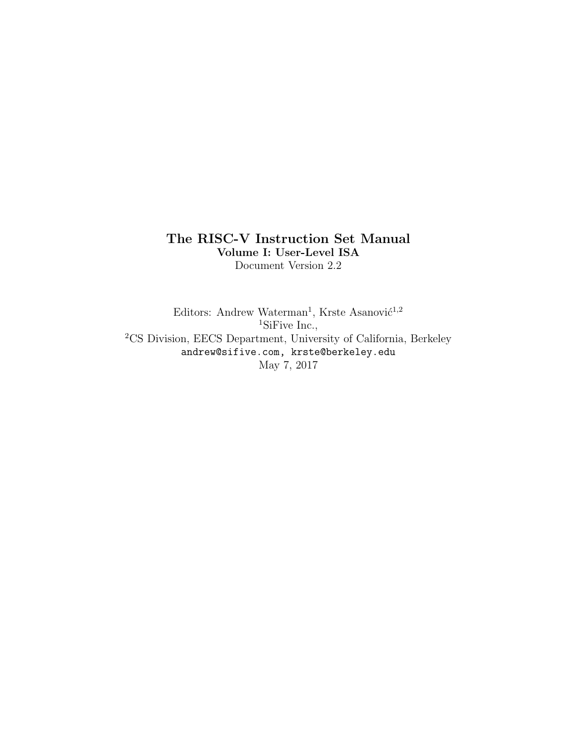### The RISC-V Instruction Set Manual Volume I: User-Level ISA Document Version 2.2

Editors: Andrew Waterman<sup>1</sup>, Krste Asanović<sup>1,2</sup> <sup>1</sup>SiFive Inc., <sup>2</sup>CS Division, EECS Department, University of California, Berkeley andrew@sifive.com, krste@berkeley.edu May 7, 2017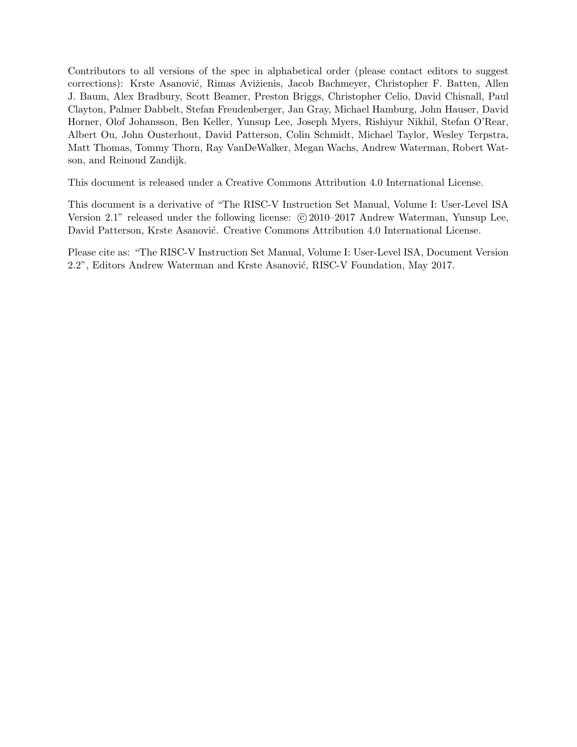Contributors to all versions of the spec in alphabetical order (please contact editors to suggest corrections): Krste Asanović, Rimas Avižienis, Jacob Bachmeyer, Christopher F. Batten, Allen J. Baum, Alex Bradbury, Scott Beamer, Preston Briggs, Christopher Celio, David Chisnall, Paul Clayton, Palmer Dabbelt, Stefan Freudenberger, Jan Gray, Michael Hamburg, John Hauser, David Horner, Olof Johansson, Ben Keller, Yunsup Lee, Joseph Myers, Rishiyur Nikhil, Stefan O'Rear, Albert Ou, John Ousterhout, David Patterson, Colin Schmidt, Michael Taylor, Wesley Terpstra, Matt Thomas, Tommy Thorn, Ray VanDeWalker, Megan Wachs, Andrew Waterman, Robert Watson, and Reinoud Zandijk.

This document is released under a Creative Commons Attribution 4.0 International License.

This document is a derivative of "The RISC-V Instruction Set Manual, Volume I: User-Level ISA Version 2.1" released under the following license:  $\odot$  2010–2017 Andrew Waterman, Yunsup Lee, David Patterson, Krste Asanović. Creative Commons Attribution 4.0 International License.

Please cite as: "The RISC-V Instruction Set Manual, Volume I: User-Level ISA, Document Version 2.2", Editors Andrew Waterman and Krste Asanović, RISC-V Foundation, May 2017.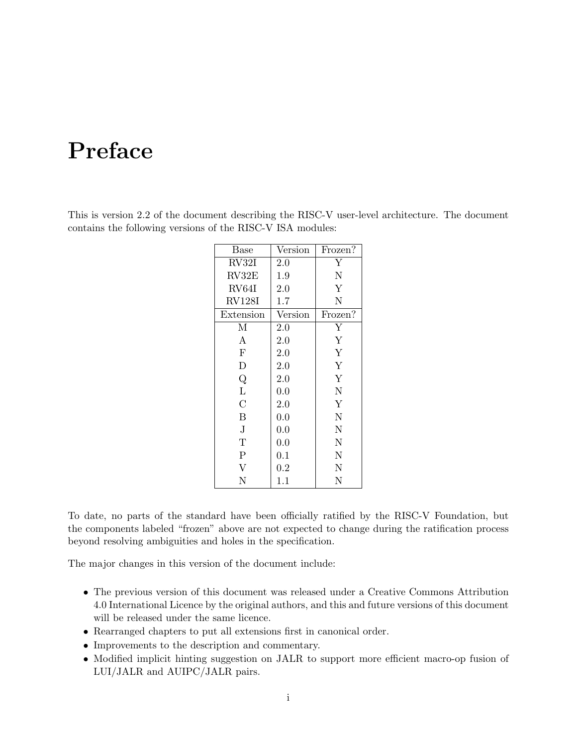## <span id="page-2-0"></span>Preface

| <b>Base</b>    | Version | Frozen?     |
|----------------|---------|-------------|
| RV32I          | 2.0     | Y           |
| RV32E          | $1.9\,$ | N           |
| RV64I          | 2.0     | Y           |
| RV128I         | 1.7     | N           |
| Extension      | Version | Frozen?     |
| М              | 2.0     | Y           |
| $\mathbf{A}$   | 2.0     | Y           |
| F              | 2.0     | Y           |
| D              | 2.0     | Y           |
| Q              | 2.0     | Y           |
| $\Gamma$       | 0.0     | N           |
| $\overline{C}$ | 2.0     | Y           |
| Β              | 0.0     | N           |
| $\mathbf J$    | 0.0     | N           |
| т              | 0.0     | ${\rm N}$   |
| $\overline{P}$ | 0.1     | $\mathbf N$ |
| V              | 0.2     | N           |
| Ν              | 1.1     | N           |

This is version 2.2 of the document describing the RISC-V user-level architecture. The document contains the following versions of the RISC-V ISA modules:

To date, no parts of the standard have been officially ratified by the RISC-V Foundation, but the components labeled "frozen" above are not expected to change during the ratification process beyond resolving ambiguities and holes in the specification.

The major changes in this version of the document include:

- The previous version of this document was released under a Creative Commons Attribution 4.0 International Licence by the original authors, and this and future versions of this document will be released under the same licence.
- Rearranged chapters to put all extensions first in canonical order.
- Improvements to the description and commentary.
- Modified implicit hinting suggestion on JALR to support more efficient macro-op fusion of LUI/JALR and AUIPC/JALR pairs.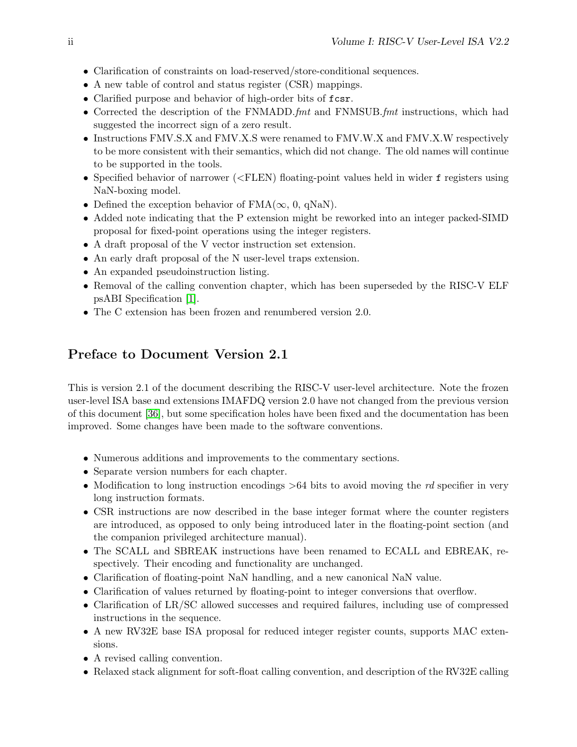- Clarification of constraints on load-reserved/store-conditional sequences.
- A new table of control and status register (CSR) mappings.
- Clarified purpose and behavior of high-order bits of fcsr.
- Corrected the description of the FNMADD.*fmt* and FNMSUB.*fmt* instructions, which had suggested the incorrect sign of a zero result.
- Instructions FMV.S.X and FMV.X.S were renamed to FMV.W.X and FMV.X.W respectively to be more consistent with their semantics, which did not change. The old names will continue to be supported in the tools.
- Specified behavior of narrower (<FLEN) floating-point values held in wider f registers using NaN-boxing model.
- Defined the exception behavior of  $FMA(\infty, 0, qNaN)$ .
- Added note indicating that the P extension might be reworked into an integer packed-SIMD proposal for fixed-point operations using the integer registers.
- A draft proposal of the V vector instruction set extension.
- An early draft proposal of the N user-level traps extension.
- An expanded pseudoinstruction listing.
- Removal of the calling convention chapter, which has been superseded by the RISC-V ELF psABI Specification [\[1\]](#page-142-0).
- The C extension has been frozen and renumbered version 2.0.

## Preface to Document Version 2.1

This is version 2.1 of the document describing the RISC-V user-level architecture. Note the frozen user-level ISA base and extensions IMAFDQ version 2.0 have not changed from the previous version of this document [\[36\]](#page-144-0), but some specification holes have been fixed and the documentation has been improved. Some changes have been made to the software conventions.

- Numerous additions and improvements to the commentary sections.
- Separate version numbers for each chapter.
- Modification to long instruction encodings  $>64$  bits to avoid moving the rd specifier in very long instruction formats.
- CSR instructions are now described in the base integer format where the counter registers are introduced, as opposed to only being introduced later in the floating-point section (and the companion privileged architecture manual).
- The SCALL and SBREAK instructions have been renamed to ECALL and EBREAK, respectively. Their encoding and functionality are unchanged.
- Clarification of floating-point NaN handling, and a new canonical NaN value.
- Clarification of values returned by floating-point to integer conversions that overflow.
- Clarification of LR/SC allowed successes and required failures, including use of compressed instructions in the sequence.
- A new RV32E base ISA proposal for reduced integer register counts, supports MAC extensions.
- A revised calling convention.
- Relaxed stack alignment for soft-float calling convention, and description of the RV32E calling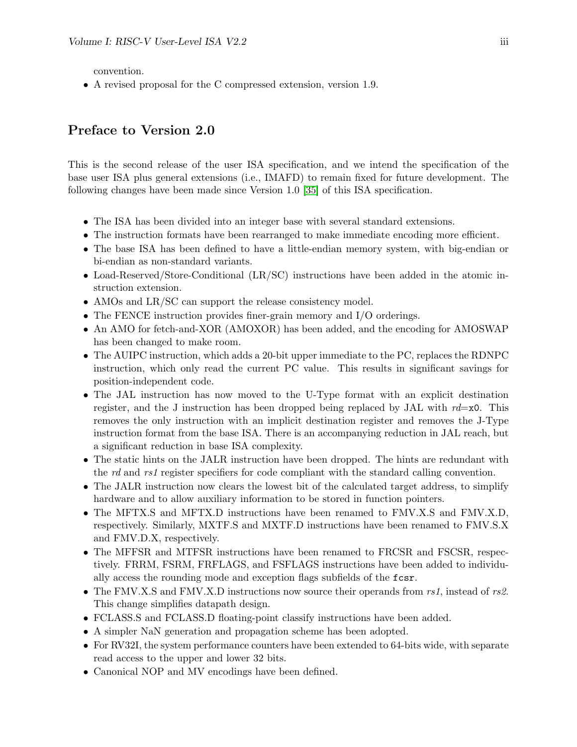convention.

• A revised proposal for the C compressed extension, version 1.9.

## Preface to Version 2.0

This is the second release of the user ISA specification, and we intend the specification of the base user ISA plus general extensions (i.e., IMAFD) to remain fixed for future development. The following changes have been made since Version 1.0 [\[35\]](#page-144-1) of this ISA specification.

- The ISA has been divided into an integer base with several standard extensions.
- The instruction formats have been rearranged to make immediate encoding more efficient.
- The base ISA has been defined to have a little-endian memory system, with big-endian or bi-endian as non-standard variants.
- Load-Reserved/Store-Conditional (LR/SC) instructions have been added in the atomic instruction extension.
- AMOs and LR/SC can support the release consistency model.
- The FENCE instruction provides finer-grain memory and I/O orderings.
- An AMO for fetch-and-XOR (AMOXOR) has been added, and the encoding for AMOSWAP has been changed to make room.
- The AUIPC instruction, which adds a 20-bit upper immediate to the PC, replaces the RDNPC instruction, which only read the current PC value. This results in significant savings for position-independent code.
- The JAL instruction has now moved to the U-Type format with an explicit destination register, and the J instruction has been dropped being replaced by JAL with  $rd=\texttt{x0}$ . This removes the only instruction with an implicit destination register and removes the J-Type instruction format from the base ISA. There is an accompanying reduction in JAL reach, but a significant reduction in base ISA complexity.
- The static hints on the JALR instruction have been dropped. The hints are redundant with the rd and rs1 register specifiers for code compliant with the standard calling convention.
- The JALR instruction now clears the lowest bit of the calculated target address, to simplify hardware and to allow auxiliary information to be stored in function pointers.
- The MFTX.S and MFTX.D instructions have been renamed to FMV.X.S and FMV.X.D, respectively. Similarly, MXTF.S and MXTF.D instructions have been renamed to FMV.S.X and FMV.D.X, respectively.
- The MFFSR and MTFSR instructions have been renamed to FRCSR and FSCSR, respectively. FRRM, FSRM, FRFLAGS, and FSFLAGS instructions have been added to individually access the rounding mode and exception flags subfields of the fcsr.
- The FMV.X.S and FMV.X.D instructions now source their operands from rs1, instead of rs2. This change simplifies datapath design.
- FCLASS.S and FCLASS.D floating-point classify instructions have been added.
- A simpler NaN generation and propagation scheme has been adopted.
- For RV32I, the system performance counters have been extended to 64-bits wide, with separate read access to the upper and lower 32 bits.
- Canonical NOP and MV encodings have been defined.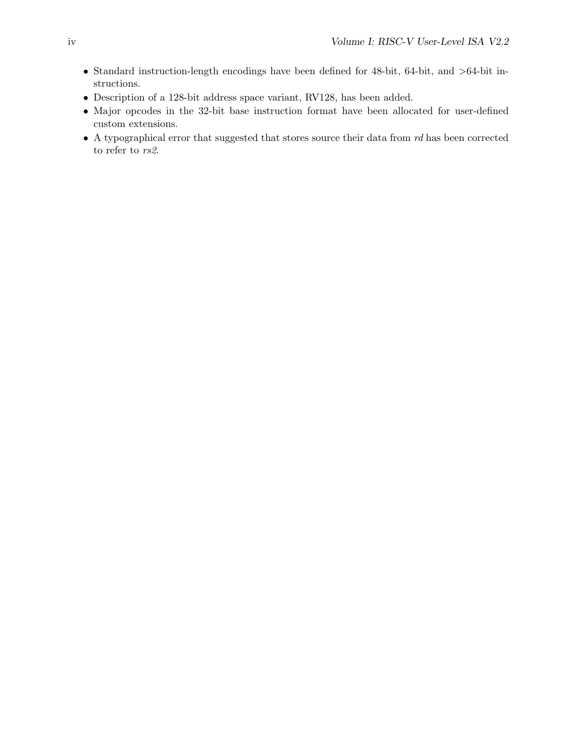- Standard instruction-length encodings have been defined for 48-bit, 64-bit, and >64-bit instructions.
- Description of a 128-bit address space variant, RV128, has been added.
- Major opcodes in the 32-bit base instruction format have been allocated for user-defined custom extensions.
- $\bullet$  A typographical error that suggested that stores source their data from  $rd$  has been corrected to refer to rs2.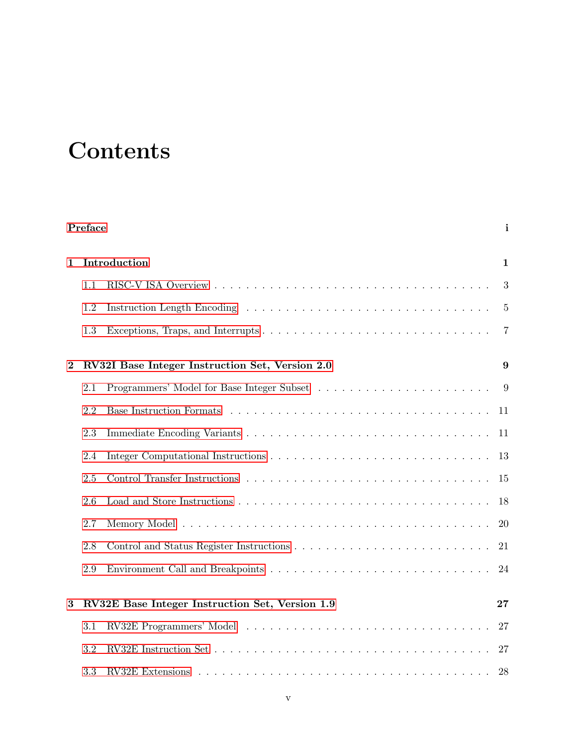# **Contents**

|          | Preface |                                                 | i            |
|----------|---------|-------------------------------------------------|--------------|
| 1        |         | Introduction                                    | $\mathbf{1}$ |
|          | 1.1     |                                                 | 3            |
|          | 1.2     |                                                 | 5            |
|          | 1.3     |                                                 | 7            |
| $\bf{2}$ |         | RV32I Base Integer Instruction Set, Version 2.0 | 9            |
|          | 2.1     |                                                 | 9            |
|          | 2.2     |                                                 | 11           |
|          | 2.3     |                                                 | 11           |
|          | 2.4     |                                                 | 13           |
|          | 2.5     |                                                 | 15           |
|          | 2.6     |                                                 | 18           |
|          | 2.7     |                                                 | <b>20</b>    |
|          | 2.8     |                                                 | 21           |
|          | 2.9     |                                                 | 24           |
| 3        |         | RV32E Base Integer Instruction Set, Version 1.9 | 27           |
|          | 3.1     |                                                 | 27           |
|          | 3.2     |                                                 | 27           |
|          | 3.3     |                                                 | 28           |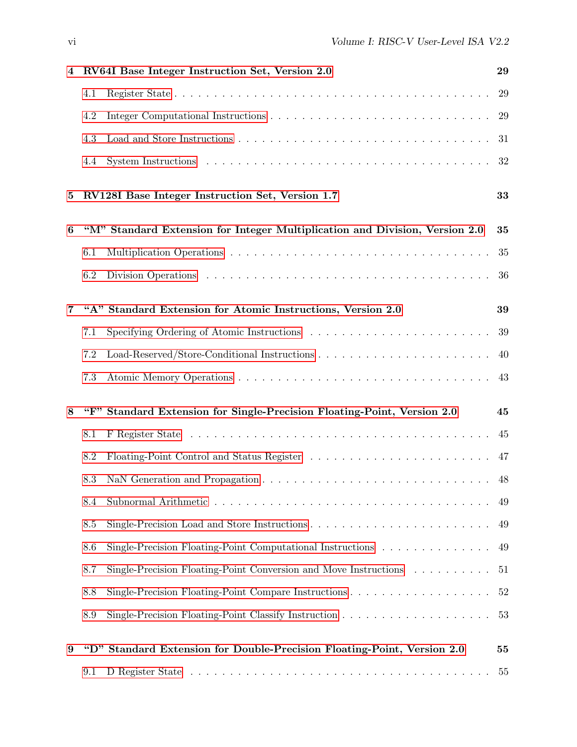| 4              |                   | RV64I Base Integer Instruction Set, Version 2.0                             | 29 |
|----------------|-------------------|-----------------------------------------------------------------------------|----|
|                | 4.1               |                                                                             | 29 |
|                | 4.2               |                                                                             | 29 |
|                | 4.3               |                                                                             | 31 |
|                | 4.4               |                                                                             | 32 |
| 5              |                   | RV128I Base Integer Instruction Set, Version 1.7                            | 33 |
| 6              |                   | "M" Standard Extension for Integer Multiplication and Division, Version 2.0 | 35 |
|                | 6.1               |                                                                             | 35 |
|                | 6.2               |                                                                             | 36 |
| $\overline{7}$ |                   | "A" Standard Extension for Atomic Instructions, Version 2.0                 | 39 |
|                | 7.1               |                                                                             | 39 |
|                | 7.2               |                                                                             | 40 |
|                | 7.3               |                                                                             | 43 |
| 8              |                   | "F" Standard Extension for Single-Precision Floating-Point, Version 2.0     | 45 |
|                | 8.1               |                                                                             | 45 |
|                | 8.2               |                                                                             |    |
|                | 8.3               |                                                                             | 48 |
|                | 8.4               |                                                                             | 49 |
|                | 8.5               |                                                                             | 49 |
|                | 8.6               | Single-Precision Floating-Point Computational Instructions                  | 49 |
|                | 8.7               | Single-Precision Floating-Point Conversion and Move Instructions            | 51 |
|                | 8.8               |                                                                             | 52 |
|                |                   |                                                                             |    |
|                | 8.9               |                                                                             | 53 |
| 9              | $\rm ^{44}D^{37}$ | Standard Extension for Double-Precision Floating-Point, Version 2.0         | 55 |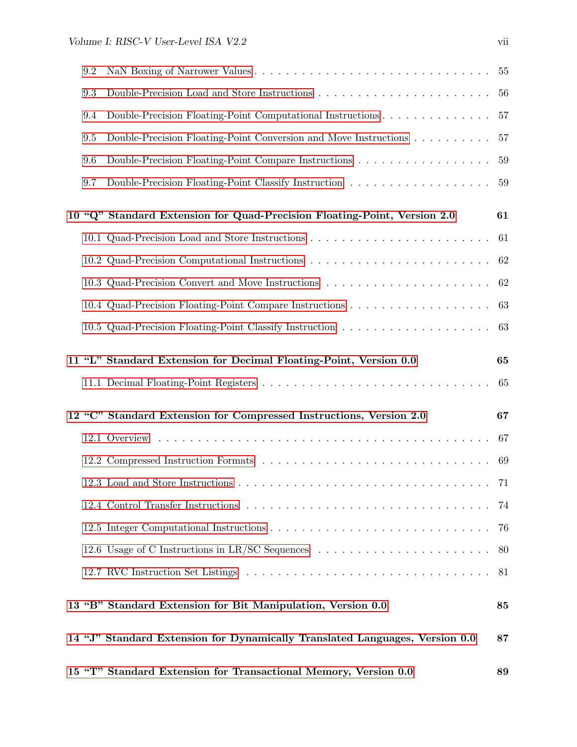|    | 9.2 |                                                                             |      |
|----|-----|-----------------------------------------------------------------------------|------|
|    | 9.3 |                                                                             |      |
|    | 9.4 | Double-Precision Floating-Point Computational Instructions 57               |      |
|    | 9.5 | Double-Precision Floating-Point Conversion and Move Instructions            | 57   |
|    | 9.6 | Double-Precision Floating-Point Compare Instructions                        | 59   |
|    | 9.7 |                                                                             | 59   |
| 10 |     | "Q" Standard Extension for Quad-Precision Floating-Point, Version 2.0       | 61   |
|    |     |                                                                             | 61   |
|    |     |                                                                             | 62   |
|    |     |                                                                             | 62   |
|    |     |                                                                             | 63   |
|    |     |                                                                             | 63   |
|    |     | 11 "L" Standard Extension for Decimal Floating-Point, Version 0.0           | 65   |
|    |     |                                                                             |      |
|    |     |                                                                             | 65   |
|    |     | 12 "C" Standard Extension for Compressed Instructions, Version 2.0          | 67   |
|    |     |                                                                             | 67   |
|    |     |                                                                             | 69   |
|    |     |                                                                             |      |
|    |     |                                                                             |      |
|    |     |                                                                             | - 76 |
|    |     |                                                                             |      |
|    |     |                                                                             | -81  |
|    |     | 13 "B" Standard Extension for Bit Manipulation, Version 0.0                 | 85   |
|    |     | 14 "J" Standard Extension for Dynamically Translated Languages, Version 0.0 | 87   |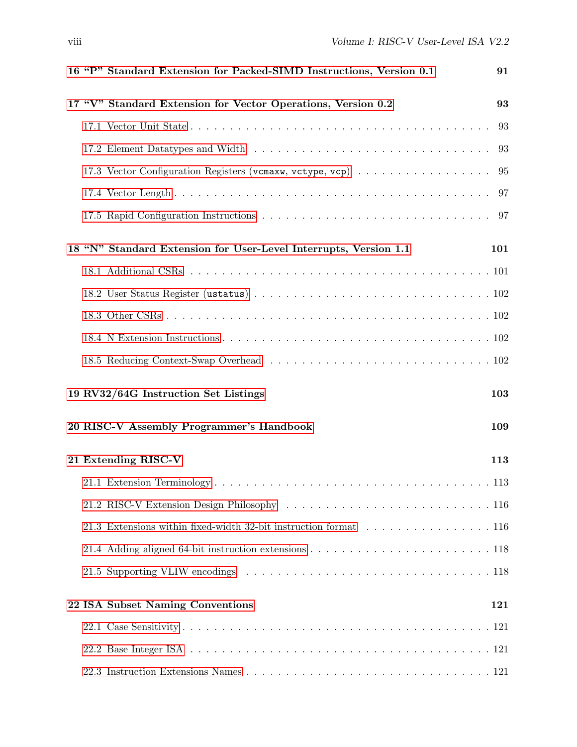|  | 16 "P" Standard Extension for Packed-SIMD Instructions, Version 0.1 | 91  |
|--|---------------------------------------------------------------------|-----|
|  | 17 "V" Standard Extension for Vector Operations, Version 0.2        | 93  |
|  |                                                                     | 93  |
|  |                                                                     | -93 |
|  | 17.3 Vector Configuration Registers (vcmaxw, vctype, vcp) 95        |     |
|  |                                                                     |     |
|  |                                                                     |     |
|  | 18 "N" Standard Extension for User-Level Interrupts, Version 1.1    | 101 |
|  |                                                                     |     |
|  |                                                                     |     |
|  |                                                                     |     |
|  |                                                                     |     |
|  |                                                                     |     |
|  | 19 RV32/64G Instruction Set Listings                                | 103 |
|  | 20 RISC-V Assembly Programmer's Handbook                            | 109 |
|  | 21 Extending RISC-V                                                 | 113 |
|  |                                                                     |     |
|  |                                                                     |     |
|  | 21.3 Extensions within fixed-width 32-bit instruction format 116    |     |
|  |                                                                     |     |
|  |                                                                     |     |
|  | 22 ISA Subset Naming Conventions                                    | 121 |
|  |                                                                     |     |
|  |                                                                     |     |
|  |                                                                     |     |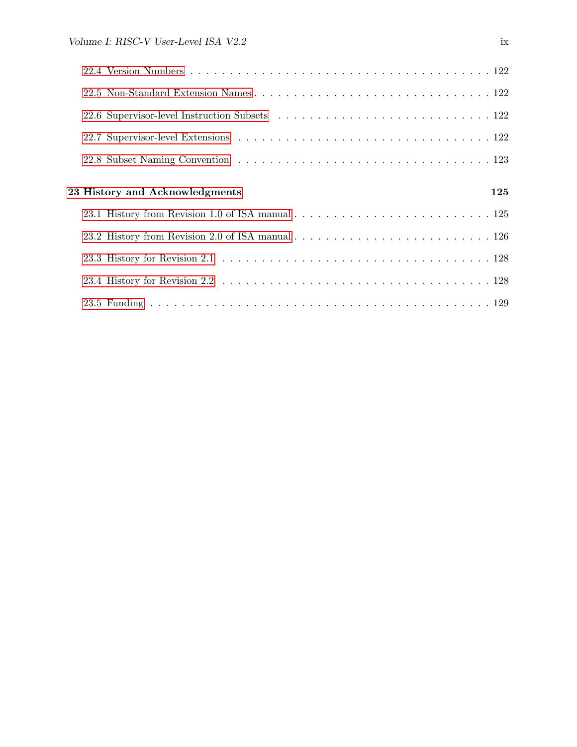|  | 23 History and Acknowledgments | 125 |
|--|--------------------------------|-----|
|  |                                |     |
|  |                                |     |
|  |                                |     |
|  |                                |     |
|  |                                |     |
|  |                                |     |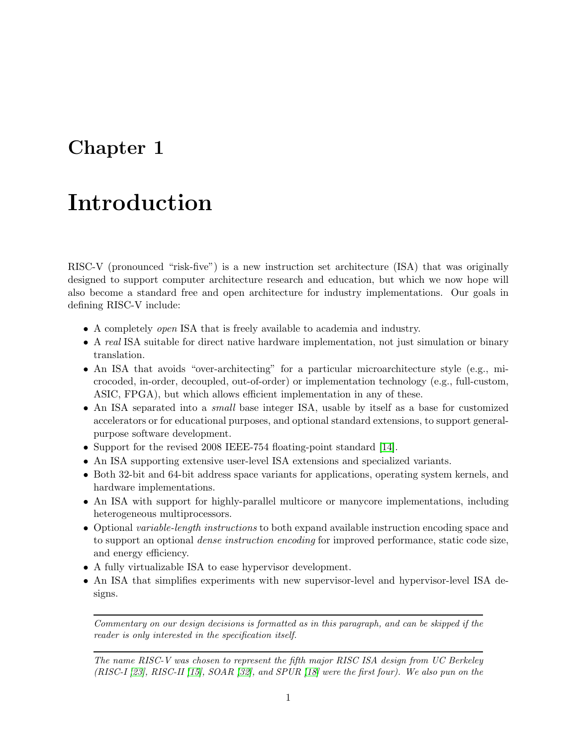## <span id="page-12-0"></span>Chapter 1

## Introduction

RISC-V (pronounced "risk-five") is a new instruction set architecture (ISA) that was originally designed to support computer architecture research and education, but which we now hope will also become a standard free and open architecture for industry implementations. Our goals in defining RISC-V include:

- A completely open ISA that is freely available to academia and industry.
- A real ISA suitable for direct native hardware implementation, not just simulation or binary translation.
- An ISA that avoids "over-architecting" for a particular microarchitecture style (e.g., microcoded, in-order, decoupled, out-of-order) or implementation technology (e.g., full-custom, ASIC, FPGA), but which allows efficient implementation in any of these.
- An ISA separated into a small base integer ISA, usable by itself as a base for customized accelerators or for educational purposes, and optional standard extensions, to support generalpurpose software development.
- Support for the revised 2008 IEEE-754 floating-point standard [\[14\]](#page-142-1).
- An ISA supporting extensive user-level ISA extensions and specialized variants.
- Both 32-bit and 64-bit address space variants for applications, operating system kernels, and hardware implementations.
- An ISA with support for highly-parallel multicore or manycore implementations, including heterogeneous multiprocessors.
- Optional variable-length instructions to both expand available instruction encoding space and to support an optional *dense instruction encoding* for improved performance, static code size, and energy efficiency.
- A fully virtualizable ISA to ease hypervisor development.
- An ISA that simplifies experiments with new supervisor-level and hypervisor-level ISA designs.

Commentary on our design decisions is formatted as in this paragraph, and can be skipped if the reader is only interested in the specification itself.

The name RISC-V was chosen to represent the fifth major RISC ISA design from UC Berkeley  $(RISC-I [23], RISC-II [15], SOAR [32], and SPUR [18] were the first four). We also pun on the$  $(RISC-I [23], RISC-II [15], SOAR [32], and SPUR [18] were the first four). We also pun on the$  $(RISC-I [23], RISC-II [15], SOAR [32], and SPUR [18] were the first four). We also pun on the$  $(RISC-I [23], RISC-II [15], SOAR [32], and SPUR [18] were the first four). We also pun on the$  $(RISC-I [23], RISC-II [15], SOAR [32], and SPUR [18] were the first four). We also pun on the$  $(RISC-I [23], RISC-II [15], SOAR [32], and SPUR [18] were the first four). We also pun on the$  $(RISC-I [23], RISC-II [15], SOAR [32], and SPUR [18] were the first four). We also pun on the$  $(RISC-I [23], RISC-II [15], SOAR [32], and SPUR [18] were the first four). We also pun on the$  $(RISC-I [23], RISC-II [15], SOAR [32], and SPUR [18] were the first four). We also pun on the$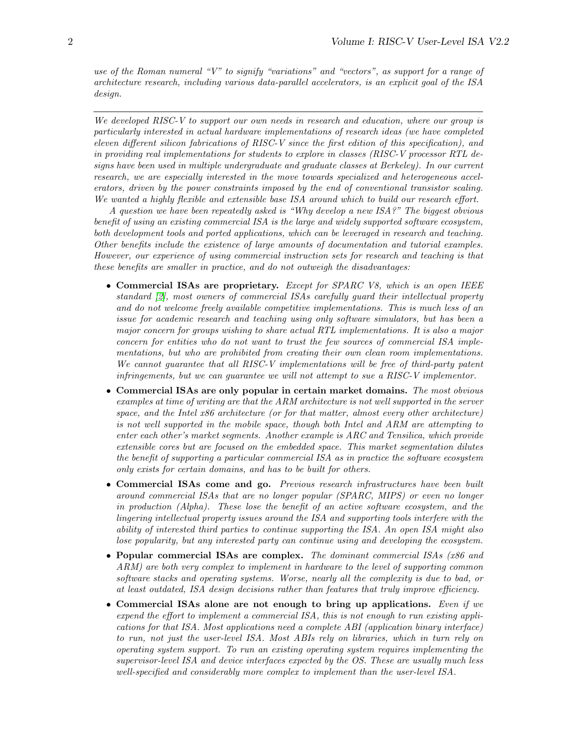use of the Roman numeral " $V$ " to signify "variations" and "vectors", as support for a range of architecture research, including various data-parallel accelerators, is an explicit goal of the ISA design.

We developed RISC-V to support our own needs in research and education, where our group is particularly interested in actual hardware implementations of research ideas (we have completed eleven different silicon fabrications of RISC-V since the first edition of this specification), and in providing real implementations for students to explore in classes (RISC-V processor RTL designs have been used in multiple undergraduate and graduate classes at Berkeley). In our current research, we are especially interested in the move towards specialized and heterogeneous accelerators, driven by the power constraints imposed by the end of conventional transistor scaling. We wanted a highly flexible and extensible base ISA around which to build our research effort.

A question we have been repeatedly asked is "Why develop a new ISA?" The biggest obvious benefit of using an existing commercial ISA is the large and widely supported software ecosystem, both development tools and ported applications, which can be leveraged in research and teaching. Other benefits include the existence of large amounts of documentation and tutorial examples. However, our experience of using commercial instruction sets for research and teaching is that these benefits are smaller in practice, and do not outweigh the disadvantages:

- Commercial ISAs are proprietary. Except for SPARC V8, which is an open IEEE standard [\[2\]](#page-142-3), most owners of commercial ISAs carefully guard their intellectual property and do not welcome freely available competitive implementations. This is much less of an issue for academic research and teaching using only software simulators, but has been a major concern for groups wishing to share actual RTL implementations. It is also a major concern for entities who do not want to trust the few sources of commercial ISA implementations, but who are prohibited from creating their own clean room implementations. We cannot quarantee that all RISC-V implementations will be free of third-party patent infringements, but we can guarantee we will not attempt to sue a RISC-V implementor.
- Commercial ISAs are only popular in certain market domains. The most obvious examples at time of writing are that the ARM architecture is not well supported in the server space, and the Intel x86 architecture (or for that matter, almost every other architecture) is not well supported in the mobile space, though both Intel and ARM are attempting to enter each other's market segments. Another example is ARC and Tensilica, which provide extensible cores but are focused on the embedded space. This market segmentation dilutes the benefit of supporting a particular commercial ISA as in practice the software ecosystem only exists for certain domains, and has to be built for others.
- Commercial ISAs come and go. Previous research infrastructures have been built around commercial ISAs that are no longer popular (SPARC, MIPS) or even no longer in production (Alpha). These lose the benefit of an active software ecosystem, and the lingering intellectual property issues around the ISA and supporting tools interfere with the ability of interested third parties to continue supporting the ISA. An open ISA might also lose popularity, but any interested party can continue using and developing the ecosystem.
- Popular commercial ISAs are complex. The dominant commercial ISAs (x86 and ARM) are both very complex to implement in hardware to the level of supporting common software stacks and operating systems. Worse, nearly all the complexity is due to bad, or at least outdated, ISA design decisions rather than features that truly improve efficiency.
- Commercial ISAs alone are not enough to bring up applications. Even if we expend the effort to implement a commercial ISA, this is not enough to run existing applications for that ISA. Most applications need a complete ABI (application binary interface) to run, not just the user-level ISA. Most ABIs rely on libraries, which in turn rely on operating system support. To run an existing operating system requires implementing the supervisor-level ISA and device interfaces expected by the OS. These are usually much less well-specified and considerably more complex to implement than the user-level ISA.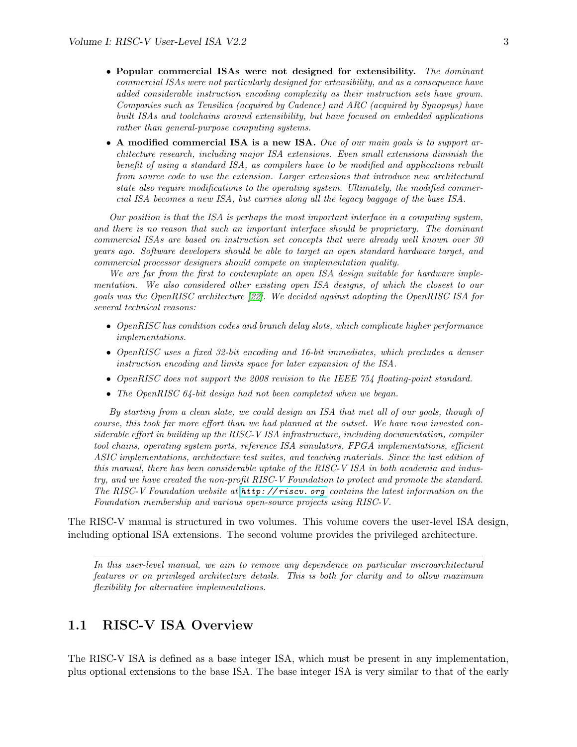- Popular commercial ISAs were not designed for extensibility. The dominant commercial ISAs were not particularly designed for extensibility, and as a consequence have added considerable instruction encoding complexity as their instruction sets have grown. Companies such as Tensilica (acquired by Cadence) and ARC (acquired by Synopsys) have built ISAs and toolchains around extensibility, but have focused on embedded applications rather than general-purpose computing systems.
- A modified commercial ISA is a new ISA. One of our main goals is to support architecture research, including major ISA extensions. Even small extensions diminish the benefit of using a standard ISA, as compilers have to be modified and applications rebuilt from source code to use the extension. Larger extensions that introduce new architectural state also require modifications to the operating system. Ultimately, the modified commercial ISA becomes a new ISA, but carries along all the legacy baggage of the base ISA.

Our position is that the ISA is perhaps the most important interface in a computing system, and there is no reason that such an important interface should be proprietary. The dominant commercial ISAs are based on instruction set concepts that were already well known over 30 years ago. Software developers should be able to target an open standard hardware target, and commercial processor designers should compete on implementation quality.

We are far from the first to contemplate an open ISA design suitable for hardware implementation. We also considered other existing open ISA designs, of which the closest to our goals was the OpenRISC architecture [\[22\]](#page-143-2). We decided against adopting the OpenRISC ISA for several technical reasons:

- OpenRISC has condition codes and branch delay slots, which complicate higher performance implementations.
- OpenRISC uses a fixed 32-bit encoding and 16-bit immediates, which precludes a denser instruction encoding and limits space for later expansion of the ISA.
- OpenRISC does not support the 2008 revision to the IEEE 754 floating-point standard.
- The OpenRISC 64-bit design had not been completed when we began.

By starting from a clean slate, we could design an ISA that met all of our goals, though of course, this took far more effort than we had planned at the outset. We have now invested considerable effort in building up the RISC-V ISA infrastructure, including documentation, compiler tool chains, operating system ports, reference ISA simulators, FPGA implementations, efficient ASIC implementations, architecture test suites, and teaching materials. Since the last edition of this manual, there has been considerable uptake of the RISC-V ISA in both academia and industry, and we have created the non-profit RISC-V Foundation to protect and promote the standard. The RISC-V Foundation website at  $http://riscv. orq. contains the latest information on the$ Foundation membership and various open-source projects using RISC-V.

The RISC-V manual is structured in two volumes. This volume covers the user-level ISA design, including optional ISA extensions. The second volume provides the privileged architecture.

In this user-level manual, we aim to remove any dependence on particular microarchitectural features or on privileged architecture details. This is both for clarity and to allow maximum flexibility for alternative implementations.

#### <span id="page-14-0"></span>1.1 RISC-V ISA Overview

The RISC-V ISA is defined as a base integer ISA, which must be present in any implementation, plus optional extensions to the base ISA. The base integer ISA is very similar to that of the early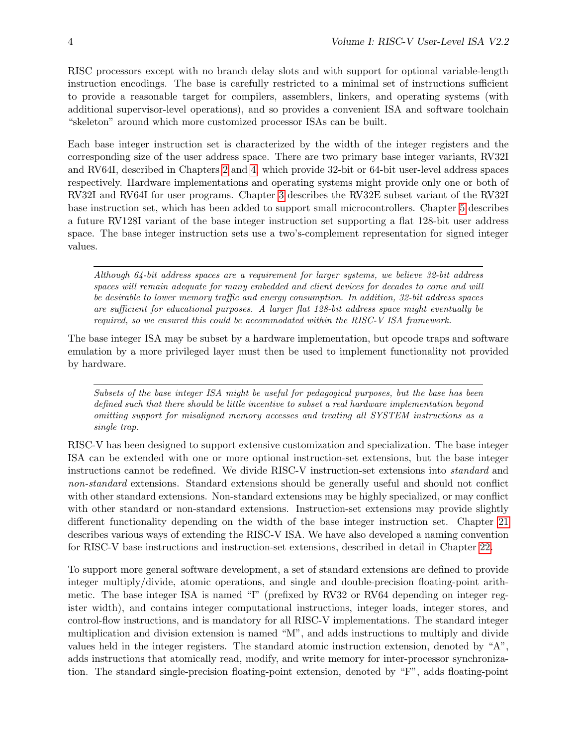RISC processors except with no branch delay slots and with support for optional variable-length instruction encodings. The base is carefully restricted to a minimal set of instructions sufficient to provide a reasonable target for compilers, assemblers, linkers, and operating systems (with additional supervisor-level operations), and so provides a convenient ISA and software toolchain "skeleton" around which more customized processor ISAs can be built.

Each base integer instruction set is characterized by the width of the integer registers and the corresponding size of the user address space. There are two primary base integer variants, RV32I and RV64I, described in Chapters [2](#page-20-0) and [4,](#page-40-0) which provide 32-bit or 64-bit user-level address spaces respectively. Hardware implementations and operating systems might provide only one or both of RV32I and RV64I for user programs. Chapter [3](#page-38-0) describes the RV32E subset variant of the RV32I base instruction set, which has been added to support small microcontrollers. Chapter [5](#page-44-0) describes a future RV128I variant of the base integer instruction set supporting a flat 128-bit user address space. The base integer instruction sets use a two's-complement representation for signed integer values.

Although 64-bit address spaces are a requirement for larger systems, we believe 32-bit address spaces will remain adequate for many embedded and client devices for decades to come and will be desirable to lower memory traffic and energy consumption. In addition, 32-bit address spaces are sufficient for educational purposes. A larger flat 128-bit address space might eventually be required, so we ensured this could be accommodated within the RISC-V ISA framework.

The base integer ISA may be subset by a hardware implementation, but opcode traps and software emulation by a more privileged layer must then be used to implement functionality not provided by hardware.

Subsets of the base integer ISA might be useful for pedagogical purposes, but the base has been defined such that there should be little incentive to subset a real hardware implementation beyond omitting support for misaligned memory accesses and treating all SYSTEM instructions as a single trap.

RISC-V has been designed to support extensive customization and specialization. The base integer ISA can be extended with one or more optional instruction-set extensions, but the base integer instructions cannot be redefined. We divide RISC-V instruction-set extensions into standard and non-standard extensions. Standard extensions should be generally useful and should not conflict with other standard extensions. Non-standard extensions may be highly specialized, or may conflict with other standard or non-standard extensions. Instruction-set extensions may provide slightly different functionality depending on the width of the base integer instruction set. Chapter [21](#page-124-0) describes various ways of extending the RISC-V ISA. We have also developed a naming convention for RISC-V base instructions and instruction-set extensions, described in detail in Chapter [22.](#page-132-0)

To support more general software development, a set of standard extensions are defined to provide integer multiply/divide, atomic operations, and single and double-precision floating-point arithmetic. The base integer ISA is named "I" (prefixed by RV32 or RV64 depending on integer register width), and contains integer computational instructions, integer loads, integer stores, and control-flow instructions, and is mandatory for all RISC-V implementations. The standard integer multiplication and division extension is named "M", and adds instructions to multiply and divide values held in the integer registers. The standard atomic instruction extension, denoted by "A", adds instructions that atomically read, modify, and write memory for inter-processor synchronization. The standard single-precision floating-point extension, denoted by "F", adds floating-point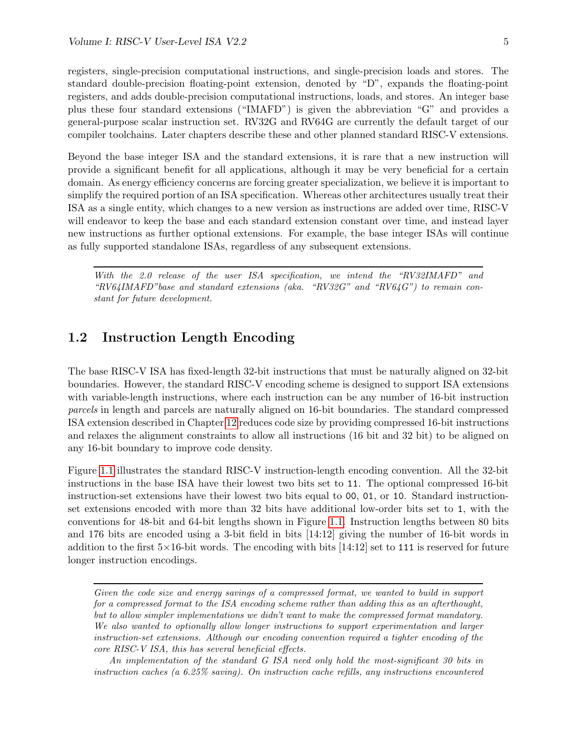registers, single-precision computational instructions, and single-precision loads and stores. The standard double-precision floating-point extension, denoted by "D", expands the floating-point registers, and adds double-precision computational instructions, loads, and stores. An integer base plus these four standard extensions ("IMAFD") is given the abbreviation "G" and provides a general-purpose scalar instruction set. RV32G and RV64G are currently the default target of our compiler toolchains. Later chapters describe these and other planned standard RISC-V extensions.

Beyond the base integer ISA and the standard extensions, it is rare that a new instruction will provide a significant benefit for all applications, although it may be very beneficial for a certain domain. As energy efficiency concerns are forcing greater specialization, we believe it is important to simplify the required portion of an ISA specification. Whereas other architectures usually treat their ISA as a single entity, which changes to a new version as instructions are added over time, RISC-V will endeavor to keep the base and each standard extension constant over time, and instead layer new instructions as further optional extensions. For example, the base integer ISAs will continue as fully supported standalone ISAs, regardless of any subsequent extensions.

With the 2.0 release of the user ISA specification, we intend the "RV32IMAFD" and "RV64IMAFD"base and standard extensions (aka. "RV32G" and "RV64G") to remain constant for future development.

#### <span id="page-16-0"></span>1.2 Instruction Length Encoding

The base RISC-V ISA has fixed-length 32-bit instructions that must be naturally aligned on 32-bit boundaries. However, the standard RISC-V encoding scheme is designed to support ISA extensions with variable-length instructions, where each instruction can be any number of 16-bit instruction parcels in length and parcels are naturally aligned on 16-bit boundaries. The standard compressed ISA extension described in Chapter [12](#page-78-0) reduces code size by providing compressed 16-bit instructions and relaxes the alignment constraints to allow all instructions (16 bit and 32 bit) to be aligned on any 16-bit boundary to improve code density.

Figure [1.1](#page-17-0) illustrates the standard RISC-V instruction-length encoding convention. All the 32-bit instructions in the base ISA have their lowest two bits set to 11. The optional compressed 16-bit instruction-set extensions have their lowest two bits equal to 00, 01, or 10. Standard instructionset extensions encoded with more than 32 bits have additional low-order bits set to 1, with the conventions for 48-bit and 64-bit lengths shown in Figure [1.1.](#page-17-0) Instruction lengths between 80 bits and 176 bits are encoded using a 3-bit field in bits [14:12] giving the number of 16-bit words in addition to the first  $5\times16$ -bit words. The encoding with bits [14:12] set to 111 is reserved for future longer instruction encodings.

Given the code size and energy savings of a compressed format, we wanted to build in support for a compressed format to the ISA encoding scheme rather than adding this as an afterthought, but to allow simpler implementations we didn't want to make the compressed format mandatory. We also wanted to optionally allow longer instructions to support experimentation and larger instruction-set extensions. Although our encoding convention required a tighter encoding of the core RISC-V ISA, this has several beneficial effects.

An implementation of the standard G ISA need only hold the most-significant 30 bits in instruction caches (a 6.25% saving). On instruction cache refills, any instructions encountered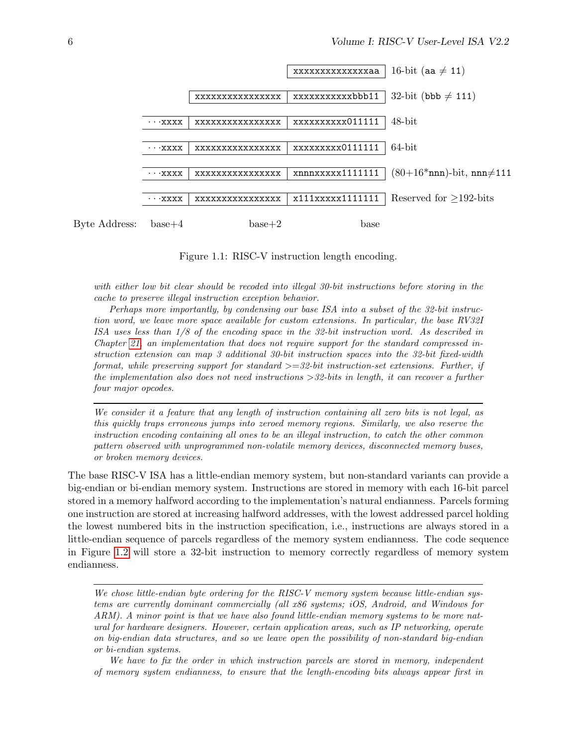

Figure 1.1: RISC-V instruction length encoding.

<span id="page-17-0"></span>with either low bit clear should be recoded into illegal 30-bit instructions before storing in the cache to preserve illegal instruction exception behavior.

Perhaps more importantly, by condensing our base ISA into a subset of the 32-bit instruction word, we leave more space available for custom extensions. In particular, the base RV32I ISA uses less than 1/8 of the encoding space in the 32-bit instruction word. As described in Chapter [21,](#page-124-0) an implementation that does not require support for the standard compressed instruction extension can map 3 additional 30-bit instruction spaces into the 32-bit fixed-width format, while preserving support for standard  $>=32$ -bit instruction-set extensions. Further, if the implementation also does not need instructions  $>32$ -bits in length, it can recover a further four major opcodes.

We consider it a feature that any length of instruction containing all zero bits is not legal, as this quickly traps erroneous jumps into zeroed memory regions. Similarly, we also reserve the instruction encoding containing all ones to be an illegal instruction, to catch the other common pattern observed with unprogrammed non-volatile memory devices, disconnected memory buses, or broken memory devices.

The base RISC-V ISA has a little-endian memory system, but non-standard variants can provide a big-endian or bi-endian memory system. Instructions are stored in memory with each 16-bit parcel stored in a memory halfword according to the implementation's natural endianness. Parcels forming one instruction are stored at increasing halfword addresses, with the lowest addressed parcel holding the lowest numbered bits in the instruction specification, i.e., instructions are always stored in a little-endian sequence of parcels regardless of the memory system endianness. The code sequence in Figure [1.2](#page-18-1) will store a 32-bit instruction to memory correctly regardless of memory system endianness.

We chose little-endian byte ordering for the RISC-V memory system because little-endian systems are currently dominant commercially (all x86 systems; iOS, Android, and Windows for ARM). A minor point is that we have also found little-endian memory systems to be more natural for hardware designers. However, certain application areas, such as IP networking, operate on big-endian data structures, and so we leave open the possibility of non-standard big-endian or bi-endian systems.

We have to fix the order in which instruction parcels are stored in memory, independent of memory system endianness, to ensure that the length-encoding bits always appear first in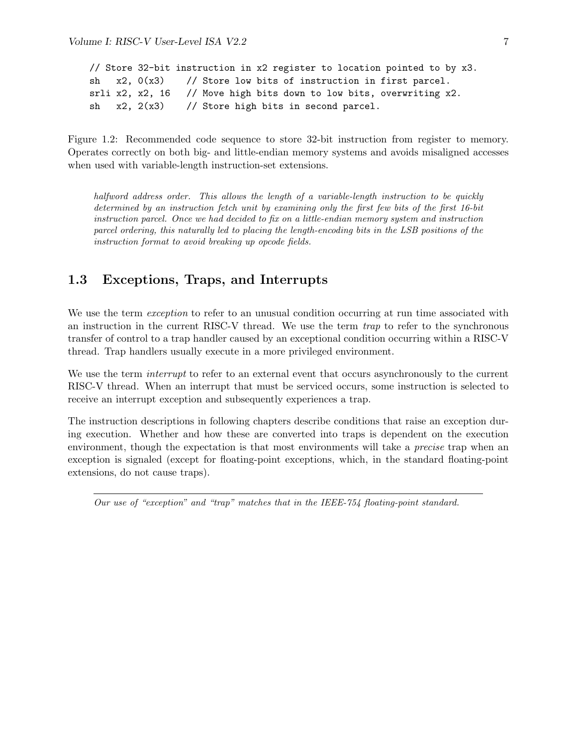Volume I: RISC-V User-Level ISA V2.2 7

// Store 32-bit instruction in x2 register to location pointed to by x3. sh  $x2$ ,  $0(x3)$  // Store low bits of instruction in first parcel. srli x2, x2, 16 // Move high bits down to low bits, overwriting x2. sh  $x2$ ,  $2(x3)$  // Store high bits in second parcel.

<span id="page-18-1"></span>Figure 1.2: Recommended code sequence to store 32-bit instruction from register to memory. Operates correctly on both big- and little-endian memory systems and avoids misaligned accesses when used with variable-length instruction-set extensions.

halfword address order. This allows the length of a variable-length instruction to be quickly determined by an instruction fetch unit by examining only the first few bits of the first 16-bit instruction parcel. Once we had decided to fix on a little-endian memory system and instruction parcel ordering, this naturally led to placing the length-encoding bits in the LSB positions of the instruction format to avoid breaking up opcode fields.

## <span id="page-18-0"></span>1.3 Exceptions, Traps, and Interrupts

We use the term *exception* to refer to an unusual condition occurring at run time associated with an instruction in the current RISC-V thread. We use the term trap to refer to the synchronous transfer of control to a trap handler caused by an exceptional condition occurring within a RISC-V thread. Trap handlers usually execute in a more privileged environment.

We use the term *interrupt* to refer to an external event that occurs asynchronously to the current RISC-V thread. When an interrupt that must be serviced occurs, some instruction is selected to receive an interrupt exception and subsequently experiences a trap.

The instruction descriptions in following chapters describe conditions that raise an exception during execution. Whether and how these are converted into traps is dependent on the execution environment, though the expectation is that most environments will take a *precise* trap when an exception is signaled (except for floating-point exceptions, which, in the standard floating-point extensions, do not cause traps).

Our use of "exception" and "trap" matches that in the IEEE-754 floating-point standard.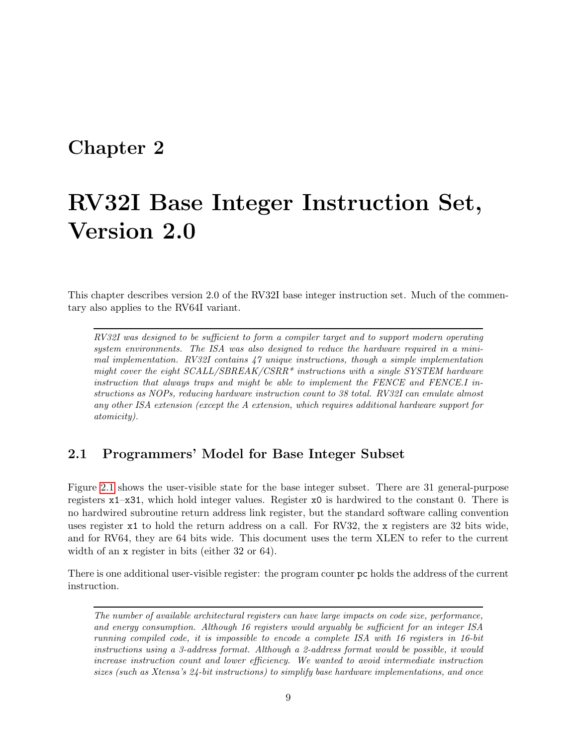## <span id="page-20-0"></span>Chapter 2

# RV32I Base Integer Instruction Set, Version 2.0

This chapter describes version 2.0 of the RV32I base integer instruction set. Much of the commentary also applies to the RV64I variant.

RV32I was designed to be sufficient to form a compiler target and to support modern operating system environments. The ISA was also designed to reduce the hardware required in a minimal implementation. RV32I contains  $47$  unique instructions, though a simple implementation might cover the eight  $SCALL/SBREAK/CSRR*$  instructions with a single SYSTEM hardware instruction that always traps and might be able to implement the FENCE and FENCE.I instructions as NOPs, reducing hardware instruction count to 38 total. RV32I can emulate almost any other ISA extension (except the A extension, which requires additional hardware support for atomicity).

### <span id="page-20-1"></span>2.1 Programmers' Model for Base Integer Subset

Figure [2.1](#page-21-0) shows the user-visible state for the base integer subset. There are 31 general-purpose registers x1–x31, which hold integer values. Register x0 is hardwired to the constant 0. There is no hardwired subroutine return address link register, but the standard software calling convention uses register x1 to hold the return address on a call. For RV32, the x registers are 32 bits wide, and for RV64, they are 64 bits wide. This document uses the term XLEN to refer to the current width of an x register in bits (either 32 or 64).

There is one additional user-visible register: the program counter pc holds the address of the current instruction.

The number of available architectural registers can have large impacts on code size, performance, and energy consumption. Although 16 registers would arguably be sufficient for an integer ISA running compiled code, it is impossible to encode a complete ISA with 16 registers in 16-bit instructions using a 3-address format. Although a 2-address format would be possible, it would increase instruction count and lower efficiency. We wanted to avoid intermediate instruction sizes (such as Xtensa's 24-bit instructions) to simplify base hardware implementations, and once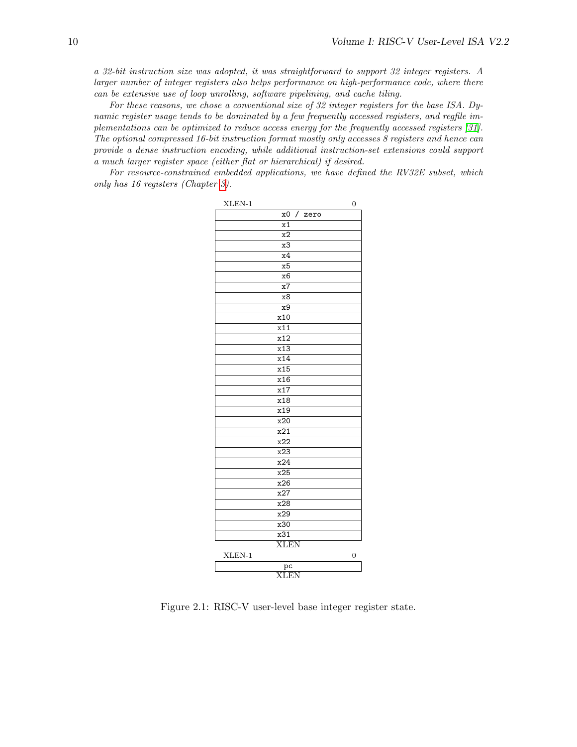a 32-bit instruction size was adopted, it was straightforward to support 32 integer registers. A larger number of integer registers also helps performance on high-performance code, where there can be extensive use of loop unrolling, software pipelining, and cache tiling.

For these reasons, we chose a conventional size of 32 integer registers for the base ISA. Dynamic register usage tends to be dominated by a few frequently accessed registers, and regfile implementations can be optimized to reduce access energy for the frequently accessed registers [\[31\]](#page-144-3). The optional compressed 16-bit instruction format mostly only accesses 8 registers and hence can provide a dense instruction encoding, while additional instruction-set extensions could support a much larger register space (either flat or hierarchical) if desired.

For resource-constrained embedded applications, we have defined the RV32E subset, which only has 16 registers (Chapter [3\)](#page-38-0).

| XLEN-1 |                  |          | $\overline{0}$ |
|--------|------------------|----------|----------------|
|        | x0               | $/$ zero |                |
|        | x1               |          |                |
|        | x2               |          |                |
|        | x3               |          |                |
|        | x4               |          |                |
|        | $\overline{x5}$  |          |                |
|        | x <sub>6</sub>   |          |                |
|        | x7               |          |                |
|        | x8               |          |                |
|        | x9               |          |                |
|        | x10              |          |                |
|        | x11              |          |                |
|        | x12              |          |                |
|        | $\overline{x13}$ |          |                |
|        | x14              |          |                |
|        | x15              |          |                |
|        | x16              |          |                |
|        | x17              |          |                |
|        | x18              |          |                |
|        | x19              |          |                |
|        | x20              |          |                |
|        | x21              |          |                |
|        | $\overline{x22}$ |          |                |
|        | $\overline{x23}$ |          |                |
|        | x24              |          |                |
|        | x25              |          |                |
|        | $\overline{x26}$ |          |                |
|        | $\overline{x27}$ |          |                |
|        | x28              |          |                |
|        | x29              |          |                |
|        | x30              |          |                |
|        | x31              |          |                |
|        | <b>XLEN</b>      |          |                |
| XLEN-1 |                  |          | $\overline{0}$ |
|        | pc               |          |                |
|        | <b>XLEN</b>      |          |                |

<span id="page-21-0"></span>Figure 2.1: RISC-V user-level base integer register state.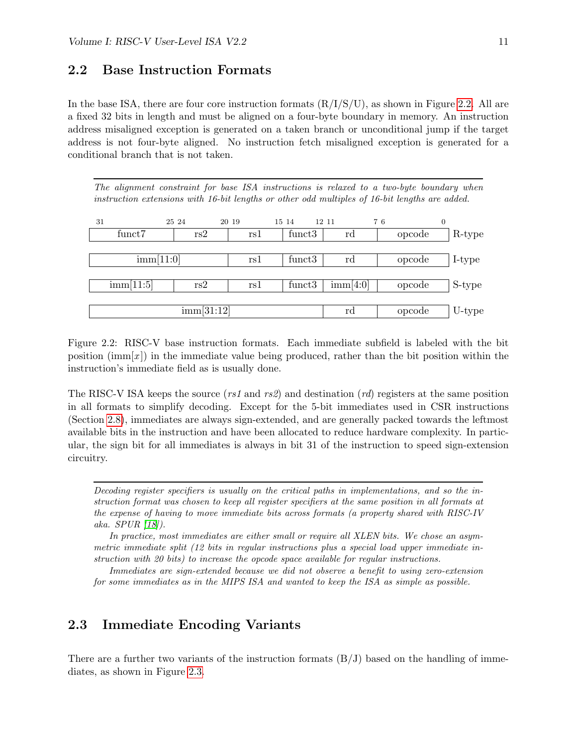#### <span id="page-22-0"></span>2.2 Base Instruction Formats

In the base ISA, there are four core instruction formats  $(R/I/S/U)$ , as shown in Figure [2.2.](#page-22-2) All are a fixed 32 bits in length and must be aligned on a four-byte boundary in memory. An instruction address misaligned exception is generated on a taken branch or unconditional jump if the target address is not four-byte aligned. No instruction fetch misaligned exception is generated for a conditional branch that is not taken.

The alignment constraint for base ISA instructions is relaxed to a two-byte boundary when instruction extensions with 16-bit lengths or other odd multiples of 16-bit lengths are added.



<span id="page-22-2"></span>Figure 2.2: RISC-V base instruction formats. Each immediate subfield is labeled with the bit position  $(\text{imm}[x])$  in the immediate value being produced, rather than the bit position within the instruction's immediate field as is usually done.

The RISC-V ISA keeps the source (rs1 and rs2) and destination  $\left(\frac{rd}{rd}\right)$  registers at the same position in all formats to simplify decoding. Except for the 5-bit immediates used in CSR instructions (Section [2.8\)](#page-32-0), immediates are always sign-extended, and are generally packed towards the leftmost available bits in the instruction and have been allocated to reduce hardware complexity. In particular, the sign bit for all immediates is always in bit 31 of the instruction to speed sign-extension circuitry.

Decoding register specifiers is usually on the critical paths in implementations, and so the instruction format was chosen to keep all register specifiers at the same position in all formats at the expense of having to move immediate bits across formats (a property shared with RISC-IV aka. SPUR [\[18\]](#page-143-1)).

In practice, most immediates are either small or require all XLEN bits. We chose an asymmetric immediate split (12 bits in regular instructions plus a special load upper immediate instruction with 20 bits) to increase the opcode space available for regular instructions.

Immediates are sign-extended because we did not observe a benefit to using zero-extension for some immediates as in the MIPS ISA and wanted to keep the ISA as simple as possible.

#### <span id="page-22-1"></span>2.3 Immediate Encoding Variants

There are a further two variants of the instruction formats  $(B/J)$  based on the handling of immediates, as shown in Figure [2.3.](#page-23-0)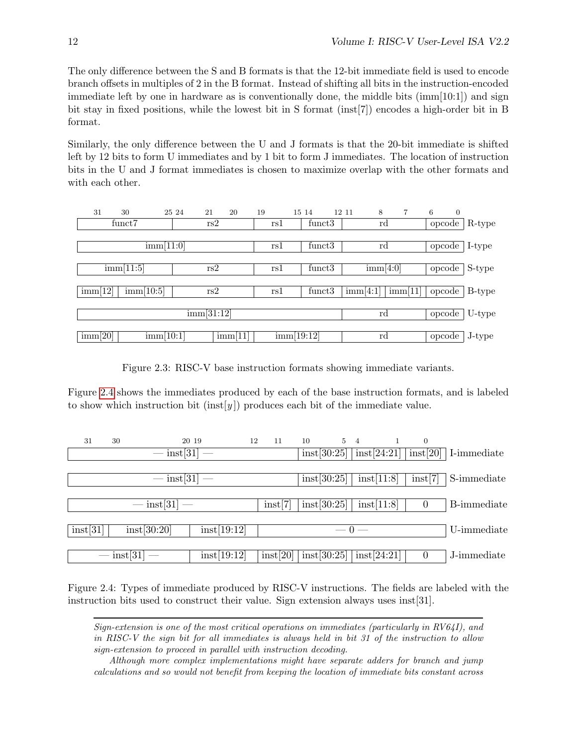The only difference between the S and B formats is that the 12-bit immediate field is used to encode branch offsets in multiples of 2 in the B format. Instead of shifting all bits in the instruction-encoded immediate left by one in hardware as is conventionally done, the middle bits  $(\text{imm}[10:1])$  and sign bit stay in fixed positions, while the lowest bit in S format (inst[7]) encodes a high-order bit in B format.

Similarly, the only difference between the U and J formats is that the 20-bit immediate is shifted left by 12 bits to form U immediates and by 1 bit to form J immediates. The location of instruction bits in the U and J format immediates is chosen to maximize overlap with the other formats and with each other.



Figure 2.3: RISC-V base instruction formats showing immediate variants.

<span id="page-23-0"></span>Figure [2.4](#page-23-1) shows the immediates produced by each of the base instruction formats, and is labeled to show which instruction bit (inst[y]) produces each bit of the immediate value.



<span id="page-23-1"></span>Figure 2.4: Types of immediate produced by RISC-V instructions. The fields are labeled with the instruction bits used to construct their value. Sign extension always uses inst[31].

Sign-extension is one of the most critical operations on immediates (particularly in RV64I), and in RISC-V the sign bit for all immediates is always held in bit 31 of the instruction to allow sign-extension to proceed in parallel with instruction decoding.

Although more complex implementations might have separate adders for branch and jump calculations and so would not benefit from keeping the location of immediate bits constant across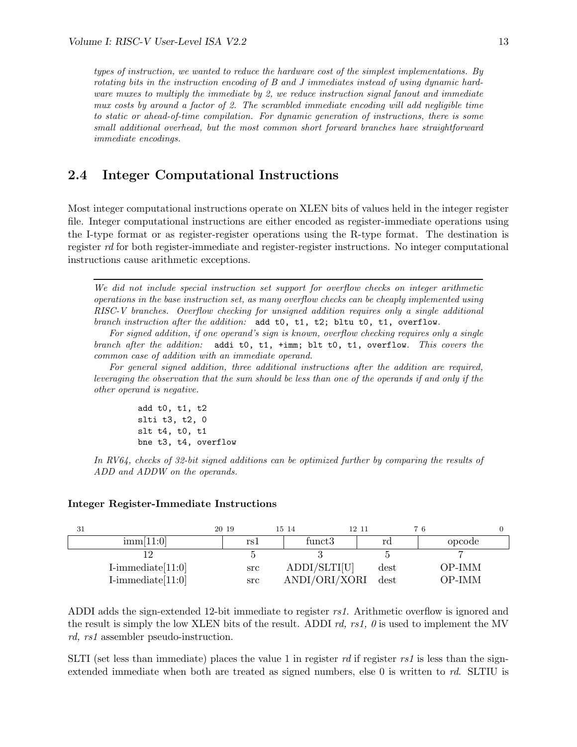types of instruction, we wanted to reduce the hardware cost of the simplest implementations. By rotating bits in the instruction encoding of B and J immediates instead of using dynamic hardware muxes to multiply the immediate by 2, we reduce instruction signal fanout and immediate mux costs by around a factor of 2. The scrambled immediate encoding will add negligible time to static or ahead-of-time compilation. For dynamic generation of instructions, there is some small additional overhead, but the most common short forward branches have straightforward immediate encodings.

### <span id="page-24-0"></span>2.4 Integer Computational Instructions

Most integer computational instructions operate on XLEN bits of values held in the integer register file. Integer computational instructions are either encoded as register-immediate operations using the I-type format or as register-register operations using the R-type format. The destination is register rd for both register-immediate and register-register instructions. No integer computational instructions cause arithmetic exceptions.

We did not include special instruction set support for overflow checks on integer arithmetic operations in the base instruction set, as many overflow checks can be cheaply implemented using RISC-V branches. Overflow checking for unsigned addition requires only a single additional branch instruction after the addition: add t0, t1, t2; bltu t0, t1, overflow.

For signed addition, if one operand's sign is known, overflow checking requires only a single branch after the addition: addi t0, t1,  $+imm$ ; blt t0, t1, overflow. This covers the common case of addition with an immediate operand.

For general signed addition, three additional instructions after the addition are required, leveraging the observation that the sum should be less than one of the operands if and only if the other operand is negative.

> add t0, t1, t2 slti t3, t2, 0 slt t4, t0, t1 bne t3, t4, overflow

In RV64, checks of 32-bit signed additions can be optimized further by comparing the results of ADD and ADDW on the operands.

#### Integer Register-Immediate Instructions

| 31                         | 20 19 |                   | 15 14         | 12 11 | 76     |  |
|----------------------------|-------|-------------------|---------------|-------|--------|--|
| imm[11:0]                  |       | rs 1              | funct3        | rd    | opcode |  |
|                            |       |                   |               |       |        |  |
| $I\text{-immediate}[11:0]$ |       | src               | ADDI/SLTI[U]  | dest  | OP-IMM |  |
| $I\text{-immediate}[11:0]$ |       | $_{\mathrm{src}}$ | ANDI/ORI/XORI | dest  | OP-IMM |  |

ADDI adds the sign-extended 12-bit immediate to register rs1. Arithmetic overflow is ignored and the result is simply the low XLEN bits of the result. ADDI rd, rs1,  $\theta$  is used to implement the MV rd, rs1 assembler pseudo-instruction.

SLTI (set less than immediate) places the value 1 in register rd if register rs1 is less than the signextended immediate when both are treated as signed numbers, else 0 is written to  $rd$ . SLTIU is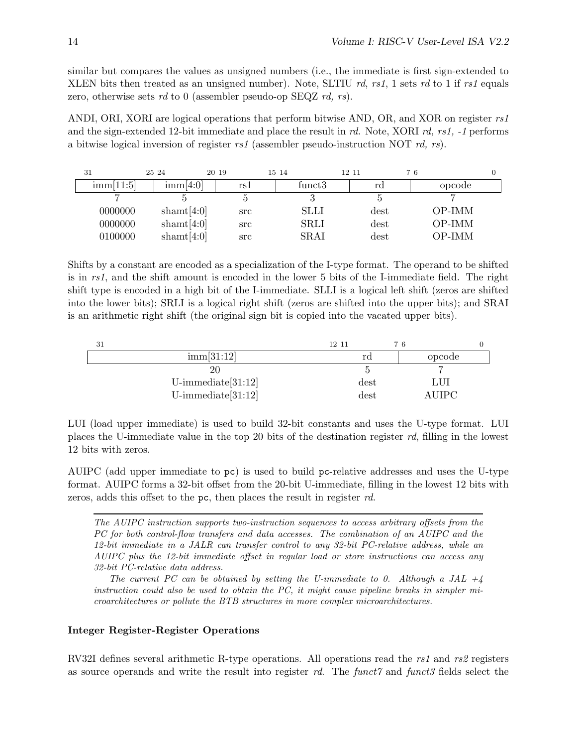similar but compares the values as unsigned numbers (i.e., the immediate is first sign-extended to XLEN bits then treated as an unsigned number). Note, SLTIU rd, rs1, 1 sets rd to 1 if rs1 equals zero, otherwise sets rd to 0 (assembler pseudo-op SEQZ rd, rs).

ANDI, ORI, XORI are logical operations that perform bitwise AND, OR, and XOR on register rs1 and the sign-extended 12-bit immediate and place the result in rd. Note, XORI rd, rs1,  $-1$  performs a bitwise logical inversion of register  $rs1$  (assembler pseudo-instruction NOT  $rd$ ,  $rs$ ).

| 31        | 25 24               | 20 19      | 15 14       | 12 11 | 76            |
|-----------|---------------------|------------|-------------|-------|---------------|
| imm[11:5] | $\mathrm{imm}[4:0]$ | rs1        | funct3      | rd    | opcode        |
|           |                     |            |             |       |               |
| 0000000   | shamt[4:0]          | src        | <b>SLLI</b> | dest  | <b>OP-IMM</b> |
| 0000000   | shamt[4:0]          | src        | <b>SRLI</b> | dest  | <b>OP-IMM</b> |
| 0100000   | shamt[4:0]          | <b>src</b> | <b>SRAI</b> | dest  | OP-IMM        |

Shifts by a constant are encoded as a specialization of the I-type format. The operand to be shifted is in rs1, and the shift amount is encoded in the lower 5 bits of the I-immediate field. The right shift type is encoded in a high bit of the I-immediate. SLLI is a logical left shift (zeros are shifted into the lower bits); SRLI is a logical right shift (zeros are shifted into the upper bits); and SRAI is an arithmetic right shift (the original sign bit is copied into the vacated upper bits).

| 31                    | 12 11           | 76     |
|-----------------------|-----------------|--------|
| imm[31:12]            | rd              | opcode |
| 20                    |                 |        |
| U-immediate $[31:12]$ | dest            |        |
| U-immediate $[31:12]$ | $\mathrm{dest}$ | AUIPC  |

LUI (load upper immediate) is used to build 32-bit constants and uses the U-type format. LUI places the U-immediate value in the top 20 bits of the destination register rd, filling in the lowest 12 bits with zeros.

AUIPC (add upper immediate to pc) is used to build pc-relative addresses and uses the U-type format. AUIPC forms a 32-bit offset from the 20-bit U-immediate, filling in the lowest 12 bits with zeros, adds this offset to the pc, then places the result in register rd.

The AUIPC instruction supports two-instruction sequences to access arbitrary offsets from the PC for both control-flow transfers and data accesses. The combination of an AUIPC and the 12-bit immediate in a JALR can transfer control to any 32-bit PC-relative address, while an AUIPC plus the 12-bit immediate offset in regular load or store instructions can access any 32-bit PC-relative data address.

The current PC can be obtained by setting the U-immediate to 0. Although a JAL  $+4$ instruction could also be used to obtain the PC, it might cause pipeline breaks in simpler microarchitectures or pollute the BTB structures in more complex microarchitectures.

#### Integer Register-Register Operations

RV32I defines several arithmetic R-type operations. All operations read the rs1 and rs2 registers as source operands and write the result into register rd. The funct  $\eta$  and funct  $\theta$  fields select the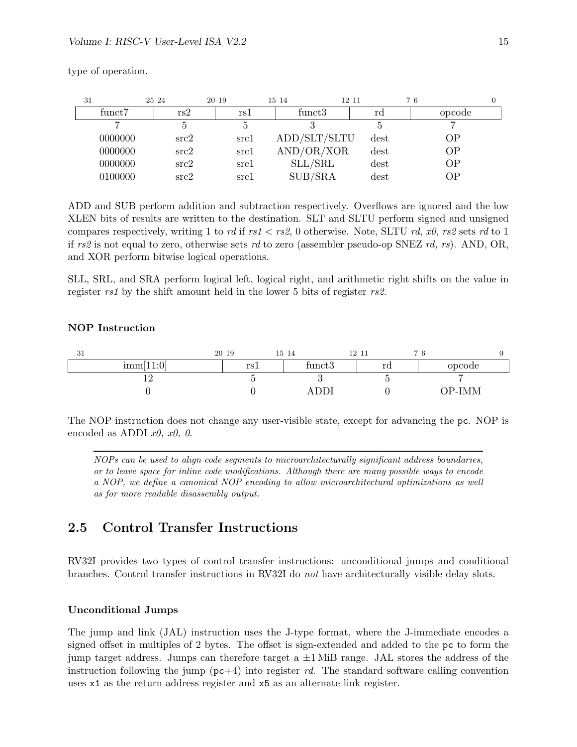| 31      | 25 24 |      | 20 19 | 15 14        | 12 11 | 76     |  |
|---------|-------|------|-------|--------------|-------|--------|--|
| funct7  |       | rs2  | rs l  | funct3       | rd    | opcode |  |
|         |       |      |       |              |       |        |  |
| 0000000 |       | src2 | srcl  | ADD/SLT/SLTU | dest  | OP     |  |
| 0000000 |       | src2 | src1  | AND/OR/XOR   | dest  | OP     |  |
| 0000000 |       | src2 | src1  | SLL/SRL      | dest  | OP     |  |
| 0100000 |       | src2 | src1  | SUB/SRA      | dest  | OP     |  |

type of operation.

ADD and SUB perform addition and subtraction respectively. Overflows are ignored and the low XLEN bits of results are written to the destination. SLT and SLTU perform signed and unsigned compares respectively, writing 1 to rd if  $rs1 < rs2$ , 0 otherwise. Note, SLTU rd, x0, rs2 sets rd to 1 if  $rs2$  is not equal to zero, otherwise sets rd to zero (assembler pseudo-op SNEZ rd, rs). AND, OR, and XOR perform bitwise logical operations.

SLL, SRL, and SRA perform logical left, logical right, and arithmetic right shifts on the value in register rs1 by the shift amount held in the lower 5 bits of register rs2.

#### NOP Instruction

| -31       | 20 19 | 15 14  | 12 11 |        |
|-----------|-------|--------|-------|--------|
| imm[11:0] | rs l  | funct3 | rd    | opcode |
|           |       |        |       |        |
|           |       |        |       | OP-IMM |

The NOP instruction does not change any user-visible state, except for advancing the pc. NOP is encoded as ADDI  $x\theta$ ,  $x\theta$ ,  $\theta$ .

NOPs can be used to align code segments to microarchitecturally significant address boundaries, or to leave space for inline code modifications. Although there are many possible ways to encode a NOP, we define a canonical NOP encoding to allow microarchitectural optimizations as well as for more readable disassembly output.

#### <span id="page-26-0"></span>2.5 Control Transfer Instructions

RV32I provides two types of control transfer instructions: unconditional jumps and conditional branches. Control transfer instructions in RV32I do not have architecturally visible delay slots.

#### Unconditional Jumps

The jump and link (JAL) instruction uses the J-type format, where the J-immediate encodes a signed offset in multiples of 2 bytes. The offset is sign-extended and added to the pc to form the jump target address. Jumps can therefore target a  $\pm 1$  MiB range. JAL stores the address of the instruction following the jump  $(pc+4)$  into register rd. The standard software calling convention uses x1 as the return address register and x5 as an alternate link register.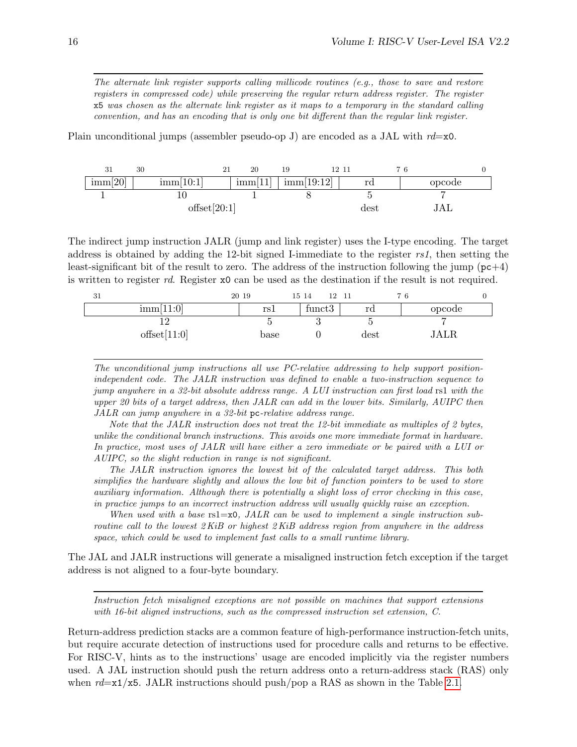The alternate link register supports calling millicode routines (e.g., those to save and restore registers in compressed code) while preserving the regular return address register. The register x5 was chosen as the alternate link register as it maps to a temporary in the standard calling convention, and has an encoding that is only one bit different than the regular link register.

Plain unconditional jumps (assembler pseudo-op J) are encoded as a JAL with  $rd=\texttt{x0}$ .

| -31     | 30 |              | 20  | 19         | 12.11 |        |
|---------|----|--------------|-----|------------|-------|--------|
| imm[20] |    | imm[10:1]    | imm | imm[19:12] | rd    | opcode |
|         |    |              |     |            |       |        |
|         |    | offset[20:1] |     |            | dest  | JAL    |

The indirect jump instruction JALR (jump and link register) uses the I-type encoding. The target address is obtained by adding the 12-bit signed I-immediate to the register rs1, then setting the least-significant bit of the result to zero. The address of the instruction following the jump  $(pc+4)$ is written to register rd. Register x0 can be used as the destination if the result is not required.

| 31           | 20 19 | 15 14<br>12 11 |      | 76     |
|--------------|-------|----------------|------|--------|
| imm[11:0]    | rs1   | funct3         | rd   | opcode |
|              |       |                |      |        |
| offset[11:0] | base  |                | dest |        |

The unconditional jump instructions all use PC-relative addressing to help support positionindependent code. The JALR instruction was defined to enable a two-instruction sequence to jump anywhere in a 32-bit absolute address range. A LUI instruction can first load rs1 with the upper 20 bits of a target address, then JALR can add in the lower bits. Similarly, AUIPC then JALR can jump anywhere in a 32-bit pc-relative address range.

Note that the JALR instruction does not treat the 12-bit immediate as multiples of 2 bytes, unlike the conditional branch instructions. This avoids one more immediate format in hardware. In practice, most uses of JALR will have either a zero immediate or be paired with a LUI or AUIPC, so the slight reduction in range is not significant.

The JALR instruction ignores the lowest bit of the calculated target address. This both simplifies the hardware slightly and allows the low bit of function pointers to be used to store auxiliary information. Although there is potentially a slight loss of error checking in this case, in practice jumps to an incorrect instruction address will usually quickly raise an exception.

When used with a base  $rs1=x0$ , JALR can be used to implement a single instruction subroutine call to the lowest  $2 KiB$  or highest  $2 KiB$  address region from anywhere in the address space, which could be used to implement fast calls to a small runtime library.

The JAL and JALR instructions will generate a misaligned instruction fetch exception if the target address is not aligned to a four-byte boundary.

Instruction fetch misaligned exceptions are not possible on machines that support extensions with 16-bit aligned instructions, such as the compressed instruction set extension, C.

Return-address prediction stacks are a common feature of high-performance instruction-fetch units, but require accurate detection of instructions used for procedure calls and returns to be effective. For RISC-V, hints as to the instructions' usage are encoded implicitly via the register numbers used. A JAL instruction should push the return address onto a return-address stack (RAS) only when  $rd=x1/x5$ . JALR instructions should push/pop a RAS as shown in the Table [2.1.](#page-28-0)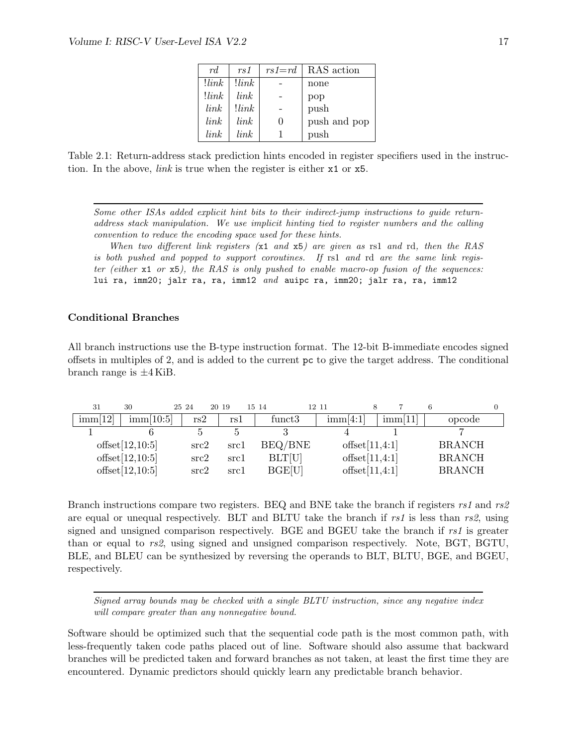<span id="page-28-0"></span>

| rd    | rs1   | $rs1 = rd$ | RAS action   |
|-------|-------|------------|--------------|
| !link | !link |            | none         |
| !link | link  |            | pop          |
| link  | !link |            | push         |
| link  | link  | $\theta$   | push and pop |
| link  | link  |            | push         |

Table 2.1: Return-address stack prediction hints encoded in register specifiers used in the instruction. In the above, link is true when the register is either x1 or x5.

Some other ISAs added explicit hint bits to their indirect-jump instructions to guide returnaddress stack manipulation. We use implicit hinting tied to register numbers and the calling convention to reduce the encoding space used for these hints.

When two different link registers  $(x1 \text{ and } x5)$  are given as rs1 and rd, then the RAS is both pushed and popped to support coroutines. If rs1 and rd are the same link register (either  $x1$  or  $x5$ ), the RAS is only pushed to enable macro-op fusion of the sequences: lui ra, imm20; jalr ra, ra, imm12 and auipc ra, imm20; jalr ra, ra, imm12

#### Conditional Branches

All branch instructions use the B-type instruction format. The 12-bit B-immediate encodes signed offsets in multiples of 2, and is added to the current pc to give the target address. The conditional branch range is  $\pm 4$  KiB.

| 31      | 30                  | 25 24 | 20 19 | 15 14 |               | 12 11          |                    |               |  |
|---------|---------------------|-------|-------|-------|---------------|----------------|--------------------|---------------|--|
| imm[12] | imm[10:5]           | rs2   | rsl   |       | funct3        | imm[4:1]       | $\mathrm{imm}[11]$ | opcode        |  |
|         |                     |       |       |       |               |                |                    |               |  |
|         | offset $[12, 10:5]$ | src2  | src1  |       | BEQ/BNE       | offset[11,4:1] |                    | <b>BRANCH</b> |  |
|         | offset $[12, 10:5]$ | src2  | src1  |       | BLT[U]        | offset[11,4:1] |                    | <b>BRANCH</b> |  |
|         | offset $[12, 10:5]$ | src2  | src1  |       | <b>BGE[U]</b> | offset[11,4:1] |                    | <b>BRANCH</b> |  |

Branch instructions compare two registers. BEQ and BNE take the branch if registers rs1 and rs2 are equal or unequal respectively. BLT and BLTU take the branch if  $rs1$  is less than  $rs2$ , using signed and unsigned comparison respectively. BGE and BGEU take the branch if rs1 is greater than or equal to rs2, using signed and unsigned comparison respectively. Note, BGT, BGTU, BLE, and BLEU can be synthesized by reversing the operands to BLT, BLTU, BGE, and BGEU, respectively.

Signed array bounds may be checked with a single BLTU instruction, since any negative index will compare greater than any nonnegative bound.

Software should be optimized such that the sequential code path is the most common path, with less-frequently taken code paths placed out of line. Software should also assume that backward branches will be predicted taken and forward branches as not taken, at least the first time they are encountered. Dynamic predictors should quickly learn any predictable branch behavior.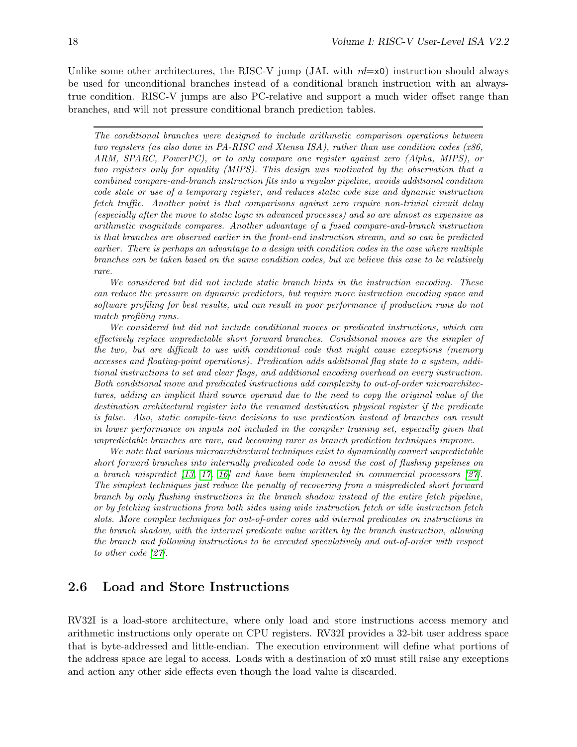Unlike some other architectures, the RISC-V jump (JAL with  $rd=\texttt{x0}$ ) instruction should always be used for unconditional branches instead of a conditional branch instruction with an alwaystrue condition. RISC-V jumps are also PC-relative and support a much wider offset range than branches, and will not pressure conditional branch prediction tables.

The conditional branches were designed to include arithmetic comparison operations between two registers (as also done in PA-RISC and Xtensa ISA), rather than use condition codes (x86, ARM, SPARC, PowerPC), or to only compare one register against zero (Alpha, MIPS), or two registers only for equality (MIPS). This design was motivated by the observation that a combined compare-and-branch instruction fits into a regular pipeline, avoids additional condition code state or use of a temporary register, and reduces static code size and dynamic instruction fetch traffic. Another point is that comparisons against zero require non-trivial circuit delay (especially after the move to static logic in advanced processes) and so are almost as expensive as arithmetic magnitude compares. Another advantage of a fused compare-and-branch instruction is that branches are observed earlier in the front-end instruction stream, and so can be predicted earlier. There is perhaps an advantage to a design with condition codes in the case where multiple branches can be taken based on the same condition codes, but we believe this case to be relatively rare.

We considered but did not include static branch hints in the instruction encoding. These can reduce the pressure on dynamic predictors, but require more instruction encoding space and software profiling for best results, and can result in poor performance if production runs do not match profiling runs.

We considered but did not include conditional moves or predicated instructions, which can effectively replace unpredictable short forward branches. Conditional moves are the simpler of the two, but are difficult to use with conditional code that might cause exceptions (memory accesses and floating-point operations). Predication adds additional flag state to a system, additional instructions to set and clear flags, and additional encoding overhead on every instruction. Both conditional move and predicated instructions add complexity to out-of-order microarchitectures, adding an implicit third source operand due to the need to copy the original value of the destination architectural register into the renamed destination physical register if the predicate is false. Also, static compile-time decisions to use predication instead of branches can result in lower performance on inputs not included in the compiler training set, especially given that unpredictable branches are rare, and becoming rarer as branch prediction techniques improve.

We note that various microarchitectural techniques exist to dynamically convert unpredictable short forward branches into internally predicated code to avoid the cost of flushing pipelines on a branch mispredict [\[13,](#page-142-4) [17,](#page-143-3) [16\]](#page-143-4) and have been implemented in commercial processors [\[27\]](#page-143-5). The simplest techniques just reduce the penalty of recovering from a mispredicted short forward branch by only flushing instructions in the branch shadow instead of the entire fetch pipeline, or by fetching instructions from both sides using wide instruction fetch or idle instruction fetch slots. More complex techniques for out-of-order cores add internal predicates on instructions in the branch shadow, with the internal predicate value written by the branch instruction, allowing the branch and following instructions to be executed speculatively and out-of-order with respect to other code [\[27\]](#page-143-5).

#### <span id="page-29-0"></span>2.6 Load and Store Instructions

RV32I is a load-store architecture, where only load and store instructions access memory and arithmetic instructions only operate on CPU registers. RV32I provides a 32-bit user address space that is byte-addressed and little-endian. The execution environment will define what portions of the address space are legal to access. Loads with a destination of x0 must still raise any exceptions and action any other side effects even though the load value is discarded.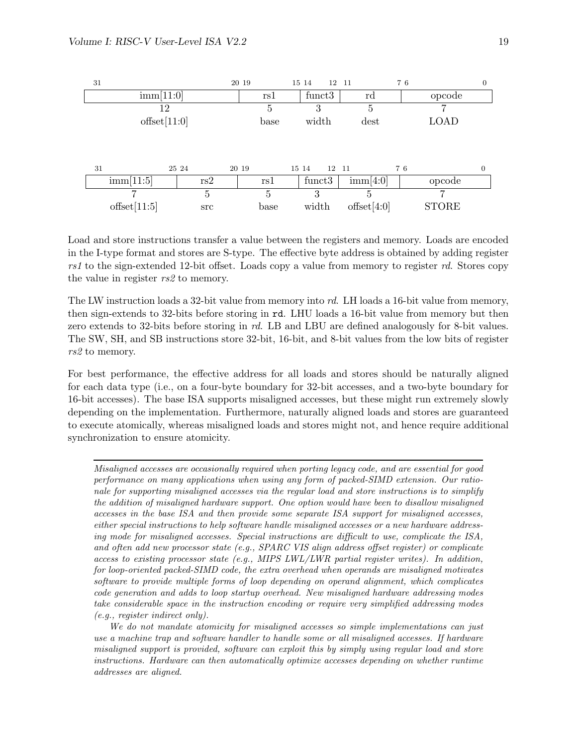

Load and store instructions transfer a value between the registers and memory. Loads are encoded in the I-type format and stores are S-type. The effective byte address is obtained by adding register rs1 to the sign-extended 12-bit offset. Loads copy a value from memory to register rd. Stores copy the value in register rs2 to memory.

The LW instruction loads a 32-bit value from memory into rd. LH loads a 16-bit value from memory, then sign-extends to 32-bits before storing in rd. LHU loads a 16-bit value from memory but then zero extends to 32-bits before storing in rd. LB and LBU are defined analogously for 8-bit values. The SW, SH, and SB instructions store 32-bit, 16-bit, and 8-bit values from the low bits of register rs2 to memory.

For best performance, the effective address for all loads and stores should be naturally aligned for each data type (i.e., on a four-byte boundary for 32-bit accesses, and a two-byte boundary for 16-bit accesses). The base ISA supports misaligned accesses, but these might run extremely slowly depending on the implementation. Furthermore, naturally aligned loads and stores are guaranteed to execute atomically, whereas misaligned loads and stores might not, and hence require additional synchronization to ensure atomicity.

Misaligned accesses are occasionally required when porting legacy code, and are essential for good performance on many applications when using any form of packed-SIMD extension. Our rationale for supporting misaligned accesses via the regular load and store instructions is to simplify the addition of misaligned hardware support. One option would have been to disallow misaligned accesses in the base ISA and then provide some separate ISA support for misaligned accesses, either special instructions to help software handle misaligned accesses or a new hardware addressing mode for misaligned accesses. Special instructions are difficult to use, complicate the ISA, and often add new processor state (e.g., SPARC VIS align address offset register) or complicate access to existing processor state (e.g., MIPS LWL/LWR partial register writes). In addition, for loop-oriented packed-SIMD code, the extra overhead when operands are misaligned motivates software to provide multiple forms of loop depending on operand alignment, which complicates code generation and adds to loop startup overhead. New misaligned hardware addressing modes take considerable space in the instruction encoding or require very simplified addressing modes (e.g., register indirect only).

We do not mandate atomicity for misaligned accesses so simple implementations can just use a machine trap and software handler to handle some or all misaligned accesses. If hardware misaligned support is provided, software can exploit this by simply using regular load and store instructions. Hardware can then automatically optimize accesses depending on whether runtime addresses are aligned.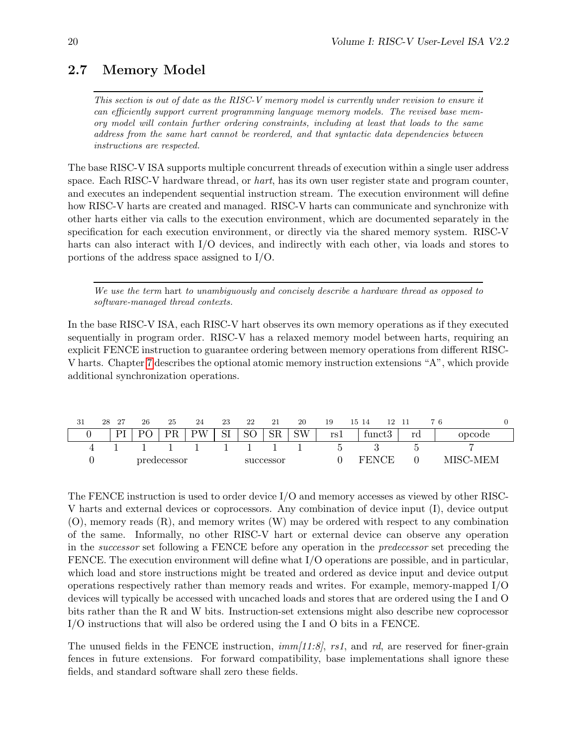## <span id="page-31-0"></span>2.7 Memory Model

This section is out of date as the RISC-V memory model is currently under revision to ensure it can efficiently support current programming language memory models. The revised base memory model will contain further ordering constraints, including at least that loads to the same address from the same hart cannot be reordered, and that syntactic data dependencies between instructions are respected.

The base RISC-V ISA supports multiple concurrent threads of execution within a single user address space. Each RISC-V hardware thread, or *hart*, has its own user register state and program counter, and executes an independent sequential instruction stream. The execution environment will define how RISC-V harts are created and managed. RISC-V harts can communicate and synchronize with other harts either via calls to the execution environment, which are documented separately in the specification for each execution environment, or directly via the shared memory system. RISC-V harts can also interact with I/O devices, and indirectly with each other, via loads and stores to portions of the address space assigned to I/O.

We use the term hart to unambiguously and concisely describe a hardware thread as opposed to software-managed thread contexts.

In the base RISC-V ISA, each RISC-V hart observes its own memory operations as if they executed sequentially in program order. RISC-V has a relaxed memory model between harts, requiring an explicit FENCE instruction to guarantee ordering between memory operations from different RISC-V harts. Chapter [7](#page-50-0) describes the optional atomic memory instruction extensions "A", which provide additional synchronization operations.

| 31 | 28 | -27 | 26 | 25          | 24 | 23 | 22            | 21        | 20        | 19  | 15<br>- 14 |        |    |          |
|----|----|-----|----|-------------|----|----|---------------|-----------|-----------|-----|------------|--------|----|----------|
|    |    |     |    | <b>PR</b>   | PW | SI | <sub>SO</sub> | SR        | <b>SW</b> | rs1 |            | funct3 | rd | opcode   |
|    |    |     |    |             |    |    |               |           |           |     |            |        |    |          |
|    |    |     |    | predecessor |    |    |               | successor |           |     |            | FENCE  |    | MISC-MEM |

The FENCE instruction is used to order device I/O and memory accesses as viewed by other RISC-V harts and external devices or coprocessors. Any combination of device input (I), device output (O), memory reads (R), and memory writes (W) may be ordered with respect to any combination of the same. Informally, no other RISC-V hart or external device can observe any operation in the successor set following a FENCE before any operation in the predecessor set preceding the FENCE. The execution environment will define what I/O operations are possible, and in particular, which load and store instructions might be treated and ordered as device input and device output operations respectively rather than memory reads and writes. For example, memory-mapped I/O devices will typically be accessed with uncached loads and stores that are ordered using the I and O bits rather than the R and W bits. Instruction-set extensions might also describe new coprocessor I/O instructions that will also be ordered using the I and O bits in a FENCE.

The unused fields in the FENCE instruction,  $imm/11:8$ , rs1, and rd, are reserved for finer-grain fences in future extensions. For forward compatibility, base implementations shall ignore these fields, and standard software shall zero these fields.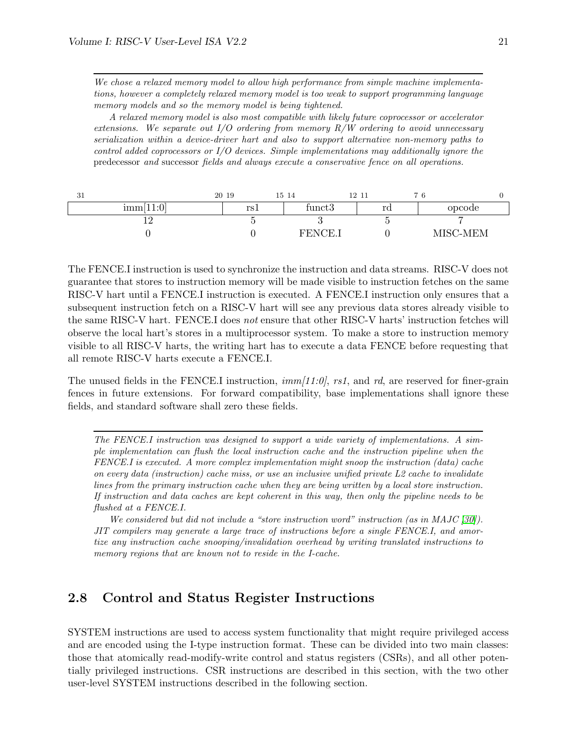We chose a relaxed memory model to allow high performance from simple machine implementations, however a completely relaxed memory model is too weak to support programming language memory models and so the memory model is being tightened.

A relaxed memory model is also most compatible with likely future coprocessor or accelerator extensions. We separate out  $I/O$  ordering from memory  $R/W$  ordering to avoid unnecessary serialization within a device-driver hart and also to support alternative non-memory paths to control added coprocessors or I/O devices. Simple implementations may additionally ignore the predecessor and successor fields and always execute a conservative fence on all operations.

| -31                  | 20 19 | 15 14   | 12 11 |          |
|----------------------|-------|---------|-------|----------|
| $\mathrm{imm}[11:0]$ | rs1   | funct3  | rd    | opcode   |
|                      |       |         |       |          |
|                      |       | FENCE.1 |       | MISC-MEM |

The FENCE.I instruction is used to synchronize the instruction and data streams. RISC-V does not guarantee that stores to instruction memory will be made visible to instruction fetches on the same RISC-V hart until a FENCE.I instruction is executed. A FENCE.I instruction only ensures that a subsequent instruction fetch on a RISC-V hart will see any previous data stores already visible to the same RISC-V hart. FENCE.I does not ensure that other RISC-V harts' instruction fetches will observe the local hart's stores in a multiprocessor system. To make a store to instruction memory visible to all RISC-V harts, the writing hart has to execute a data FENCE before requesting that all remote RISC-V harts execute a FENCE.I.

The unused fields in the FENCE.I instruction,  $imm[11:0]$ , rs1, and rd, are reserved for finer-grain fences in future extensions. For forward compatibility, base implementations shall ignore these fields, and standard software shall zero these fields.

The FENCE.I instruction was designed to support a wide variety of implementations. A simple implementation can flush the local instruction cache and the instruction pipeline when the FENCE.I is executed. A more complex implementation might snoop the instruction (data) cache on every data (instruction) cache miss, or use an inclusive unified private L2 cache to invalidate lines from the primary instruction cache when they are being written by a local store instruction. If instruction and data caches are kept coherent in this way, then only the pipeline needs to be flushed at a FENCE.I.

We considered but did not include a "store instruction word" instruction (as in MAJC [\[30\]](#page-143-6)). JIT compilers may generate a large trace of instructions before a single FENCE.I, and amortize any instruction cache snooping/invalidation overhead by writing translated instructions to memory regions that are known not to reside in the I-cache.

### <span id="page-32-0"></span>2.8 Control and Status Register Instructions

SYSTEM instructions are used to access system functionality that might require privileged access and are encoded using the I-type instruction format. These can be divided into two main classes: those that atomically read-modify-write control and status registers (CSRs), and all other potentially privileged instructions. CSR instructions are described in this section, with the two other user-level SYSTEM instructions described in the following section.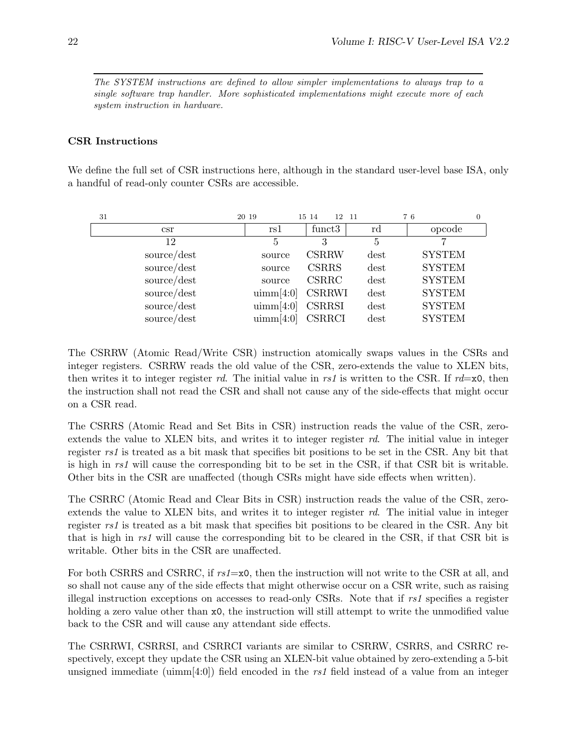The SYSTEM instructions are defined to allow simpler implementations to always trap to a single software trap handler. More sophisticated implementations might execute more of each system instruction in hardware.

#### CSR Instructions

We define the full set of CSR instructions here, although in the standard user-level base ISA, only a handful of read-only counter CSRs are accessible.

| 31                   | 20 19                      | 15 14<br>12 11 |      | 76<br>0       |
|----------------------|----------------------------|----------------|------|---------------|
| $\operatorname{csr}$ | rs1                        | funct3         | rd   | opcode        |
| 12                   | 5                          | 3              | 5    |               |
| source/dest          | source                     | <b>CSRRW</b>   | dest | <b>SYSTEM</b> |
| source/dest          | source                     | <b>CSRRS</b>   | dest | <b>SYSTEM</b> |
| source/dest          | source                     | CSRRC          | dest | <b>SYSTEM</b> |
| source/dest          | $\operatorname{uimm}[4:0]$ | <b>CSRRWI</b>  | dest | <b>SYSTEM</b> |
| source/dest          | $\operatorname{uimm}[4:0]$ | CSRRSI         | dest | <b>SYSTEM</b> |
| source/dest          | $\text{uimm}[4:0]$         | <b>CSRRCI</b>  | dest | <b>SYSTEM</b> |

The CSRRW (Atomic Read/Write CSR) instruction atomically swaps values in the CSRs and integer registers. CSRRW reads the old value of the CSR, zero-extends the value to XLEN bits, then writes it to integer register rd. The initial value in rs1 is written to the CSR. If  $rd=\mathbf{x}0$ , then the instruction shall not read the CSR and shall not cause any of the side-effects that might occur on a CSR read.

The CSRRS (Atomic Read and Set Bits in CSR) instruction reads the value of the CSR, zeroextends the value to XLEN bits, and writes it to integer register rd. The initial value in integer register rs1 is treated as a bit mask that specifies bit positions to be set in the CSR. Any bit that is high in rs1 will cause the corresponding bit to be set in the CSR, if that CSR bit is writable. Other bits in the CSR are unaffected (though CSRs might have side effects when written).

The CSRRC (Atomic Read and Clear Bits in CSR) instruction reads the value of the CSR, zeroextends the value to XLEN bits, and writes it to integer register rd. The initial value in integer register rs1 is treated as a bit mask that specifies bit positions to be cleared in the CSR. Any bit that is high in rs1 will cause the corresponding bit to be cleared in the CSR, if that CSR bit is writable. Other bits in the CSR are unaffected.

For both CSRRS and CSRRC, if  $rs1=x0$ , then the instruction will not write to the CSR at all, and so shall not cause any of the side effects that might otherwise occur on a CSR write, such as raising illegal instruction exceptions on accesses to read-only CSRs. Note that if rs1 specifies a register holding a zero value other than  $x0$ , the instruction will still attempt to write the unmodified value back to the CSR and will cause any attendant side effects.

The CSRRWI, CSRRSI, and CSRRCI variants are similar to CSRRW, CSRRS, and CSRRC respectively, except they update the CSR using an XLEN-bit value obtained by zero-extending a 5-bit unsigned immediate (uimm $[4:0]$ ) field encoded in the rs1 field instead of a value from an integer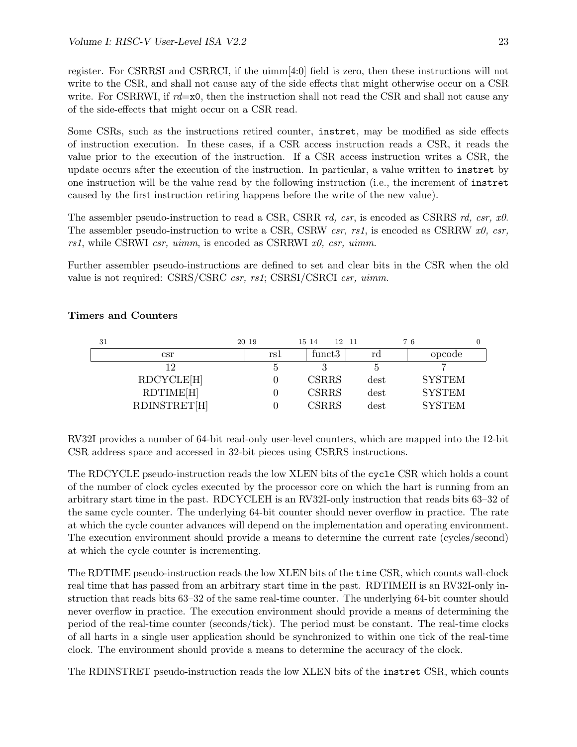register. For CSRRSI and CSRRCI, if the uimm[4:0] field is zero, then these instructions will not write to the CSR, and shall not cause any of the side effects that might otherwise occur on a CSR write. For CSRRWI, if  $rd = x0$ , then the instruction shall not read the CSR and shall not cause any of the side-effects that might occur on a CSR read.

Some CSRs, such as the instructions retired counter, instret, may be modified as side effects of instruction execution. In these cases, if a CSR access instruction reads a CSR, it reads the value prior to the execution of the instruction. If a CSR access instruction writes a CSR, the update occurs after the execution of the instruction. In particular, a value written to instret by one instruction will be the value read by the following instruction (i.e., the increment of instret caused by the first instruction retiring happens before the write of the new value).

The assembler pseudo-instruction to read a CSR, CSRR  $rd$ , csr, is encoded as CSRRS  $rd$ , csr, x0. The assembler pseudo-instruction to write a CSR, CSRW  $\mathit{csr}, \mathit{rs1}$ , is encoded as CSRRW  $\mathit{x0}, \mathit{csr},$ rs1, while CSRWI csr, uimm, is encoded as CSRRWI  $x0$ , csr, uimm.

Further assembler pseudo-instructions are defined to set and clear bits in the CSR when the old value is not required: CSRS/CSRC csr, rs1; CSRSI/CSRCI csr, uimm.

| 31                   | 20 19 | 12 11<br>15 14 |                 | 76            |
|----------------------|-------|----------------|-----------------|---------------|
| $\operatorname{csr}$ | rsl   | funct3         | rd              | opcode        |
| 12                   |       |                |                 |               |
| RDCYCLE[H]           |       | <b>CSRRS</b>   | dest            | <b>SYSTEM</b> |
| RDTIME[H]            |       | <b>CSRRS</b>   | dest            | <b>SYSTEM</b> |
| RDINSTRET[H]         |       | <b>CSRRS</b>   | $\mathrm{dest}$ | <b>SYSTEM</b> |

#### Timers and Counters

RV32I provides a number of 64-bit read-only user-level counters, which are mapped into the 12-bit CSR address space and accessed in 32-bit pieces using CSRRS instructions.

The RDCYCLE pseudo-instruction reads the low XLEN bits of the cycle CSR which holds a count of the number of clock cycles executed by the processor core on which the hart is running from an arbitrary start time in the past. RDCYCLEH is an RV32I-only instruction that reads bits 63–32 of the same cycle counter. The underlying 64-bit counter should never overflow in practice. The rate at which the cycle counter advances will depend on the implementation and operating environment. The execution environment should provide a means to determine the current rate (cycles/second) at which the cycle counter is incrementing.

The RDTIME pseudo-instruction reads the low XLEN bits of the time CSR, which counts wall-clock real time that has passed from an arbitrary start time in the past. RDTIMEH is an RV32I-only instruction that reads bits 63–32 of the same real-time counter. The underlying 64-bit counter should never overflow in practice. The execution environment should provide a means of determining the period of the real-time counter (seconds/tick). The period must be constant. The real-time clocks of all harts in a single user application should be synchronized to within one tick of the real-time clock. The environment should provide a means to determine the accuracy of the clock.

The RDINSTRET pseudo-instruction reads the low XLEN bits of the instret CSR, which counts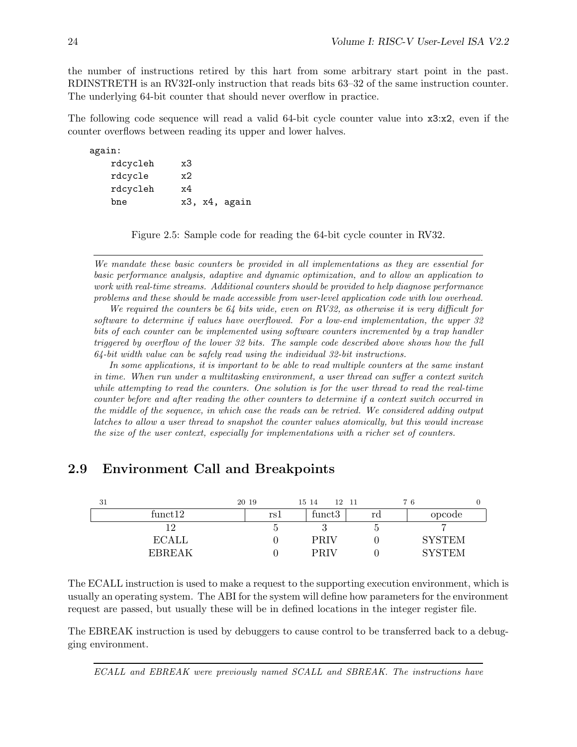the number of instructions retired by this hart from some arbitrary start point in the past. RDINSTRETH is an RV32I-only instruction that reads bits 63–32 of the same instruction counter. The underlying 64-bit counter that should never overflow in practice.

The following code sequence will read a valid 64-bit cycle counter value into  $x3:x2$ , even if the counter overflows between reading its upper and lower halves.

again: rdcycleh x3 rdcycle x2 rdcycleh x4 bne x3, x4, again

Figure 2.5: Sample code for reading the 64-bit cycle counter in RV32.

We mandate these basic counters be provided in all implementations as they are essential for basic performance analysis, adaptive and dynamic optimization, and to allow an application to work with real-time streams. Additional counters should be provided to help diagnose performance problems and these should be made accessible from user-level application code with low overhead.

We required the counters be 64 bits wide, even on RV32, as otherwise it is very difficult for software to determine if values have overflowed. For a low-end implementation, the upper 32 bits of each counter can be implemented using software counters incremented by a trap handler triggered by overflow of the lower 32 bits. The sample code described above shows how the full  $64$ -bit width value can be safely read using the individual 32-bit instructions.

In some applications, it is important to be able to read multiple counters at the same instant in time. When run under a multitasking environment, a user thread can suffer a context switch while attempting to read the counters. One solution is for the user thread to read the real-time counter before and after reading the other counters to determine if a context switch occurred in the middle of the sequence, in which case the reads can be retried. We considered adding output latches to allow a user thread to snapshot the counter values atomically, but this would increase the size of the user context, especially for implementations with a richer set of counters.

### <span id="page-35-0"></span>2.9 Environment Call and Breakpoints

| 31            | 20 19 | 12 11<br>15 14 |    | 76            |
|---------------|-------|----------------|----|---------------|
| funct12       | rsl   | funct3         | rd | opcode        |
|               |       |                |    |               |
| ECALL         |       | PRIV           |    | <b>SYSTEM</b> |
| <b>EBREAK</b> |       | <b>PRIV</b>    |    | <b>SYSTEM</b> |

The ECALL instruction is used to make a request to the supporting execution environment, which is usually an operating system. The ABI for the system will define how parameters for the environment request are passed, but usually these will be in defined locations in the integer register file.

The EBREAK instruction is used by debuggers to cause control to be transferred back to a debugging environment.

ECALL and EBREAK were previously named SCALL and SBREAK. The instructions have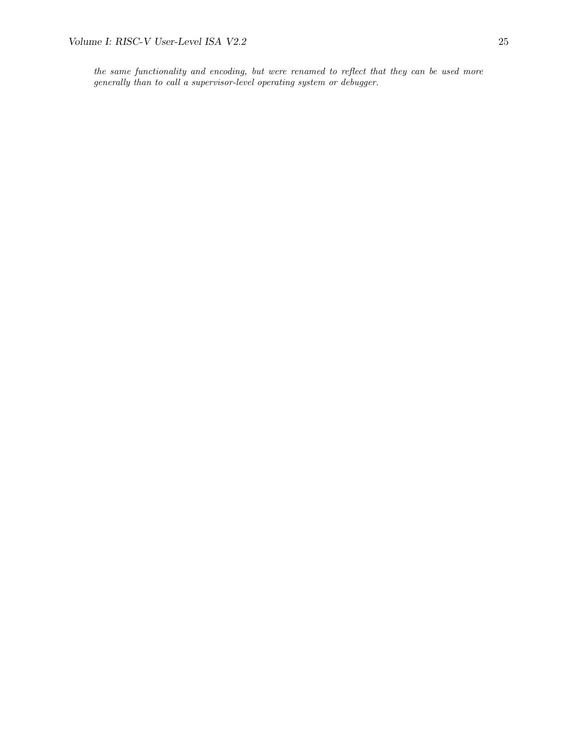the same functionality and encoding, but were renamed to reflect that they can be used more generally than to call a supervisor-level operating system or debugger.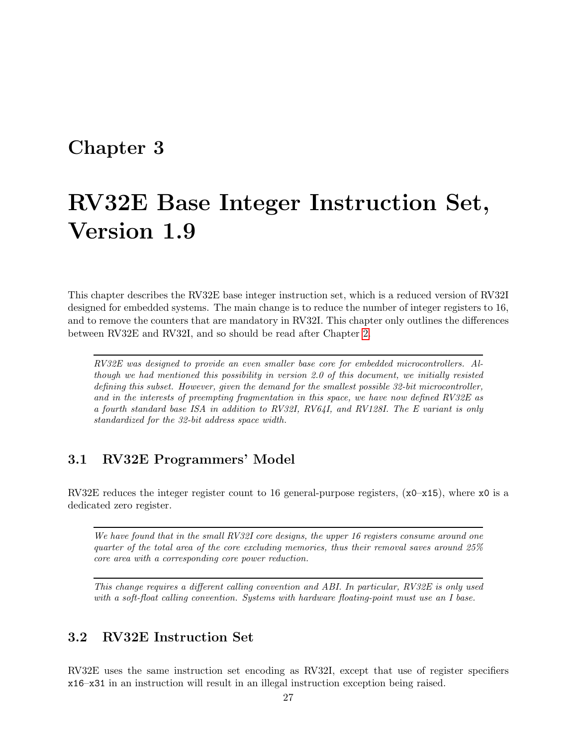# RV32E Base Integer Instruction Set, Version 1.9

This chapter describes the RV32E base integer instruction set, which is a reduced version of RV32I designed for embedded systems. The main change is to reduce the number of integer registers to 16, and to remove the counters that are mandatory in RV32I. This chapter only outlines the differences between RV32E and RV32I, and so should be read after Chapter [2.](#page-20-0)

RV32E was designed to provide an even smaller base core for embedded microcontrollers. Although we had mentioned this possibility in version 2.0 of this document, we initially resisted defining this subset. However, given the demand for the smallest possible 32-bit microcontroller, and in the interests of preempting fragmentation in this space, we have now defined RV32E as a fourth standard base ISA in addition to RV32I, RV64I, and RV128I. The E variant is only standardized for the 32-bit address space width.

### 3.1 RV32E Programmers' Model

RV32E reduces the integer register count to 16 general-purpose registers,  $(x0-x15)$ , where x0 is a dedicated zero register.

We have found that in the small RV32I core designs, the upper 16 registers consume around one quarter of the total area of the core excluding memories, thus their removal saves around 25% core area with a corresponding core power reduction.

This change requires a different calling convention and ABI. In particular, RV32E is only used with a soft-float calling convention. Systems with hardware floating-point must use an I base.

### 3.2 RV32E Instruction Set

RV32E uses the same instruction set encoding as RV32I, except that use of register specifiers x16–x31 in an instruction will result in an illegal instruction exception being raised.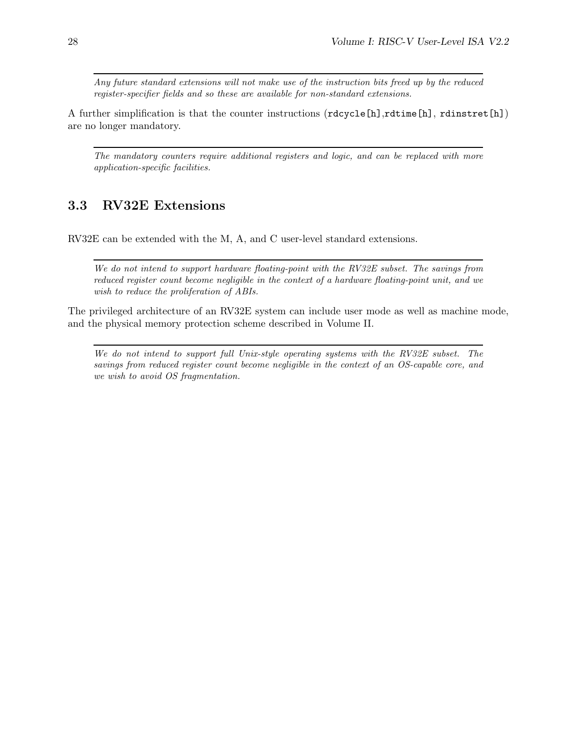Any future standard extensions will not make use of the instruction bits freed up by the reduced register-specifier fields and so these are available for non-standard extensions.

A further simplification is that the counter instructions (rdcycle[h],rdtime[h], rdinstret[h]) are no longer mandatory.

The mandatory counters require additional registers and logic, and can be replaced with more application-specific facilities.

#### 3.3 RV32E Extensions

RV32E can be extended with the M, A, and C user-level standard extensions.

We do not intend to support hardware floating-point with the RV32E subset. The savings from reduced register count become negligible in the context of a hardware floating-point unit, and we wish to reduce the proliferation of ABIs.

The privileged architecture of an RV32E system can include user mode as well as machine mode, and the physical memory protection scheme described in Volume II.

We do not intend to support full Unix-style operating systems with the RV32E subset. The savings from reduced register count become negligible in the context of an OS-capable core, and we wish to avoid OS fragmentation.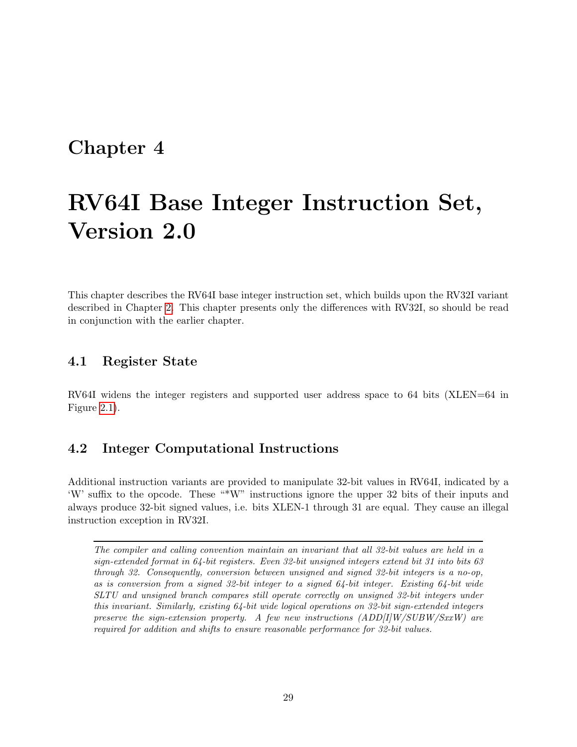# RV64I Base Integer Instruction Set, Version 2.0

This chapter describes the RV64I base integer instruction set, which builds upon the RV32I variant described in Chapter [2.](#page-20-0) This chapter presents only the differences with RV32I, so should be read in conjunction with the earlier chapter.

#### 4.1 Register State

RV64I widens the integer registers and supported user address space to 64 bits (XLEN=64 in Figure [2.1\)](#page-21-0).

### 4.2 Integer Computational Instructions

Additional instruction variants are provided to manipulate 32-bit values in RV64I, indicated by a 'W' suffix to the opcode. These "\*W" instructions ignore the upper 32 bits of their inputs and always produce 32-bit signed values, i.e. bits XLEN-1 through 31 are equal. They cause an illegal instruction exception in RV32I.

The compiler and calling convention maintain an invariant that all 32-bit values are held in a sign-extended format in 64-bit registers. Even 32-bit unsigned integers extend bit 31 into bits 63 through 32. Consequently, conversion between unsigned and signed 32-bit integers is a no-op, as is conversion from a signed  $32$ -bit integer to a signed  $64$ -bit integer. Existing  $64$ -bit wide SLTU and unsigned branch compares still operate correctly on unsigned 32-bit integers under this invariant. Similarly, existing 64-bit wide logical operations on 32-bit sign-extended integers preserve the sign-extension property. A few new instructions  $(ADD[I]W/SUBW/SxxW)$  are required for addition and shifts to ensure reasonable performance for 32-bit values.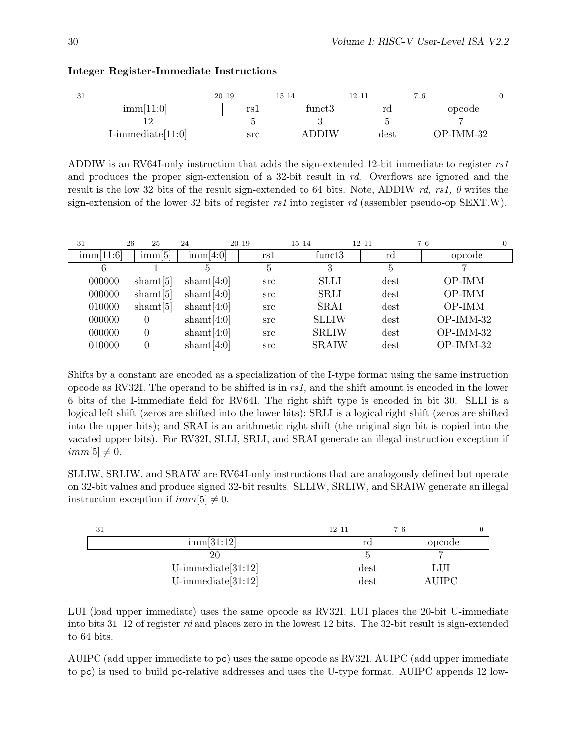| 31                         | 20 19 | 15 14  | 12-11 |           |
|----------------------------|-------|--------|-------|-----------|
| imm[11:0]                  | rs1   | funct3 | rd    | opcode    |
|                            |       |        |       |           |
| $I\text{-immediate}[11:0]$ | src   | ADDIW  | dest  | OP-IMM-32 |

#### Integer Register-Immediate Instructions

ADDIW is an RV64I-only instruction that adds the sign-extended 12-bit immediate to register rs1 and produces the proper sign-extension of a 32-bit result in rd. Overflows are ignored and the result is the low 32 bits of the result sign-extended to 64 bits. Note, ADDIW rd, rs1, 0 writes the sign-extension of the lower 32 bits of register  $rs1$  into register rd (assembler pseudo-op SEXT.W).

| 31        | 26 | 25                | 24         | 20 19        | 15 14        | 12 11 | 76        | $\overline{0}$ |
|-----------|----|-------------------|------------|--------------|--------------|-------|-----------|----------------|
| imm[11:6] |    | $\mathrm{imm}[5]$ | imm[4:0]   | $^{\rm rs1}$ | funct3       | rd    | opcode    |                |
| 6         |    |                   | 5          | 5            | 3            | 5     |           |                |
| 000000    |    | shamt[5]          | shamt[4:0] | <b>src</b>   | <b>SLLI</b>  | dest  | OP-IMM    |                |
| 000000    |    | shamt[5]          | shamt[4:0] | <b>src</b>   | <b>SRLI</b>  | dest  | OP-IMM    |                |
| 010000    |    | shamt[5]          | shamt[4:0] | <b>STC</b>   | <b>SRAI</b>  | dest  | OP-IMM    |                |
| 000000    |    | 0                 | shamt[4:0] | <b>src</b>   | <b>SLLIW</b> | dest  | OP-IMM-32 |                |
| 000000    |    | 0                 | shamt[4:0] | <b>src</b>   | <b>SRLIW</b> | dest  | OP-IMM-32 |                |
| 010000    |    | 0                 | shamt[4:0] | <b>STC</b>   | <b>SRAIW</b> | dest  | OP-IMM-32 |                |

Shifts by a constant are encoded as a specialization of the I-type format using the same instruction opcode as RV32I. The operand to be shifted is in rs1, and the shift amount is encoded in the lower 6 bits of the I-immediate field for RV64I. The right shift type is encoded in bit 30. SLLI is a logical left shift (zeros are shifted into the lower bits); SRLI is a logical right shift (zeros are shifted into the upper bits); and SRAI is an arithmetic right shift (the original sign bit is copied into the vacated upper bits). For RV32I, SLLI, SRLI, and SRAI generate an illegal instruction exception if  $imm[5] \neq 0.$ 

SLLIW, SRLIW, and SRAIW are RV64I-only instructions that are analogously defined but operate on 32-bit values and produce signed 32-bit results. SLLIW, SRLIW, and SRAIW generate an illegal instruction exception if  $imm[5] \neq 0$ .

| 31                    | 12 11 | 76     |
|-----------------------|-------|--------|
| imm[31:12]            | rd    | opcode |
|                       |       |        |
| U-immediate $[31:12]$ | dest  | LUI    |
| U-immediate $[31:12]$ | dest  | AUIPC  |

LUI (load upper immediate) uses the same opcode as RV32I. LUI places the 20-bit U-immediate into bits 31–12 of register rd and places zero in the lowest 12 bits. The 32-bit result is sign-extended to 64 bits.

AUIPC (add upper immediate to pc) uses the same opcode as RV32I. AUIPC (add upper immediate to pc) is used to build pc-relative addresses and uses the U-type format. AUIPC appends 12 low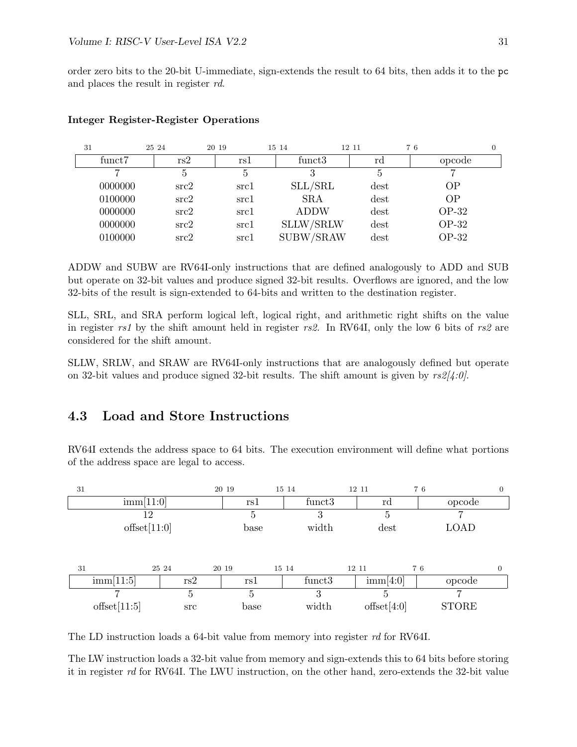order zero bits to the 20-bit U-immediate, sign-extends the result to 64 bits, then adds it to the pc and places the result in register rd.

| 31      | 25 24 | 20 19 |      | 15 14       | 12 11 | 76     |  |
|---------|-------|-------|------|-------------|-------|--------|--|
| funct7  |       | rs2   | rs l | funct3      | rd    | opcode |  |
|         |       |       | G    |             | 5     |        |  |
| 0000000 |       | src2  | src1 | SLL/SRL     | dest  | OP     |  |
| 0100000 |       | src2  | src1 | <b>SRA</b>  | dest  | ΟP     |  |
| 0000000 |       | src2  | src1 | <b>ADDW</b> | dest  | OP-32  |  |
| 0000000 |       | src2  | src1 | SLLW/SRLW   | dest  | OP-32  |  |
| 0100000 |       | src2  | src1 | SUBW/SRAW   | dest  | OP-32  |  |

#### Integer Register-Register Operations

ADDW and SUBW are RV64I-only instructions that are defined analogously to ADD and SUB but operate on 32-bit values and produce signed 32-bit results. Overflows are ignored, and the low 32-bits of the result is sign-extended to 64-bits and written to the destination register.

SLL, SRL, and SRA perform logical left, logical right, and arithmetic right shifts on the value in register rs1 by the shift amount held in register rs2. In RV64I, only the low 6 bits of rs2 are considered for the shift amount.

SLLW, SRLW, and SRAW are RV64I-only instructions that are analogously defined but operate on 32-bit values and produce signed 32-bit results. The shift amount is given by  $rs2/4:0$ .

### 4.3 Load and Store Instructions

RV64I extends the address space to 64 bits. The execution environment will define what portions of the address space are legal to access.

| 31 |                      |                | 20 19 | 15 14 |        |       | 12 11               | 76 |              | $\Omega$       |
|----|----------------------|----------------|-------|-------|--------|-------|---------------------|----|--------------|----------------|
|    | imm[11:0]            |                | rs1   |       | funct3 |       | rd                  |    | opcode       |                |
|    | 12                   |                | 5     |       |        |       | 5                   |    |              |                |
|    | offset[11:0]         |                | base  |       | width  |       | dest                |    | <b>LOAD</b>  |                |
|    |                      |                |       |       |        |       |                     |    |              |                |
|    |                      |                |       |       |        |       |                     |    |              |                |
| 31 |                      | 25 24          | 20 19 | 15 14 |        | 12 11 |                     | 76 |              | $\overline{0}$ |
|    | $\mathrm{imm}[11:5]$ | rs2            | rs1   |       | funct3 |       | $\mathrm{imm}[4:0]$ |    | opcode       |                |
|    | −                    | $\overline{5}$ | 5     |       | 3      |       | 5                   |    |              |                |
|    | offset[11:5]         | <b>STC</b>     | base  |       | width  |       | offset[4:0]         |    | <b>STORE</b> |                |

The LD instruction loads a 64-bit value from memory into register rd for RV64I.

The LW instruction loads a 32-bit value from memory and sign-extends this to 64 bits before storing it in register rd for RV64I. The LWU instruction, on the other hand, zero-extends the 32-bit value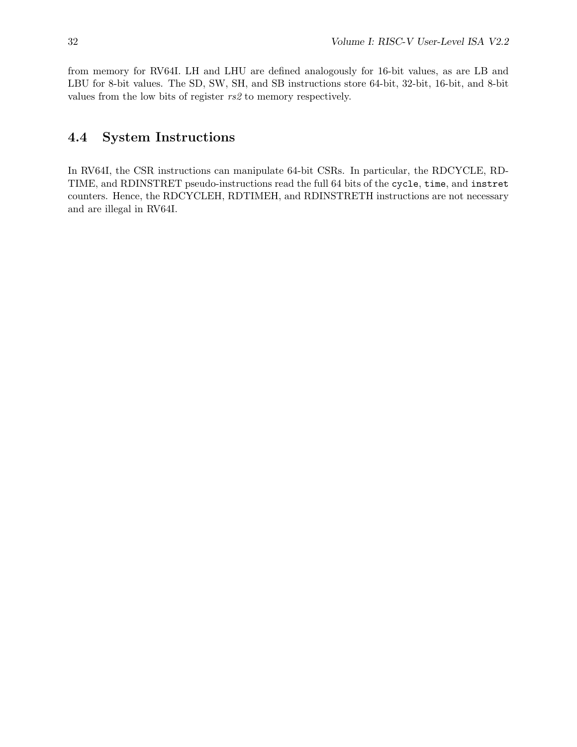from memory for RV64I. LH and LHU are defined analogously for 16-bit values, as are LB and LBU for 8-bit values. The SD, SW, SH, and SB instructions store 64-bit, 32-bit, 16-bit, and 8-bit values from the low bits of register rs2 to memory respectively.

## 4.4 System Instructions

In RV64I, the CSR instructions can manipulate 64-bit CSRs. In particular, the RDCYCLE, RD-TIME, and RDINSTRET pseudo-instructions read the full 64 bits of the cycle, time, and instret counters. Hence, the RDCYCLEH, RDTIMEH, and RDINSTRETH instructions are not necessary and are illegal in RV64I.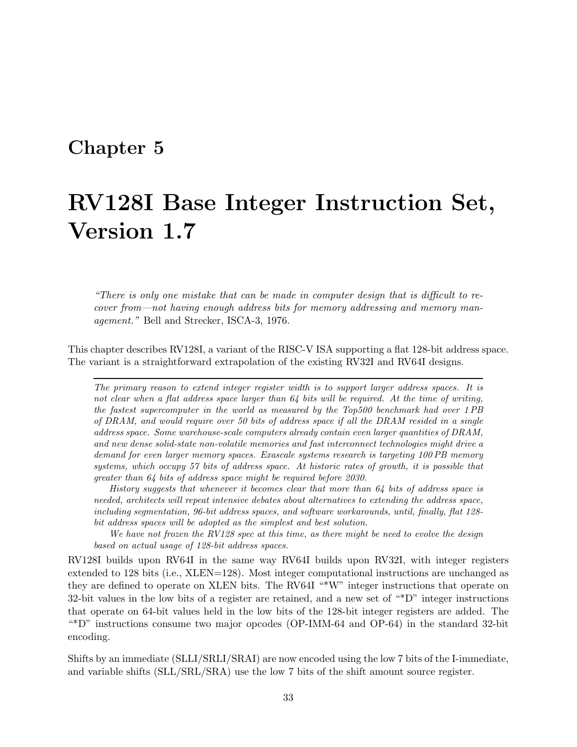# RV128I Base Integer Instruction Set, Version 1.7

"There is only one mistake that can be made in computer design that is difficult to recover from—not having enough address bits for memory addressing and memory management." Bell and Strecker, ISCA-3, 1976.

This chapter describes RV128I, a variant of the RISC-V ISA supporting a flat 128-bit address space. The variant is a straightforward extrapolation of the existing RV32I and RV64I designs.

The primary reason to extend integer register width is to support larger address spaces. It is not clear when a flat address space larger than 64 bits will be required. At the time of writing, the fastest supercomputer in the world as measured by the Top500 benchmark had over 1 PB of DRAM, and would require over 50 bits of address space if all the DRAM resided in a single address space. Some warehouse-scale computers already contain even larger quantities of DRAM, and new dense solid-state non-volatile memories and fast interconnect technologies might drive a demand for even larger memory spaces. Exascale systems research is targeting 100 PB memory systems, which occupy 57 bits of address space. At historic rates of growth, it is possible that greater than 64 bits of address space might be required before 2030.

History suggests that whenever it becomes clear that more than  $64$  bits of address space is needed, architects will repeat intensive debates about alternatives to extending the address space, including segmentation, 96-bit address spaces, and software workarounds, until, finally, flat 128 bit address spaces will be adopted as the simplest and best solution.

We have not frozen the RV128 spec at this time, as there might be need to evolve the design based on actual usage of 128-bit address spaces.

RV128I builds upon RV64I in the same way RV64I builds upon RV32I, with integer registers extended to 128 bits (i.e., XLEN=128). Most integer computational instructions are unchanged as they are defined to operate on XLEN bits. The RV64I "\*W" integer instructions that operate on 32-bit values in the low bits of a register are retained, and a new set of "\*D" integer instructions that operate on 64-bit values held in the low bits of the 128-bit integer registers are added. The "\*D" instructions consume two major opcodes (OP-IMM-64 and OP-64) in the standard 32-bit encoding.

Shifts by an immediate (SLLI/SRLI/SRAI) are now encoded using the low 7 bits of the I-immediate, and variable shifts (SLL/SRL/SRA) use the low 7 bits of the shift amount source register.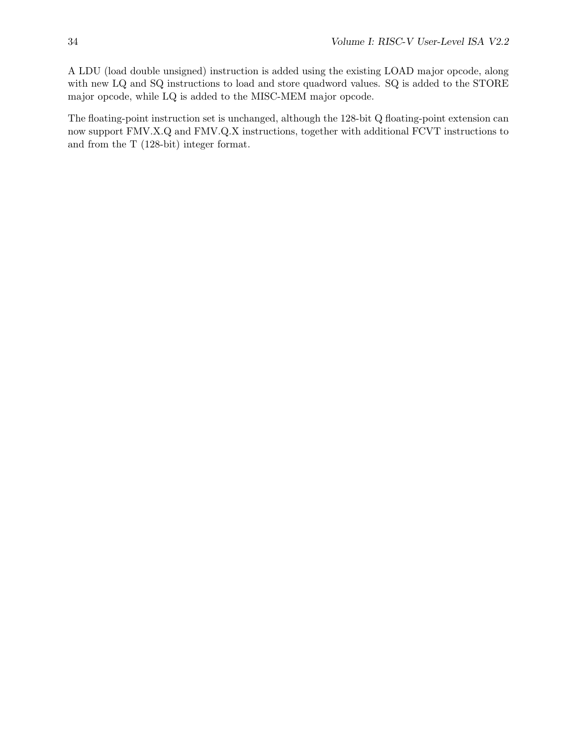A LDU (load double unsigned) instruction is added using the existing LOAD major opcode, along with new LQ and SQ instructions to load and store quadword values. SQ is added to the STORE major opcode, while LQ is added to the MISC-MEM major opcode.

The floating-point instruction set is unchanged, although the 128-bit Q floating-point extension can now support FMV.X.Q and FMV.Q.X instructions, together with additional FCVT instructions to and from the T (128-bit) integer format.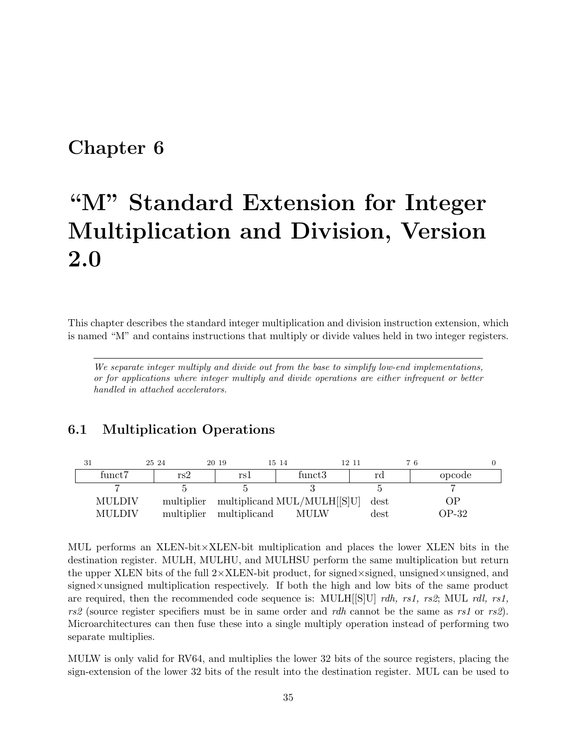# "M" Standard Extension for Integer Multiplication and Division, Version 2.0

This chapter describes the standard integer multiplication and division instruction extension, which is named "M" and contains instructions that multiply or divide values held in two integer registers.

We separate integer multiply and divide out from the base to simplify low-end implementations, or for applications where integer multiply and divide operations are either infrequent or better handled in attached accelerators.

### 6.1 Multiplication Operations

| 31            | 25 24 | 20 19                   | 15 14                                 | 12 11 | 76      |  |
|---------------|-------|-------------------------|---------------------------------------|-------|---------|--|
| funct7        | rs2   | rs1                     | funct3                                | rd    | opcode  |  |
|               |       |                         |                                       |       |         |  |
| MULDIV        |       |                         | multiplier multiplicand MUL/MULH[S]U] | dest  | ΟP      |  |
| <b>MULDIV</b> |       | multiplier multiplicand | MULW                                  | dest  | $OP-32$ |  |

MUL performs an XLEN-bit×XLEN-bit multiplication and places the lower XLEN bits in the destination register. MULH, MULHU, and MULHSU perform the same multiplication but return the upper XLEN bits of the full  $2 \times XLEN$ -bit product, for signed×signed, unsigned×unsigned, and signed×unsigned multiplication respectively. If both the high and low bits of the same product are required, then the recommended code sequence is: MULH $[S|U]$  rdh, rs1, rs2; MUL rdl, rs1, rs2 (source register specifiers must be in same order and rdh cannot be the same as rs1 or rs2). Microarchitectures can then fuse these into a single multiply operation instead of performing two separate multiplies.

MULW is only valid for RV64, and multiplies the lower 32 bits of the source registers, placing the sign-extension of the lower 32 bits of the result into the destination register. MUL can be used to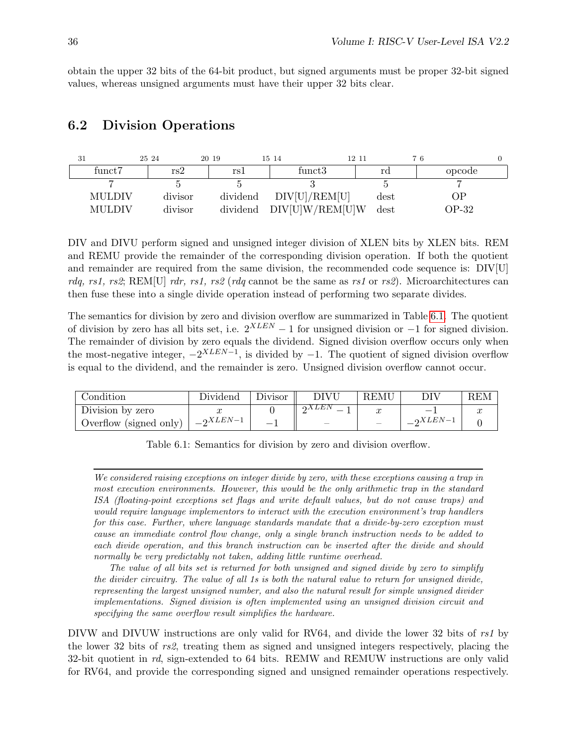obtain the upper 32 bits of the 64-bit product, but signed arguments must be proper 32-bit signed values, whereas unsigned arguments must have their upper 32 bits clear.

#### 6.2 Division Operations

| 31 |               | 25 24   | 20 19    | 15 14           | 12 11 |        |
|----|---------------|---------|----------|-----------------|-------|--------|
|    | funct7        | rs2     | rs l     | funct3          | rd    | opcode |
|    |               |         |          |                 |       |        |
|    | <b>MULDIV</b> | divisor | dividend | DIV[U]/REM[U]   | dest  | OP.    |
|    | <b>MULDIV</b> | divisor | dividend | DIV[U]W/REM[U]W | dest  | OP-32  |

DIV and DIVU perform signed and unsigned integer division of XLEN bits by XLEN bits. REM and REMU provide the remainder of the corresponding division operation. If both the quotient and remainder are required from the same division, the recommended code sequence is:  $\text{DIV}[U]$ rdq, rs1, rs2; REM[U] rdr, rs1, rs2 (rdq cannot be the same as rs1 or rs2). Microarchitectures can then fuse these into a single divide operation instead of performing two separate divides.

The semantics for division by zero and division overflow are summarized in Table [6.1.](#page-47-0) The quotient of division by zero has all bits set, i.e.  $2^{XLEN} - 1$  for unsigned division or  $-1$  for signed division. The remainder of division by zero equals the dividend. Signed division overflow occurs only when the most-negative integer,  $-2^{XLEN-1}$ , is divided by  $-1$ . The quotient of signed division overflow is equal to the dividend, and the remainder is zero. Unsigned division overflow cannot occur.

| Condition              | Dividend      | Divisor                  | DIVU                     | <b>REMU</b> |               | <b>REM</b> |
|------------------------|---------------|--------------------------|--------------------------|-------------|---------------|------------|
| Division by zero       |               |                          | $\Delta \Delta L E N$    |             |               |            |
| Overflow (signed only) | $-2^{XLEN-1}$ | $\overline{\phantom{m}}$ | $\overline{\phantom{a}}$ |             | $-2^{XLEN-1}$ |            |

<span id="page-47-0"></span>Table 6.1: Semantics for division by zero and division overflow.

We considered raising exceptions on integer divide by zero, with these exceptions causing a trap in most execution environments. However, this would be the only arithmetic trap in the standard ISA (floating-point exceptions set flags and write default values, but do not cause traps) and would require language implementors to interact with the execution environment's trap handlers for this case. Further, where language standards mandate that a divide-by-zero exception must cause an immediate control flow change, only a single branch instruction needs to be added to each divide operation, and this branch instruction can be inserted after the divide and should normally be very predictably not taken, adding little runtime overhead.

The value of all bits set is returned for both unsigned and signed divide by zero to simplify the divider circuitry. The value of all 1s is both the natural value to return for unsigned divide, representing the largest unsigned number, and also the natural result for simple unsigned divider implementations. Signed division is often implemented using an unsigned division circuit and specifying the same overflow result simplifies the hardware.

DIVW and DIVUW instructions are only valid for RV64, and divide the lower 32 bits of rs1 by the lower 32 bits of rs2, treating them as signed and unsigned integers respectively, placing the 32-bit quotient in rd, sign-extended to 64 bits. REMW and REMUW instructions are only valid for RV64, and provide the corresponding signed and unsigned remainder operations respectively.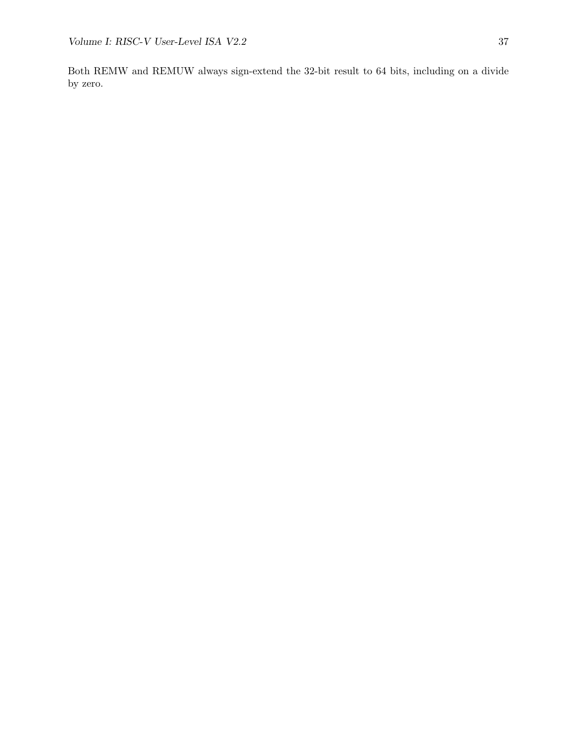Both REMW and REMUW always sign-extend the 32-bit result to 64 bits, including on a divide by zero.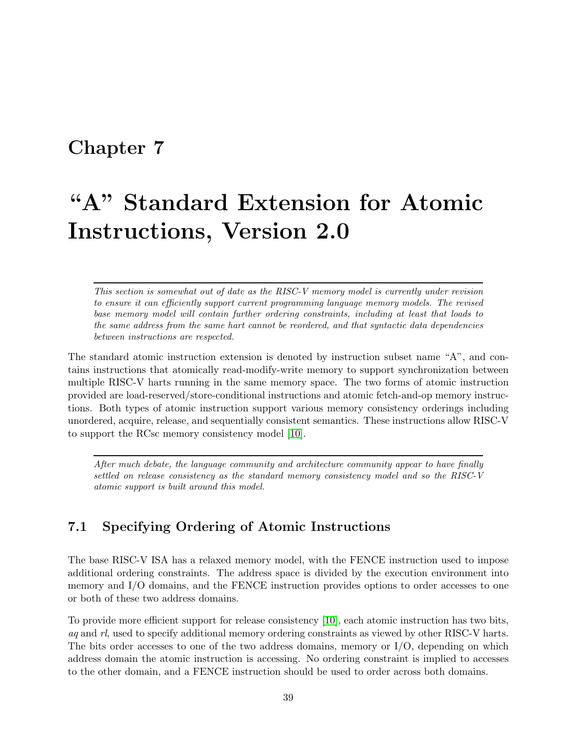# "A" Standard Extension for Atomic Instructions, Version 2.0

This section is somewhat out of date as the RISC-V memory model is currently under revision to ensure it can efficiently support current programming language memory models. The revised base memory model will contain further ordering constraints, including at least that loads to the same address from the same hart cannot be reordered, and that syntactic data dependencies between instructions are respected.

The standard atomic instruction extension is denoted by instruction subset name "A", and contains instructions that atomically read-modify-write memory to support synchronization between multiple RISC-V harts running in the same memory space. The two forms of atomic instruction provided are load-reserved/store-conditional instructions and atomic fetch-and-op memory instructions. Both types of atomic instruction support various memory consistency orderings including unordered, acquire, release, and sequentially consistent semantics. These instructions allow RISC-V to support the RCsc memory consistency model [\[10\]](#page-142-0).

After much debate, the language community and architecture community appear to have finally settled on release consistency as the standard memory consistency model and so the RISC-V atomic support is built around this model.

### 7.1 Specifying Ordering of Atomic Instructions

The base RISC-V ISA has a relaxed memory model, with the FENCE instruction used to impose additional ordering constraints. The address space is divided by the execution environment into memory and I/O domains, and the FENCE instruction provides options to order accesses to one or both of these two address domains.

To provide more efficient support for release consistency [\[10\]](#page-142-0), each atomic instruction has two bits, aq and rl, used to specify additional memory ordering constraints as viewed by other RISC-V harts. The bits order accesses to one of the two address domains, memory or I/O, depending on which address domain the atomic instruction is accessing. No ordering constraint is implied to accesses to the other domain, and a FENCE instruction should be used to order across both domains.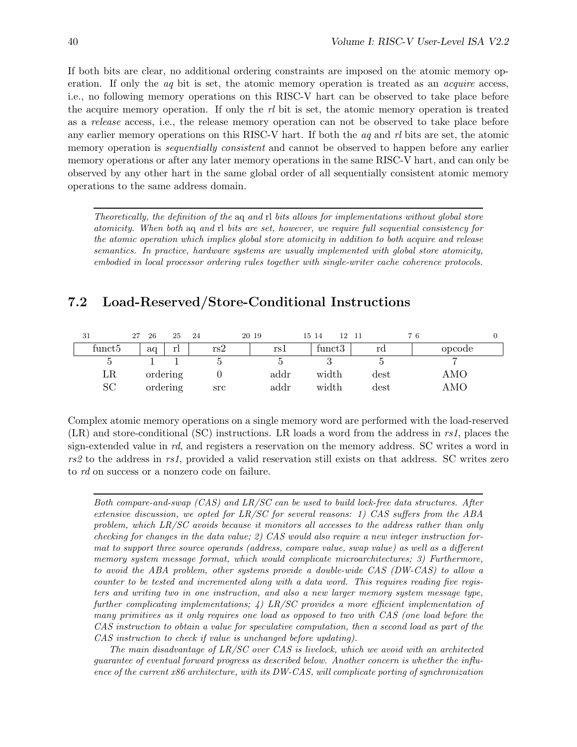If both bits are clear, no additional ordering constraints are imposed on the atomic memory operation. If only the  $aq$  bit is set, the atomic memory operation is treated as an *acquire* access, i.e., no following memory operations on this RISC-V hart can be observed to take place before the acquire memory operation. If only the  $rl$  bit is set, the atomic memory operation is treated as a release access, i.e., the release memory operation can not be observed to take place before any earlier memory operations on this RISC-V hart. If both the  $aq$  and  $rl$  bits are set, the atomic memory operation is *sequentially consistent* and cannot be observed to happen before any earlier memory operations or after any later memory operations in the same RISC-V hart, and can only be observed by any other hart in the same global order of all sequentially consistent atomic memory operations to the same address domain.

Theoretically, the definition of the aq and rl bits allows for implementations without global store atomicity. When both aq and rl bits are set, however, we require full sequential consistency for the atomic operation which implies global store atomicity in addition to both acquire and release semantics. In practice, hardware systems are usually implemented with global store atomicity, embodied in local processor ordering rules together with single-writer cache coherence protocols.

### 7.2 Load-Reserved/Store-Conditional Instructions

| 31          | 27 | 26       | 25       | -24        | 20 19 |      | 15 14 | 12     |                 | 76     |  |
|-------------|----|----------|----------|------------|-------|------|-------|--------|-----------------|--------|--|
| funct5      |    | aq       | rl       | rs2        |       | rs1  |       | funct3 | rd              | opcode |  |
|             |    |          |          |            |       |      |       |        |                 |        |  |
| $_{\rm LR}$ |    | ordering |          |            |       | addr |       | width  | $\mathrm{dest}$ | AMO    |  |
| <b>SC</b>   |    |          | ordering | <b>STC</b> |       | addr |       | width  | $\mathrm{dest}$ | AMO    |  |

Complex atomic memory operations on a single memory word are performed with the load-reserved (LR) and store-conditional (SC) instructions. LR loads a word from the address in rs1, places the sign-extended value in rd, and registers a reservation on the memory address. SC writes a word in rs2 to the address in rs1, provided a valid reservation still exists on that address. SC writes zero to rd on success or a nonzero code on failure.

Both compare-and-swap (CAS) and LR/SC can be used to build lock-free data structures. After extensive discussion, we opted for LR/SC for several reasons: 1) CAS suffers from the ABA problem, which LR/SC avoids because it monitors all accesses to the address rather than only checking for changes in the data value; 2) CAS would also require a new integer instruction format to support three source operands (address, compare value, swap value) as well as a different memory system message format, which would complicate microarchitectures; 3) Furthermore, to avoid the ABA problem, other systems provide a double-wide CAS (DW-CAS) to allow a counter to be tested and incremented along with a data word. This requires reading five registers and writing two in one instruction, and also a new larger memory system message type, further complicating implementations;  $\angle$ ) LR/SC provides a more efficient implementation of many primitives as it only requires one load as opposed to two with CAS (one load before the CAS instruction to obtain a value for speculative computation, then a second load as part of the CAS instruction to check if value is unchanged before updating).

The main disadvantage of  $LR/SC$  over  $CAS$  is livelock, which we avoid with an architected guarantee of eventual forward progress as described below. Another concern is whether the influence of the current x86 architecture, with its DW-CAS, will complicate porting of synchronization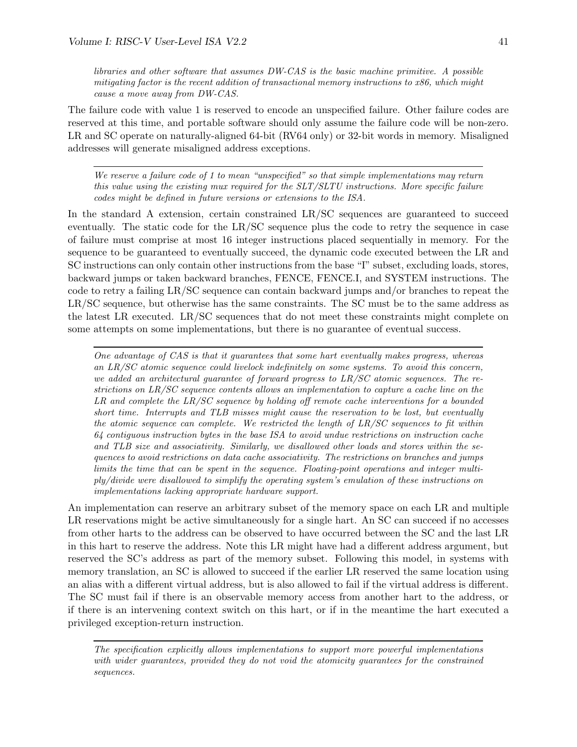libraries and other software that assumes DW-CAS is the basic machine primitive. A possible mitigating factor is the recent addition of transactional memory instructions to x86, which might cause a move away from DW-CAS.

The failure code with value 1 is reserved to encode an unspecified failure. Other failure codes are reserved at this time, and portable software should only assume the failure code will be non-zero. LR and SC operate on naturally-aligned 64-bit (RV64 only) or 32-bit words in memory. Misaligned addresses will generate misaligned address exceptions.

We reserve a failure code of 1 to mean "unspecified" so that simple implementations may return this value using the existing mux required for the SLT/SLTU instructions. More specific failure codes might be defined in future versions or extensions to the ISA.

In the standard A extension, certain constrained LR/SC sequences are guaranteed to succeed eventually. The static code for the LR/SC sequence plus the code to retry the sequence in case of failure must comprise at most 16 integer instructions placed sequentially in memory. For the sequence to be guaranteed to eventually succeed, the dynamic code executed between the LR and SC instructions can only contain other instructions from the base "I" subset, excluding loads, stores, backward jumps or taken backward branches, FENCE, FENCE.I, and SYSTEM instructions. The code to retry a failing LR/SC sequence can contain backward jumps and/or branches to repeat the LR/SC sequence, but otherwise has the same constraints. The SC must be to the same address as the latest LR executed. LR/SC sequences that do not meet these constraints might complete on some attempts on some implementations, but there is no guarantee of eventual success.

One advantage of CAS is that it guarantees that some hart eventually makes progress, whereas an LR/SC atomic sequence could livelock indefinitely on some systems. To avoid this concern, we added an architectural guarantee of forward progress to  $LR/SC$  atomic sequences. The restrictions on LR/SC sequence contents allows an implementation to capture a cache line on the  $LR$  and complete the  $LR/SC$  sequence by holding off remote cache interventions for a bounded short time. Interrupts and TLB misses might cause the reservation to be lost, but eventually the atomic sequence can complete. We restricted the length of  $LR/SC$  sequences to fit within 64 contiguous instruction bytes in the base ISA to avoid undue restrictions on instruction cache and TLB size and associativity. Similarly, we disallowed other loads and stores within the sequences to avoid restrictions on data cache associativity. The restrictions on branches and jumps limits the time that can be spent in the sequence. Floating-point operations and integer multiply/divide were disallowed to simplify the operating system's emulation of these instructions on implementations lacking appropriate hardware support.

An implementation can reserve an arbitrary subset of the memory space on each LR and multiple LR reservations might be active simultaneously for a single hart. An SC can succeed if no accesses from other harts to the address can be observed to have occurred between the SC and the last LR in this hart to reserve the address. Note this LR might have had a different address argument, but reserved the SC's address as part of the memory subset. Following this model, in systems with memory translation, an SC is allowed to succeed if the earlier LR reserved the same location using an alias with a different virtual address, but is also allowed to fail if the virtual address is different. The SC must fail if there is an observable memory access from another hart to the address, or if there is an intervening context switch on this hart, or if in the meantime the hart executed a privileged exception-return instruction.

The specification explicitly allows implementations to support more powerful implementations with wider guarantees, provided they do not void the atomicity guarantees for the constrained sequences.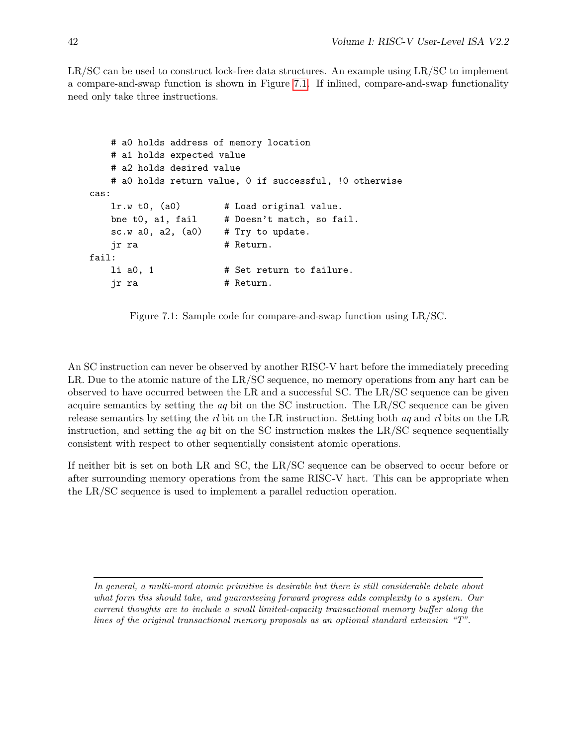LR/SC can be used to construct lock-free data structures. An example using LR/SC to implement a compare-and-swap function is shown in Figure [7.1.](#page-53-0) If inlined, compare-and-swap functionality need only take three instructions.

```
# a0 holds address of memory location
   # a1 holds expected value
   # a2 holds desired value
   # a0 holds return value, 0 if successful, !0 otherwise
cas:
   lr.w t0, (a0) # Load original value.
   bne t0, a1, fail # Doesn't match, so fail.
   sc.w a0, a2, (a0) # Try to update.
   jr ra \qquad # Return.
fail:
   li a0, 1   # Set return to failure.
   jr ra \qquad # Return.
```
<span id="page-53-0"></span>Figure 7.1: Sample code for compare-and-swap function using LR/SC.

An SC instruction can never be observed by another RISC-V hart before the immediately preceding LR. Due to the atomic nature of the LR/SC sequence, no memory operations from any hart can be observed to have occurred between the LR and a successful SC. The LR/SC sequence can be given acquire semantics by setting the  $aq$  bit on the SC instruction. The LR/SC sequence can be given release semantics by setting the rl bit on the LR instruction. Setting both  $aq$  and rl bits on the LR instruction, and setting the  $aq$  bit on the SC instruction makes the LR/SC sequence sequentially consistent with respect to other sequentially consistent atomic operations.

If neither bit is set on both LR and SC, the LR/SC sequence can be observed to occur before or after surrounding memory operations from the same RISC-V hart. This can be appropriate when the LR/SC sequence is used to implement a parallel reduction operation.

In general, a multi-word atomic primitive is desirable but there is still considerable debate about what form this should take, and guaranteeing forward progress adds complexity to a system. Our current thoughts are to include a small limited-capacity transactional memory buffer along the lines of the original transactional memory proposals as an optional standard extension "T".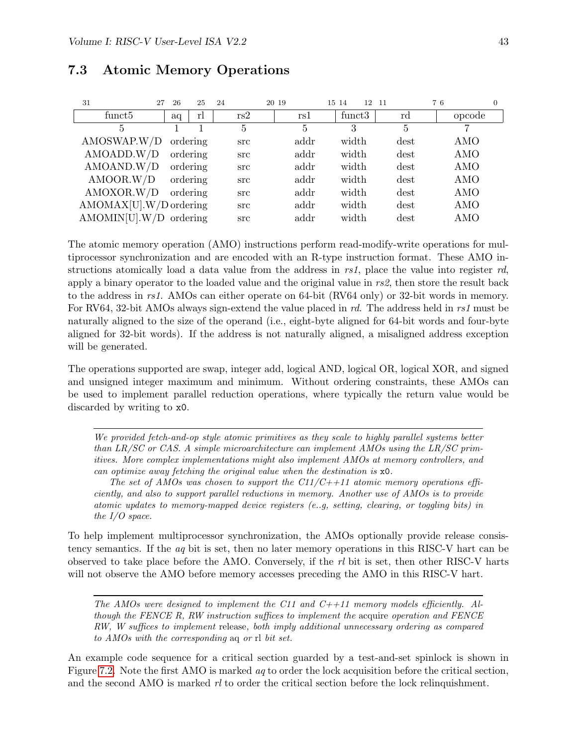| 31                       | 27<br>26 | 25       | 24         | 20 19 | 15 14 | 12     | $-11$          | 76 |            |
|--------------------------|----------|----------|------------|-------|-------|--------|----------------|----|------------|
| funct5                   | aq       | rl       | rs2        | rs1   |       | funct3 | rd             |    | opcode     |
| 5                        |          |          | 5          | 5     |       | 3      | $\overline{5}$ |    |            |
| AMOSWAP.W/D              |          | ordering | <b>src</b> | addr  |       | width  | dest           |    | AMO        |
| AMOADD.W/D               |          | ordering | <b>src</b> | addr  |       | width  | dest           |    | <b>AMO</b> |
| AMOAND.W/D               |          | ordering | <b>src</b> | addr  |       | width  | dest           |    | <b>AMO</b> |
| AMOOR.W/D                |          | ordering | <b>src</b> | addr  |       | width  | dest           |    | <b>AMO</b> |
| AMOXOR.W/D               |          | ordering | <b>src</b> | addr  |       | width  | dest           |    | AMO        |
| AMOMAX[U].W/D ordering   |          |          | <b>src</b> | addr  |       | width  | dest           |    | AMO        |
| $AMOMIN[U].W/D$ ordering |          |          | <b>src</b> | addr  |       | width  | dest           |    | AMO        |

### 7.3 Atomic Memory Operations

The atomic memory operation (AMO) instructions perform read-modify-write operations for multiprocessor synchronization and are encoded with an R-type instruction format. These AMO instructions atomically load a data value from the address in  $rs1$ , place the value into register  $rd$ , apply a binary operator to the loaded value and the original value in rs2, then store the result back to the address in rs1. AMOs can either operate on 64-bit (RV64 only) or 32-bit words in memory. For RV64, 32-bit AMOs always sign-extend the value placed in rd. The address held in rs1 must be naturally aligned to the size of the operand (i.e., eight-byte aligned for 64-bit words and four-byte aligned for 32-bit words). If the address is not naturally aligned, a misaligned address exception will be generated.

The operations supported are swap, integer add, logical AND, logical OR, logical XOR, and signed and unsigned integer maximum and minimum. Without ordering constraints, these AMOs can be used to implement parallel reduction operations, where typically the return value would be discarded by writing to x0.

We provided fetch-and-op style atomic primitives as they scale to highly parallel systems better than LR/SC or CAS. A simple microarchitecture can implement AMOs using the LR/SC primitives. More complex implementations might also implement AMOs at memory controllers, and can optimize away fetching the original value when the destination is x0.

The set of AMOs was chosen to support the  $C11/C+11$  atomic memory operations efficiently, and also to support parallel reductions in memory. Another use of AMOs is to provide atomic updates to memory-mapped device registers (e..g, setting, clearing, or toggling bits) in the  $I/O$  space.

To help implement multiprocessor synchronization, the AMOs optionally provide release consistency semantics. If the aq bit is set, then no later memory operations in this RISC-V hart can be observed to take place before the AMO. Conversely, if the  $rl$  bit is set, then other RISC-V harts will not observe the AMO before memory accesses preceding the AMO in this RISC-V hart.

The AMOs were designed to implement the C11 and  $C++11$  memory models efficiently. Although the FENCE R, RW instruction suffices to implement the acquire operation and FENCE RW, W suffices to implement release, both imply additional unnecessary ordering as compared to AMOs with the corresponding aq or rl bit set.

An example code sequence for a critical section guarded by a test-and-set spinlock is shown in Figure [7.2.](#page-55-0) Note the first AMO is marked *aq* to order the lock acquisition before the critical section, and the second AMO is marked  $rl$  to order the critical section before the lock relinquishment.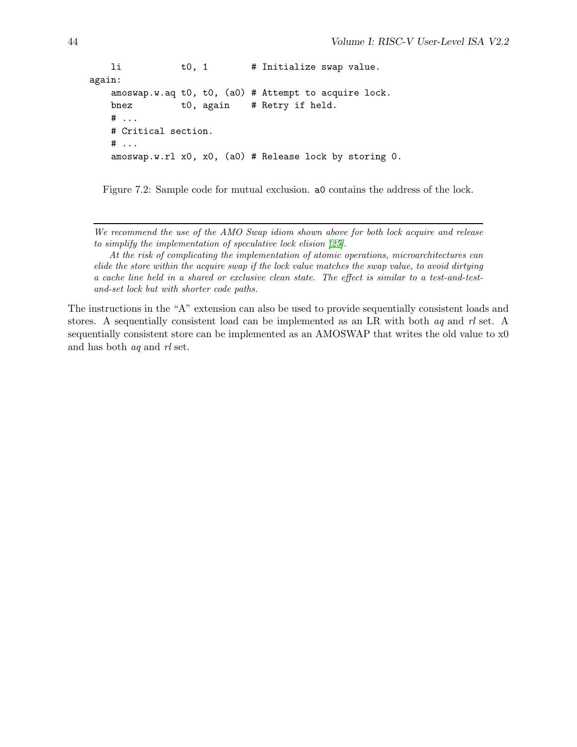```
li t0, 1 # Initialize swap value.
again:
   amoswap.w.aq t0, t0, (a0) # Attempt to acquire lock.
   bnez t0, again # Retry if held.
   # ...
   # Critical section.
   # ...
   amoswap.w.rl x0, x0, (a0) # Release lock by storing 0.
```
<span id="page-55-0"></span>Figure 7.2: Sample code for mutual exclusion. a0 contains the address of the lock.

We recommend the use of the AMO Swap idiom shown above for both lock acquire and release to simplify the implementation of speculative lock elision [\[25\]](#page-143-0).

At the risk of complicating the implementation of atomic operations, microarchitectures can elide the store within the acquire swap if the lock value matches the swap value, to avoid dirtying a cache line held in a shared or exclusive clean state. The effect is similar to a test-and-testand-set lock but with shorter code paths.

The instructions in the "A" extension can also be used to provide sequentially consistent loads and stores. A sequentially consistent load can be implemented as an LR with both  $aq$  and  $rl$  set. A sequentially consistent store can be implemented as an AMOSWAP that writes the old value to  $x0$ and has both aq and rl set.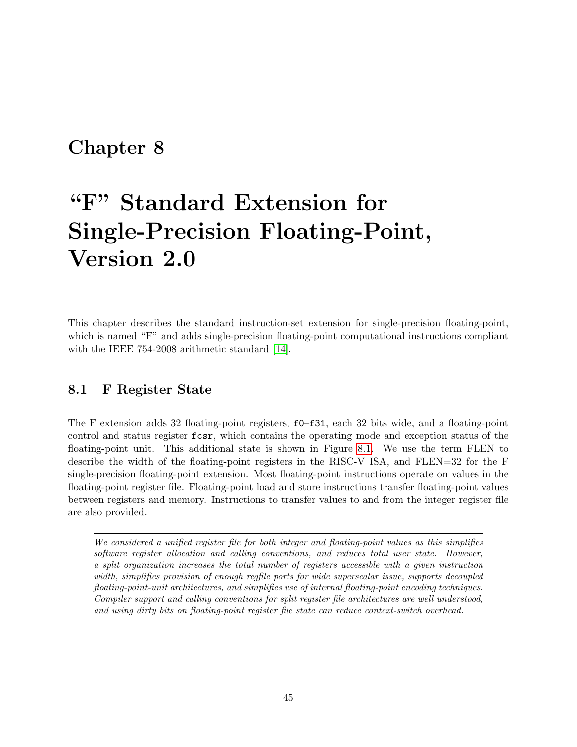# "F" Standard Extension for Single-Precision Floating-Point, Version 2.0

This chapter describes the standard instruction-set extension for single-precision floating-point, which is named "F" and adds single-precision floating-point computational instructions compliant with the IEEE 754-2008 arithmetic standard [\[14\]](#page-142-1).

#### 8.1 F Register State

The F extension adds 32 floating-point registers, f0–f31, each 32 bits wide, and a floating-point control and status register fcsr, which contains the operating mode and exception status of the floating-point unit. This additional state is shown in Figure [8.1.](#page-57-0) We use the term FLEN to describe the width of the floating-point registers in the RISC-V ISA, and FLEN=32 for the F single-precision floating-point extension. Most floating-point instructions operate on values in the floating-point register file. Floating-point load and store instructions transfer floating-point values between registers and memory. Instructions to transfer values to and from the integer register file are also provided.

We considered a unified register file for both integer and floating-point values as this simplifies software register allocation and calling conventions, and reduces total user state. However, a split organization increases the total number of registers accessible with a given instruction width, simplifies provision of enough regfile ports for wide superscalar issue, supports decoupled floating-point-unit architectures, and simplifies use of internal floating-point encoding techniques. Compiler support and calling conventions for split register file architectures are well understood, and using dirty bits on floating-point register file state can reduce context-switch overhead.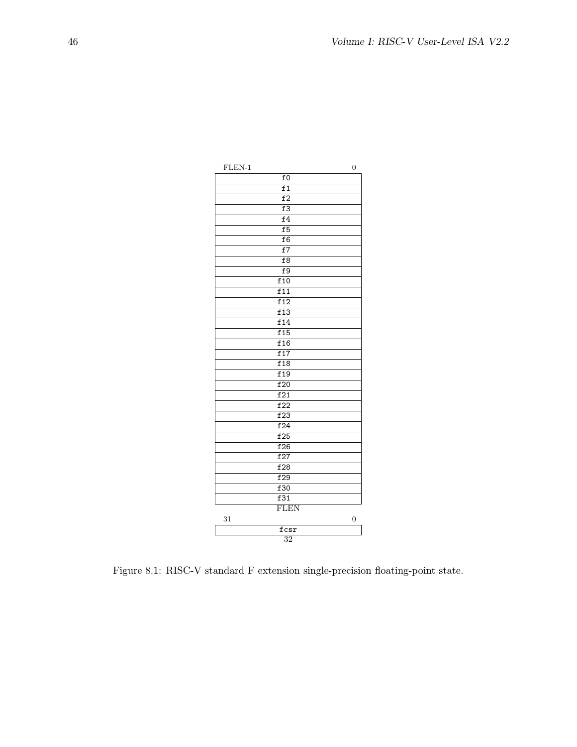| $FLEN-1$ |                  | $\overline{0}$   |
|----------|------------------|------------------|
|          | $\overline{f0}$  |                  |
|          | f1               |                  |
|          | $\overline{f2}$  |                  |
|          | f3               |                  |
|          | f4               |                  |
|          | f5               |                  |
|          | f6               |                  |
|          | f7               |                  |
|          | f8               |                  |
|          | f9               |                  |
|          | f10              |                  |
|          | f11              |                  |
|          | f12              |                  |
|          | f13              |                  |
|          | f14              |                  |
|          | f15              |                  |
|          | f16              |                  |
|          | f17              |                  |
|          | f18              |                  |
|          | f19              |                  |
|          | f20              |                  |
|          | $\overline{f21}$ |                  |
|          | $\overline{f22}$ |                  |
|          | f23              |                  |
|          | f24              |                  |
|          | f25              |                  |
|          | $\overline{f26}$ |                  |
|          | f27              |                  |
|          | f28              |                  |
|          | f29              |                  |
|          | $\overline{f30}$ |                  |
|          | f31              |                  |
|          | FLEN             |                  |
| 31       |                  | $\boldsymbol{0}$ |
|          | fcsr             |                  |
|          | $\overline{32}$  |                  |

<span id="page-57-0"></span>Figure 8.1: RISC-V standard F extension single-precision floating-point state.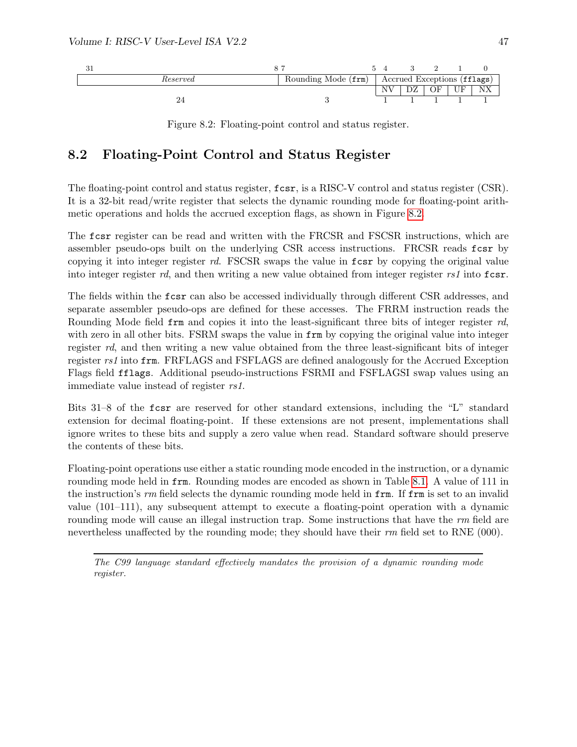| Reserved | Rounding Mode (frm)   Accrued Exceptions (fflags) |    |    |    |    |    |
|----------|---------------------------------------------------|----|----|----|----|----|
|          |                                                   | NV | DZ | ОF | UF | NX |
|          |                                                   |    |    |    |    |    |

Figure 8.2: Floating-point control and status register.

### <span id="page-58-0"></span>8.2 Floating-Point Control and Status Register

The floating-point control and status register, fcsr, is a RISC-V control and status register (CSR). It is a 32-bit read/write register that selects the dynamic rounding mode for floating-point arithmetic operations and holds the accrued exception flags, as shown in Figure [8.2.](#page-58-0)

The fcsr register can be read and written with the FRCSR and FSCSR instructions, which are assembler pseudo-ops built on the underlying CSR access instructions. FRCSR reads fcsr by copying it into integer register  $rd$ . FSCSR swaps the value in fcsr by copying the original value into integer register rd, and then writing a new value obtained from integer register  $rs1$  into  $f \text{csr}$ .

The fields within the fcsr can also be accessed individually through different CSR addresses, and separate assembler pseudo-ops are defined for these accesses. The FRRM instruction reads the Rounding Mode field frm and copies it into the least-significant three bits of integer register rd, with zero in all other bits. FSRM swaps the value in  $f_{\text{rm}}$  by copying the original value into integer register rd, and then writing a new value obtained from the three least-significant bits of integer register rs1 into frm. FRFLAGS and FSFLAGS are defined analogously for the Accrued Exception Flags field fflags. Additional pseudo-instructions FSRMI and FSFLAGSI swap values using an immediate value instead of register rs1.

Bits 31–8 of the fcsr are reserved for other standard extensions, including the "L" standard extension for decimal floating-point. If these extensions are not present, implementations shall ignore writes to these bits and supply a zero value when read. Standard software should preserve the contents of these bits.

Floating-point operations use either a static rounding mode encoded in the instruction, or a dynamic rounding mode held in frm. Rounding modes are encoded as shown in Table [8.1.](#page-59-0) A value of 111 in the instruction's rm field selects the dynamic rounding mode held in frm. If frm is set to an invalid value (101–111), any subsequent attempt to execute a floating-point operation with a dynamic rounding mode will cause an illegal instruction trap. Some instructions that have the rm field are nevertheless unaffected by the rounding mode; they should have their rm field set to RNE (000).

The C99 language standard effectively mandates the provision of a dynamic rounding mode register.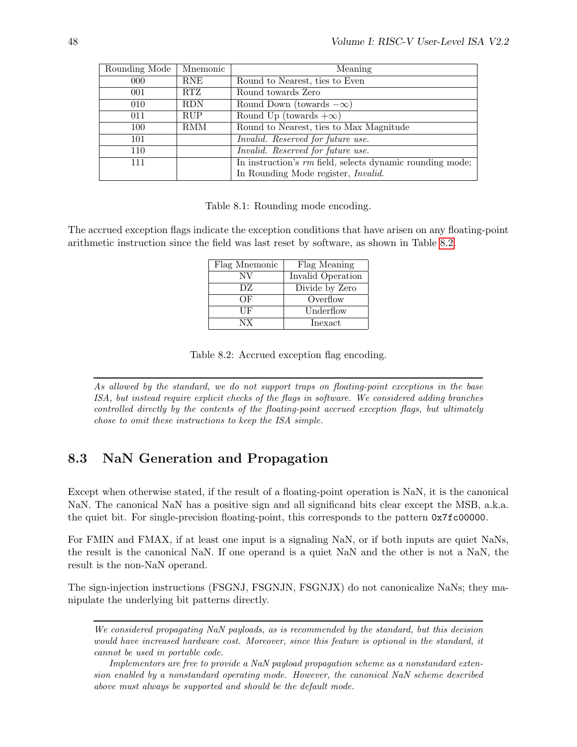| Rounding Mode | Mnemonic   | Meaning                                                   |
|---------------|------------|-----------------------------------------------------------|
| 000           | <b>RNE</b> | Round to Nearest, ties to Even                            |
| 001           | RTZ        | Round towards Zero                                        |
| 010           | <b>RDN</b> | Round Down (towards $-\infty$ )                           |
| 011           | <b>RUP</b> | Round Up (towards $+\infty$ )                             |
| 100           | RMM        | Round to Nearest, ties to Max Magnitude                   |
| 101           |            | Invalid. Reserved for future use.                         |
| 110           |            | Invalid. Reserved for future use.                         |
| 111           |            | In instruction's rm field, selects dynamic rounding mode; |
|               |            | In Rounding Mode register, <i>Invalid.</i>                |

Table 8.1: Rounding mode encoding.

<span id="page-59-0"></span>The accrued exception flags indicate the exception conditions that have arisen on any floating-point arithmetic instruction since the field was last reset by software, as shown in Table [8.2.](#page-59-1)

| Flag Mnemonic | Flag Meaning      |
|---------------|-------------------|
| NV            | Invalid Operation |
| DZ.           | Divide by Zero    |
| OΕ            | Overflow          |
| UЕ            | Underflow         |
| NΧ            | Inexact           |

|  | Table 8.2: Accrued exception flag encoding. |  |  |  |  |
|--|---------------------------------------------|--|--|--|--|
|--|---------------------------------------------|--|--|--|--|

<span id="page-59-1"></span>As allowed by the standard, we do not support traps on floating-point exceptions in the base ISA, but instead require explicit checks of the flags in software. We considered adding branches controlled directly by the contents of the floating-point accrued exception flags, but ultimately chose to omit these instructions to keep the ISA simple.

### 8.3 NaN Generation and Propagation

Except when otherwise stated, if the result of a floating-point operation is NaN, it is the canonical NaN. The canonical NaN has a positive sign and all significand bits clear except the MSB, a.k.a. the quiet bit. For single-precision floating-point, this corresponds to the pattern 0x7fc00000.

For FMIN and FMAX, if at least one input is a signaling NaN, or if both inputs are quiet NaNs, the result is the canonical NaN. If one operand is a quiet NaN and the other is not a NaN, the result is the non-NaN operand.

The sign-injection instructions (FSGNJ, FSGNJN, FSGNJX) do not canonicalize NaNs; they manipulate the underlying bit patterns directly.

We considered propagating NaN payloads, as is recommended by the standard, but this decision would have increased hardware cost. Moreover, since this feature is optional in the standard, it cannot be used in portable code.

Implementors are free to provide a NaN payload propagation scheme as a nonstandard extension enabled by a nonstandard operating mode. However, the canonical NaN scheme described above must always be supported and should be the default mode.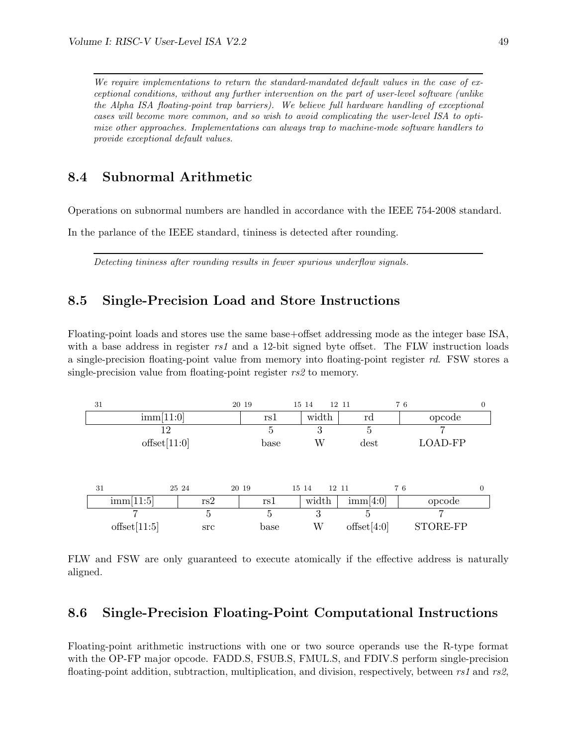We require implementations to return the standard-mandated default values in the case of exceptional conditions, without any further intervention on the part of user-level software (unlike the Alpha ISA floating-point trap barriers). We believe full hardware handling of exceptional cases will become more common, and so wish to avoid complicating the user-level ISA to optimize other approaches. Implementations can always trap to machine-mode software handlers to provide exceptional default values.

### 8.4 Subnormal Arithmetic

Operations on subnormal numbers are handled in accordance with the IEEE 754-2008 standard.

In the parlance of the IEEE standard, tininess is detected after rounding.

Detecting tininess after rounding results in fewer spurious underflow signals.

### 8.5 Single-Precision Load and Store Instructions

Floating-point loads and stores use the same base+offset addressing mode as the integer base ISA, with a base address in register  $rs1$  and a 12-bit signed byte offset. The FLW instruction loads a single-precision floating-point value from memory into floating-point register rd. FSW stores a single-precision value from floating-point register  $rs\ell$  to memory.

| 31 |              |       | 20 19 |      | 15 14 | 12 11 |                   | 76 |          | $\Omega$       |
|----|--------------|-------|-------|------|-------|-------|-------------------|----|----------|----------------|
|    | imm[11:0]    |       |       | rs1  | width |       | rd                |    | opcode   |                |
|    | 12           |       |       | 5    | 3     |       | $\overline{5}$    |    |          |                |
|    | offset[11:0] |       |       | base | W     |       | dest              |    | LOAD-FP  |                |
|    |              |       |       |      |       |       |                   |    |          |                |
| 31 |              | 25 24 | 20 19 |      | 15 14 | 12 11 |                   | 76 |          | $\overline{0}$ |
|    | imm[11:5]    | rs2   |       | rs1  | width |       | $\text{imm}[4:0]$ |    | opcode   |                |
|    |              | 5     |       | 5    | 3     |       | 5                 |    |          |                |
|    | offset[11:5] | src   |       | base | W     |       | offset[4:0]       |    | STORE-FP |                |

FLW and FSW are only guaranteed to execute atomically if the effective address is naturally aligned.

### 8.6 Single-Precision Floating-Point Computational Instructions

Floating-point arithmetic instructions with one or two source operands use the R-type format with the OP-FP major opcode. FADD.S, FSUB.S, FMUL.S, and FDIV.S perform single-precision floating-point addition, subtraction, multiplication, and division, respectively, between  $rs1$  and  $rs2$ .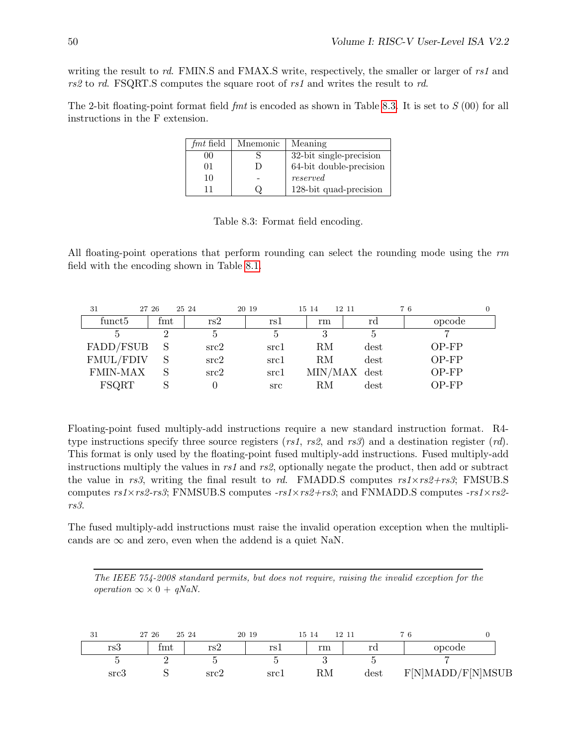writing the result to rd. FMIN.S and FMAX.S write, respectively, the smaller or larger of rs1 and rs2 to rd. FSQRT.S computes the square root of rs1 and writes the result to rd.

The 2-bit floating-point format field fmt is encoded as shown in Table [8.3.](#page-61-0) It is set to  $S(00)$  for all instructions in the F extension.

| <i>fmt</i> field | Mnemonic | Meaning                 |
|------------------|----------|-------------------------|
| 00               |          | 32-bit single-precision |
| 01               | Ð        | 64-bit double-precision |
| 10               |          | reserved                |
| 11               |          | 128-bit quad-precision  |

Table 8.3: Format field encoding.

<span id="page-61-0"></span>All floating-point operations that perform rounding can select the rounding mode using the  $rm$ field with the encoding shown in Table [8.1.](#page-59-0)

| 31              | 27 26  | 25 24 | 20 19 | 12 11<br>15 14 |      | 76      |  |
|-----------------|--------|-------|-------|----------------|------|---------|--|
| funct5          | $t$ mt | rs2   | rsl   | rm             | rd   | opcode  |  |
|                 |        | b.    |       |                |      |         |  |
| FADD/FSUB       |        | src2  | srcl  | RM             | dest | OP-FP   |  |
| FMUL/FDIV       |        | src2  | src1  | RM             | dest | $OP-FP$ |  |
| <b>FMIN-MAX</b> |        | src2  | src1  | MIN/MAX dest   |      | $OP-FP$ |  |
| <b>FSQRT</b>    |        |       | src   | RМ             | dest | $OP-FP$ |  |

Floating-point fused multiply-add instructions require a new standard instruction format. R4 type instructions specify three source registers (rs1, rs2, and rs3) and a destination register (rd). This format is only used by the floating-point fused multiply-add instructions. Fused multiply-add instructions multiply the values in  $rs1$  and  $rs2$ , optionally negate the product, then add or subtract the value in rs3, writing the final result to rd. FMADD.S computes  $rs1 \times rs2 + rs3$ ; FMSUB.S computes  $rs1\times rs2-rs3$ ; FNMSUB.S computes  $-rs1\times rs2+rs3$ ; and FNMADD.S computes  $-rs1\times rs2-rs3$ ; rs3.

The fused multiply-add instructions must raise the invalid operation exception when the multiplicands are  $\infty$  and zero, even when the addend is a quiet NaN.

The IEEE 754-2008 standard permits, but does not require, raising the invalid exception for the operation  $\infty \times 0 + qNaN$ .

| 31   | 27 26 | 25 24 | 20 19 | 15 14 | 12 11 |                   |  |
|------|-------|-------|-------|-------|-------|-------------------|--|
| rs3  | tmt   | rs2   | rs1   | rm    | rd    | opcode            |  |
|      |       |       |       |       |       |                   |  |
| src3 |       | src2  | src1  | RM    | dest  | F[N]MADD/F[N]MSUB |  |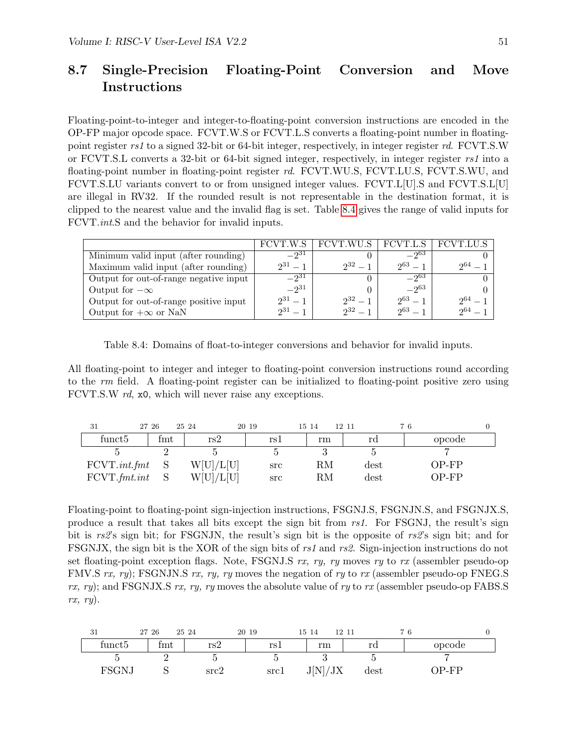## 8.7 Single-Precision Floating-Point Conversion and Move Instructions

Floating-point-to-integer and integer-to-floating-point conversion instructions are encoded in the OP-FP major opcode space. FCVT.W.S or FCVT.L.S converts a floating-point number in floatingpoint register rs1 to a signed 32-bit or 64-bit integer, respectively, in integer register rd. FCVT.S.W or FCVT.S.L converts a 32-bit or 64-bit signed integer, respectively, in integer register rs1 into a floating-point number in floating-point register rd. FCVT.WU.S, FCVT.LU.S, FCVT.S.WU, and FCVT.S.LU variants convert to or from unsigned integer values. FCVT.L[U].S and FCVT.S.L[U] are illegal in RV32. If the rounded result is not representable in the destination format, it is clipped to the nearest value and the invalid flag is set. Table [8.4](#page-62-0) gives the range of valid inputs for FCVT.int.S and the behavior for invalid inputs.

|                                        | FCVT.W.S     | FCVT.WU.S    | FCVT.L.S     | FCVT.LU.S |
|----------------------------------------|--------------|--------------|--------------|-----------|
| Minimum valid input (after rounding)   | $-2^{31}$    |              | $-2^{63}$    |           |
| Maximum valid input (after rounding)   | $2^{31} - 1$ | $2^{32}$ –   | $2^{63} - 1$ | റ64       |
| Output for out-of-range negative input | $-2^{31}$    |              | $-2^{63}$    |           |
| Output for $-\infty$                   | $-2^{31}$    |              | $-2^{63}$    |           |
| Output for out-of-range positive input | $2^{31} - 1$ | $2^{32} - 1$ | $2^{63} - 1$ | 2064      |
| Output for $+\infty$ or NaN            | $2^{31} - 1$ | $2^{32} - 1$ | $2^{63} - 1$ | 2064      |

Table 8.4: Domains of float-to-integer conversions and behavior for invalid inputs.

<span id="page-62-0"></span>All floating-point to integer and integer to floating-point conversion instructions round according to the rm field. A floating-point register can be initialized to floating-point positive zero using FCVT.S.W rd, x0, which will never raise any exceptions.

| 31                           | 27 26         | 25 24     | 20 19                | 15 14 | 12 11 | 76       |
|------------------------------|---------------|-----------|----------------------|-------|-------|----------|
| funct5                       | $_{\rm{tmt}}$ | rs2       | rs1                  | rm    | rd    | opcode   |
|                              |               |           |                      |       |       |          |
| $\text{FCVT}.\text{int.fmt}$ |               | W[U]/L[U] | $\operatorname{src}$ | RМ    | dest  | OP-FP    |
| $\text{FCVT}.fmt.int$        |               | W[U]/L[U] | src                  | RM    | dest  | $OP$ -FP |

Floating-point to floating-point sign-injection instructions, FSGNJ.S, FSGNJN.S, and FSGNJX.S, produce a result that takes all bits except the sign bit from rs1. For FSGNJ, the result's sign bit is rs2's sign bit; for FSGNJN, the result's sign bit is the opposite of rs2's sign bit; and for FSGNJX, the sign bit is the XOR of the sign bits of rs1 and rs2. Sign-injection instructions do not set floating-point exception flags. Note, FSGNJ.S  $rx$ ,  $ry$ ,  $ry$  moves  $ry$  to  $rx$  (assembler pseudo-op FMV.S  $rx$ , ry); FSGNJN.S  $rx$ , ry, ry moves the negation of ry to  $rx$  (assembler pseudo-op FNEG.S  $rx, ry$ ; and FSGNJX.S  $rx, ry, ry$  moves the absolute value of  $ry$  to  $rx$  (assembler pseudo-op FABS.S  $rx, ry$ ).

| -31                | 27 26         | 25 24           | 20 19 | 15 14   | 12 11 |        |
|--------------------|---------------|-----------------|-------|---------|-------|--------|
| funct <sub>5</sub> | $_{\rm{imt}}$ | rs2             | rs1   | rm      | rd    | opcode |
|                    |               |                 |       |         |       |        |
| <b>FSGNJ</b>       |               | $\mathrm{src2}$ | src1  | J[N]/JX | dest  | OP-FP  |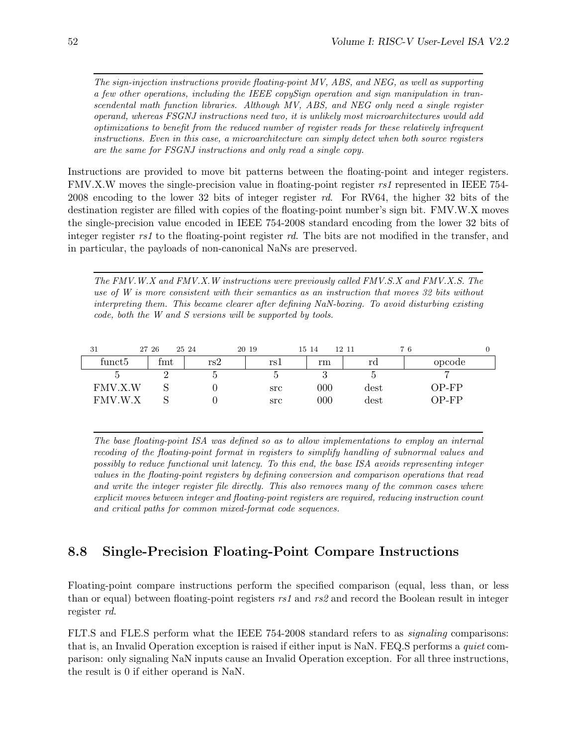The sign-injection instructions provide floating-point MV, ABS, and NEG, as well as supporting a few other operations, including the IEEE copySign operation and sign manipulation in transcendental math function libraries. Although MV, ABS, and NEG only need a single register operand, whereas FSGNJ instructions need two, it is unlikely most microarchitectures would add optimizations to benefit from the reduced number of register reads for these relatively infrequent instructions. Even in this case, a microarchitecture can simply detect when both source registers are the same for FSGNJ instructions and only read a single copy.

Instructions are provided to move bit patterns between the floating-point and integer registers. FMV.X.W moves the single-precision value in floating-point register rs1 represented in IEEE 754-2008 encoding to the lower 32 bits of integer register rd. For RV64, the higher 32 bits of the destination register are filled with copies of the floating-point number's sign bit. FMV.W.X moves the single-precision value encoded in IEEE 754-2008 standard encoding from the lower 32 bits of integer register rs1 to the floating-point register rd. The bits are not modified in the transfer, and in particular, the payloads of non-canonical NaNs are preserved.

The FMV.W.X and FMV.X.W instructions were previously called FMV.S.X and FMV.X.S. The use of W is more consistent with their semantics as an instruction that moves 32 bits without interpreting them. This became clearer after defining NaN-boxing. To avoid disturbing existing code, both the W and S versions will be supported by tools.

| 31      | 27 26 | 25 24 | 20 19             | 15 14   | 12 11 | 76      |
|---------|-------|-------|-------------------|---------|-------|---------|
| funct5  | tmt   | rs2   | rs <sub>1</sub>   | rm      | rd    | opcode  |
|         |       |       |                   |         |       |         |
| FMV.X.W |       |       | src               | $000\,$ | dest  | OP-FP   |
| FMV.W.X |       |       | $_{\mathrm{src}}$ | 000     | dest  | $OP-FP$ |

The base floating-point ISA was defined so as to allow implementations to employ an internal recoding of the floating-point format in registers to simplify handling of subnormal values and possibly to reduce functional unit latency. To this end, the base ISA avoids representing integer values in the floating-point registers by defining conversion and comparison operations that read and write the integer register file directly. This also removes many of the common cases where explicit moves between integer and floating-point registers are required, reducing instruction count and critical paths for common mixed-format code sequences.

## 8.8 Single-Precision Floating-Point Compare Instructions

Floating-point compare instructions perform the specified comparison (equal, less than, or less than or equal) between floating-point registers rs1 and rs2 and record the Boolean result in integer register rd.

FLT.S and FLE.S perform what the IEEE 754-2008 standard refers to as signaling comparisons: that is, an Invalid Operation exception is raised if either input is NaN. FEQ.S performs a quiet comparison: only signaling NaN inputs cause an Invalid Operation exception. For all three instructions, the result is 0 if either operand is NaN.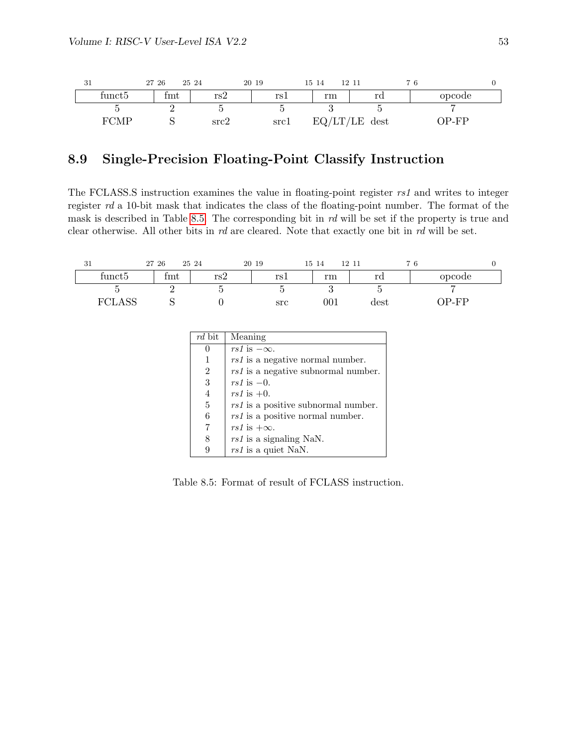| -31                | 27 26           | 25 24           | 20 19 | 15 14    | 12 11    |        |  |
|--------------------|-----------------|-----------------|-------|----------|----------|--------|--|
| funct <sub>5</sub> | $_{\text{imt}}$ | rs2             | rsl   | rm       | rd<br>ւս | opcode |  |
|                    |                 |                 |       |          |          |        |  |
| FCMP               |                 | $\mathrm{src2}$ | srcl  | EQ/LT/LE | dest     | OP-FP  |  |

### 8.9 Single-Precision Floating-Point Classify Instruction

The FCLASS.S instruction examines the value in floating-point register rs1 and writes to integer register rd a 10-bit mask that indicates the class of the floating-point number. The format of the mask is described in Table [8.5.](#page-64-0) The corresponding bit in rd will be set if the property is true and clear otherwise. All other bits in  $rd$  are cleared. Note that exactly one bit in  $rd$  will be set.

| 31     | 27 26 | 25 24 | 20 19 | 15 14     | 12 11 | 76     |
|--------|-------|-------|-------|-----------|-------|--------|
| tunct5 | tmt   | rs2   | rs1   | $\rm{rm}$ | rd    | opcode |
|        |       |       |       |           |       |        |
|        | ◡     |       | src   | 001       | dest  | ∩P-FP  |

| rd bit         | Meaning                               |
|----------------|---------------------------------------|
| $_{0}$         | rs1 is $-\infty$ .                    |
|                | $rs1$ is a negative normal number.    |
| $\overline{2}$ | $rs1$ is a negative subnormal number. |
| 3              | $rs1$ is $-0$ .                       |
| 4              | $rs1$ is $+0$ .                       |
| 5              | $rs1$ is a positive subnormal number. |
| 6              | $rs1$ is a positive normal number.    |
| 7              | $rs1$ is $+\infty$ .                  |
| 8              | $rs1$ is a signaling NaN.             |
| 9              | $rs1$ is a quiet NaN.                 |

<span id="page-64-0"></span>Table 8.5: Format of result of FCLASS instruction.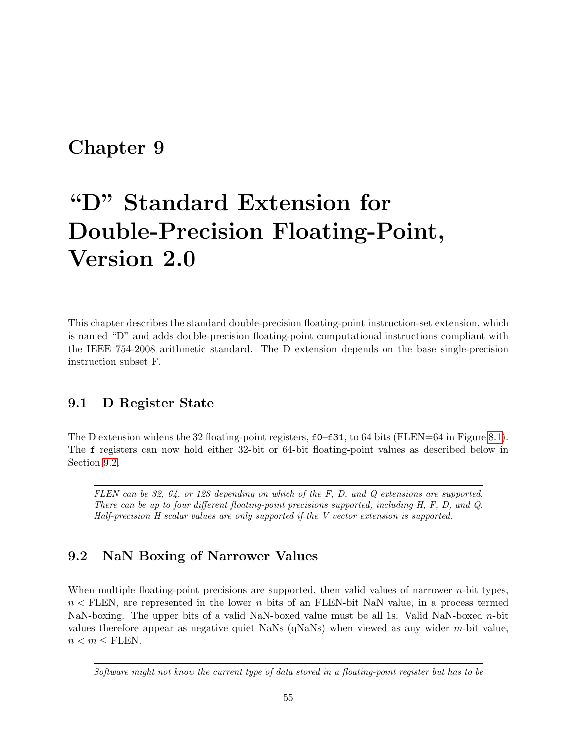# "D" Standard Extension for Double-Precision Floating-Point, Version 2.0

This chapter describes the standard double-precision floating-point instruction-set extension, which is named "D" and adds double-precision floating-point computational instructions compliant with the IEEE 754-2008 arithmetic standard. The D extension depends on the base single-precision instruction subset F.

### 9.1 D Register State

The D extension widens the 32 floating-point registers,  $f0-f31$ , to 64 bits (FLEN=64 in Figure [8.1\)](#page-57-0). The f registers can now hold either 32-bit or 64-bit floating-point values as described below in Section [9.2.](#page-66-0)

FLEN can be 32, 64, or 128 depending on which of the F, D, and Q extensions are supported. There can be up to four different floating-point precisions supported, including H, F, D, and Q. Half-precision H scalar values are only supported if the V vector extension is supported.

### <span id="page-66-0"></span>9.2 NaN Boxing of Narrower Values

When multiple floating-point precisions are supported, then valid values of narrower *n*-bit types,  $n <$  FLEN, are represented in the lower n bits of an FLEN-bit NaN value, in a process termed NaN-boxing. The upper bits of a valid NaN-boxed value must be all 1s. Valid NaN-boxed n-bit values therefore appear as negative quiet NaNs (qNaNs) when viewed as any wider m-bit value,  $n < m \leq$  FLEN.

Software might not know the current type of data stored in a floating-point register but has to be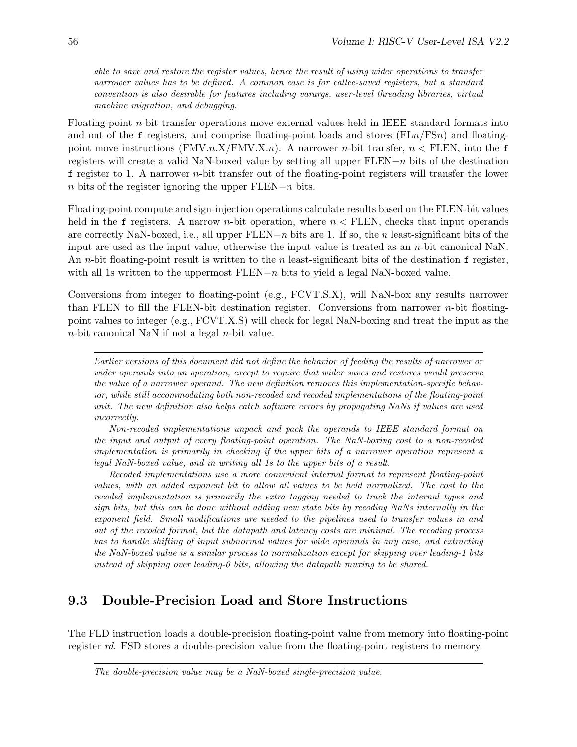able to save and restore the register values, hence the result of using wider operations to transfer narrower values has to be defined. A common case is for callee-saved registers, but a standard convention is also desirable for features including varargs, user-level threading libraries, virtual machine migration, and debugging.

Floating-point n-bit transfer operations move external values held in IEEE standard formats into and out of the f registers, and comprise floating-point loads and stores  $(FLn/FSn)$  and floatingpoint move instructions (FMV.n.X/FMV.X.n). A narrower n-bit transfer,  $n <$  FLEN, into the f registers will create a valid NaN-boxed value by setting all upper FLEN−n bits of the destination f register to 1. A narrower *n*-bit transfer out of the floating-point registers will transfer the lower n bits of the register ignoring the upper  $FLEN-n$  bits.

Floating-point compute and sign-injection operations calculate results based on the FLEN-bit values held in the f registers. A narrow *n*-bit operation, where  $n <$  FLEN, checks that input operands are correctly NaN-boxed, i.e., all upper  $FLEN-n$  bits are 1. If so, the n least-significant bits of the input are used as the input value, otherwise the input value is treated as an n-bit canonical NaN. An *n*-bit floating-point result is written to the *n* least-significant bits of the destination  $f$  register, with all 1s written to the uppermost  $FLEN-n$  bits to yield a legal NaN-boxed value.

Conversions from integer to floating-point (e.g., FCVT.S.X), will NaN-box any results narrower than FLEN to fill the FLEN-bit destination register. Conversions from narrower  $n$ -bit floatingpoint values to integer (e.g., FCVT.X.S) will check for legal NaN-boxing and treat the input as the  $n$ -bit canonical NaN if not a legal  $n$ -bit value.

Earlier versions of this document did not define the behavior of feeding the results of narrower or wider operands into an operation, except to require that wider saves and restores would preserve the value of a narrower operand. The new definition removes this implementation-specific behavior, while still accommodating both non-recoded and recoded implementations of the floating-point unit. The new definition also helps catch software errors by propagating NaNs if values are used incorrectly.

Non-recoded implementations unpack and pack the operands to IEEE standard format on the input and output of every floating-point operation. The NaN-boxing cost to a non-recoded implementation is primarily in checking if the upper bits of a narrower operation represent a legal NaN-boxed value, and in writing all 1s to the upper bits of a result.

Recoded implementations use a more convenient internal format to represent floating-point values, with an added exponent bit to allow all values to be held normalized. The cost to the recoded implementation is primarily the extra tagging needed to track the internal types and sign bits, but this can be done without adding new state bits by recoding NaNs internally in the exponent field. Small modifications are needed to the pipelines used to transfer values in and out of the recoded format, but the datapath and latency costs are minimal. The recoding process has to handle shifting of input subnormal values for wide operands in any case, and extracting the NaN-boxed value is a similar process to normalization except for skipping over leading-1 bits instead of skipping over leading-0 bits, allowing the datapath muxing to be shared.

## 9.3 Double-Precision Load and Store Instructions

The FLD instruction loads a double-precision floating-point value from memory into floating-point register rd. FSD stores a double-precision value from the floating-point registers to memory.

The double-precision value may be a NaN-boxed single-precision value.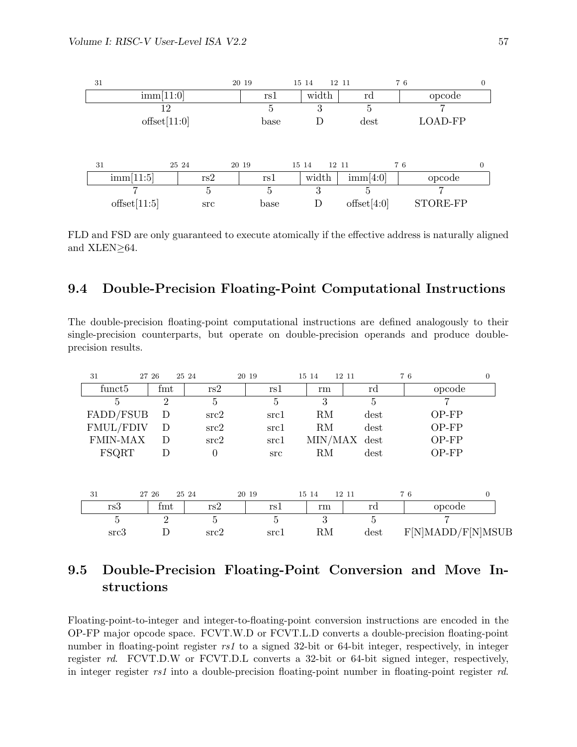

FLD and FSD are only guaranteed to execute atomically if the effective address is naturally aligned and XLEN≥64.

### 9.4 Double-Precision Floating-Point Computational Instructions

The double-precision floating-point computational instructions are defined analogously to their single-precision counterparts, but operate on double-precision operands and produce doubleprecision results.

| 31                 | 27 26                        | 25 24 |                | 20 19 |      | 15 14 | 12 11 |              | 76 |                   | $\theta$     |
|--------------------|------------------------------|-------|----------------|-------|------|-------|-------|--------------|----|-------------------|--------------|
| funct <sub>5</sub> | $\mathop{\rm f\!m}\nolimits$ |       | rs2            |       | rs1  |       | rm    | rd           |    | opcode            |              |
| $\overline{5}$     | $\overline{2}$               |       | $\overline{5}$ |       | 5    |       | 3     | 5            |    |                   |              |
| FADD/FSUB          | D                            |       | src2           |       | src1 |       | RM    | dest         |    | OP-FP             |              |
| FMUL/FDIV          | D                            |       | src2           |       | src1 |       | RM    | dest         |    | OP-FP             |              |
| <b>FMIN-MAX</b>    | D                            |       | src2           |       | src1 |       |       | MIN/MAX dest |    | OP-FP             |              |
| <b>FSQRT</b>       | D                            |       | $\overline{0}$ |       | src  |       | RM    | dest         |    | OP-FP             |              |
|                    |                              |       |                |       |      |       |       |              |    |                   |              |
|                    |                              |       |                |       |      |       |       |              |    |                   |              |
| 31                 | 27 26                        | 25 24 |                | 20 19 |      | 15 14 | 12 11 |              | 76 |                   | $\mathbf{0}$ |
| rs3                | $\mathop{\rm f\!m}\nolimits$ |       | rs2            |       | rs1  |       | rm    | rd           |    | opcode            |              |
| $\overline{5}$     | $\overline{2}$               |       | 5              |       | 5    |       | 3     | 5            |    | 7                 |              |
| src3               | D                            |       | src2           |       | src1 |       | RM    | dest         |    | F[N]MADD/F[N]MSUB |              |

## 9.5 Double-Precision Floating-Point Conversion and Move Instructions

Floating-point-to-integer and integer-to-floating-point conversion instructions are encoded in the OP-FP major opcode space. FCVT.W.D or FCVT.L.D converts a double-precision floating-point number in floating-point register rs1 to a signed 32-bit or 64-bit integer, respectively, in integer register rd. FCVT.D.W or FCVT.D.L converts a 32-bit or 64-bit signed integer, respectively, in integer register rs1 into a double-precision floating-point number in floating-point register rd.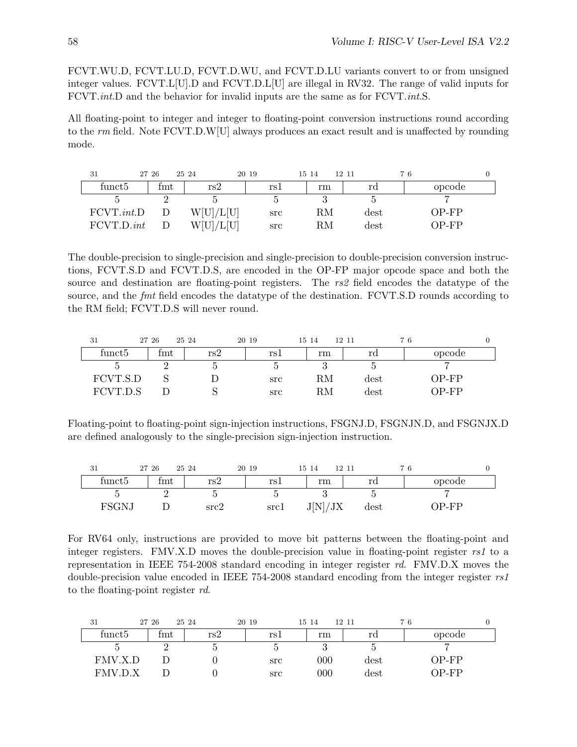FCVT.WU.D, FCVT.LU.D, FCVT.D.WU, and FCVT.D.LU variants convert to or from unsigned integer values. FCVT.L[U].D and FCVT.D.L[U] are illegal in RV32. The range of valid inputs for FCVT.int.D and the behavior for invalid inputs are the same as for FCVT.int.S.

All floating-point to integer and integer to floating-point conversion instructions round according to the rm field. Note FCVT.D.W[U] always produces an exact result and is unaffected by rounding mode.

| 31                         | 27 26                       | 25 24     | 20 19 | 15 14     | 12 11 | 76      |  |
|----------------------------|-----------------------------|-----------|-------|-----------|-------|---------|--|
| funct5                     | $\mathop{\rm tmt}\nolimits$ | rs2       | rs 1  | $\rm{rm}$ | rd    | opcode  |  |
|                            |                             |           |       |           |       |         |  |
| $\text{FCVT}.int.\text{D}$ |                             | W[U]/L[U] | src   | RМ        | dest  | OP-FP   |  |
| FCVT.D. int                |                             | W[U]/L[U] | src   | RM        | dest  | $OP-FP$ |  |

The double-precision to single-precision and single-precision to double-precision conversion instructions, FCVT.S.D and FCVT.D.S, are encoded in the OP-FP major opcode space and both the source and destination are floating-point registers. The rs2 field encodes the datatype of the source, and the *fmt* field encodes the datatype of the destination. FCVT.S.D rounds according to the RM field; FCVT.D.S will never round.

| 31       | 27 26         | 25 24 | 20 19 | 15 14 | 12 11 | 76      |  |
|----------|---------------|-------|-------|-------|-------|---------|--|
| funct5   | $_{\rm{tmt}}$ | rs2   | rsl   | rm    | rd    | opcode  |  |
|          |               |       |       |       |       |         |  |
| FCVT.S.D |               |       | src   | RM    | dest  | $OP-FP$ |  |
| FCVT.D.S |               |       | src   | RM    | dest  | $OP-FP$ |  |

Floating-point to floating-point sign-injection instructions, FSGNJ.D, FSGNJN.D, and FSGNJX.D are defined analogously to the single-precision sign-injection instruction.

| -31                | 27 26         | 25 24           | 20 19 | 15 14   | 12 11 |        |
|--------------------|---------------|-----------------|-------|---------|-------|--------|
| funct <sub>5</sub> | $_{\rm{tmt}}$ | rs2             | rs 1  | rm      | rd    | opcode |
|                    |               |                 |       |         |       |        |
| FSGNJ              |               | $\mathrm{src2}$ | srcl  | J[N]/JX | dest  | OP-FP  |

For RV64 only, instructions are provided to move bit patterns between the floating-point and integer registers. FMV.X.D moves the double-precision value in floating-point register  $rs1$  to a representation in IEEE 754-2008 standard encoding in integer register rd. FMV.D.X moves the double-precision value encoded in IEEE 754-2008 standard encoding from the integer register  $rs1$ to the floating-point register rd.

| 31                 | 27 26         | 25 24 | 20 19 | 15 14   | 12 11 | 76       |  |
|--------------------|---------------|-------|-------|---------|-------|----------|--|
| funct <sub>5</sub> | $_{\rm{tmt}}$ | rs2   | rs 1  | rm      | rd    | opcode   |  |
|                    |               |       |       |         |       |          |  |
| FMV.X.D            |               |       | src   | 000     | dest  | $OP-FP$  |  |
| FMV D X            |               |       | src   | $000\,$ | dest  | $OP$ -FP |  |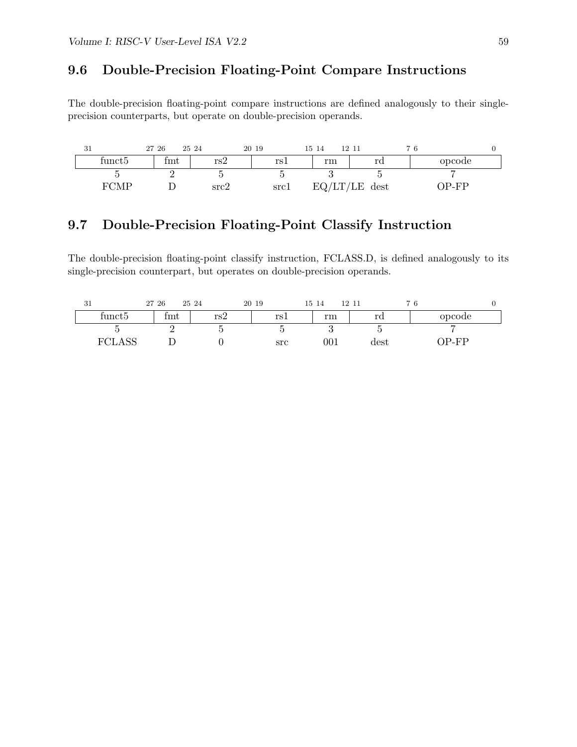# 9.6 Double-Precision Floating-Point Compare Instructions

The double-precision floating-point compare instructions are defined analogously to their singleprecision counterparts, but operate on double-precision operands.

| 31                 | 27 26 |     | 25 24           | 20 19 | 15 14 |    | 12 11            |        |  |
|--------------------|-------|-----|-----------------|-------|-------|----|------------------|--------|--|
| funct <sub>5</sub> |       | tmt | rs2             | rsl   |       | rm | rd               | opcode |  |
|                    |       |     |                 |       |       |    |                  |        |  |
| <b>FCMP</b>        |       |     | $\mathrm{src2}$ | srcl  |       |    | EQ/LT/LE<br>dest | OP-FP  |  |

## 9.7 Double-Precision Floating-Point Classify Instruction

The double-precision floating-point classify instruction, FCLASS.D, is defined analogously to its single-precision counterpart, but operates on double-precision operands.

| 31            | 27 26         | 25 24 | 20 19 | 15 14 | 19-11 | 76     |
|---------------|---------------|-------|-------|-------|-------|--------|
| tunct5        | $_{\rm{tmt}}$ | rs2   | rs1   | rm    | rd    | opcode |
|               |               |       |       |       |       |        |
| <b>FCLASS</b> |               |       | src   | 001   | dest  | OP-FP  |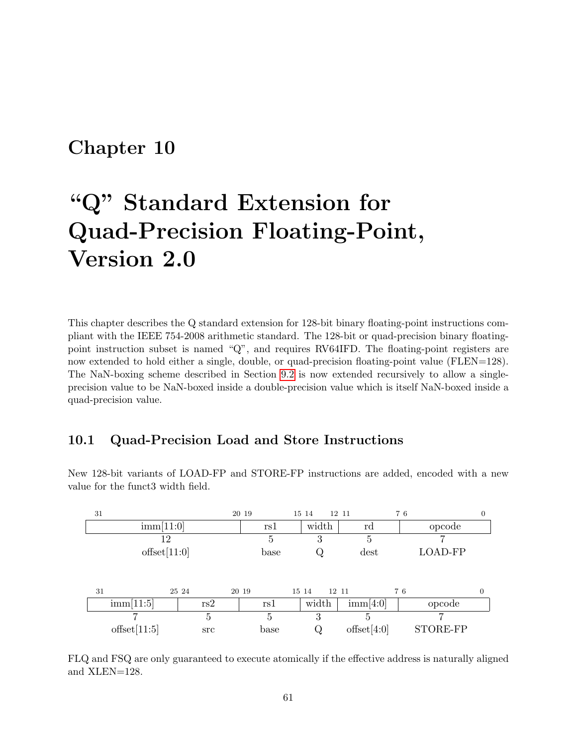# "Q" Standard Extension for Quad-Precision Floating-Point, Version 2.0

This chapter describes the Q standard extension for 128-bit binary floating-point instructions compliant with the IEEE 754-2008 arithmetic standard. The 128-bit or quad-precision binary floatingpoint instruction subset is named "Q", and requires RV64IFD. The floating-point registers are now extended to hold either a single, double, or quad-precision floating-point value (FLEN=128). The NaN-boxing scheme described in Section [9.2](#page-66-0) is now extended recursively to allow a singleprecision value to be NaN-boxed inside a double-precision value which is itself NaN-boxed inside a quad-precision value.

## 10.1 Quad-Precision Load and Store Instructions

| 31 |                      |            | 20 19 |      | 15 14 | 12 11 |                     | 76 |          |          |
|----|----------------------|------------|-------|------|-------|-------|---------------------|----|----------|----------|
|    | imm[11:0]            |            |       | rs1  | width |       | rd                  |    | opcode   |          |
|    | 12                   |            |       | 5    | 3     |       | 5                   |    |          |          |
|    | offset[11:0]         |            |       | base | Q     |       | dest                |    | LOAD-FP  |          |
|    |                      |            |       |      |       |       |                     |    |          |          |
|    |                      |            |       |      |       |       |                     |    |          |          |
|    | 31                   | 25 24      | 20 19 |      | 15 14 | 12 11 |                     | 76 |          | $\theta$ |
|    | $\mathrm{imm}[11:5]$ | rs2        |       | rs1  | width |       | $\mathrm{imm}[4:0]$ |    | opcode   |          |
|    |                      | 5          |       | 5    | 3     |       | 5                   |    |          |          |
|    | offset[11:5]         | <b>src</b> |       | base |       |       | offset[4:0]         |    | STORE-FP |          |

New 128-bit variants of LOAD-FP and STORE-FP instructions are added, encoded with a new value for the funct3 width field.

FLQ and FSQ are only guaranteed to execute atomically if the effective address is naturally aligned and XLEN=128.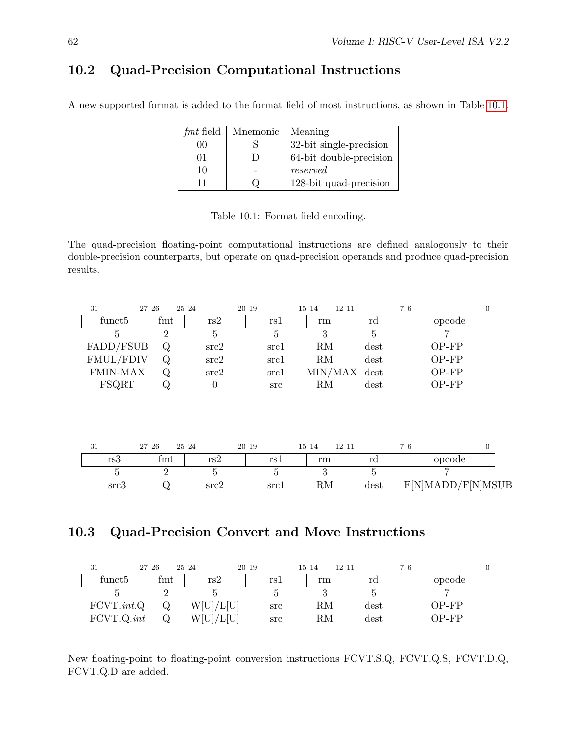## 10.2 Quad-Precision Computational Instructions

A new supported format is added to the format field of most instructions, as shown in Table [10.1.](#page-73-0)

| $fmt$ field | Mnemonic | Meaning                 |
|-------------|----------|-------------------------|
| 90          | S        | 32-bit single-precision |
| 01          | Ð        | 64-bit double-precision |
| 10          |          | reserved                |
| 11          |          | 128-bit quad-precision  |

|  |  |  |  | Table 10.1: Format field encoding. |
|--|--|--|--|------------------------------------|
|--|--|--|--|------------------------------------|

<span id="page-73-0"></span>The quad-precision floating-point computational instructions are defined analogously to their double-precision counterparts, but operate on quad-precision operands and produce quad-precision results.

| 31                 | 27 26 |                              | 25 24          | 20 19 |      | 12 11<br>15 14 |              | 76 |                   | $\theta$       |
|--------------------|-------|------------------------------|----------------|-------|------|----------------|--------------|----|-------------------|----------------|
| funct <sub>5</sub> |       | fmt                          | rs2            |       | rs1  | rm             | rd           |    | opcode            |                |
| $\overline{5}$     |       | $\overline{2}$               | $\overline{5}$ |       | 5    | 3              | 5            |    |                   |                |
| FADD/FSUB          |       | Q                            | src2           |       | src1 | RM             | dest         |    | OP-FP             |                |
| FMUL/FDIV          |       | Q                            | src2           |       | src1 | <b>RM</b>      | dest         |    | OP-FP             |                |
| <b>FMIN-MAX</b>    |       | Q                            | src2           |       | src1 | MIN/MAX        | dest         |    | OP-FP             |                |
| FSQRT              |       | Q                            | $\theta$       |       | src  | <b>RM</b>      | dest         |    | OP-FP             |                |
|                    |       |                              |                |       |      |                |              |    |                   |                |
| 31                 | 27 26 |                              | 25 24          | 20 19 |      | 15 14<br>12 11 |              | 76 |                   | $\overline{0}$ |
| rs3                |       | $\mathop{\rm fint}\nolimits$ | rs2            |       | rs1  | rm             | rd           |    | opcode            |                |
| $\overline{5}$     |       | $\mathfrak{D}$               | $\overline{5}$ |       | 5    | 3              | $\mathbf{5}$ |    | 7                 |                |
| src3               |       | Q                            | src2           |       | src1 | RM             | dest         |    | F[N MADD/F[N]MSUB |                |

### 10.3 Quad-Precision Convert and Move Instructions

| 31                  | 27 26 |     | 25 24                                           | 20 19 | 15 14 | 12 11           | 76     |  |
|---------------------|-------|-----|-------------------------------------------------|-------|-------|-----------------|--------|--|
| funct5              |       | tmt | rs2                                             | rs1   | rm    | rd              | opcode |  |
|                     |       |     |                                                 |       |       |                 |        |  |
| FCVT.int.Q          |       | Q   | $\mathrm{W}[\mathrm{U}]/\mathrm{L}[\mathrm{U}]$ | src   | RM    | dest            | OP-FP  |  |
| $\text{FCVT}.Q.int$ |       | Q   | $/{\rm L} [{\rm U}]$                            | src   | RМ    | $\mathrm{dest}$ | OP-FP  |  |

New floating-point to floating-point conversion instructions FCVT.S.Q, FCVT.Q.S, FCVT.D.Q, FCVT.Q.D are added.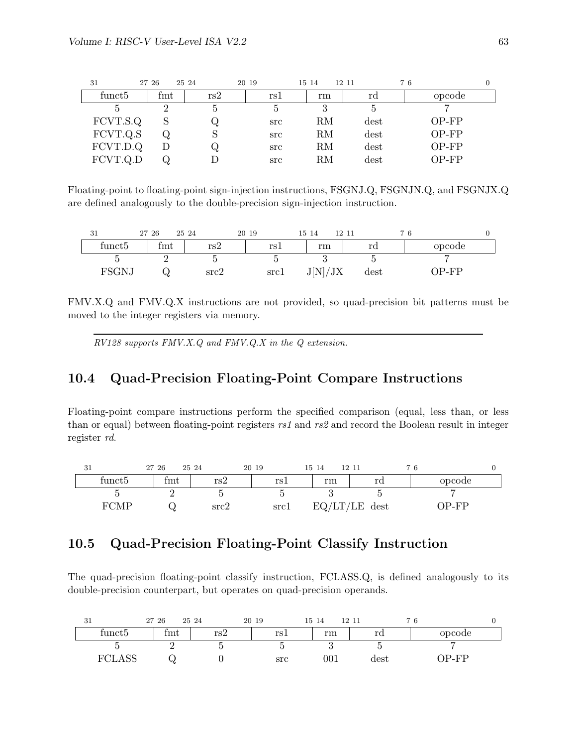| 31         | 27 26                       | 25 24 | 20 19 | 15 14 | 12 11 | 76      |  |
|------------|-----------------------------|-------|-------|-------|-------|---------|--|
| funct5     | $\mathop{\rm tmt}\nolimits$ | rs2   | rs1   | rm    | rd    | opcode  |  |
| $\ddot{ }$ |                             | G     |       |       |       |         |  |
| FCVT.S.Q   |                             | Q     | src   | RM    | dest  | OP-FP   |  |
| FCVT.Q.S   |                             | S     | src   | RМ    | dest  | $OP-FP$ |  |
| FCVT.D.Q   |                             | Q     | src   | RМ    | dest  | $OP-FP$ |  |
| FCVT.Q.D   |                             |       | src   | RM    | dest  | $OP-FP$ |  |

Floating-point to floating-point sign-injection instructions, FSGNJ.Q, FSGNJN.Q, and FSGNJX.Q are defined analogously to the double-precision sign-injection instruction.

| -31                | 27 26                       | 25 24           | 20 19 | 15 14   | 12 11 |        |
|--------------------|-----------------------------|-----------------|-------|---------|-------|--------|
| funct <sub>5</sub> | $\mathop{\rm tmt}\nolimits$ | rs2             | rsı   | rm      | rd    | opcode |
|                    |                             |                 |       |         |       |        |
| FSGNJ              |                             | $\mathrm{src2}$ | srcl  | J[N]/JX | dest  | OP-FP  |

FMV.X.Q and FMV.Q.X instructions are not provided, so quad-precision bit patterns must be moved to the integer registers via memory.

RV128 supports FMV.X.Q and FMV.Q.X in the Q extension.

## 10.4 Quad-Precision Floating-Point Compare Instructions

Floating-point compare instructions perform the specified comparison (equal, less than, or less than or equal) between floating-point registers rs1 and rs2 and record the Boolean result in integer register rd.

| -31                | 27 26 | 25 24 | 20 19 | 15 14 | 12 11           | 76     |
|--------------------|-------|-------|-------|-------|-----------------|--------|
| funct <sub>5</sub> | tmt   | rs2   | rs1   | rm    | rd              | opcode |
|                    |       |       |       |       |                 |        |
| FCMP               |       | src2  | srcl  |       | $EQ/LT/LE$ dest | OP-FP  |

### 10.5 Quad-Precision Floating-Point Classify Instruction

The quad-precision floating-point classify instruction, FCLASS.Q, is defined analogously to its double-precision counterpart, but operates on quad-precision operands.

| 31                 | 27 26 | 25 24 | 20 19      | 15 14 | 12 11 | 76     |
|--------------------|-------|-------|------------|-------|-------|--------|
| tunct <sub>5</sub> | tmt   | rs2   | rsl        | rm    | rd    | opcode |
|                    |       |       |            |       |       |        |
|                    |       |       | <b>src</b> | 001   | dest  | OP-FP  |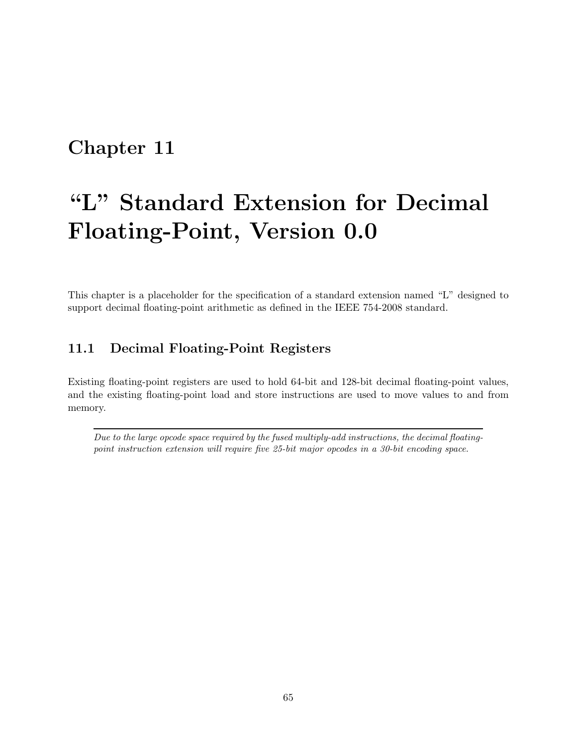# "L" Standard Extension for Decimal Floating-Point, Version 0.0

This chapter is a placeholder for the specification of a standard extension named "L" designed to support decimal floating-point arithmetic as defined in the IEEE 754-2008 standard.

## 11.1 Decimal Floating-Point Registers

Existing floating-point registers are used to hold 64-bit and 128-bit decimal floating-point values, and the existing floating-point load and store instructions are used to move values to and from memory.

Due to the large opcode space required by the fused multiply-add instructions, the decimal floatingpoint instruction extension will require five 25-bit major opcodes in a 30-bit encoding space.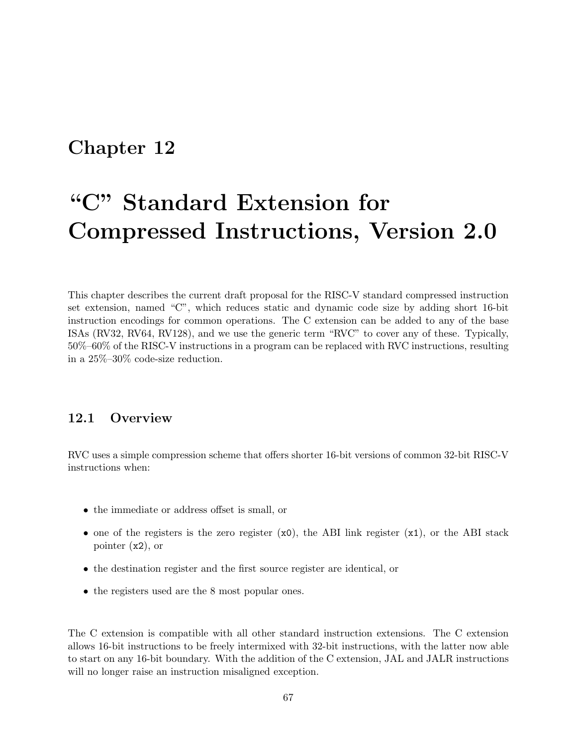# "C" Standard Extension for Compressed Instructions, Version 2.0

This chapter describes the current draft proposal for the RISC-V standard compressed instruction set extension, named "C", which reduces static and dynamic code size by adding short 16-bit instruction encodings for common operations. The C extension can be added to any of the base ISAs (RV32, RV64, RV128), and we use the generic term "RVC" to cover any of these. Typically, 50%–60% of the RISC-V instructions in a program can be replaced with RVC instructions, resulting in a 25%–30% code-size reduction.

### 12.1 Overview

RVC uses a simple compression scheme that offers shorter 16-bit versions of common 32-bit RISC-V instructions when:

- the immediate or address offset is small, or
- one of the registers is the zero register  $(x0)$ , the ABI link register  $(x1)$ , or the ABI stack pointer (x2), or
- the destination register and the first source register are identical, or
- the registers used are the 8 most popular ones.

The C extension is compatible with all other standard instruction extensions. The C extension allows 16-bit instructions to be freely intermixed with 32-bit instructions, with the latter now able to start on any 16-bit boundary. With the addition of the C extension, JAL and JALR instructions will no longer raise an instruction misaligned exception.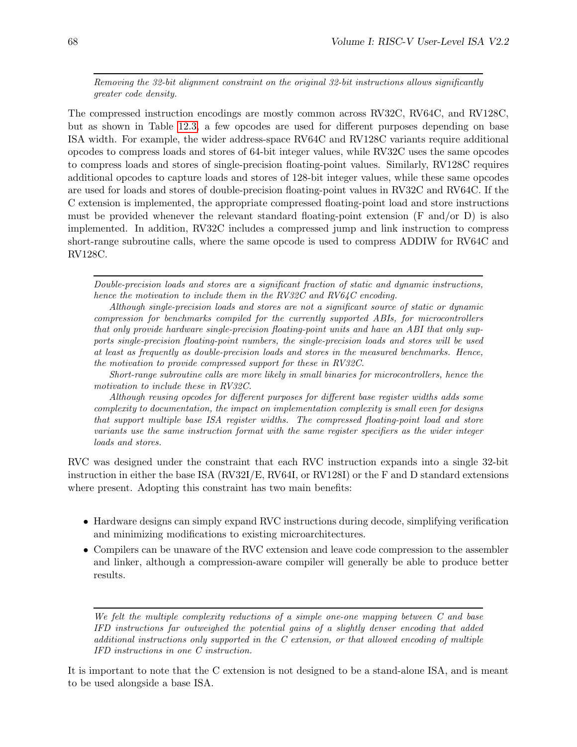Removing the 32-bit alignment constraint on the original 32-bit instructions allows significantly greater code density.

The compressed instruction encodings are mostly common across RV32C, RV64C, and RV128C, but as shown in Table [12.3,](#page-92-0) a few opcodes are used for different purposes depending on base ISA width. For example, the wider address-space RV64C and RV128C variants require additional opcodes to compress loads and stores of 64-bit integer values, while RV32C uses the same opcodes to compress loads and stores of single-precision floating-point values. Similarly, RV128C requires additional opcodes to capture loads and stores of 128-bit integer values, while these same opcodes are used for loads and stores of double-precision floating-point values in RV32C and RV64C. If the C extension is implemented, the appropriate compressed floating-point load and store instructions must be provided whenever the relevant standard floating-point extension (F and/or D) is also implemented. In addition, RV32C includes a compressed jump and link instruction to compress short-range subroutine calls, where the same opcode is used to compress ADDIW for RV64C and RV128C.

Double-precision loads and stores are a significant fraction of static and dynamic instructions, hence the motivation to include them in the RV32C and RV64C encoding.

Although single-precision loads and stores are not a significant source of static or dynamic compression for benchmarks compiled for the currently supported ABIs, for microcontrollers that only provide hardware single-precision floating-point units and have an ABI that only supports single-precision floating-point numbers, the single-precision loads and stores will be used at least as frequently as double-precision loads and stores in the measured benchmarks. Hence, the motivation to provide compressed support for these in RV32C.

Short-range subroutine calls are more likely in small binaries for microcontrollers, hence the motivation to include these in RV32C.

Although reusing opcodes for different purposes for different base register widths adds some complexity to documentation, the impact on implementation complexity is small even for designs that support multiple base ISA register widths. The compressed floating-point load and store variants use the same instruction format with the same register specifiers as the wider integer loads and stores.

RVC was designed under the constraint that each RVC instruction expands into a single 32-bit instruction in either the base ISA (RV32I/E, RV64I, or RV128I) or the F and D standard extensions where present. Adopting this constraint has two main benefits:

- Hardware designs can simply expand RVC instructions during decode, simplifying verification and minimizing modifications to existing microarchitectures.
- Compilers can be unaware of the RVC extension and leave code compression to the assembler and linker, although a compression-aware compiler will generally be able to produce better results.

We felt the multiple complexity reductions of a simple one-one mapping between C and base IFD instructions far outweighed the potential gains of a slightly denser encoding that added additional instructions only supported in the C extension, or that allowed encoding of multiple IFD instructions in one C instruction.

It is important to note that the C extension is not designed to be a stand-alone ISA, and is meant to be used alongside a base ISA.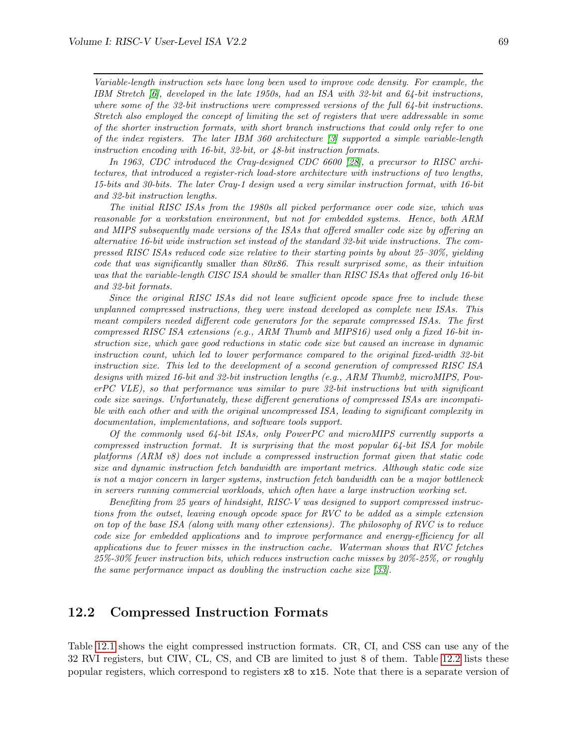Variable-length instruction sets have long been used to improve code density. For example, the IBM Stretch [\[6\]](#page-142-0), developed in the late 1950s, had an ISA with 32-bit and 64-bit instructions, where some of the 32-bit instructions were compressed versions of the full 64-bit instructions. Stretch also employed the concept of limiting the set of registers that were addressable in some of the shorter instruction formats, with short branch instructions that could only refer to one of the index registers. The later IBM 360 architecture [\[3\]](#page-142-1) supported a simple variable-length instruction encoding with 16-bit, 32-bit, or 48-bit instruction formats.

In 1963, CDC introduced the Cray-designed CDC 6600 [\[28\]](#page-143-0), a precursor to RISC architectures, that introduced a register-rich load-store architecture with instructions of two lengths, 15-bits and 30-bits. The later Cray-1 design used a very similar instruction format, with 16-bit and 32-bit instruction lengths.

The initial RISC ISAs from the 1980s all picked performance over code size, which was reasonable for a workstation environment, but not for embedded systems. Hence, both ARM and MIPS subsequently made versions of the ISAs that offered smaller code size by offering an alternative 16-bit wide instruction set instead of the standard 32-bit wide instructions. The compressed RISC ISAs reduced code size relative to their starting points by about 25–30%, yielding code that was significantly smaller than 80x86. This result surprised some, as their intuition was that the variable-length CISC ISA should be smaller than RISC ISAs that offered only 16-bit and 32-bit formats.

Since the original RISC ISAs did not leave sufficient opcode space free to include these unplanned compressed instructions, they were instead developed as complete new ISAs. This meant compilers needed different code generators for the separate compressed ISAs. The first compressed RISC ISA extensions (e.g., ARM Thumb and MIPS16) used only a fixed 16-bit instruction size, which gave good reductions in static code size but caused an increase in dynamic instruction count, which led to lower performance compared to the original fixed-width 32-bit instruction size. This led to the development of a second generation of compressed RISC ISA designs with mixed 16-bit and 32-bit instruction lengths (e.g., ARM Thumb2, microMIPS, Pow $erPC$  VLE), so that performance was similar to pure 32-bit instructions but with significant code size savings. Unfortunately, these different generations of compressed ISAs are incompatible with each other and with the original uncompressed ISA, leading to significant complexity in documentation, implementations, and software tools support.

Of the commonly used 64-bit ISAs, only PowerPC and microMIPS currently supports a compressed instruction format. It is surprising that the most popular  $64$ -bit ISA for mobile platforms (ARM v8) does not include a compressed instruction format given that static code size and dynamic instruction fetch bandwidth are important metrics. Although static code size is not a major concern in larger systems, instruction fetch bandwidth can be a major bottleneck in servers running commercial workloads, which often have a large instruction working set.

Benefiting from 25 years of hindsight, RISC-V was designed to support compressed instructions from the outset, leaving enough opcode space for RVC to be added as a simple extension on top of the base ISA (along with many other extensions). The philosophy of RVC is to reduce code size for embedded applications and to improve performance and energy-efficiency for all applications due to fewer misses in the instruction cache. Waterman shows that RVC fetches 25%-30% fewer instruction bits, which reduces instruction cache misses by 20%-25%, or roughly the same performance impact as doubling the instruction cache size [\[33\]](#page-144-0).

### 12.2 Compressed Instruction Formats

Table [12.1](#page-81-0) shows the eight compressed instruction formats. CR, CI, and CSS can use any of the 32 RVI registers, but CIW, CL, CS, and CB are limited to just 8 of them. Table [12.2](#page-82-0) lists these popular registers, which correspond to registers x8 to x15. Note that there is a separate version of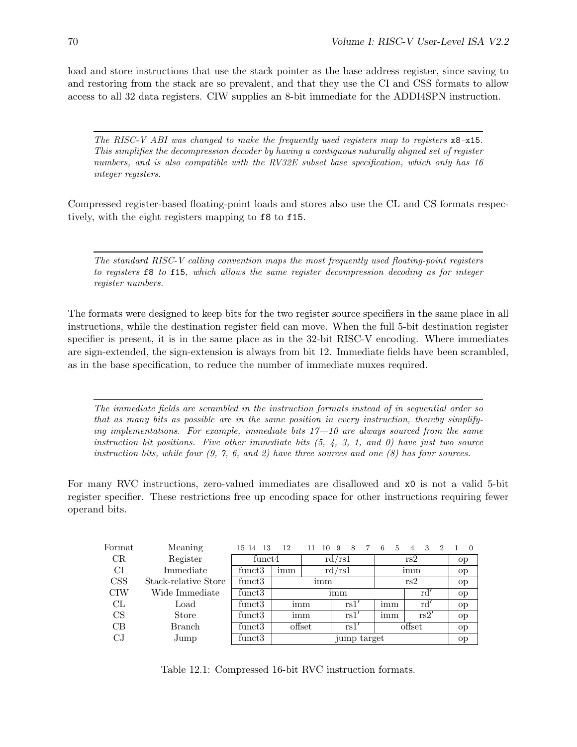load and store instructions that use the stack pointer as the base address register, since saving to and restoring from the stack are so prevalent, and that they use the CI and CSS formats to allow access to all 32 data registers. CIW supplies an 8-bit immediate for the ADDI4SPN instruction.

The RISC-V ABI was changed to make the frequently used registers map to registers  $x8-x15$ . This simplifies the decompression decoder by having a contiguous naturally aligned set of register numbers, and is also compatible with the RV32E subset base specification, which only has 16 integer registers.

Compressed register-based floating-point loads and stores also use the CL and CS formats respectively, with the eight registers mapping to f8 to f15.

The standard RISC-V calling convention maps the most frequently used floating-point registers to registers f8 to f15, which allows the same register decompression decoding as for integer register numbers.

The formats were designed to keep bits for the two register source specifiers in the same place in all instructions, while the destination register field can move. When the full 5-bit destination register specifier is present, it is in the same place as in the 32-bit RISC-V encoding. Where immediates are sign-extended, the sign-extension is always from bit 12. Immediate fields have been scrambled, as in the base specification, to reduce the number of immediate muxes required.

The immediate fields are scrambled in the instruction formats instead of in sequential order so that as many bits as possible are in the same position in every instruction, thereby simplifying implementations. For example, immediate bits  $17-10$  are always sourced from the same instruction bit positions. Five other immediate bits  $(5, 4, 3, 1, 1)$  and 0) have just two source instruction bits, while four  $(9, 7, 6,$  and  $2)$  have three sources and one  $(8)$  has four sources.

For many RVC instructions, zero-valued immediates are disallowed and x0 is not a valid 5-bit register specifier. These restrictions free up encoding space for other instructions requiring fewer operand bits.

| $\rm{Format}$ | Meaning              | 15 14 13 | -12           | 11<br>10 | -9     | 8           | -7 | 6   | 5 | 4      | 3    | $\mathcal{D}$ | $\Omega$ |
|---------------|----------------------|----------|---------------|----------|--------|-------------|----|-----|---|--------|------|---------------|----------|
| CR            | Register             | funct4   |               |          | rd/rs1 |             |    |     |   | rs2    |      |               | op       |
| CI            | Immediate            | funct3   | rd/rs1<br>imm |          |        |             |    | 1mm |   |        |      | op            |          |
| CSS           | Stack-relative Store | funct3   |               | ımm      |        |             |    |     |   | rs2    |      |               | op       |
| CIW           | Wide Immediate       | funct3   |               |          | 1mm    |             |    |     |   |        | rd   |               | op       |
| СL            | Load                 | funct3   | 1mm           |          |        | rs1'        |    | ımm |   |        | rd'  |               | op       |
| CS            | <b>Store</b>         | funct3   |               | 1mm      |        | rs1'        |    | ımm |   |        | rs2' |               | op       |
| CB            | <b>Branch</b>        | funct3   | offset        |          |        | rs1'        |    |     |   | offset |      |               | op       |
| CJ            | Jump                 | funct3   |               |          |        | jump target |    |     |   |        |      |               | op       |

<span id="page-81-0"></span>Table 12.1: Compressed 16-bit RVC instruction formats.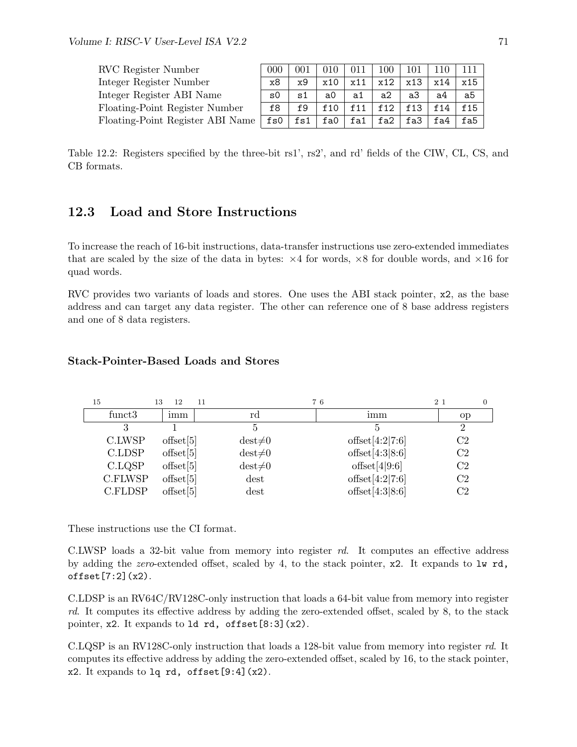| RVC Register Number              | 000 | 001           | 010 | 011 | 100 | 101 |     |     |
|----------------------------------|-----|---------------|-----|-----|-----|-----|-----|-----|
| Integer Register Number          | x8  | х9            | x10 | x11 | x12 | x13 | x14 | x15 |
| Integer Register ABI Name        | s0  | $\mathrm{s}1$ | a0  | a1  | a2  | a3  | а4  | a5  |
| Floating-Point Register Number   | f8  | f9            | f10 | f11 | f12 | f13 | f14 | f15 |
| Floating-Point Register ABI Name | fs0 | fs1           | fa0 | fa1 | fa2 | fa3 | fa4 | fa5 |

<span id="page-82-0"></span>Table 12.2: Registers specified by the three-bit rs1', rs2', and rd' fields of the CIW, CL, CS, and CB formats.

### 12.3 Load and Store Instructions

To increase the reach of 16-bit instructions, data-transfer instructions use zero-extended immediates that are scaled by the size of the data in bytes:  $\times$ 4 for words,  $\times$ 8 for double words, and  $\times$ 16 for quad words.

RVC provides two variants of loads and stores. One uses the ABI stack pointer, x2, as the base address and can target any data register. The other can reference one of 8 base address registers and one of 8 data registers.

#### Stack-Pointer-Based Loads and Stores

| 15      | 13<br>12<br>11 |               | 76                 | 2 1      |
|---------|----------------|---------------|--------------------|----------|
| funct3  | ımm            | rd            | ımm                | op       |
|         |                |               |                    |          |
| C.LWSP  | offset[5]      | $dest \neq 0$ | offset $[4:2 7:6]$ | $\rm C2$ |
| C.LDSP  | offset[5]      | $dest\neq0$   | offset $[4:3 8:6]$ | $\rm C2$ |
| C.LQSP  | offset[5]      | $dest\neq0$   | offset $[4 9:6]$   | $\rm C2$ |
| C.FLWSP | offset[5]      | dest          | offset $[4:2 7:6]$ | C2       |
| C.FLDSP | offset[5]      | dest          | offset $[4:3 8:6]$ | C2       |

These instructions use the CI format.

C.LWSP loads a 32-bit value from memory into register rd. It computes an effective address by adding the zero-extended offset, scaled by 4, to the stack pointer, x2. It expands to  $\mathbf{lw}$  rd, offset[7:2](x2).

C.LDSP is an RV64C/RV128C-only instruction that loads a 64-bit value from memory into register rd. It computes its effective address by adding the zero-extended offset, scaled by 8, to the stack pointer, x2. It expands to 1d rd, offset [8:3](x2).

C.LQSP is an RV128C-only instruction that loads a 128-bit value from memory into register rd. It computes its effective address by adding the zero-extended offset, scaled by 16, to the stack pointer,  $x2.$  It expands to 1q rd, offset [9:4]  $(x2)$ .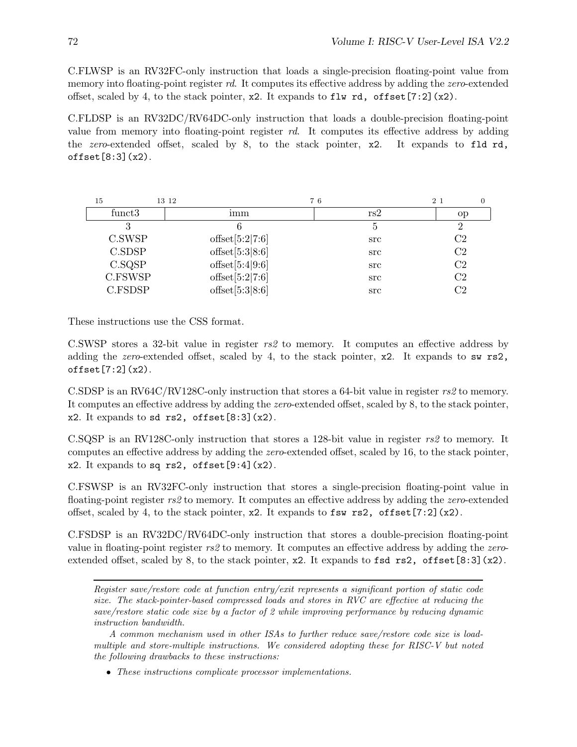C.FLWSP is an RV32FC-only instruction that loads a single-precision floating-point value from memory into floating-point register rd. It computes its effective address by adding the *zero*-extended offset, scaled by 4, to the stack pointer, x2. It expands to  $\text{flux rd}$ , offset [7:2](x2).

C.FLDSP is an RV32DC/RV64DC-only instruction that loads a double-precision floating-point value from memory into floating-point register  $rd$ . It computes its effective address by adding the zero-extended offset, scaled by 8, to the stack pointer, x2. It expands to fld rd, offset[8:3](x2).

| 15      | 13 12 |                    | 76         | 2 <sub>1</sub><br>0 |
|---------|-------|--------------------|------------|---------------------|
| funct3  |       | 1mm                | rs2        | op                  |
| 3       |       | 6                  | 5          |                     |
| C.SWSP  |       | offset $[5:2 7:6]$ | src        | C2                  |
| C.SDSP  |       | offset $[5:3 8:6]$ | src        | C2                  |
| C.SQSP  |       | offset $[5:4 9:6]$ | src        | C2                  |
| C.FSWSP |       | offset $[5:2 7:6]$ | src        | C2                  |
| C.FSDSP |       | offset $[5:3 8:6]$ | <b>src</b> | С2                  |

These instructions use the CSS format.

C.SWSP stores a 32-bit value in register rs2 to memory. It computes an effective address by adding the zero-extended offset, scaled by 4, to the stack pointer, x2. It expands to sw rs2, offset[7:2](x2).

C.SDSP is an RV64C/RV128C-only instruction that stores a 64-bit value in register rs2 to memory. It computes an effective address by adding the zero-extended offset, scaled by 8, to the stack pointer, x2. It expands to sd rs2, offset[8:3](x2).

C.SQSP is an RV128C-only instruction that stores a 128-bit value in register rs2 to memory. It computes an effective address by adding the zero-extended offset, scaled by 16, to the stack pointer, x2. It expands to  $sq$  rs2, offset  $[9:4](x2)$ .

C.FSWSP is an RV32FC-only instruction that stores a single-precision floating-point value in floating-point register rs2 to memory. It computes an effective address by adding the zero-extended offset, scaled by 4, to the stack pointer,  $x2$ . It expands to fsw rs2, offset [7:2](x2).

C.FSDSP is an RV32DC/RV64DC-only instruction that stores a double-precision floating-point value in floating-point register rs2 to memory. It computes an effective address by adding the zeroextended offset, scaled by 8, to the stack pointer,  $x2$ . It expands to fsd rs2, offset [8:3]( $x2$ ).

Register save/restore code at function entry/exit represents a significant portion of static code size. The stack-pointer-based compressed loads and stores in RVC are effective at reducing the save/restore static code size by a factor of 2 while improving performance by reducing dynamic instruction bandwidth.

A common mechanism used in other ISAs to further reduce save/restore code size is loadmultiple and store-multiple instructions. We considered adopting these for RISC-V but noted the following drawbacks to these instructions:

• These instructions complicate processor implementations.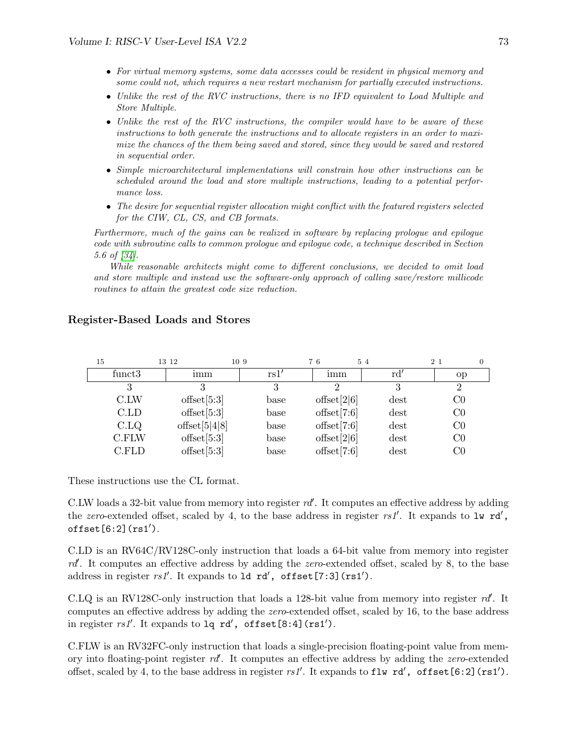- For virtual memory systems, some data accesses could be resident in physical memory and some could not, which requires a new restart mechanism for partially executed instructions.
- Unlike the rest of the RVC instructions, there is no IFD equivalent to Load Multiple and Store Multiple.
- Unlike the rest of the RVC instructions, the compiler would have to be aware of these instructions to both generate the instructions and to allocate registers in an order to maximize the chances of the them being saved and stored, since they would be saved and restored in sequential order.
- Simple microarchitectural implementations will constrain how other instructions can be scheduled around the load and store multiple instructions, leading to a potential performance loss.
- The desire for sequential register allocation might conflict with the featured registers selected for the CIW, CL, CS, and CB formats.

Furthermore, much of the gains can be realized in software by replacing prologue and epilogue code with subroutine calls to common prologue and epilogue code, a technique described in Section 5.6 of [\[34\]](#page-144-1).

While reasonable architects might come to different conclusions, we decided to omit load and store multiple and instead use the software-only approach of calling save/restore millicode routines to attain the greatest code size reduction.

| 15     | 13 12 |                  | 10 9 | 76 |             | 54   | 2 1 | $\theta$    |
|--------|-------|------------------|------|----|-------------|------|-----|-------------|
| funct3 |       | ımm              | rs1' |    | 1mm         | rd'  |     | op          |
| 3      |       |                  | 3    |    |             | 3    |     | 2           |
| C.LW   |       | offset[5:3]      | base |    | offset[2 6] | dest |     | $\rm{C0}$   |
| CLD    |       | offset[5:3]      | base |    | offset[7:6] | dest |     | $\rm CO$    |
| C.LQ   |       | offset $[5 4 8]$ | base |    | offset[7:6] | dest |     | $_{\rm C0}$ |
| C.FLW  |       | offset[5:3]      | base |    | offset[2 6] | dest |     | $\rm CO$    |
| C.FLD  |       | offset[5:3]      | base |    | offset[7:6] | dest |     | CO          |

#### Register-Based Loads and Stores

These instructions use the CL format.

C.LW loads a 32-bit value from memory into register  $rd'$ . It computes an effective address by adding the zero-extended offset, scaled by 4, to the base address in register  $rs1'$ . It expands to lw rd',  $offset[6:2](rs1').$ 

C.LD is an RV64C/RV128C-only instruction that loads a 64-bit value from memory into register  $rd'$ . It computes an effective address by adding the *zero*-extended offset, scaled by 8, to the base address in register  $rs1'$ . It expands to 1d rd', offset[7:3](rs1').

C.LQ is an RV128C-only instruction that loads a 128-bit value from memory into register  $rd'$ . It computes an effective address by adding the zero-extended offset, scaled by 16, to the base address in register  $rs1'$ . It expands to  $lq$  rd', offset [8:4](rs1').

C.FLW is an RV32FC-only instruction that loads a single-precision floating-point value from memory into floating-point register  $rd'$ . It computes an effective address by adding the zero-extended offset, scaled by 4, to the base address in register  $rs1'$ . It expands to flw rd', offset [6:2] (rs1').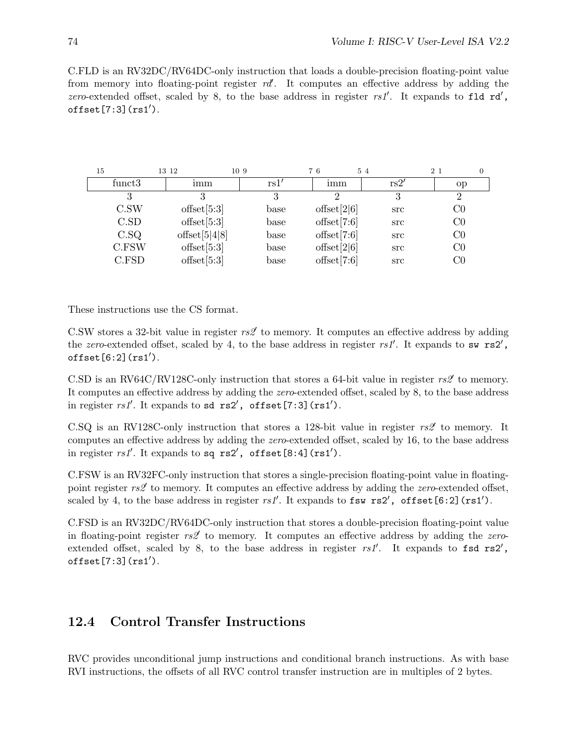C.FLD is an RV32DC/RV64DC-only instruction that loads a double-precision floating-point value from memory into floating-point register  $rd'$ . It computes an effective address by adding the zero-extended offset, scaled by 8, to the base address in register  $rs1'$ . It expands to fld rd',  $offset[7:3](rs1').$ 

| 15     | 13 12 |               | 10 9 | 76          | 54         | 2 <sub>1</sub> |
|--------|-------|---------------|------|-------------|------------|----------------|
| funct3 |       | ımm           | rs1' | 1mm         | rs2'       | op             |
| 3      |       |               |      | າ           | 3          | 2              |
| C.SW   |       | offset[5:3]   | base | offset[2 6] | <b>Src</b> | $\rm CO$       |
| C.SD   |       | offset[5:3]   | base | offset[7:6] | <b>STC</b> | C <sub>0</sub> |
| C.SQ   |       | offset[5 4 8] | base | offset[7:6] | <b>STC</b> | $_{\rm C0}$    |
| C.FSW  |       | offset[5:3]   | base | offset[2 6] | <b>src</b> | $\rm CO$       |
| C.FSD  |       | offset[5:3]   | base | offset[7:6] | <b>src</b> | $\rm CO$       |

These instructions use the CS format.

C.SW stores a 32-bit value in register  $rs\mathcal{Z}$  to memory. It computes an effective address by adding the zero-extended offset, scaled by 4, to the base address in register  $rs1'$ . It expands to sw rs2',  $offset[6:2](rs1').$ 

C.SD is an RV64C/RV128C-only instruction that stores a 64-bit value in register  $rs\mathscr{Z}$  to memory. It computes an effective address by adding the zero-extended offset, scaled by 8, to the base address in register  $rs1'$ . It expands to sd  $rs2'$ , offset[7:3](rs1').

C.SQ is an RV128C-only instruction that stores a 128-bit value in register  $rs\mathcal{Z}$  to memory. It computes an effective address by adding the zero-extended offset, scaled by 16, to the base address in register  $rs1'$ . It expands to  $sq\ rs2'$ , offset[8:4](rs1').

C.FSW is an RV32FC-only instruction that stores a single-precision floating-point value in floatingpoint register  $rs\mathcal{Z}$  to memory. It computes an effective address by adding the *zero*-extended offset, scaled by 4, to the base address in register  $rs1'$ . It expands to  $fsw\ rs2'$ , offset [6:2] (rs1').

C.FSD is an RV32DC/RV64DC-only instruction that stores a double-precision floating-point value in floating-point register  $rs\mathcal{Z}$  to memory. It computes an effective address by adding the zeroextended offset, scaled by 8, to the base address in register  $rs1'$ . It expands to fsd rs2',  $offset[7:3](rs1').$ 

## 12.4 Control Transfer Instructions

RVC provides unconditional jump instructions and conditional branch instructions. As with base RVI instructions, the offsets of all RVC control transfer instruction are in multiples of 2 bytes.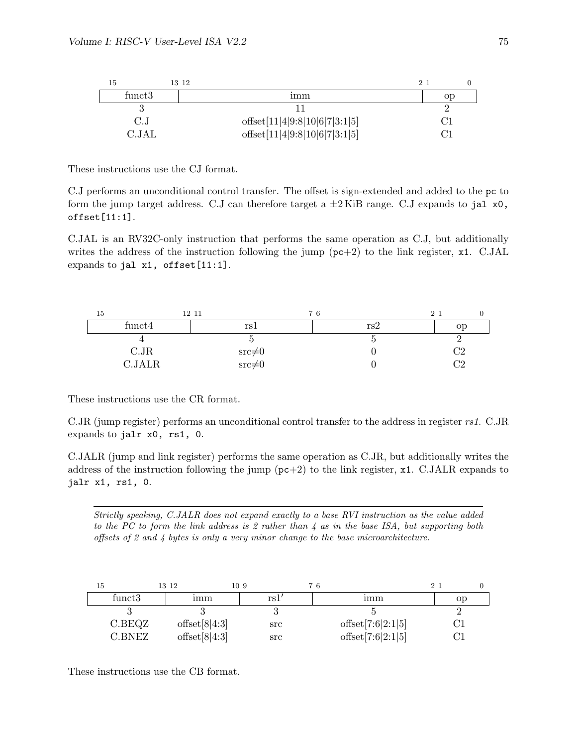| 15     | 13 12 |                                  | 21 |  |
|--------|-------|----------------------------------|----|--|
| funct3 |       | ımm                              | op |  |
|        |       |                                  |    |  |
| C.J    |       | offset $[11 4 9:8 10 6 7 3:1 5]$ |    |  |
| C.JAL  |       | offset $[11 4 9:8 10 6 7 3:1 5]$ |    |  |

These instructions use the CJ format.

C.J performs an unconditional control transfer. The offset is sign-extended and added to the pc to form the jump target address. C.J can therefore target a  $\pm 2$  KiB range. C.J expands to jal  $\alpha$ , offset[11:1].

C.JAL is an RV32C-only instruction that performs the same operation as C.J, but additionally writes the address of the instruction following the jump  $(pc+2)$  to the link register, x1. C.JAL expands to jal x1, offset[11:1].

| 15 |        | 12 11                          | 76  | $2^{\circ}$ |
|----|--------|--------------------------------|-----|-------------|
|    | funct4 | rsl                            | rs2 | op          |
|    |        |                                |     |             |
|    | C.JR   |                                |     | 22          |
|    | C.JALR | $\sec \neq 0$<br>$\sec \neq 0$ |     | ∩ר          |

These instructions use the CR format.

C.JR (jump register) performs an unconditional control transfer to the address in register rs1. C.JR expands to jalr x0, rs1, 0.

C.JALR (jump and link register) performs the same operation as C.JR, but additionally writes the address of the instruction following the jump  $(pc+2)$  to the link register, x1. C.JALR expands to jalr x1, rs1, 0.

Strictly speaking, C.JALR does not expand exactly to a base RVI instruction as the value added to the PC to form the link address is 2 rather than  $\lambda$  as in the base ISA, but supporting both offsets of 2 and 4 bytes is only a very minor change to the base microarchitecture.

| 15 |        | 13 12            | 10.9 | 76                   |    |  |
|----|--------|------------------|------|----------------------|----|--|
|    | funct3 | ımm              | rsl  | ımm                  | op |  |
|    |        |                  |      |                      |    |  |
|    | C.BEQZ | offset $[8 4:3]$ | src  | offset $[7:6 2:1 5]$ |    |  |
|    | C.BNEZ | offset $[8 4:3]$ | src  | offset $[7:6 2:1 5]$ |    |  |

These instructions use the CB format.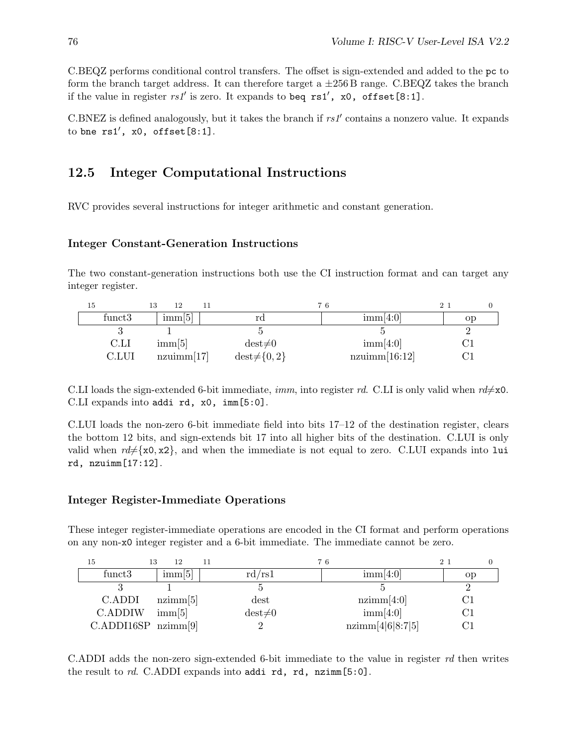C.BEQZ performs conditional control transfers. The offset is sign-extended and added to the pc to form the branch target address. It can therefore target a  $\pm 256$  B range. C.BEQZ takes the branch if the value in register  $rs1'$  is zero. It expands to beq  $rs1'$ , x0, offset[8:1].

C.BNEZ is defined analogously, but it takes the branch if  $rs1'$  contains a nonzero value. It expands to bne  $rs1', x0,$  offset[8:1].

### 12.5 Integer Computational Instructions

RVC provides several instructions for integer arithmetic and constant generation.

#### Integer Constant-Generation Instructions

The two constant-generation instructions both use the CI instruction format and can target any integer register.

| 15 |        | 13<br>12          |                     | 76                |    |
|----|--------|-------------------|---------------------|-------------------|----|
|    | funct3 | imm[5]            | rd                  | imm[4:0]          | op |
|    |        |                   |                     |                   |    |
|    | C.LI   | $\mathrm{imm}[5]$ | $dest \neq 0$       | $\text{imm}[4:0]$ |    |
|    | C.LU.  | nzuimm[17]        | $dest \neq \{0,2\}$ | nzuimm[16:12]     |    |

C.LI loads the sign-extended 6-bit immediate, imm, into register rd. C.LI is only valid when  $rd \neq \infty$ . C.LI expands into addi rd, x0, imm[5:0].

C.LUI loads the non-zero 6-bit immediate field into bits 17–12 of the destination register, clears the bottom 12 bits, and sign-extends bit 17 into all higher bits of the destination. C.LUI is only valid when  $rd \neq \{x0, x2\}$ , and when the immediate is not equal to zero. C.LUI expands into lui rd, nzuimm[17:12].

#### Integer Register-Immediate Operations

These integer register-immediate operations are encoded in the CI format and perform operations on any non-x0 integer register and a 6-bit immediate. The immediate cannot be zero.

| 15                       | 12<br>13 |               | 76                  |    |  |
|--------------------------|----------|---------------|---------------------|----|--|
| funct3                   | imm[5]   | rd/rs1        | $\mathrm{imm}[4:0]$ | op |  |
|                          |          |               |                     |    |  |
| C.ADDI                   | nzimm[5] | dest          | nzimm[4:0]          |    |  |
| C.ADDIW                  | imm[5]   | $dest \neq 0$ | $\text{imm}[4:0]$   |    |  |
| $C.$ ADDI16SP $nzimm[9]$ |          |               | nzimm[4 6 8:7 5]    |    |  |

C.ADDI adds the non-zero sign-extended 6-bit immediate to the value in register  $rd$  then writes the result to rd. C.ADDI expands into addi rd, rd, nzimm $[5:0]$ .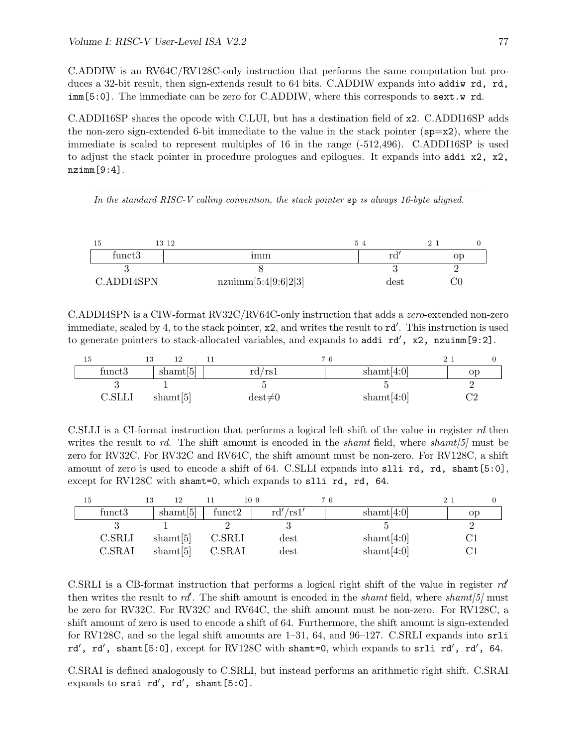C.ADDIW is an RV64C/RV128C-only instruction that performs the same computation but produces a 32-bit result, then sign-extends result to 64 bits. C.ADDIW expands into addiw rd, rd, imm[5:0]. The immediate can be zero for C.ADDIW, where this corresponds to sext.w rd.

C.ADDI16SP shares the opcode with C.LUI, but has a destination field of x2. C.ADDI16SP adds the non-zero sign-extended 6-bit immediate to the value in the stack pointer  $(sp=x2)$ , where the immediate is scaled to represent multiples of 16 in the range (-512,496). C.ADDI16SP is used to adjust the stack pointer in procedure prologues and epilogues. It expands into addi x2, x2, nzimm[9:4].

In the standard RISC-V calling convention, the stack pointer sp is always 16-byte aligned.



C.ADDI4SPN is a CIW-format RV32C/RV64C-only instruction that adds a zero-extended non-zero immediate, scaled by 4, to the stack pointer, x2, and writes the result to  $rd'$ . This instruction is used to generate pointers to stack-allocated variables, and expands to addi  $rd'$ ,  $x2$ , nzuimm $[9:2]$ .

| 15 |        |          |               |            |    |
|----|--------|----------|---------------|------------|----|
|    | funct3 | shamt[5] | rd/rs1        | shamt[4:0] | op |
|    |        |          |               |            |    |
|    | C.SLLI | shamt[5] | $dest \neq 0$ | shamt[4:0] | Ξ2 |

C.SLLI is a CI-format instruction that performs a logical left shift of the value in register rd then writes the result to rd. The shift amount is encoded in the *shamt* field, where  $shamt/5$  must be zero for RV32C. For RV32C and RV64C, the shift amount must be non-zero. For RV128C, a shift amount of zero is used to encode a shift of 64. C.SLLI expands into slli rd, rd, shamt[5:0], except for RV128C with shamt=0, which expands to slli rd, rd, 64.

| 15 |        | 13<br>12 |        | 109             | 76         |    |  |
|----|--------|----------|--------|-----------------|------------|----|--|
|    | funct3 | shamt[5] | funct2 | rd'/rs1'        | shamt[4:0] | op |  |
|    |        |          |        |                 |            |    |  |
|    | C.SRLI | shamt[5] | C.SRLI | dest            | shamt[4:0] |    |  |
|    | C.SRAI | shamt[5] | C.SRAI | $\mathrm{dest}$ | shamt[4:0] |    |  |

C.SRLI is a CB-format instruction that performs a logical right shift of the value in register  $rd'$ then writes the result to  $rd'$ . The shift amount is encoded in the *shamt* field, where *shamt*[5] must be zero for RV32C. For RV32C and RV64C, the shift amount must be non-zero. For RV128C, a shift amount of zero is used to encode a shift of 64. Furthermore, the shift amount is sign-extended for RV128C, and so the legal shift amounts are 1–31, 64, and 96–127. C.SRLI expands into srli rd', rd', shamt $[5:0]$ , except for RV128C with shamt=0, which expands to srli rd', rd', 64.

C.SRAI is defined analogously to C.SRLI, but instead performs an arithmetic right shift. C.SRAI expands to srai rd', rd', shamt $[5:0]$ .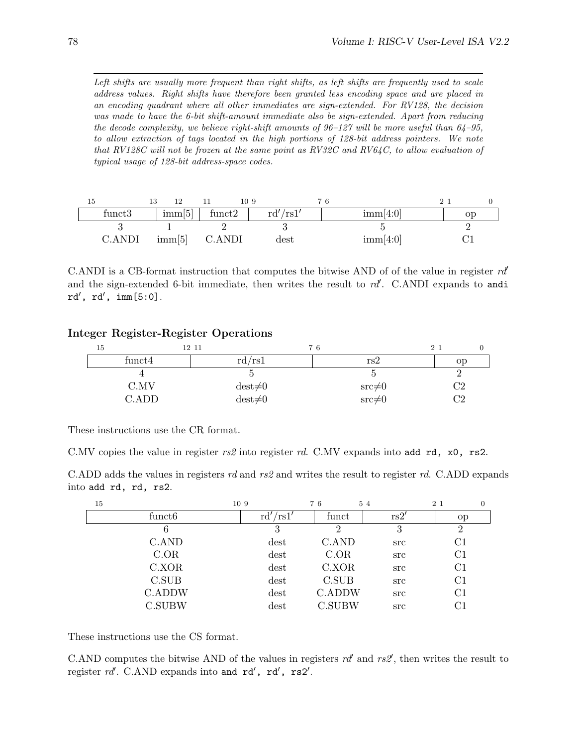Left shifts are usually more frequent than right shifts, as left shifts are frequently used to scale address values. Right shifts have therefore been granted less encoding space and are placed in an encoding quadrant where all other immediates are sign-extended. For RV128, the decision was made to have the 6-bit shift-amount immediate also be sign-extended. Apart from reducing the decode complexity, we believe right-shift amounts of  $96-127$  will be more useful than  $64-95$ , to allow extraction of tags located in the high portions of 128-bit address pointers. We note that RV128C will not be frozen at the same point as RV32C and RV64C, to allow evaluation of typical usage of 128-bit address-space codes.

| 15 |        | 12     |        | 109    |          |  |                     |  |  |
|----|--------|--------|--------|--------|----------|--|---------------------|--|--|
|    | funct3 | imm[5] |        | funct2 | rd'/rs1' |  | imm[4:0]            |  |  |
|    |        |        |        |        |          |  |                     |  |  |
|    | C.ANDI | imm[5] | C.ANDI |        | dest     |  | $\mathrm{imm}[4:0]$ |  |  |

C.ANDI is a CB-format instruction that computes the bitwise AND of of the value in register  $rd'$ and the sign-extended 6-bit immediate, then writes the result to  $rd'$ . C.ANDI expands to andi  $rd', rd', imm[5:0].$ 

#### Integer Register-Register Operations

| 15 |        | 12 11                                                                 | 76           |               |
|----|--------|-----------------------------------------------------------------------|--------------|---------------|
|    | funct4 | rd/rs1                                                                | rs2          | op            |
|    |        |                                                                       |              |               |
|    | C.MV   |                                                                       | $src \neq 0$ | $\mathbb{C}2$ |
|    | C.ADD  | $\begin{array}{c} {\rm dest} \neq 0 \\ {\rm dest} \neq 0 \end{array}$ | $src \neq 0$ | С2            |

These instructions use the CR format.

C.MV copies the value in register rs2 into register rd. C.MV expands into add rd,  $x0$ , rs2.

|                       |  |  |  |  |  |  |  | C.ADD adds the values in registers rd and rs2 and writes the result to register rd. C.ADD expands |
|-----------------------|--|--|--|--|--|--|--|---------------------------------------------------------------------------------------------------|
| into add rd, rd, rs2. |  |  |  |  |  |  |  |                                                                                                   |

| 15            | 10 9     | 76<br>5 4      |            | 2 <sub>1</sub><br>0 |
|---------------|----------|----------------|------------|---------------------|
| funct6        | rd'/rs1' | funct          | rs2'       | op                  |
| 6             | 3        | $\overline{2}$ | 3          |                     |
| C.AND         | dest     | C.AND          | <b>src</b> | C1                  |
| C.OR          | dest     | C.OR           | src        | C1                  |
| C.XOR         | dest     | C.XOR          | src        | C1                  |
| C.SUB         | dest     | C.SUB          | src        | C1                  |
| C.ADDW        | dest     | C.ADDW         | src        | C1                  |
| <b>C.SUBW</b> | dest     | <b>C.SUBW</b>  | <b>src</b> | $\rm C1$            |

These instructions use the CS format.

C.AND computes the bitwise AND of the values in registers  $rd'$  and  $rs\mathscr{Z}$ , then writes the result to register  $rd'$ . C.AND expands into and rd', rd', rs2'.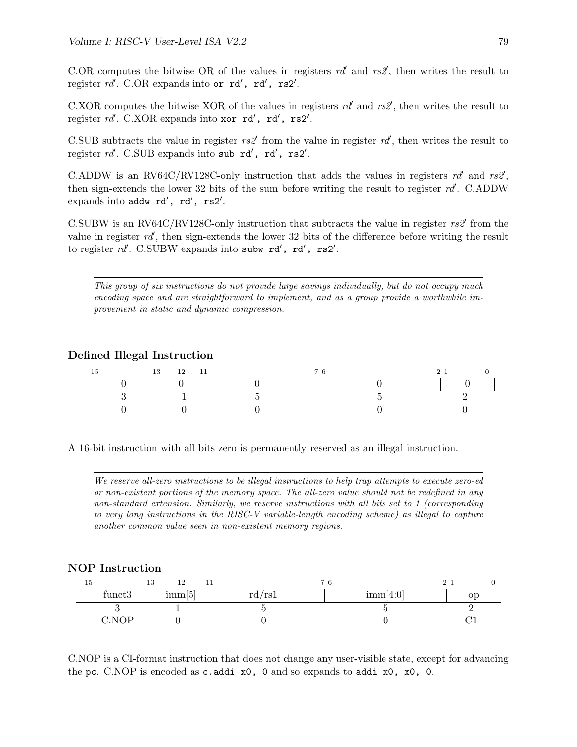C.OR computes the bitwise OR of the values in registers  $rd'$  and  $rs\mathscr{Z}$ , then writes the result to register  $rd'$ . C.OR expands into or  $rd'$ ,  $rd'$ ,  $rs2'$ .

C.XOR computes the bitwise XOR of the values in registers  $rd'$  and  $rs\mathscr{Z}$ , then writes the result to register  $rd'$ . C.XOR expands into xor rd', rd', rs2'.

C.SUB subtracts the value in register  $rs\mathscr{L}$  from the value in register  $rd'$ , then writes the result to register  $rd'$ . C.SUB expands into sub rd', rd', rs2'.

C.ADDW is an RV64C/RV128C-only instruction that adds the values in registers  $rd'$  and rs2, then sign-extends the lower 32 bits of the sum before writing the result to register  $rd$ . C.ADDW expands into addw  $rd'$ ,  $rd'$ ,  $rs2'.$ 

C.SUBW is an RV64C/RV128C-only instruction that subtracts the value in register  $rs\mathscr{Z}$  from the value in register  $rd'$ , then sign-extends the lower 32 bits of the difference before writing the result to register  $rd'$ . C.SUBW expands into subw rd', rd', rs2'.

This group of six instructions do not provide large savings individually, but do not occupy much encoding space and are straightforward to implement, and as a group provide a worthwhile improvement in static and dynamic compression.

| 15 |  | 13 12 11 | 76 |  |
|----|--|----------|----|--|
|    |  |          |    |  |
|    |  |          |    |  |
|    |  |          |    |  |

#### Defined Illegal Instruction

A 16-bit instruction with all bits zero is permanently reserved as an illegal instruction.

We reserve all-zero instructions to be illegal instructions to help trap attempts to execute zero-ed or non-existent portions of the memory space. The all-zero value should not be redefined in any non-standard extension. Similarly, we reserve instructions with all bits set to 1 (corresponding to very long instructions in the RISC-V variable-length encoding scheme) as illegal to capture another common value seen in non-existent memory regions.

#### NOP Instruction

| 19     | ŦΩ | - 12                                  | <b>TT</b>  |                                       |    |
|--------|----|---------------------------------------|------------|---------------------------------------|----|
| funct3 |    | $\Gamma \sim 7$<br>$1mm\vert\ddot{o}$ | 'rs1<br>тd | mm <br>$\sqrt{1}$ . $\sqrt{1}$<br>7.V | op |
|        |    |                                       |            |                                       |    |
| A NOE  |    |                                       |            |                                       |    |

C.NOP is a CI-format instruction that does not change any user-visible state, except for advancing the pc. C.NOP is encoded as c.addi  $x0$ , 0 and so expands to addi  $x0$ ,  $x0$ , 0.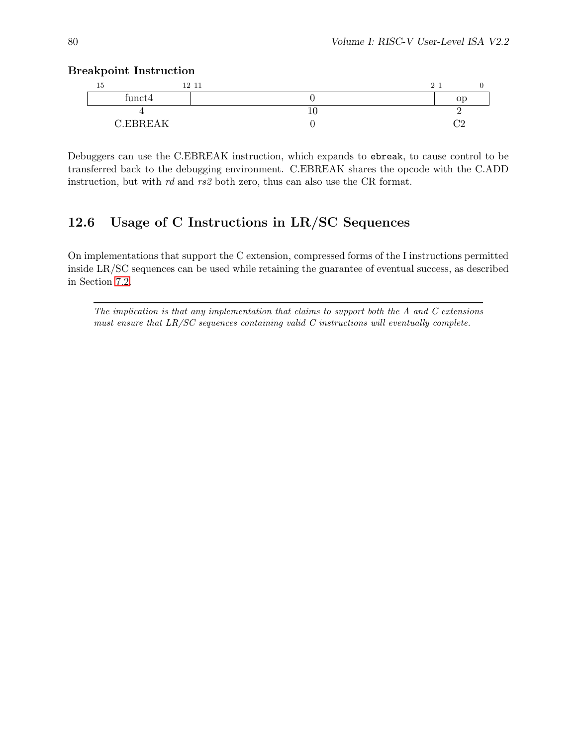| 15              | 12 11<br>2 1 |    |
|-----------------|--------------|----|
| funct4          |              | or |
|                 | ιU           |    |
| <b>C.EBREAK</b> |              | ຳຕ |

#### Breakpoint Instruction

Debuggers can use the C.EBREAK instruction, which expands to ebreak, to cause control to be transferred back to the debugging environment. C.EBREAK shares the opcode with the C.ADD instruction, but with rd and rs2 both zero, thus can also use the CR format.

## 12.6 Usage of C Instructions in LR/SC Sequences

On implementations that support the C extension, compressed forms of the I instructions permitted inside LR/SC sequences can be used while retaining the guarantee of eventual success, as described in Section [7.2.](#page-51-0)

The implication is that any implementation that claims to support both the A and C extensions must ensure that  $LR/SC$  sequences containing valid  $C$  instructions will eventually complete.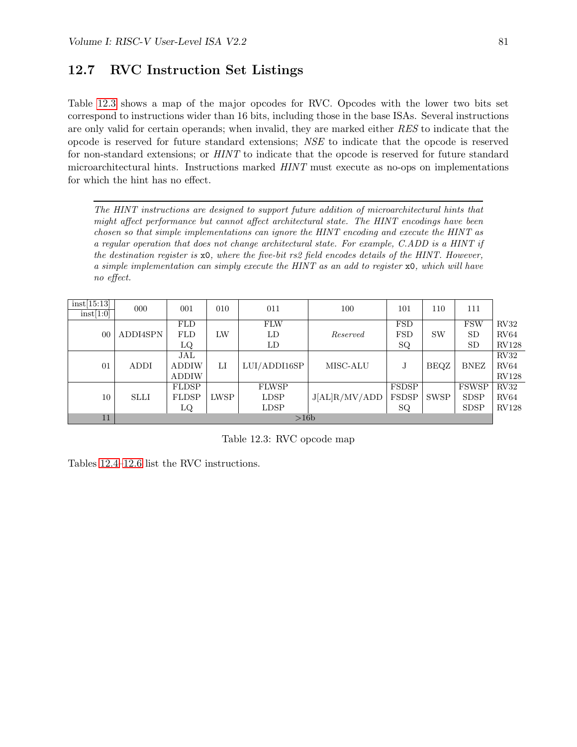## 12.7 RVC Instruction Set Listings

Table [12.3](#page-92-0) shows a map of the major opcodes for RVC. Opcodes with the lower two bits set correspond to instructions wider than 16 bits, including those in the base ISAs. Several instructions are only valid for certain operands; when invalid, they are marked either RES to indicate that the opcode is reserved for future standard extensions; NSE to indicate that the opcode is reserved for non-standard extensions; or HINT to indicate that the opcode is reserved for future standard microarchitectural hints. Instructions marked HINT must execute as no-ops on implementations for which the hint has no effect.

The HINT instructions are designed to support future addition of microarchitectural hints that might affect performance but cannot affect architectural state. The HINT encodings have been chosen so that simple implementations can ignore the HINT encoding and execute the HINT as a regular operation that does not change architectural state. For example, C.ADD is a HINT if the destination register is x0, where the five-bit rs2 field encodes details of the HINT. However, a simple implementation can simply execute the HINT as an add to register x0, which will have no effect.

| inst[15:13]<br>inst[1:0] | 000         | 001          | 010         | 011          | 100           | 101          | 110         | 111          |              |
|--------------------------|-------------|--------------|-------------|--------------|---------------|--------------|-------------|--------------|--------------|
|                          |             | <b>FLD</b>   |             | <b>FLW</b>   |               | <b>FSD</b>   |             | <b>FSW</b>   | RV32         |
| 00                       | ADDI4SPN    | <b>FLD</b>   | LW          | LD           | Reserved      | <b>FSD</b>   | SW          | <b>SD</b>    | RV64         |
|                          |             | LQ           |             | LD           |               | SQ           |             | SD           | <b>RV128</b> |
|                          |             | JAL          |             |              |               |              |             |              | RV32         |
| 01                       | ADDI        | <b>ADDIW</b> | Ы           | LUI/ADDI16SP | MISC-ALU      | J            | <b>BEQZ</b> | <b>BNEZ</b>  | RV64         |
|                          |             | <b>ADDIW</b> |             |              |               |              |             |              | <b>RV128</b> |
|                          |             | <b>FLDSP</b> |             | <b>FLWSP</b> |               | <b>FSDSP</b> |             | <b>FSWSP</b> | RV32         |
| 10                       | <b>SLLI</b> | <b>FLDSP</b> | <b>LWSP</b> | <b>LDSP</b>  | J[AL]R/MV/ADD | <b>FSDSP</b> | <b>SWSP</b> | <b>SDSP</b>  | RV64         |
|                          |             | LQ           |             | LDSP         |               | SQ           |             | <b>SDSP</b>  | <b>RV128</b> |
| 11                       |             |              |             | >16b         |               |              |             |              |              |

Table 12.3: RVC opcode map

<span id="page-92-0"></span>Tables [12.4–](#page-93-0)[12.6](#page-94-0) list the RVC instructions.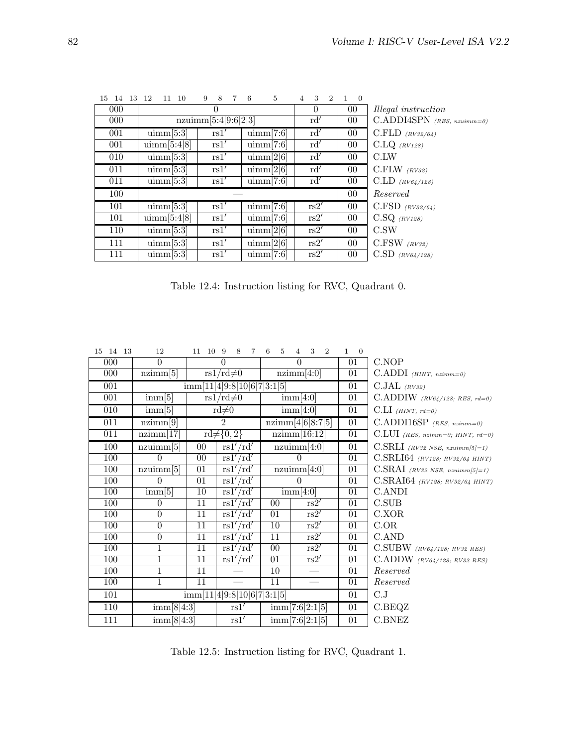| 13<br>- 14<br>15 | 12<br>11<br>-10                 | 8<br>9<br>7            | 5<br>-6            | 3<br>$\overline{4}$<br>$\mathcal{D}_{\mathcal{L}}$ | $\mathbf{1}$<br>$\Omega$ |                            |
|------------------|---------------------------------|------------------------|--------------------|----------------------------------------------------|--------------------------|----------------------------|
| 000              |                                 | 0                      |                    | $\theta$                                           | 00 <sup>°</sup>          | <i>Illegal instruction</i> |
| 000              |                                 | nzuimm $[5:4 9:6 2 3]$ |                    | $\mathrm{rd}^{\prime}$                             | 00 <sup>°</sup>          | C.ADDI4SPN (RES. nzuimm=0) |
| 001              | $\text{uimm}[5:3]$              | rs1'                   | $\text{uimm}[7:6]$ | $\overline{\text{rd}'}$                            | 00 <sup>°</sup>          | C.FLD $(RV32/64)$          |
| 001              | $\overline{\text{uimm}}[5:4 8]$ | rs1'                   | $\text{uimm}[7:6]$ | $\mathrm{rd}'$                                     | 00 <sup>°</sup>          | $CLQ$ (RV128)              |
| 010              | $\text{uimm}[5:3]$              | rs1'                   | $\text{uimm}[2 6]$ | $\mathrm{rd}'$                                     | 00 <sup>°</sup>          | C.LW                       |
| 011              | $\text{uimm}[5:3]$              | rs1'                   | $\text{uimm}[2 6]$ | $\mathrm{rd}'$                                     | 00 <sup>°</sup>          | $C.FLW$ (RV32)             |
| 011              | $\text{uimm}[5:3]$              | rs1'                   | $\text{uimm}[7:6]$ | $\mathrm{rd}^{\prime}$                             | 00 <sup>°</sup>          | $\text{C.LD}$ (RV64/128)   |
| 100              |                                 |                        |                    |                                                    | 00 <sup>°</sup>          | Reserved                   |
| 101              | $\text{uimm}[5:3]$              | rs1'                   | $\text{uimm}[7:6]$ | rs2'                                               | 00 <sup>°</sup>          | $C.FSD$ (RV32/64)          |
| 101              | $\text{uimm}[5:4 8]$            | rs1'                   | $\mu$ imm $[7:6]$  | rs2'                                               | 00 <sup>°</sup>          | $C.SQ$ (RV128)             |
| 110              | $\text{uimm}[5:3]$              | rs1'                   | $\text{uimm}[2 6]$ | rs2'                                               | 00 <sup>°</sup>          | C.SW                       |
| 111              | $\text{uimm}[5:3]$              | rs1'                   | $\text{uimm}[2 6]$ | rs2'                                               | 00 <sup>°</sup>          | $C.FSW$ (RV32)             |
| 111              | $\text{uimm}[5:3]$              | rs1'                   | $\text{uimm}[7:6]$ | rs2'                                               | 00 <sup>°</sup>          | $C.SD$ (RV64/128)          |

Table 12.4: Instruction listing for RVC, Quadrant 0.

<span id="page-93-0"></span>

| 15 14 13         | 12                    | 11 10 9                             | 8                                   | $\overline{7}$ | 6      | 5           | $\mathbf{3}$<br>$\overline{4}$  | $\overline{2}$ | $\mathbf{1}$<br>$\overline{0}$   |                                    |
|------------------|-----------------------|-------------------------------------|-------------------------------------|----------------|--------|-------------|---------------------------------|----------------|----------------------------------|------------------------------------|
| 000              | $\Omega$              |                                     | $\Omega$                            |                |        |             | $\theta$                        |                | 01                               | C.NOP                              |
| 000              | nzimm[5]              |                                     | $rs1/rd \neq 0$                     |                |        |             | nzimm[4:0]                      |                | 01                               | $C. ADDI$ (HINT, nzimm=0)          |
| 001              |                       |                                     | $\text{imm}[11 4 9:8 10 6 7 3:1 5]$ |                |        |             |                                 |                | 01                               | $C.JAL$ (RV32)                     |
| $\overline{001}$ | imm[5]                |                                     | $rs1/rd \neq 0$                     |                |        |             | $\mathrm{imm}[4:0]$             |                | 01                               | $C. ADDIW$ (RV64/128; RES, rd=0)   |
| 010              | $\mathrm{imm}[5]$     |                                     | $\mathrm{rd}\neq 0$                 |                |        |             | $\mathrm{imm}[4:0]$             |                | 01                               | $C.LI$ (HINT, $rd=0$ )             |
| 011              | nzimm[9]              |                                     | $\overline{2}$                      |                |        |             | nzimm[4 6 8:7 5]                |                | 01                               | C.ADDI16SP (RES, $nzimm=0$ )       |
| 011              | nzimm[17]             |                                     | $\text{rd}\neq\{0,2\}$              |                |        |             | nzimm[16:12]                    |                | 01                               | $C.LUI$ (RES, nzimm=0; HINT, rd=0) |
| 100              | nzuimm[5]             | $00\,$                              | rs1'/rd'                            |                |        |             | nzuimm[4:0]                     |                | 01                               | $C.SRLI$ (RV32 NSE, nzuimm[5]=1)   |
| 100              | $\theta$              | 00 <sup>°</sup>                     | rs1'/rd'                            |                |        |             | $\theta$                        |                | 01                               | $C.SRLI64$ (RV128; RV32/64 HINT)   |
| 100              | nzuimm[5]             | 01                                  | rs1'/rd'                            |                |        | nzuimm[4:0] |                                 | 01             | $C.SRAI$ (RV32 NSE, nzuimm[5]=1) |                                    |
| 100              | $\theta$              | 01                                  | rs1'/rd'                            |                |        |             | $\theta$                        |                | 01                               | $C.SRAI64$ (RV128; RV32/64 HINT)   |
| 100              | $\mathrm{imm}[5]$     | 10                                  | rs1'/rd'                            |                |        |             | $imm[4:\overline{0}]$           |                | 01                               | C.ANDI                             |
| 100              | $\theta$              | 11                                  | rs1'/rd'                            |                | $00\,$ |             | rs2'                            |                | 01                               | C.SUB                              |
| 100              | $\theta$              | 11                                  | rs1'/rd'                            |                | 01     |             | rs2'                            |                | 01                               | C.XOR                              |
| 100              | $\overline{0}$        | 11                                  | rs1'/rd'                            |                | 10     |             | rs2'                            |                | 01                               | C.OR                               |
| 100              | $\overline{0}$        | 11                                  | rs1'/rd'                            |                | 11     |             | rs2'                            |                | 01                               | C.AND                              |
| 100              | $\overline{1}$        | 11                                  | rs1'/rd'                            |                | $00\,$ |             | rs2'                            |                | 01                               | $C.SUBW$ (RV64/128; RV32 RES)      |
| 100              | $\mathbf{1}$          | 11                                  | rs1'/rd'                            |                | 01     |             | rs2'                            |                | 01                               | C.ADDW $(RV64/128; RV32 RES)$      |
| 100              | $\mathbf 1$           | 11                                  |                                     |                | 10     |             | $\hspace{0.05cm}$               |                | 01                               | Reserved                           |
| 100              | $\mathbf{1}$          | 11                                  |                                     |                | 11     |             | $\hspace{0.1mm}-\hspace{0.1mm}$ |                | 01                               | Reserved                           |
| 101              |                       | $\text{imm}[11 4 9:8 10 6 7 3:1 5]$ |                                     |                |        |             |                                 | 01             | C.J                              |                                    |
| 110              | imm[8]4:3]            |                                     | rs1'                                |                |        |             | imm[7:6 2:1 5]                  |                | 01                               | C.BEQZ                             |
| 111              | $\mathrm{imm}[8 4:3]$ |                                     | rs1'                                |                |        |             | imm[7:6 2:1 5]                  |                | 01                               | C.BNEZ                             |

Table 12.5: Instruction listing for RVC, Quadrant 1.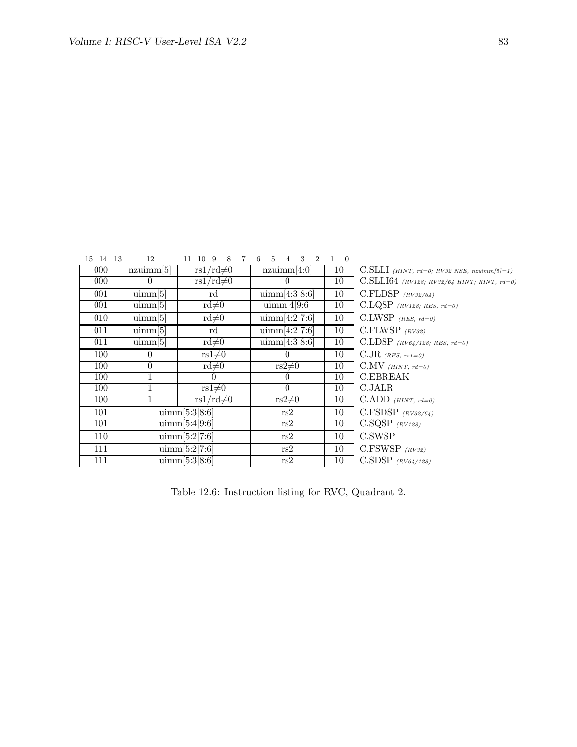| 15 14 13 | 12               | 11 10 9<br>8<br>$\overline{7}$    | 6<br>$\overline{5}$<br>3<br>$\overline{2}$<br>$\overline{4}$ | $\mathbf{1}$<br>$\overline{0}$ |                                                      |
|----------|------------------|-----------------------------------|--------------------------------------------------------------|--------------------------------|------------------------------------------------------|
| 000      | nzuimm[5]        | $rs1/rd \neq 0$                   | nzuimm[4:0]                                                  | 10                             | $C. \text{SLLI}$ (HINT, rd=0; RV32 NSE, nzuimm[5]=1) |
| 000      | $\theta$         | $rs1/rd \neq 0$                   | 0                                                            | 10                             | C.SLLI64 (RV128; RV32/64 HINT; HINT, $rd=0$ )        |
| 001      | $\text{uimm}[5]$ | rd                                | $\mu$ imm $[4:3 8:6]$                                        | 10                             | $C. FLDSP$ (RV32/64)                                 |
| 001      | $\text{uimm}[5]$ | $rd \neq 0$                       | $\operatorname{uimm}[4 9:6]$                                 | 10                             | C.LQSP (RV128; RES, $rd=0$ )                         |
| 010      | $\text{uimm}[5]$ | $\mathrm{rd}\neq 0$               | $\mu$ imm $[4:2 7:6]$                                        | 10                             | C.LWSP (RES, $rd=0$ )                                |
| 011      | $\text{uimm}[5]$ | rd                                | $\mu$ imm $[4:2 7:6]$                                        | 10                             | $C. FLWSP$ (RV32)                                    |
| 011      | $\text{uimm}[5]$ | $\mathrm{rd}\neq 0$               | $\overline{\text{uimm}}[4:3 8:6]$                            | 10                             | C.LDSP $(RV64/128; RES, rd=0)$                       |
| 100      | $\theta$         | $rs1\neq0$                        | $\Omega$                                                     | 10                             | $C.JR$ (RES, rs1=0)                                  |
| 100      | $\theta$         | $\mathrm{rd}\neq 0$               | $rs2\neq0$                                                   | 10                             | $\text{C.MV}$ (HINT, rd=0)                           |
| 100      | 1                | $\theta$                          | $\theta$                                                     | 10                             | C.EBREAK                                             |
| 100      | 1                | $rs1\neq0$                        | $\Omega$                                                     | 10                             | C.JALR                                               |
| 100      |                  | $rs1/rd \neq 0$                   | $rs2\neq0$                                                   | 10                             | C.ADD (HINT, $rd=0$ )                                |
| 101      |                  | $\mu$ imm $[5:3 8:6]$             | rs2                                                          | 10                             | C.FSDSP $(RV32/64)$                                  |
| 101      |                  | $\mu$ imm $[5:4 9:6]$             | rs2                                                          | 10                             | $C.SQSP$ (RV128)                                     |
| 110      |                  | $\mu$ imm $[5:2 7:6]$             | rs2                                                          | 10                             | C.SWSP                                               |
| 111      |                  | $\mu$ imm $[5:2 7:6]$             | rs2                                                          | 10                             | $C.FSWSP$ (RV32)                                     |
| 111      |                  | $\overline{\text{uimm}[5:3 8:6]}$ | rs2                                                          | 10                             | C.SDSP $(RV64/128)$                                  |

<span id="page-94-0"></span>Table 12.6: Instruction listing for RVC, Quadrant 2.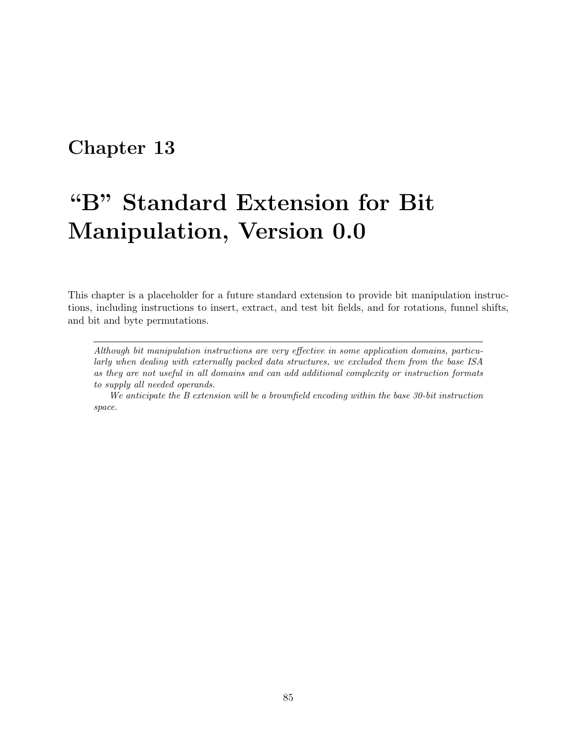# "B" Standard Extension for Bit Manipulation, Version 0.0

This chapter is a placeholder for a future standard extension to provide bit manipulation instructions, including instructions to insert, extract, and test bit fields, and for rotations, funnel shifts, and bit and byte permutations.

Although bit manipulation instructions are very effective in some application domains, particularly when dealing with externally packed data structures, we excluded them from the base ISA as they are not useful in all domains and can add additional complexity or instruction formats to supply all needed operands.

We anticipate the B extension will be a brownfield encoding within the base 30-bit instruction space.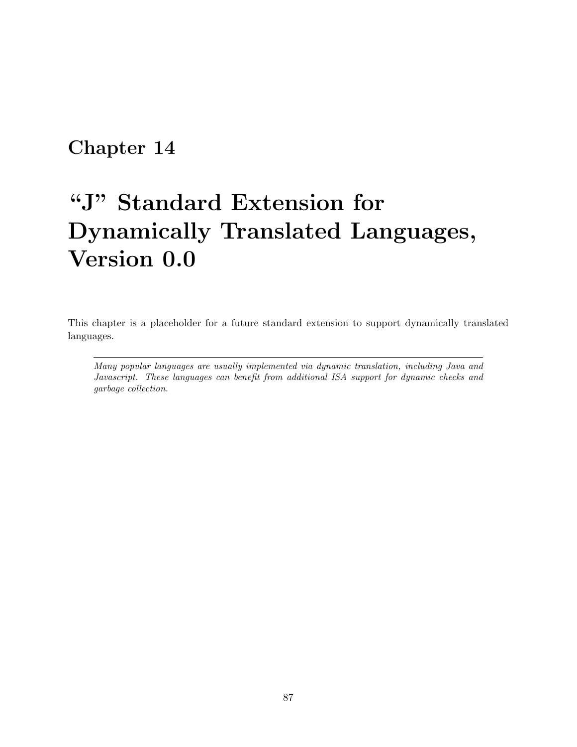# "J" Standard Extension for Dynamically Translated Languages, Version 0.0

This chapter is a placeholder for a future standard extension to support dynamically translated languages.

Many popular languages are usually implemented via dynamic translation, including Java and Javascript. These languages can benefit from additional ISA support for dynamic checks and garbage collection.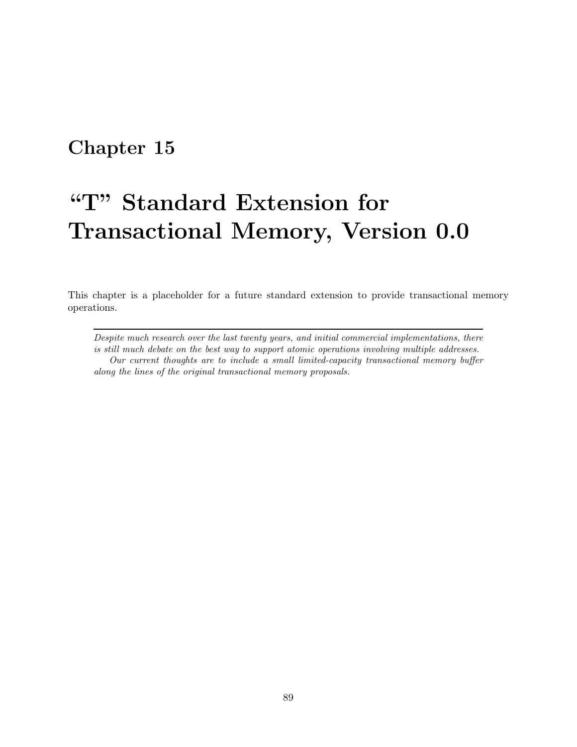# "T" Standard Extension for Transactional Memory, Version 0.0

This chapter is a placeholder for a future standard extension to provide transactional memory operations.

Despite much research over the last twenty years, and initial commercial implementations, there is still much debate on the best way to support atomic operations involving multiple addresses. Our current thoughts are to include a small limited-capacity transactional memory buffer along the lines of the original transactional memory proposals.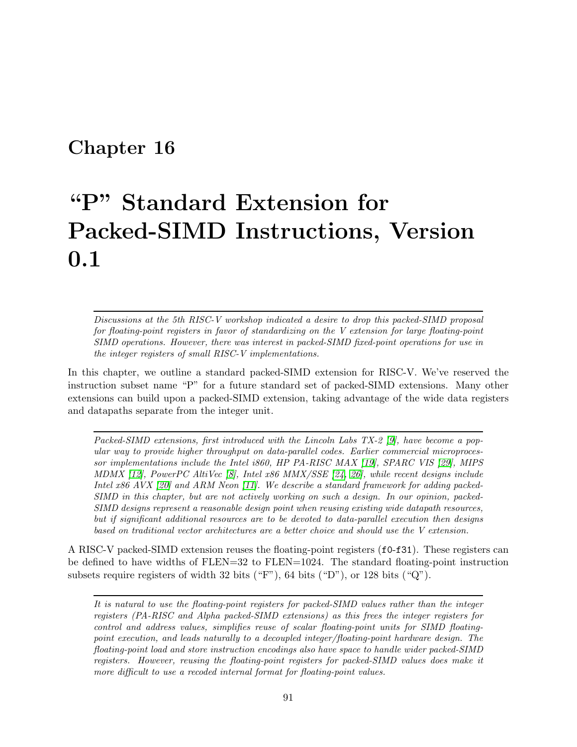# "P" Standard Extension for Packed-SIMD Instructions, Version 0.1

Discussions at the 5th RISC-V workshop indicated a desire to drop this packed-SIMD proposal for floating-point registers in favor of standardizing on the V extension for large floating-point SIMD operations. However, there was interest in packed-SIMD fixed-point operations for use in the integer registers of small RISC-V implementations.

In this chapter, we outline a standard packed-SIMD extension for RISC-V. We've reserved the instruction subset name "P" for a future standard set of packed-SIMD extensions. Many other extensions can build upon a packed-SIMD extension, taking advantage of the wide data registers and datapaths separate from the integer unit.

Packed-SIMD extensions, first introduced with the Lincoln Labs TX-2 [\[9\]](#page-142-2), have become a popular way to provide higher throughput on data-parallel codes. Earlier commercial microprocessor implementations include the Intel i860, HP PA-RISC MAX [\[19\]](#page-143-1), SPARC VIS [\[29\]](#page-143-2), MIPS MDMX [\[12\]](#page-142-3), PowerPC AltiVec [\[8\]](#page-142-4), Intel x86 MMX/SSE [\[24,](#page-143-3) [26\]](#page-143-4), while recent designs include Intel x86 AVX [\[20\]](#page-143-5) and ARM Neon [\[11\]](#page-142-5). We describe a standard framework for adding packed-SIMD in this chapter, but are not actively working on such a design. In our opinion, packed-SIMD designs represent a reasonable design point when reusing existing wide datapath resources, but if significant additional resources are to be devoted to data-parallel execution then designs based on traditional vector architectures are a better choice and should use the V extension.

A RISC-V packed-SIMD extension reuses the floating-point registers (f0-f31). These registers can be defined to have widths of FLEN=32 to FLEN=1024. The standard floating-point instruction subsets require registers of width 32 bits ("F"), 64 bits ("D"), or 128 bits ("Q").

It is natural to use the floating-point registers for packed-SIMD values rather than the integer registers (PA-RISC and Alpha packed-SIMD extensions) as this frees the integer registers for control and address values, simplifies reuse of scalar floating-point units for SIMD floatingpoint execution, and leads naturally to a decoupled integer/floating-point hardware design. The floating-point load and store instruction encodings also have space to handle wider packed-SIMD registers. However, reusing the floating-point registers for packed-SIMD values does make it more difficult to use a recoded internal format for floating-point values.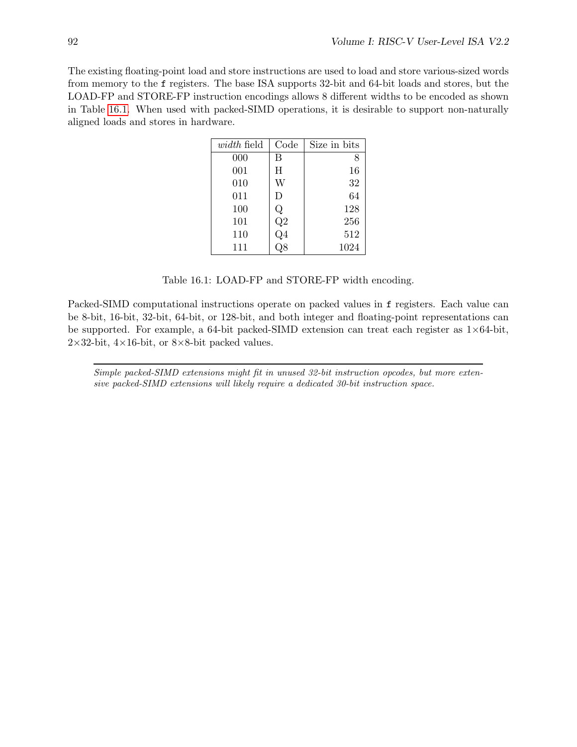The existing floating-point load and store instructions are used to load and store various-sized words from memory to the f registers. The base ISA supports 32-bit and 64-bit loads and stores, but the LOAD-FP and STORE-FP instruction encodings allows 8 different widths to be encoded as shown in Table [16.1.](#page-103-0) When used with packed-SIMD operations, it is desirable to support non-naturally aligned loads and stores in hardware.

| <i>width</i> field | Code            | Size in bits |
|--------------------|-----------------|--------------|
| 000                | B               | 8            |
| 001                | Η               | 16           |
| 010                | W               | 32           |
| 011                | D               | 64           |
| 100                | Q               | 128          |
| 101                | $\mathrm{Q}2$   | 256          |
| 110                | $\overline{Q4}$ | 512          |
| 111                |                 | 1024         |

Table 16.1: LOAD-FP and STORE-FP width encoding.

<span id="page-103-0"></span>Packed-SIMD computational instructions operate on packed values in f registers. Each value can be 8-bit, 16-bit, 32-bit, 64-bit, or 128-bit, and both integer and floating-point representations can be supported. For example, a 64-bit packed-SIMD extension can treat each register as  $1\times 64$ -bit,  $2\times32$ -bit,  $4\times16$ -bit, or  $8\times8$ -bit packed values.

Simple packed-SIMD extensions might fit in unused 32-bit instruction opcodes, but more extensive packed-SIMD extensions will likely require a dedicated 30-bit instruction space.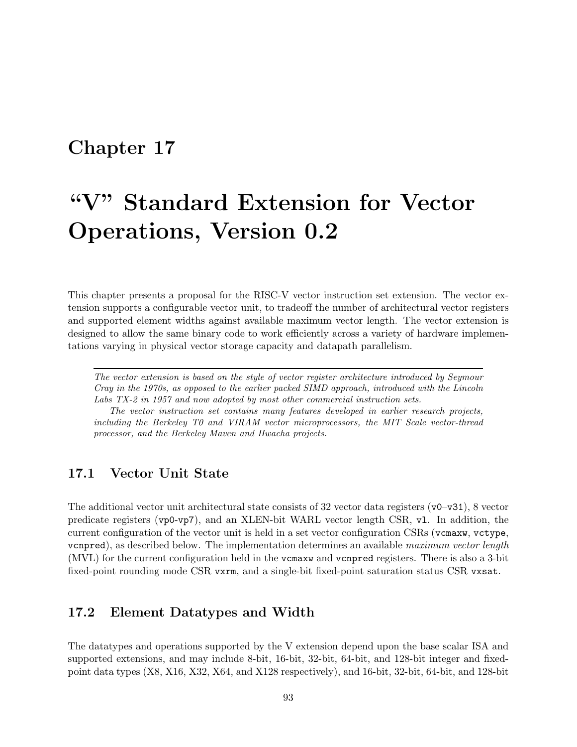# "V" Standard Extension for Vector Operations, Version 0.2

This chapter presents a proposal for the RISC-V vector instruction set extension. The vector extension supports a configurable vector unit, to tradeoff the number of architectural vector registers and supported element widths against available maximum vector length. The vector extension is designed to allow the same binary code to work efficiently across a variety of hardware implementations varying in physical vector storage capacity and datapath parallelism.

The vector extension is based on the style of vector register architecture introduced by Seymour Cray in the 1970s, as opposed to the earlier packed SIMD approach, introduced with the Lincoln Labs TX-2 in 1957 and now adopted by most other commercial instruction sets.

The vector instruction set contains many features developed in earlier research projects, including the Berkeley T0 and VIRAM vector microprocessors, the MIT Scale vector-thread processor, and the Berkeley Maven and Hwacha projects.

### 17.1 Vector Unit State

The additional vector unit architectural state consists of 32 vector data registers  $(v0-v31)$ , 8 vector predicate registers (vp0-vp7), and an XLEN-bit WARL vector length CSR, vl. In addition, the current configuration of the vector unit is held in a set vector configuration CSRs (vcmaxw, vctype, vcnpred), as described below. The implementation determines an available *maximum vector length* (MVL) for the current configuration held in the vcmaxw and vcnpred registers. There is also a 3-bit fixed-point rounding mode CSR vxrm, and a single-bit fixed-point saturation status CSR vxsat.

### 17.2 Element Datatypes and Width

The datatypes and operations supported by the V extension depend upon the base scalar ISA and supported extensions, and may include 8-bit, 16-bit, 32-bit, 64-bit, and 128-bit integer and fixedpoint data types (X8, X16, X32, X64, and X128 respectively), and 16-bit, 32-bit, 64-bit, and 128-bit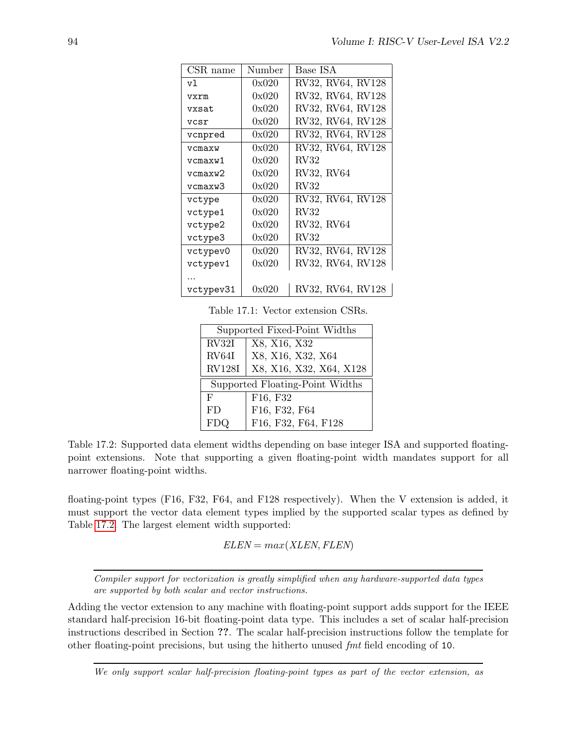| CSR name      | Number | Base ISA          |
|---------------|--------|-------------------|
| v1            | 0x020  | RV32, RV64, RV128 |
| vxrm          | 0x020  | RV32, RV64, RV128 |
| vxsat         | 0x020  | RV32, RV64, RV128 |
| vcsr          | 0x020  | RV32, RV64, RV128 |
| vcnpred       | 0x020  | RV32, RV64, RV128 |
| vcmaxw        | 0x020  | RV32, RV64, RV128 |
| $v$ cmaxw $1$ | 0x020  | RV32              |
| vcmaxw2       | 0x020  | RV32, RV64        |
| vcmaxw3       | 0x020  | RV32              |
| vctype        | 0x020  | RV32, RV64, RV128 |
| vctype1       | 0x020  | RV32              |
| vctype2       | 0x020  | RV32, RV64        |
| vctype3       | 0x020  | RV32              |
| vctypev0      | 0x020  | RV32, RV64, RV128 |
| vctypev1      | 0x020  | RV32, RV64, RV128 |
|               |        |                   |
| vctypev31     | 0x020  | RV32, RV64, RV128 |

<span id="page-105-0"></span>Table 17.1: Vector extension CSRs.

| Supported Fixed-Point Widths |                                 |  |  |  |  |  |
|------------------------------|---------------------------------|--|--|--|--|--|
| RV32I                        | X8, X16, X32                    |  |  |  |  |  |
| RV64I                        | X8, X16, X32, X64               |  |  |  |  |  |
| <b>RV128I</b>                | X8, X16, X32, X64, X128         |  |  |  |  |  |
|                              | Supported Floating-Point Widths |  |  |  |  |  |
| F                            | F16, F32                        |  |  |  |  |  |
| FD.                          | F16, F32, F64                   |  |  |  |  |  |
| FDQ                          | F16, F32, F64, F128             |  |  |  |  |  |

Table 17.2: Supported data element widths depending on base integer ISA and supported floatingpoint extensions. Note that supporting a given floating-point width mandates support for all narrower floating-point widths.

floating-point types (F16, F32, F64, and F128 respectively). When the V extension is added, it must support the vector data element types implied by the supported scalar types as defined by Table [17.2.](#page-105-0) The largest element width supported:

$$
ELEN = max(XLEN, FLEN)
$$

Compiler support for vectorization is greatly simplified when any hardware-supported data types are supported by both scalar and vector instructions.

Adding the vector extension to any machine with floating-point support adds support for the IEEE standard half-precision 16-bit floating-point data type. This includes a set of scalar half-precision instructions described in Section ??. The scalar half-precision instructions follow the template for other floating-point precisions, but using the hitherto unused fmt field encoding of 10.

We only support scalar half-precision floating-point types as part of the vector extension, as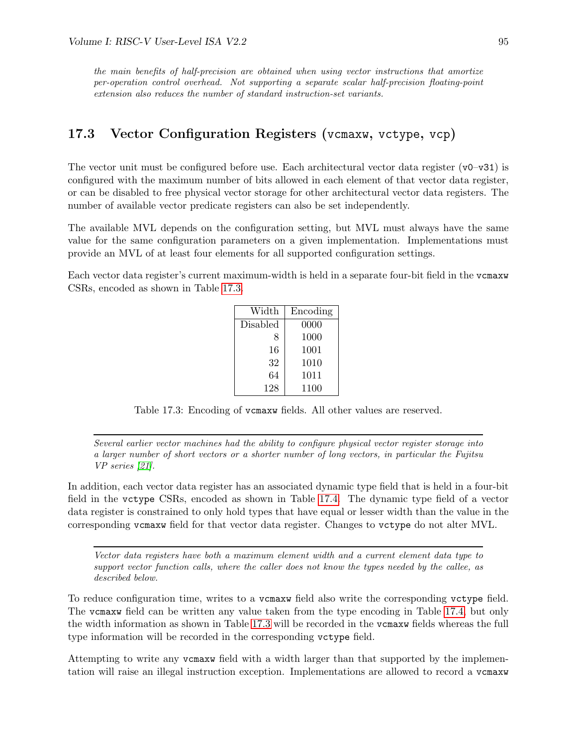the main benefits of half-precision are obtained when using vector instructions that amortize per-operation control overhead. Not supporting a separate scalar half-precision floating-point extension also reduces the number of standard instruction-set variants.

## 17.3 Vector Configuration Registers (vcmaxw, vctype, vcp)

The vector unit must be configured before use. Each architectural vector data register  $(v0-v31)$  is configured with the maximum number of bits allowed in each element of that vector data register, or can be disabled to free physical vector storage for other architectural vector data registers. The number of available vector predicate registers can also be set independently.

The available MVL depends on the configuration setting, but MVL must always have the same value for the same configuration parameters on a given implementation. Implementations must provide an MVL of at least four elements for all supported configuration settings.

Each vector data register's current maximum-width is held in a separate four-bit field in the volumers CSRs, encoded as shown in Table [17.3.](#page-106-0)

<span id="page-106-0"></span>

| Width    | Encoding |
|----------|----------|
| Disabled | 0000     |
| 8        | 1000     |
| 16       | 1001     |
| 32       | 1010     |
| 64       | 1011     |
| 128      | 1100     |

Table 17.3: Encoding of vcmaxw fields. All other values are reserved.

Several earlier vector machines had the ability to configure physical vector register storage into a larger number of short vectors or a shorter number of long vectors, in particular the Fujitsu VP series [\[21\]](#page-143-6).

In addition, each vector data register has an associated dynamic type field that is held in a four-bit field in the vctype CSRs, encoded as shown in Table [17.4.](#page-107-0) The dynamic type field of a vector data register is constrained to only hold types that have equal or lesser width than the value in the corresponding vcmaxw field for that vector data register. Changes to vctype do not alter MVL.

Vector data registers have both a maximum element width and a current element data type to support vector function calls, where the caller does not know the types needed by the callee, as described below.

To reduce configuration time, writes to a vcmaxw field also write the corresponding vctype field. The vcmaxw field can be written any value taken from the type encoding in Table [17.4,](#page-107-0) but only the width information as shown in Table [17.3](#page-106-0) will be recorded in the vcmaxw fields whereas the full type information will be recorded in the corresponding vctype field.

Attempting to write any vcmaxw field with a width larger than that supported by the implementation will raise an illegal instruction exception. Implementations are allowed to record a vcmaxw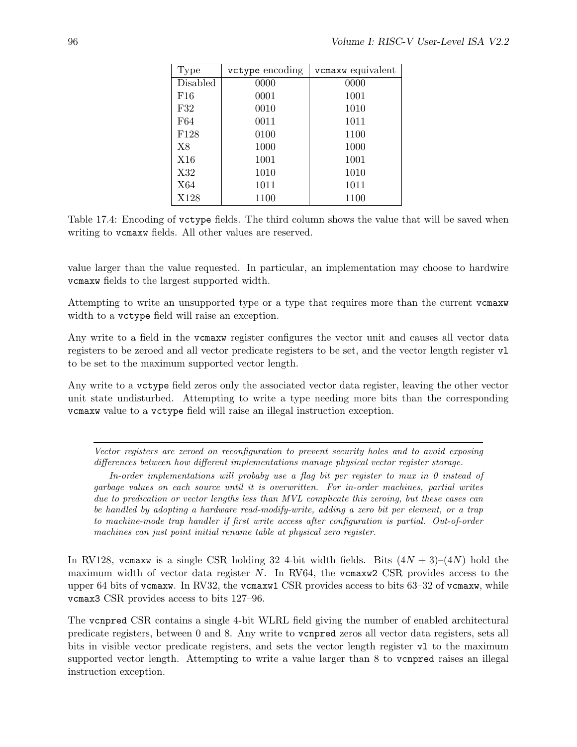<span id="page-107-0"></span>

| <b>Type</b> | vctype encoding | vcmaxw equivalent |
|-------------|-----------------|-------------------|
| Disabled    | 0000            | 0000              |
| F16         | 0001            | 1001              |
| F32         | 0010            | 1010              |
| F64         | 0011            | 1011              |
| F128        | 0100            | 1100              |
| X8          | 1000            | 1000              |
| X16         | 1001            | 1001              |
| X32         | 1010            | 1010              |
| X64         | 1011            | 1011              |
| X128        | 1100            | 1100              |

Table 17.4: Encoding of vctype fields. The third column shows the value that will be saved when writing to vcmaxw fields. All other values are reserved.

value larger than the value requested. In particular, an implementation may choose to hardwire vcmaxw fields to the largest supported width.

Attempting to write an unsupported type or a type that requires more than the current vcmaxw width to a vctype field will raise an exception.

Any write to a field in the vcmaxw register configures the vector unit and causes all vector data registers to be zeroed and all vector predicate registers to be set, and the vector length register vl to be set to the maximum supported vector length.

Any write to a vctype field zeros only the associated vector data register, leaving the other vector unit state undisturbed. Attempting to write a type needing more bits than the corresponding vcmaxw value to a vctype field will raise an illegal instruction exception.

Vector registers are zeroed on reconfiguration to prevent security holes and to avoid exposing differences between how different implementations manage physical vector register storage.

In-order implementations will probaby use a flag bit per register to mux in  $\theta$  instead of garbage values on each source until it is overwritten. For in-order machines, partial writes due to predication or vector lengths less than MVL complicate this zeroing, but these cases can be handled by adopting a hardware read-modify-write, adding a zero bit per element, or a trap to machine-mode trap handler if first write access after configuration is partial. Out-of-order machines can just point initial rename table at physical zero register.

In RV128, vcmaxw is a single CSR holding 32 4-bit width fields. Bits  $(4N + 3)$ – $(4N)$  hold the maximum width of vector data register  $N$ . In RV64, the vcmaxw2 CSR provides access to the upper 64 bits of vcmaxw. In RV32, the vcmaxw1 CSR provides access to bits 63–32 of vcmaxw, while vcmax3 CSR provides access to bits 127–96.

The vcnpred CSR contains a single 4-bit WLRL field giving the number of enabled architectural predicate registers, between 0 and 8. Any write to vcnpred zeros all vector data registers, sets all bits in visible vector predicate registers, and sets the vector length register vl to the maximum supported vector length. Attempting to write a value larger than 8 to vcnpred raises an illegal instruction exception.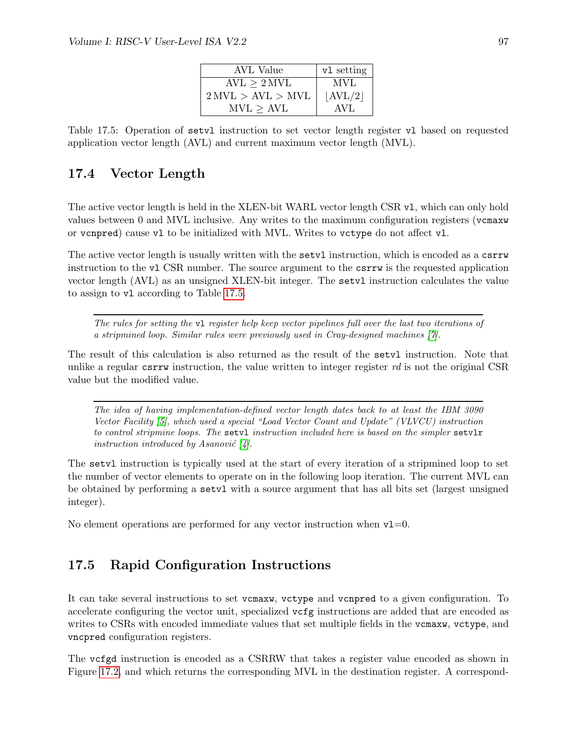<span id="page-108-0"></span>

| AVL Value                                 | v1 setting |
|-------------------------------------------|------------|
| AVL > 2 MVL                               | MVL        |
| $2 \text{ MVL} > \text{AVL} > \text{MVL}$ | AVL/2      |
| MVL > AVL                                 | AVL        |

Table 17.5: Operation of setvl instruction to set vector length register vl based on requested application vector length (AVL) and current maximum vector length (MVL).

#### 17.4 Vector Length

The active vector length is held in the XLEN-bit WARL vector length CSR v1, which can only hold values between 0 and MVL inclusive. Any writes to the maximum configuration registers (vcmaxw or vcnpred) cause vl to be initialized with MVL. Writes to vctype do not affect vl.

The active vector length is usually written with the set v1 instruction, which is encoded as a csrrw instruction to the v1 CSR number. The source argument to the csrrw is the requested application vector length (AVL) as an unsigned XLEN-bit integer. The setvl instruction calculates the value to assign to vl according to Table [17.5.](#page-108-0)

The rules for setting the v1 register help keep vector pipelines full over the last two iterations of a stripmined loop. Similar rules were previously used in Cray-designed machines [\[7\]](#page-142-0).

The result of this calculation is also returned as the result of the **setvi** instruction. Note that unlike a regular csrrw instruction, the value written to integer register  $rd$  is not the original CSR value but the modified value.

The idea of having implementation-defined vector length dates back to at least the IBM 3090 Vector Facility [\[5\]](#page-142-1), which used a special "Load Vector Count and Update" (VLVCU) instruction to control stripmine loops. The setvl instruction included here is based on the simpler setvlr instruction introduced by Asanović  $[4]$ .

The setvl instruction is typically used at the start of every iteration of a stripmined loop to set the number of vector elements to operate on in the following loop iteration. The current MVL can be obtained by performing a setvl with a source argument that has all bits set (largest unsigned integer).

No element operations are performed for any vector instruction when  $v1=0$ .

#### 17.5 Rapid Configuration Instructions

It can take several instructions to set vcmaxw, vctype and vcnpred to a given configuration. To accelerate configuring the vector unit, specialized vcfg instructions are added that are encoded as writes to CSRs with encoded immediate values that set multiple fields in the vcmaxw, vctype, and vncpred configuration registers.

The vcfgd instruction is encoded as a CSRRW that takes a register value encoded as shown in Figure [17.2,](#page-109-0) and which returns the corresponding MVL in the destination register. A correspond-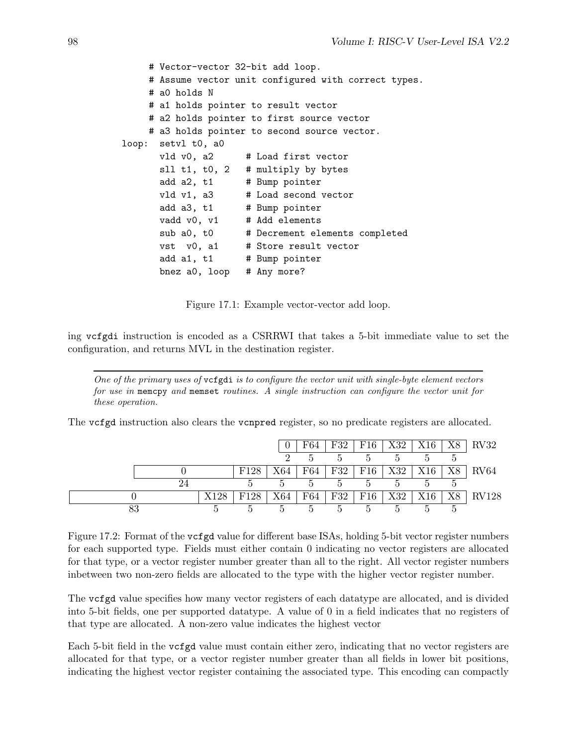| # Vector-vector 32-bit add loop. |                                                     |
|----------------------------------|-----------------------------------------------------|
|                                  | # Assume vector unit configured with correct types. |
| # aO holds N                     |                                                     |
|                                  | # a1 holds pointer to result vector                 |
|                                  | # a2 holds pointer to first source vector           |
|                                  | # a3 holds pointer to second source vector.         |
| loop: setvl t0, a0               |                                                     |
|                                  | vld v0, a2 # Load first vector                      |
|                                  | sll t1, t0, 2 # multiply by bytes                   |
| add a2, t1                       | # Bump pointer                                      |
|                                  | vld v1, a3 # Load second vector                     |
| add a3, t1                       | # Bump pointer                                      |
| vadd v0, v1 # Add elements       |                                                     |
|                                  | sub a0, t0 # Decrement elements completed           |
|                                  | vst v0, a1 # Store result vector                    |
| add a1, t1 # Bump pointer        |                                                     |
| bnez a0, loop # Any more?        |                                                     |
|                                  |                                                     |

Figure 17.1: Example vector-vector add loop.

ing vcfgdi instruction is encoded as a CSRRWI that takes a 5-bit immediate value to set the configuration, and returns MVL in the destination register.

One of the primary uses of vcfgdi is to configure the vector unit with single-byte element vectors for use in memcpy and memset routines. A single instruction can configure the vector unit for these operation.

The vcfgd instruction also clears the vcnpred register, so no predicate registers are allocated.

|    |            |                  |     | F64 | F32 | F16 | X32 | X16 | X8 | RV32         |
|----|------------|------------------|-----|-----|-----|-----|-----|-----|----|--------------|
|    |            |                  |     |     |     |     |     |     |    |              |
|    |            | F128             | X64 | F64 | F32 | F16 | X32 | X16 | X8 | RV64         |
|    |            |                  |     |     |     |     |     |     |    |              |
|    | $\rm X128$ | F <sub>128</sub> | X64 | F64 | F32 | F16 | X32 | X16 | X8 | <b>RV128</b> |
| ວດ |            |                  |     |     |     |     |     |     |    |              |

<span id="page-109-0"></span>Figure 17.2: Format of the vcfgd value for different base ISAs, holding 5-bit vector register numbers for each supported type. Fields must either contain 0 indicating no vector registers are allocated for that type, or a vector register number greater than all to the right. All vector register numbers inbetween two non-zero fields are allocated to the type with the higher vector register number.

The vcfgd value specifies how many vector registers of each datatype are allocated, and is divided into 5-bit fields, one per supported datatype. A value of 0 in a field indicates that no registers of that type are allocated. A non-zero value indicates the highest vector

Each 5-bit field in the vcfgd value must contain either zero, indicating that no vector registers are allocated for that type, or a vector register number greater than all fields in lower bit positions, indicating the highest vector register containing the associated type. This encoding can compactly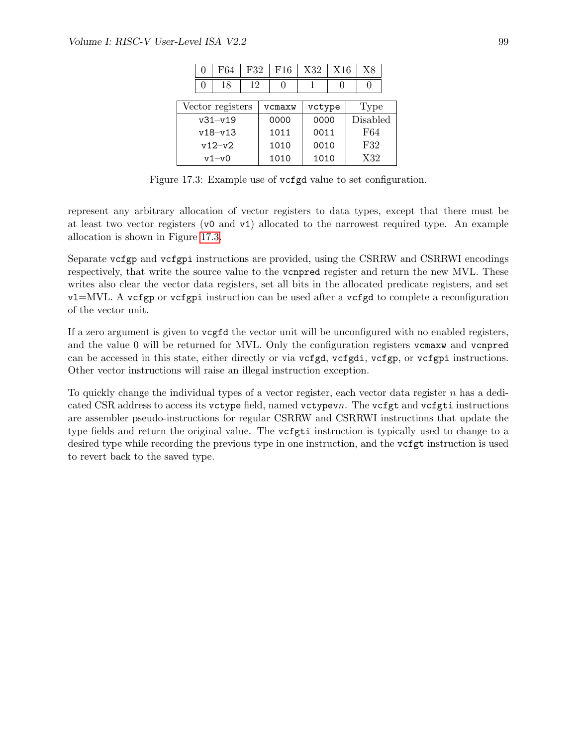<span id="page-110-0"></span>

|                  | 0        | F64       | F32 |  | F16    | X32    | X16 |      | X8       |  |
|------------------|----------|-----------|-----|--|--------|--------|-----|------|----------|--|
|                  | $\theta$ | 18        | 12  |  | 0      |        |     |      |          |  |
|                  |          |           |     |  |        |        |     |      |          |  |
| Vector registers |          |           |     |  | vcmaxw | vctype |     | Type |          |  |
|                  |          | $v31-v19$ |     |  | 0000   | 0000   |     |      | Disabled |  |
| $v18-v13$        |          |           |     |  | 1011   | 0011   |     |      | F64      |  |
|                  |          | $v12-v2$  |     |  | 1010   | 0010   |     | F32  |          |  |
|                  |          | $v1-v0$   |     |  | 1010   | 1010   |     |      |          |  |

Figure 17.3: Example use of vcfgd value to set configuration.

represent any arbitrary allocation of vector registers to data types, except that there must be at least two vector registers  $(v0 \text{ and } v1)$  allocated to the narrowest required type. An example allocation is shown in Figure [17.3.](#page-110-0)

Separate vcfgp and vcfgpi instructions are provided, using the CSRRW and CSRRWI encodings respectively, that write the source value to the vcnpred register and return the new MVL. These writes also clear the vector data registers, set all bits in the allocated predicate registers, and set  $v1=MVL$ . A vcfgp or vcfgpi instruction can be used after a vcfgd to complete a reconfiguration of the vector unit.

If a zero argument is given to vcgfd the vector unit will be unconfigured with no enabled registers, and the value 0 will be returned for MVL. Only the configuration registers vcmaxw and vcnpred can be accessed in this state, either directly or via vcfgd, vcfgdi, vcfgp, or vcfgpi instructions. Other vector instructions will raise an illegal instruction exception.

To quickly change the individual types of a vector register, each vector data register  $n$  has a dedicated CSR address to access its vctype field, named vctypevn. The vcfgt and vcfgti instructions are assembler pseudo-instructions for regular CSRRW and CSRRWI instructions that update the type fields and return the original value. The vcfgti instruction is typically used to change to a desired type while recording the previous type in one instruction, and the vcfgt instruction is used to revert back to the saved type.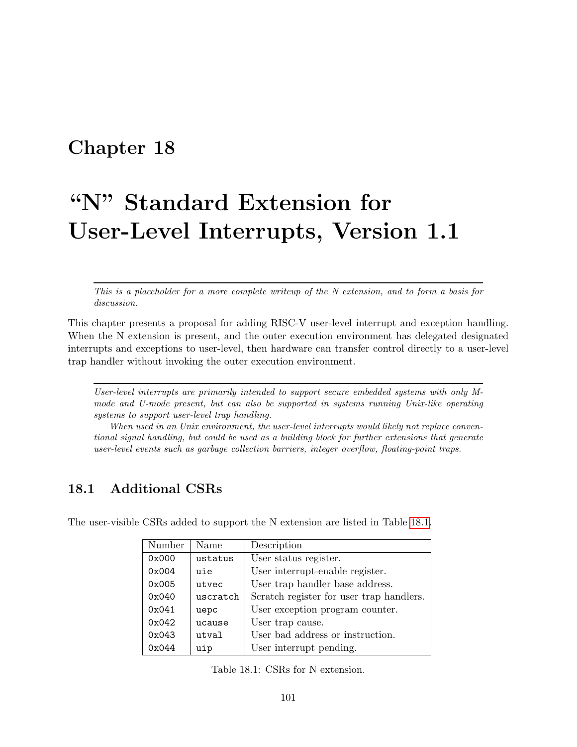# "N" Standard Extension for User-Level Interrupts, Version 1.1

This is a placeholder for a more complete writeup of the N extension, and to form a basis for discussion.

This chapter presents a proposal for adding RISC-V user-level interrupt and exception handling. When the N extension is present, and the outer execution environment has delegated designated interrupts and exceptions to user-level, then hardware can transfer control directly to a user-level trap handler without invoking the outer execution environment.

User-level interrupts are primarily intended to support secure embedded systems with only Mmode and U-mode present, but can also be supported in systems running Unix-like operating systems to support user-level trap handling.

When used in an Unix environment, the user-level interrupts would likely not replace conventional signal handling, but could be used as a building block for further extensions that generate user-level events such as garbage collection barriers, integer overflow, floating-point traps.

### 18.1 Additional CSRs

The user-visible CSRs added to support the N extension are listed in Table [18.1.](#page-112-0)

| Number | Name     | Description                              |
|--------|----------|------------------------------------------|
| 0x000  | ustatus  | User status register.                    |
| 0x004  | uie      | User interrupt-enable register.          |
| 0x005  | utvec    | User trap handler base address.          |
| 0x040  | uscratch | Scratch register for user trap handlers. |
| 0x041  | uepc     | User exception program counter.          |
| 0x042  | ucause   | User trap cause.                         |
| 0x043  | utval    | User bad address or instruction.         |
| 0x044  | uip      | User interrupt pending.                  |

<span id="page-112-0"></span>Table 18.1: CSRs for N extension.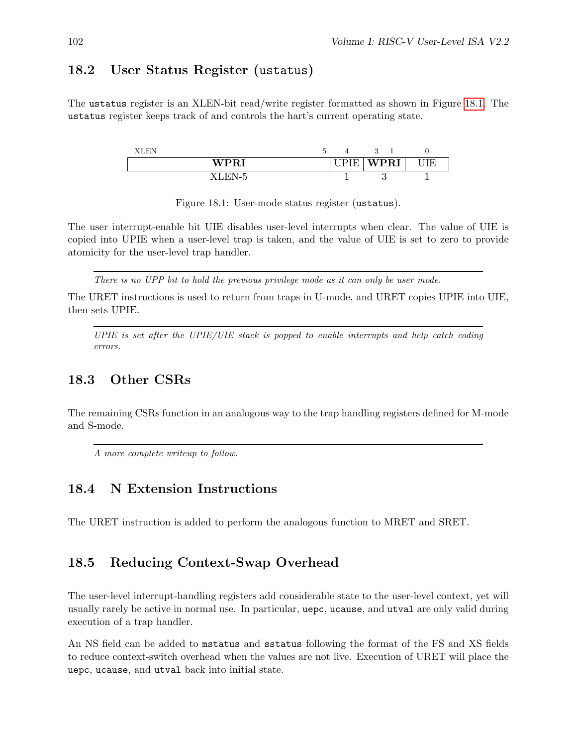#### 18.2 User Status Register (ustatus)

The ustatus register is an XLEN-bit read/write register formatted as shown in Figure [18.1.](#page-113-0) The ustatus register keeps track of and controls the hart's current operating state.

| -<br>YLEN.<br>ð | ಀ                               |  |
|-----------------|---------------------------------|--|
| WPL             | D<br>$\mathbf{M}$<br><b>***</b> |  |
| Η,<br>N-11      |                                 |  |

Figure 18.1: User-mode status register (ustatus).

<span id="page-113-0"></span>The user interrupt-enable bit UIE disables user-level interrupts when clear. The value of UIE is copied into UPIE when a user-level trap is taken, and the value of UIE is set to zero to provide atomicity for the user-level trap handler.

There is no UPP bit to hold the previous privilege mode as it can only be user mode.

The URET instructions is used to return from traps in U-mode, and URET copies UPIE into UIE, then sets UPIE.

UPIE is set after the UPIE/UIE stack is popped to enable interrupts and help catch coding errors.

#### 18.3 Other CSRs

The remaining CSRs function in an analogous way to the trap handling registers defined for M-mode and S-mode.

A more complete writeup to follow.

#### 18.4 N Extension Instructions

The URET instruction is added to perform the analogous function to MRET and SRET.

#### 18.5 Reducing Context-Swap Overhead

The user-level interrupt-handling registers add considerable state to the user-level context, yet will usually rarely be active in normal use. In particular, uepc, ucause, and utval are only valid during execution of a trap handler.

An NS field can be added to mstatus and sstatus following the format of the FS and XS fields to reduce context-switch overhead when the values are not live. Execution of URET will place the uepc, ucause, and utval back into initial state.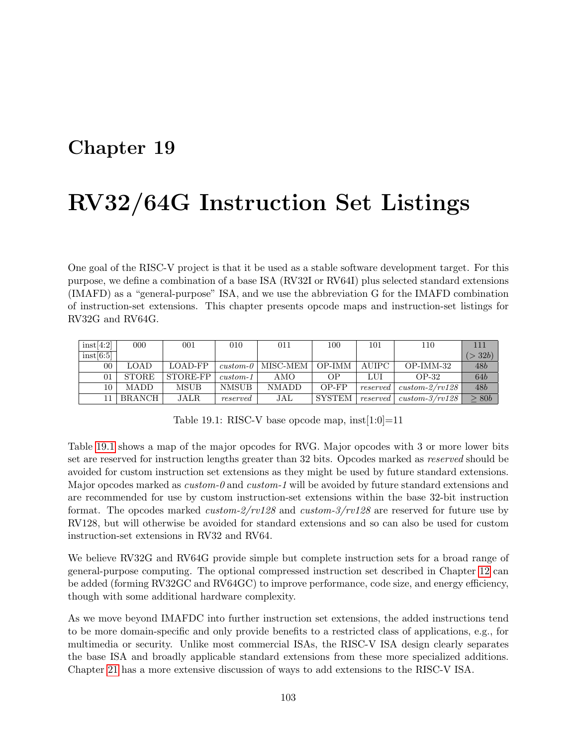# RV32/64G Instruction Set Listings

One goal of the RISC-V project is that it be used as a stable software development target. For this purpose, we define a combination of a base ISA (RV32I or RV64I) plus selected standard extensions (IMAFD) as a "general-purpose" ISA, and we use the abbreviation G for the IMAFD combination of instruction-set extensions. This chapter presents opcode maps and instruction-set listings for RV32G and RV64G.

| inst[4:2] | 000           | 001         | 010                 | 011          | 100    | 101      | 110                     | 111         |
|-----------|---------------|-------------|---------------------|--------------|--------|----------|-------------------------|-------------|
| inst[6:5] |               |             |                     |              |        |          |                         | $\leq$ 32b) |
| $00\,$    | LOAD          | LOAD-FP     | $\textit{custom-0}$ | MISC-MEM     | OP-IMM | AUIPC.   | OP-IMM-32               | 48b         |
| 01        | <b>STORE</b>  | STORE-FP    | $\emph{custom-1}$   | AMO          | OΡ     | LUI      | OP-32                   | <b>64b</b>  |
| 10        | <b>MADD</b>   | <b>MSUB</b> | <b>NMSUB</b>        | <b>NMADD</b> | OP-FP  | reserved | $\it{custom-2/rv128}$   | 48b         |
|           | <b>BRANCH</b> | <b>JALR</b> | reserved            | JAL          | SYSTEM | reserved | $\emph{custom-3/rv128}$ | $\geq 80b$  |

Table 19.1: RISC-V base opcode map,  $inst[1:0] = 11$ 

<span id="page-114-0"></span>Table [19.1](#page-114-0) shows a map of the major opcodes for RVG. Major opcodes with 3 or more lower bits set are reserved for instruction lengths greater than 32 bits. Opcodes marked as reserved should be avoided for custom instruction set extensions as they might be used by future standard extensions. Major opcodes marked as *custom-0* and *custom-1* will be avoided by future standard extensions and are recommended for use by custom instruction-set extensions within the base 32-bit instruction format. The opcodes marked custom-2/rv128 and custom-3/rv128 are reserved for future use by RV128, but will otherwise be avoided for standard extensions and so can also be used for custom instruction-set extensions in RV32 and RV64.

We believe RV32G and RV64G provide simple but complete instruction sets for a broad range of general-purpose computing. The optional compressed instruction set described in Chapter [12](#page-78-0) can be added (forming RV32GC and RV64GC) to improve performance, code size, and energy efficiency, though with some additional hardware complexity.

As we move beyond IMAFDC into further instruction set extensions, the added instructions tend to be more domain-specific and only provide benefits to a restricted class of applications, e.g., for multimedia or security. Unlike most commercial ISAs, the RISC-V ISA design clearly separates the base ISA and broadly applicable standard extensions from these more specialized additions. Chapter [21](#page-124-0) has a more extensive discussion of ways to add extensions to the RISC-V ISA.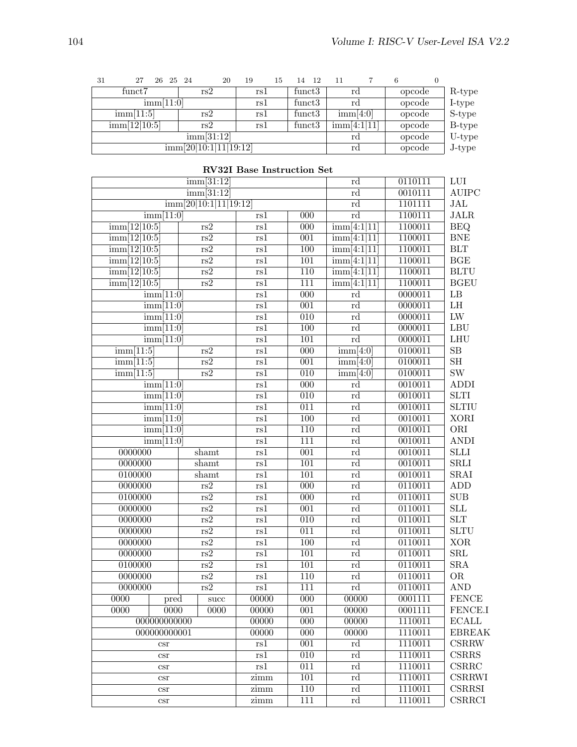| 31 | 27                    |                      | 26 25 24 |                                           | 20 | 19 | 15  | 14     | - 12 | $-11$ |                     |        |           |
|----|-----------------------|----------------------|----------|-------------------------------------------|----|----|-----|--------|------|-------|---------------------|--------|-----------|
|    | funct7                |                      |          | rs2                                       |    |    | rsl | funct3 |      |       | rd                  | opcode | R-type    |
|    |                       | $\mathrm{imm}[11:0]$ |          |                                           |    |    | rs1 | funct3 |      |       | rd                  | opcode | I-type    |
|    | imm[11:5]             |                      |          | rs2                                       |    |    | rsl | funct3 |      |       | $\mathrm{imm}[4:0]$ | opcode | S-type    |
|    | $\text{imm}[12 10:5]$ |                      |          | rs2                                       |    |    | rs1 | funct3 |      |       | imm[4:1 11]         | opcode | B-type    |
|    |                       |                      |          | imm[31:12]                                |    |    |     |        |      |       | rd                  | opcode | $U$ -type |
|    |                       |                      |          | $\overline{\text{imm}[20 10:1 11 19:12]}$ |    |    |     |        |      |       | rd                  | opcode | J-type    |

|                                    |                               |                                             |                    | ILV 921 Dase Theu uction Set |                  |                                 | 0110111 |                               |
|------------------------------------|-------------------------------|---------------------------------------------|--------------------|------------------------------|------------------|---------------------------------|---------|-------------------------------|
|                                    |                               | $\text{imm}[31:12]$                         |                    |                              |                  | rd                              |         | LUI                           |
|                                    |                               | $\overline{\text{imm}[31:12]}$              |                    |                              |                  | rd                              | 0010111 | <b>AUIPC</b>                  |
|                                    |                               | $\overline{\mathrm{imm}[20 10:1 11 19:12]}$ |                    |                              |                  | rd                              | 1101111 | JAL                           |
|                                    | $\overline{\text{imm}[11:0]}$ |                                             |                    | rs1                          | $\overline{000}$ | rd                              | 1100111 | <b>JALR</b>                   |
| $\mathrm{imm}[12 10:5]$            |                               | rs2                                         |                    | rs1                          | $\overline{000}$ | imm[4:1 11]                     | 1100011 | <b>BEQ</b>                    |
| $\overline{\text{imm}[12 10:5]}$   |                               | rs2                                         |                    | rs1                          | $\overline{001}$ | $\overline{\text{imm}[4:1 11]}$ | 1100011 | <b>BNE</b>                    |
| $\overline{\text{imm}[12 10:5]}$   |                               | rs2                                         |                    | rs1                          | 100              | $\overline{\text{imm}[4:1 11]}$ | 1100011 | $\operatorname{BLT}$          |
| $\overline{\text{imm}[12 10:5]}$   |                               | $\overline{\text{rs2}}$                     |                    | rs1                          | $\overline{101}$ | $\overline{\text{imm}[4:1 11]}$ | 1100011 | BGE                           |
| $\overline{\text{imm}[12 10:5]}$   |                               | $\overline{\text{rs2}}$                     |                    | rs1                          | $\overline{110}$ | $\overline{\text{imm}[4:1 11]}$ | 1100011 | <b>BLTU</b>                   |
| $\overline{\mathrm{imm}[12 10:5]}$ |                               | $\overline{\text{rs2}}$                     |                    | rs1                          | $\overline{111}$ | $\overline{\text{imm}[4:1 11]}$ | 1100011 | <b>BGEU</b>                   |
|                                    | $\overline{\text{imm}[11:0]}$ |                                             |                    | rs1                          | $\overline{000}$ | rd                              | 0000011 | $\rm LB$                      |
|                                    | $\overline{\text{imm}[11:0]}$ |                                             |                    | rs1                          | $\overline{001}$ | rd                              | 0000011 | $\mathop{\rm LH}\nolimits$    |
|                                    | $\mathrm{imm}[11:0]$          |                                             |                    | rs1                          | $\overline{010}$ | rd                              | 0000011 | ${\rm LW}$                    |
|                                    | imm[11:0]                     |                                             |                    | rs1                          | 100              | rd                              | 0000011 | LBU                           |
|                                    | $\mathrm{imm}[11:0]$          |                                             |                    | rs1                          | 101              | rd                              | 0000011 | LHU                           |
| $\mathrm{imm}[11:5]$               |                               | rs2                                         |                    | rs1                          | $\overline{000}$ | $\overline{\mathrm{imm}[4:0]}$  | 0100011 | $\rm SB$                      |
| $\overline{\text{imm}[11:5]}$      |                               | $\overline{\text{rs2}}$                     |                    | rs1                          | $\overline{001}$ | $\overline{\text{imm}[4:0]}$    | 0100011 | $\operatorname{SH}$           |
| $\overline{\text{imm}[11:5]}$      |                               | $\overline{\text{rs2}}$                     |                    | rs1                          | $\overline{010}$ | $\overline{\text{imm}[4:0]}$    | 0100011 | $\mathrm{SW}$                 |
|                                    | $\overline{\text{imm}[11:0]}$ |                                             |                    | rs1                          | $\overline{000}$ | rd                              | 0010011 | <b>ADDI</b>                   |
|                                    | $\overline{\text{imm}[11:0]}$ |                                             |                    | rs1                          | $\overline{010}$ | rd                              | 0010011 | <b>SLTI</b>                   |
|                                    | imm[11:0]                     |                                             |                    | rs1                          | $\overline{011}$ | rd                              | 0010011 | <b>SLTIU</b>                  |
|                                    | imm[11:0]                     |                                             |                    | rs1                          | 100              | rd                              | 0010011 | <b>XORI</b>                   |
|                                    | imm[11:0]                     |                                             |                    | rs1                          | 110              | rd                              | 0010011 | ORI                           |
|                                    | imm[11:0]                     |                                             |                    | rs1                          | 111              | $\overline{\text{rd}}$          | 0010011 | <b>ANDI</b>                   |
| 0000000                            |                               | shamt                                       |                    | rs1                          | $\overline{001}$ | $\overline{\text{rd}}$          | 0010011 | <b>SLLI</b>                   |
| 0000000                            |                               | shamt                                       |                    | rs1                          | $\overline{101}$ | $\overline{\text{rd}}$          | 0010011 | <b>SRLI</b>                   |
| 0100000                            |                               | shamt                                       |                    | rs1                          | $\overline{101}$ | $\overline{\text{rd}}$          | 0010011 | <b>SRAI</b>                   |
| 0000000                            |                               | rs2                                         |                    | rs1                          | $\overline{000}$ | $\overline{\text{rd}}$          | 0110011 | <b>ADD</b>                    |
| 0100000                            |                               | rs2                                         |                    | rs1                          | $\overline{000}$ | rd                              | 0110011 | $\rm SUB$                     |
| 0000000                            |                               | rs2                                         |                    | rs1                          | 001              | rd                              | 0110011 | ${\rm SLL}$                   |
| 0000000                            |                               | rs2                                         |                    | rs1                          | 010              | rd                              | 0110011 | SLT                           |
| 0000000                            |                               | rs2                                         |                    | rs1                          | $\overline{011}$ | rd                              | 0110011 | <b>SLTU</b>                   |
| 0000000                            |                               | rs2                                         |                    | rs1                          | 100              | $\overline{\text{rd}}$          | 0110011 | <b>XOR</b>                    |
| 0000000                            |                               | rs2                                         |                    | $\mathrm{rs}1$               | $\overline{101}$ | $\overline{\text{rd}}$          | 0110011 | ${\rm SRL}$                   |
| 0100000                            |                               | $\overline{\text{rs2}}$                     |                    | $\mathrm{rs}1$               | 101              | $\overline{\text{rd}}$          | 0110011 | SRA                           |
| 0000000                            |                               | $\overline{\mathrm{rs}2}$                   |                    | rs1                          | $\overline{110}$ | rd                              | 0110011 | <b>OR</b>                     |
| 0000000                            |                               | rs2                                         |                    | rs1                          | $\overline{111}$ | rd                              | 0110011 | <b>AND</b>                    |
| 0000                               | pred                          |                                             | $_{\mathrm{succ}}$ | 00000                        | 000              | 00000                           | 0001111 | ${\rm FENCE}$                 |
| 0000                               | 0000                          |                                             | 0000               | 00000                        | 001              | 00000                           | 0001111 | FENCE.I                       |
|                                    | 000000000000                  |                                             |                    | 00000                        | 000              | 00000                           | 1110011 | <b>ECALL</b>                  |
|                                    | 000000000001                  |                                             |                    | 00000                        | 000              | 00000                           | 1110011 | <b>EBREAK</b>                 |
|                                    | $\operatorname{csr}$          |                                             |                    | rs1                          | 001              | rd                              | 1110011 | <b>CSRRW</b>                  |
|                                    | $\operatorname{csr}$          |                                             |                    | rs1                          | 010              | rd                              | 1110011 | CSRRS                         |
|                                    | $\operatorname{csr}$          |                                             |                    | rs1                          | 011              | rd                              | 1110011 | $\ensuremath{\mathrm{CSRRC}}$ |
|                                    | $\operatorname{csr}$          |                                             |                    | zimm                         | 101              | rd                              | 1110011 | <b>CSRRWI</b>                 |
|                                    | $\operatorname{csr}$          |                                             |                    | zimm                         | 110              | rd                              | 1110011 | <b>CSRRSI</b>                 |
|                                    | $\operatorname{csr}$          |                                             |                    | zimm                         | 111              | rd                              | 1110011 | <b>CSRRCI</b>                 |

#### RV32I Base Instruction Set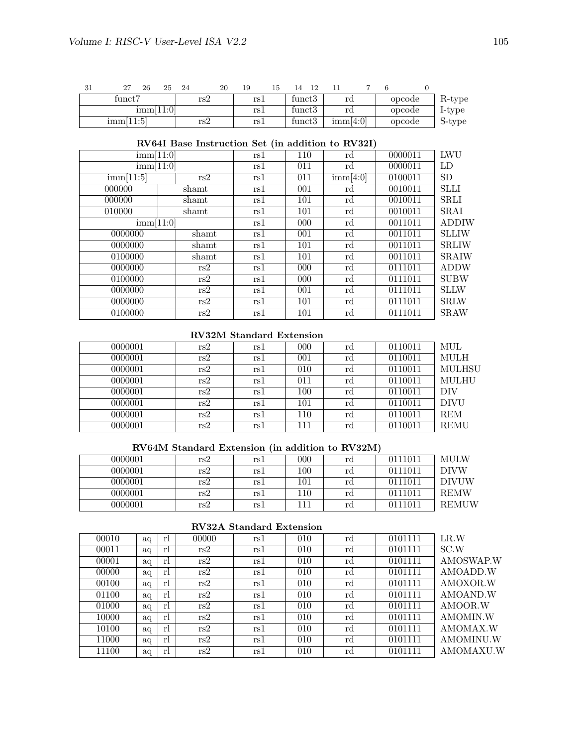| - 01 |                      | 26        | 25 | 24 |     | 20 | 19  |        | 12 |          |  |        |        |
|------|----------------------|-----------|----|----|-----|----|-----|--------|----|----------|--|--------|--------|
|      | funct7               |           |    |    | rs2 |    | rsi | funct3 |    | rd       |  | opcode | R-type |
|      |                      | imm[11:0] |    |    |     |    | rsl | funct3 |    | rd       |  | opcode | 1-type |
|      | $\mathrm{imm}[11:5]$ |           |    |    | rs2 |    | rs1 | funct3 |    | imm[4:0] |  | opcode | S-type |

| imm[11:0] |       | rs1 | 110 | rd                  | 0000011 | LWU          |
|-----------|-------|-----|-----|---------------------|---------|--------------|
| imm[11:0] |       | rs1 | 011 | rd                  | 0000011 | LD           |
| imm[11:5] | rs2   | rs1 | 011 | $\mathrm{imm}[4:0]$ | 0100011 | <b>SD</b>    |
| 000000    | shamt | rs1 | 001 | rd                  | 0010011 | <b>SLLI</b>  |
| 000000    | shamt | rs1 | 101 | rd                  | 0010011 | <b>SRLI</b>  |
| 010000    | shamt | rs1 | 101 | rd                  | 0010011 | <b>SRAI</b>  |
| imm[11:0] |       | rs1 | 000 | rd                  | 0011011 | <b>ADDIW</b> |
| 0000000   | shamt | rs1 | 001 | rd                  | 0011011 | <b>SLLIW</b> |
| 0000000   | shamt | rs1 | 101 | rd                  | 0011011 | <b>SRLIW</b> |
| 0100000   | shamt | rs1 | 101 | rd                  | 0011011 | <b>SRAIW</b> |
| 0000000   | rs2   | rs1 | 000 | rd                  | 0111011 | <b>ADDW</b>  |
| 0100000   | rs2   | rs1 | 000 | rd                  | 0111011 | <b>SUBW</b>  |
| 0000000   | rs2   | rs1 | 001 | rd                  | 0111011 | <b>SLLW</b>  |
| 0000000   | rs2   |     | 101 | rd                  | 0111011 | <b>SRLW</b>  |
| 0100000   | rs2   | rs1 | 101 | rd                  | 0111011 | <b>SRAW</b>  |

RV64I Base Instruction Set (in addition to RV32I)

#### RV32M Standard Extension

| 0000001 | rs2 | rs1 | 000 | rd | 0110011 | MUL           |
|---------|-----|-----|-----|----|---------|---------------|
| 0000001 | rs2 | rs1 | 001 | rd | 0110011 | MULH          |
| 0000001 | rs2 | rs1 | 010 | rd | 0110011 | <b>MULHSU</b> |
| 0000001 | rs2 | rs1 | 011 | rd | 0110011 | <b>MULHU</b>  |
| 0000001 | rs2 | rsl | 100 | rd | 0110011 | DIV           |
| 0000001 | rs2 | rs1 | 101 | rd | 0110011 | <b>DIVU</b>   |
| 0000001 | rs2 | rs1 | 110 | rd | 0110011 | <b>REM</b>    |
| 0000001 | rs2 | rs1 | 111 | rd | 0110011 | REMU          |

| RV64M Standard Extension (in addition to RV32M) |  |  |
|-------------------------------------------------|--|--|
|-------------------------------------------------|--|--|

| 0000001 | rs2 | rs1 | 000 | rd | 0111011 | MULW        |
|---------|-----|-----|-----|----|---------|-------------|
| 0000001 | rs2 | rs1 | 100 | rd | 0111011 | DIVW        |
| 0000001 | rs2 | rs1 | 101 | ra | 0111011 | DIVUW       |
| 0000001 | rs2 | rs1 | .10 | rd | 0111011 | <b>REMW</b> |
| 0000001 | rs2 | rs1 |     | ro | 0111011 | REMUW       |

#### RV32A Standard Extension

| 00010 | aq | rl | 00000 | rs1 | 010 | rd | 0101111 | LR.W      |
|-------|----|----|-------|-----|-----|----|---------|-----------|
| 00011 | aq | rl | rs2   | rs1 | 010 | rd | 0101111 | SC.W      |
| 00001 | aq | rl | rs2   | rs1 | 010 | rd | 0101111 | AMOSWAP.W |
| 00000 | aq | rl | rs2   | rs1 | 010 | rd | 0101111 | AMOADD.W  |
| 00100 | aq | rl | rs2   | rs1 | 010 | rd | 0101111 | AMOXOR.W  |
| 01100 | aq | rl | rs2   | rs1 | 010 | rd | 0101111 | AMOAND.W  |
| 01000 | aq | rl | rs2   | rs1 | 010 | rd | 0101111 | AMOOR.W   |
| 10000 | aq | rl | rs2   | rs1 | 010 | rd | 0101111 | AMOMIN.W  |
| 10100 | aq | rl | rs2   | rs1 | 010 | rd | 0101111 | AMOMAX.W  |
| 11000 | aq | rl | rs2   | rs1 | 010 | rd | 0101111 | AMOMINU.W |
| 11100 | aq | rl | rs2   | rs1 | 010 | rd | 0101111 | AMOMAXU.W |
|       |    |    |       |     |     |    |         |           |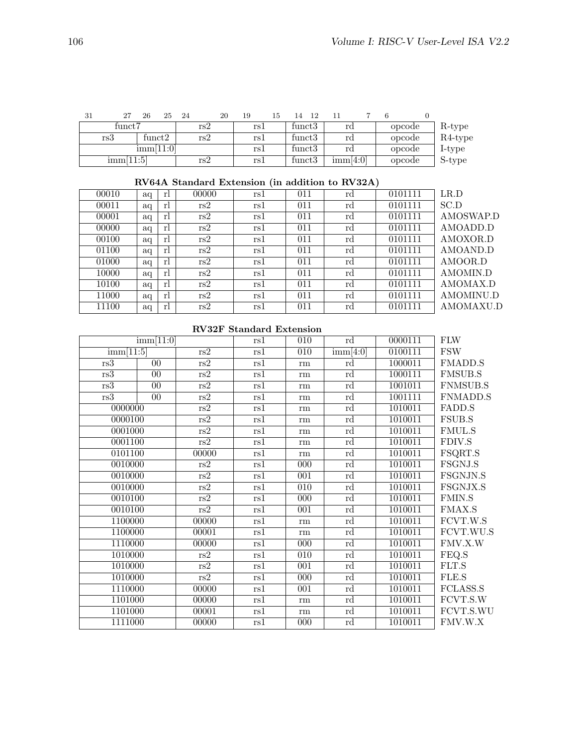| -31 | 27        | 26        | 25 | 24 |     | 20 | 19  | 15 | -14    | $-12$ |                   |        |            |
|-----|-----------|-----------|----|----|-----|----|-----|----|--------|-------|-------------------|--------|------------|
|     | funct7    |           |    |    | rs2 |    | rsl |    | funct3 |       | rd                | opcode | R-type     |
|     | rs3       | funct2    |    |    | rs2 |    | rsl |    | funct3 |       | rd                | opcode | $R4$ -type |
|     |           | imm[11:0] |    |    |     |    | rsl |    | funct3 |       | rd                | opcode | I-type     |
|     | imm[11:5] |           |    |    | rs2 |    | rsl |    | funct3 |       | $\text{imm}[4:0]$ | opcode | S-type     |

#### RV64A Standard Extension (in addition to RV32A)

| 00010 | aq | rl             | 00000 | rs1 | 011 | rd | 0101111 | LR.D      |
|-------|----|----------------|-------|-----|-----|----|---------|-----------|
| 00011 | aq | rl             | rs2   | rs1 | 011 | rd | 0101111 | SC.D      |
| 00001 | aq | rl             | rs2   | rs1 | 011 | rd | 0101111 | AMOSWAP.D |
| 00000 | aq | rl             | rs2   | rs1 | 011 | rd | 0101111 | AMOADD.D  |
| 00100 | aq | rl             | rs2   | rs1 | 011 | rd | 0101111 | AMOXOR.D  |
| 01100 | aq | rl             | rs2   | rs1 | 011 | rd | 0101111 | AMOAND.D  |
| 01000 | aq | rl             | rs2   | rs1 | 011 | rd | 0101111 | AMOOR.D   |
| 10000 | aq | rl             | rs2   | rs1 | 011 | rd | 0101111 | AMOMIN.D  |
| 10100 | aq | rl             | rs2   | rs1 | 011 | rd | 0101111 | AMOMAX.D  |
| 11000 | aq | r <sup>1</sup> | rs2   | rs1 | 011 | rd | 0101111 | AMOMINU.D |
| 11100 | aq | rl             | rs2   | rs1 | 011 | rd | 0101111 | AMOMAXU.D |
|       |    |                |       |     |     |    |         |           |

|                               | imm[11:0]       |                | rs1 | 010              | rd                  | 0000111 | <b>FLW</b>      |
|-------------------------------|-----------------|----------------|-----|------------------|---------------------|---------|-----------------|
| $\overline{\text{imm}[11:5]}$ |                 | rs2            | rs1 | 010              | $\mathrm{imm}[4:0]$ | 0100111 | <b>FSW</b>      |
| rs3                           | $\overline{00}$ | rs2            | rs1 | $\rm{rm}$        | rd                  | 1000011 | <b>FMADD.S</b>  |
| rs3                           | $\overline{00}$ | rs2            | rs1 | rm               | rd                  | 1000111 | <b>FMSUB.S</b>  |
| rs3                           | $00\,$          | $\mathrm{rs}2$ | rs1 | rm               | rd                  | 1001011 | <b>FNMSUB.S</b> |
| rs3                           | 00              | rs2            | rs1 | rm               | rd                  | 1001111 | <b>FNMADD.S</b> |
| 0000000                       |                 | rs2            | rs1 | rm               | rd                  | 1010011 | FADD.S          |
| 0000100                       |                 | $\rm rs2$      | rs1 | rm               | rd                  | 1010011 | <b>FSUB.S</b>   |
| 0001000                       |                 | rs2            | rs1 | rm               | rd                  | 1010011 | <b>FMUL.S</b>   |
| 0001100                       |                 | rs2            | rs1 | rm               | rd                  | 1010011 | FDIV.S          |
| 0101100                       |                 | 00000          | rs1 | $\rm{rm}$        | rd                  | 1010011 | FSQRT.S         |
| 0010000                       |                 | rs2            | rs1 | 000              | rd                  | 1010011 | FSGNJ.S         |
| 0010000                       |                 | rs2            | rs1 | $\overline{001}$ | rd                  | 1010011 | FSGNJN.S        |
| 0010000                       |                 | rs2            | rs1 | $\overline{010}$ | rd                  | 1010011 | FSGNJX.S        |
| 0010100                       |                 | rs2            | rs1 | $\overline{000}$ | rd                  | 1010011 | <b>FMIN.S</b>   |
| 0010100                       |                 | rs2            | rs1 | 001              | rd                  | 1010011 | <b>FMAX.S</b>   |
| 1100000                       |                 | 00000          | rs1 | rm               | rd                  | 1010011 | FCVT.W.S        |
| 1100000                       |                 | 00001          | rs1 | rm               | rd                  | 1010011 | FCVT.WU.S       |
| 1110000                       |                 | 00000          | rs1 | 000              | rd                  | 1010011 | FMV.X.W         |
| 1010000                       |                 | rs2            | rs1 | 010              | rd                  | 1010011 | FEQ.S           |
| 1010000                       |                 | rs2            | rs1 | 001              | rd                  | 1010011 | FLT.S           |
| 1010000                       |                 | rs2            | rs1 | $\overline{000}$ | rd                  | 1010011 | FLE.S           |
| 1110000                       |                 | 00000          | rs1 | 001              | rd                  | 1010011 | FCLASS.S        |
| 1101000                       |                 | 00000          | rs1 | rm               | rd                  | 1010011 | FCVT.S.W        |
| 1101000                       |                 | 00001          | rs1 | rm               | rd                  | 1010011 | FCVT.S.WU       |
| 1111000                       |                 | 00000          | rs1 | 000              | rd                  | 1010011 | FMV.W.X         |

#### RV32F Standard Extension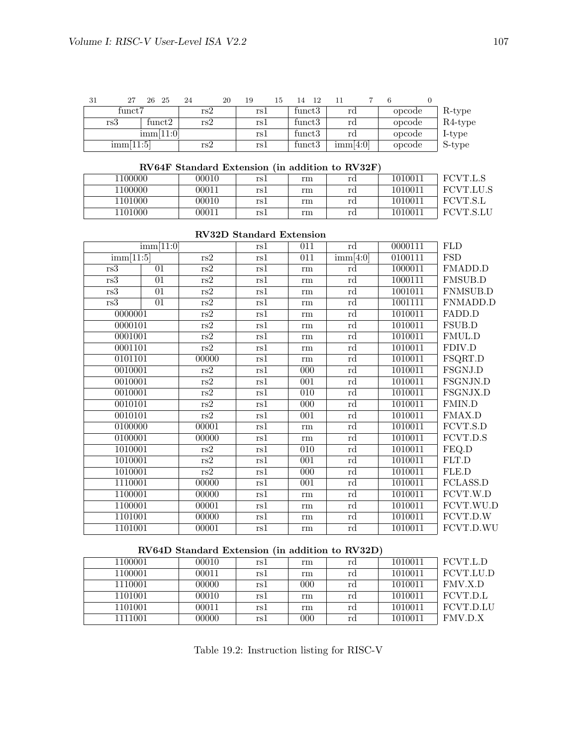|     |           | 26        | 25                | 24  | 20 | 19   | 15 |        |                   |  |        |            |
|-----|-----------|-----------|-------------------|-----|----|------|----|--------|-------------------|--|--------|------------|
|     | funct7    |           |                   | rs2 |    | rsl  |    | funct3 | rd                |  | opcode | R-type     |
| rs3 |           |           | $\mathrm{funct2}$ | rs2 |    | rs1  |    | funct3 | rd                |  | opcode | $R4$ -type |
|     |           | imm[11:0] |                   |     |    | rs 1 |    | funct3 | rd                |  | opcode | I-type     |
|     | imm[11:5] |           |                   | rs2 |    | rsl  |    | funct3 | $\text{imm}[4:0]$ |  | opcode | S-type     |

#### RV64F Standard Extension (in addition to RV32F)

| 1100000 | 00010 | rs1 | rm | rd | 1010011 | FCVT.L.S  |
|---------|-------|-----|----|----|---------|-----------|
| 1100000 | 00011 | rs1 | rm | rd | 1010011 | FCVT.LU.S |
| 1101000 | 00010 | rs1 | rm | rd | 1010011 | FCVT.S.L  |
| 1101000 | 00011 | rs1 | rm | rd | 1010011 | FCVT.S.LU |

#### RV32D Standard Extension

|           | $\overline{\text{imm}[11:0]}$ |       | rs1 | 011              | rd                     | 0000111 | ${\rm FLD}$                 |
|-----------|-------------------------------|-------|-----|------------------|------------------------|---------|-----------------------------|
| imm[11:5] |                               | rs2   | rs1 | 011              | $\mathrm{imm}[4:0]$    | 0100111 | $\ensuremath{\mathsf{FSD}}$ |
| rs3       | 01                            | rs2   | rs1 | rm               | rd                     | 1000011 | FMADD.D                     |
| rs3       | 01                            | rs2   | rs1 | rm               | rd                     | 1000111 | FMSUB.D                     |
| rs3       | $\overline{01}$               | rs2   | rs1 | rm               | rd                     | 1001011 | FNMSUB.D                    |
| rs3       | $\overline{01}$               | rs2   | rs1 | rm               | rd                     | 1001111 | FNMADD.D                    |
| 0000001   |                               | rs2   | rs1 | rm               | rd                     | 1010011 | FADD.D                      |
| 0000101   |                               | rs2   | rs1 | rm               | rd                     | 1010011 | FSUB.D                      |
| 0001001   |                               | rs2   | rs1 | rm               | rd                     | 1010011 | FMUL.D                      |
| 0001101   |                               | rs2   | rs1 | rm               | rd                     | 1010011 | FDIV.D                      |
| 0101101   |                               | 00000 | rs1 | rm               | rd                     | 1010011 | FSQRT.D                     |
| 0010001   |                               | rs2   | rs1 | 000              | rd                     | 1010011 | FSGNJ.D                     |
| 0010001   |                               | rs2   | rs1 | 001              | rd                     | 1010011 | FSGNJN.D                    |
| 0010001   |                               | rs2   | rs1 | 010              | rd                     | 1010011 | FSGNJX.D                    |
| 0010101   |                               | rs2   | rs1 | $\overline{000}$ | $\overline{\text{rd}}$ | 1010011 | FMIN.D                      |
| 0010101   |                               | rs2   | rs1 | $\overline{001}$ | rd                     | 1010011 | FMAX.D                      |
| 0100000   |                               | 00001 | rs1 | rm               | rd                     | 1010011 | FCVT.S.D                    |
| 0100001   |                               | 00000 | rs1 | rm               | rd                     | 1010011 | FCVT.D.S                    |
| 1010001   |                               | rs2   | rs1 | $\overline{010}$ | rd                     | 1010011 | FEQ.D                       |
| 1010001   |                               | rs2   | rs1 | 001              | rd                     | 1010011 | FLT.D                       |
| 1010001   |                               | rs2   | rs1 | 000              | rd                     | 1010011 | FLE.D                       |
| 1110001   |                               | 00000 | rs1 | $\overline{001}$ | rd                     | 1010011 | FCLASS.D                    |
| 1100001   |                               | 00000 | rs1 | rm               | rd                     | 1010011 | FCVT.W.D                    |
| 1100001   |                               | 00001 | rs1 | rm               | rd                     | 1010011 | FCVT.WU.D                   |
| 1101001   |                               | 00000 | rs1 | rm               | rd                     | 1010011 | FCVT.D.W                    |
| 1101001   |                               | 00001 | rs1 | rm               | rd                     | 1010011 | FCVT.D.WU                   |

#### RV64D Standard Extension (in addition to RV32D)

| 1100001 | 00010 | rs l | rm  | rd | 1010011 | FCVT.L.D  |
|---------|-------|------|-----|----|---------|-----------|
| 1100001 | 00011 | rs l | rm  | rd | 1010011 | FCVT.LU.D |
| 1110001 | 00000 | rs l | 000 | rd | 1010011 | FMV.X.D   |
| 1101001 | 00010 | rs1  | rm  | rd | 1010011 | FCVT.D.L  |
| 1101001 | 00011 | rs1  | rm  | rd | 1010011 | FCVT.D.LU |
| 1111001 | 00000 | rs l | 000 | rd | 1010011 | FMV.D.X   |

Table 19.2: Instruction listing for RISC-V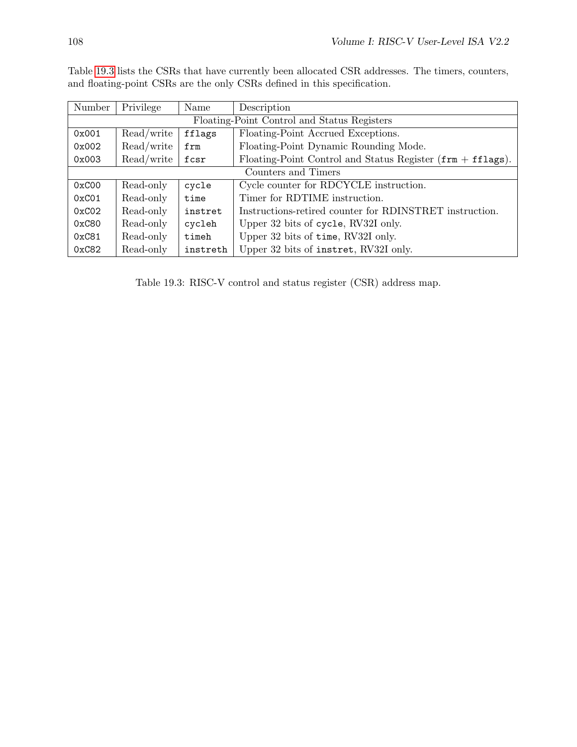| Number | Privilege  | Name     | Description                                                                     |
|--------|------------|----------|---------------------------------------------------------------------------------|
|        |            |          | Floating-Point Control and Status Registers                                     |
| 0x001  | Read/write | fflags   | Floating-Point Accrued Exceptions.                                              |
| 0x002  | Read/write | frm      | Floating-Point Dynamic Rounding Mode.                                           |
| 0x003  | Read/write | fcsr     | Floating-Point Control and Status Register $(f\mathbf{rm} + ff\mathbf{lags})$ . |
|        |            |          | Counters and Timers                                                             |
| 0xC00  | Read-only  | cycle    | Cycle counter for RDCYCLE instruction.                                          |
| 0xC01  | Read-only  | time     | Timer for RDTIME instruction.                                                   |
| 0xC02  | Read-only  | instret  | Instructions-retired counter for RDINSTRET instruction.                         |
| 0xC80  | Read-only  | cycleh   | Upper 32 bits of cycle, RV32I only.                                             |
| 0xC81  | Read-only  | timeh    | Upper 32 bits of time, RV32I only.                                              |
| 0xC82  | Read-only  | instreth | Upper 32 bits of instret, RV32I only.                                           |

Table [19.3](#page-119-0) lists the CSRs that have currently been allocated CSR addresses. The timers, counters, and floating-point CSRs are the only CSRs defined in this specification.

<span id="page-119-0"></span>Table 19.3: RISC-V control and status register (CSR) address map.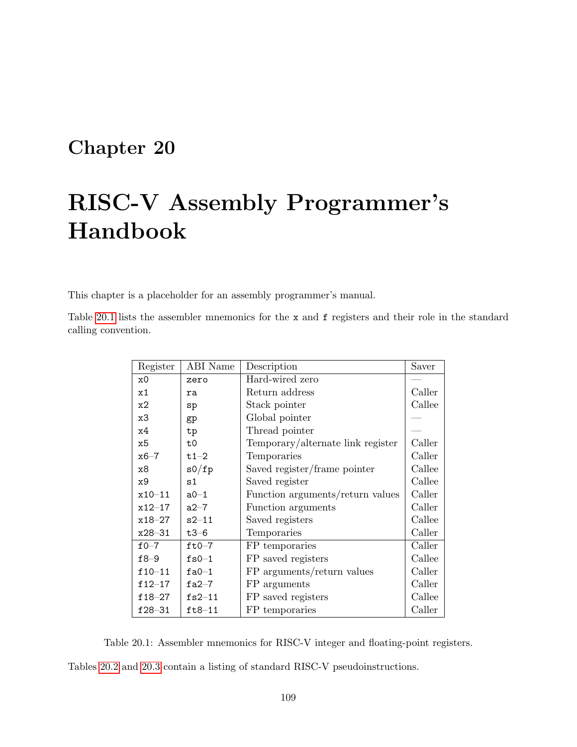# RISC-V Assembly Programmer's Handbook

This chapter is a placeholder for an assembly programmer's manual.

Table [20.1](#page-120-0) lists the assembler mnemonics for the x and f registers and their role in the standard calling convention.

| Register   | <b>ABI</b> Name | Description                       | Saver  |
|------------|-----------------|-----------------------------------|--------|
| x0         | zero            | Hard-wired zero                   |        |
| х1         | ra              | Return address                    | Caller |
| х2         | sp              | Stack pointer                     | Callee |
| x3         | gp              | Global pointer                    |        |
| x4         | tp              | Thread pointer                    |        |
| x5         | t0              | Temporary/alternate link register | Caller |
| $x6-7$     | $t1-2$          | Temporaries                       | Caller |
| х8         | s0/fp           | Saved register/frame pointer      | Callee |
| x9         | s1              | Saved register                    | Callee |
| $x10 - 11$ | $a0-1$          | Function arguments/return values  | Caller |
| $x12 - 17$ | a2–7            | Function arguments                | Caller |
| $x18 - 27$ | $s2 - 11$       | Saved registers                   | Callee |
| x28-31     | $t3-6$          | Temporaries                       | Caller |
| $f0-7$     | $ft0-7$         | FP temporaries                    | Caller |
| $f8-9$     | $fs0-1$         | FP saved registers                | Callee |
| $f10-11$   | $fa0-1$         | FP arguments/return values        | Caller |
| $f12 - 17$ | $fa2-7$         | FP arguments                      | Caller |
| $f18 - 27$ | $fs2-11$        | FP saved registers                | Callee |
| $f28 - 31$ | $ft8-11$        | FP temporaries                    | Caller |
|            |                 |                                   |        |

<span id="page-120-0"></span>Table 20.1: Assembler mnemonics for RISC-V integer and floating-point registers. Tables [20.2](#page-121-0) and [20.3](#page-122-0) contain a listing of standard RISC-V pseudoinstructions.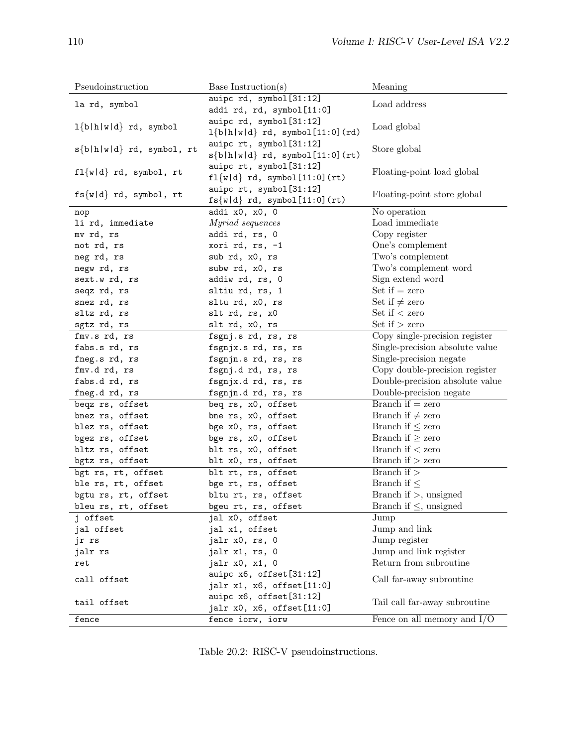| Pseudoinstruction           | Base Instruction(s)                  |                                 |  |
|-----------------------------|--------------------------------------|---------------------------------|--|
| la rd, symbol               | auipc rd, symbol[31:12]              | Load address                    |  |
|                             | addi rd, rd, symbol[11:0]            |                                 |  |
| $1{b h w d}$ rd, symbol     | auipc rd, symbol [31:12]             | Load global                     |  |
|                             | $1{b h w d}$ rd, symbol $[11:0](rd)$ |                                 |  |
| $s{b h w d}$ rd, symbol, rt | auipc rt, symbol[31:12]              | Store global                    |  |
|                             | $s{b h w d}$ rd, symbol [11:0] (rt)  |                                 |  |
|                             | auipc rt, symbol [31:12]             |                                 |  |
| $f1\{w d\}$ rd, symbol, rt  | $f1\{w d\}$ rd, symbol $[11:0](rt)$  | Floating-point load global      |  |
|                             | auipc rt, symbol[31:12]              |                                 |  |
| $fs{w d}$ rd, symbol, rt    | $fs{w d} rd, symbol[11:0](rt)$       | Floating-point store global     |  |
| nop                         | addi x0, x0, 0                       | No operation                    |  |
| li rd, immediate            | Myriad sequences                     | Load immediate                  |  |
| mv rd, rs                   | addi rd, rs, 0                       | Copy register                   |  |
| not rd, rs                  | xori rd, rs, -1                      | One's complement                |  |
| neg rd, rs                  | sub rd, x0, rs                       | Two's complement                |  |
| negw rd, rs                 | subw rd, x0, rs                      | Two's complement word           |  |
| sext.w rd, rs               | addiw rd, rs, 0                      | Sign extend word                |  |
| seqz rd, rs                 | sltiu rd, rs, 1                      | Set if $=$ zero                 |  |
| snez rd, rs                 | sltu rd, x0, rs                      | Set if $\neq$ zero              |  |
| sltz rd, rs                 | slt rd, rs, x0                       | Set if $\langle$ zero           |  |
| sgtz rd, rs                 | slt rd, x0, rs                       | Set if $>$ zero                 |  |
| fmv.s rd, rs                | fsgnj.s rd, rs, rs                   | Copy single-precision register  |  |
| fabs.s rd, rs               | fsgnjx.s rd, rs, rs                  | Single-precision absolute value |  |
| fneg.s rd, rs               | fsgnjn.s rd, rs, rs                  | Single-precision negate         |  |
| fmv.d rd, rs                | fsgnj.d rd, rs, rs                   | Copy double-precision register  |  |
| fabs.d rd, rs               | fsgnjx.d rd, rs, rs                  | Double-precision absolute value |  |
| fneg.d rd, rs               | fsgnjn.d rd, rs, rs                  | Double-precision negate         |  |
| beqz rs, offset             | beq rs, x0, offset                   | Branch if $=$ zero              |  |
| bnez rs, offset             | bne rs, x0, offset                   | Branch if $\neq$ zero           |  |
| blez rs, offset             | bge x0, rs, offset                   | Branch if $\leq$ zero           |  |
| bgez rs, offset             | bge rs, x0, offset                   | Branch if $\geq$ zero           |  |
| bltz rs, offset             | blt rs, x0, offset                   | Branch if $\langle$ zero        |  |
| bgtz rs, offset             | blt x0, rs, offset                   | Branch if $>$ zero              |  |
| bgt rs, rt, offset          | blt rt, rs, offset                   | Branch if $>$                   |  |
| ble rs, rt, offset          | bge rt, rs, offset                   | Branch if $\leq$                |  |
| bgtu rs, rt, offset         | bltu rt, rs, offset                  | Branch if $>$ , unsigned        |  |
| bleu rs, rt, offset         | bgeu rt, rs, offset                  | Branch if $\leq$ , unsigned     |  |
| j offset                    | jal x0, offset                       | Jump                            |  |
| jal offset                  | jal x1, offset                       | Jump and link                   |  |
| jr rs                       | jalr x0, rs, 0                       | Jump register                   |  |
| jalr rs                     | jalr x1, rs, 0                       | Jump and link register          |  |
| ret                         | jalr x0, x1, 0                       | Return from subroutine          |  |
|                             | auipc x6, offset[31:12]              |                                 |  |
| call offset                 | jalr x1, x6, offset[11:0]            | Call far-away subroutine        |  |
|                             | auipc x6, offset[31:12]              |                                 |  |
| tail offset                 | jalr x0, x6, offset[11:0]            | Tail call far-away subroutine   |  |
| fence                       | fence iorw, iorw                     | Fence on all memory and $I/O$   |  |

<span id="page-121-0"></span>Table 20.2: RISC-V pseudoinstructions.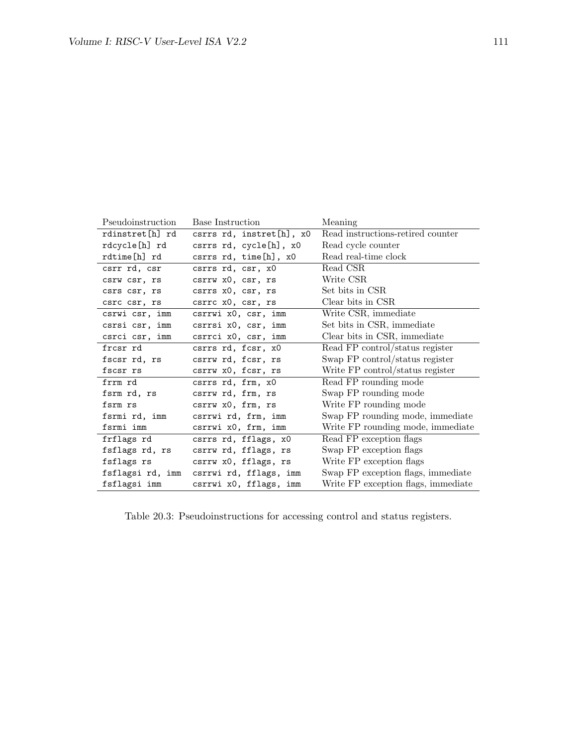| Pseudoinstruction | Base Instruction         | Meaning                             |
|-------------------|--------------------------|-------------------------------------|
| rdinstret[h] rd   | csrrs rd, instret[h], x0 | Read instructions-retired counter   |
| rdcycle[h] rd     | csrrs rd, cycle[h], x0   | Read cycle counter                  |
| rdtime[h] rd      | csrrs rd, time[h], x0    | Read real-time clock                |
| csrr rd, csr      | csrrs rd, csr, x0        | Read CSR                            |
| CSTW CST, TS      | CSTTW XO, CST, TS        | Write CSR                           |
| csrs csr, rs      | csrrs x0, csr, rs        | Set bits in CSR                     |
| csrc csr, rs      | csrrc x0, csr, rs        | Clear bits in CSR                   |
| csrwi csr, imm    | csrrwi x0, csr, imm      | Write CSR, immediate                |
| csrsi csr, imm    | csrrsi x0, csr, imm      | Set bits in CSR, immediate          |
| csrci csr, imm    | csrrci x0, csr, imm      | Clear bits in CSR, immediate        |
| frcsr rd          | csrrs rd, fcsr, x0       | Read FP control/status register     |
| fscsr rd, rs      | csrrw rd, fcsr, rs       | Swap FP control/status register     |
| fscsr rs          | csrrw x0, fcsr, rs       | Write FP control/status register    |
| frrm rd           | csrrs rd, frm, x0        | Read FP rounding mode               |
| fsrm rd, rs       | csrrw rd, frm, rs        | Swap FP rounding mode               |
| fsrm rs           | csrrw x0, frm, rs        | Write FP rounding mode              |
| fsrmi rd, imm     | csrrwi rd, frm, imm      | Swap FP rounding mode, immediate    |
| fsrmi imm         | csrrwi x0, frm, imm      | Write FP rounding mode, immediate   |
| frflags rd        | csrrs rd, fflags, x0     | Read FP exception flags             |
| fsflags rd, rs    | csrrw rd, fflags, rs     | Swap FP exception flags             |
| fsflags rs        | csrrw x0, fflags, rs     | Write FP exception flags            |
| fsflagsi rd, imm  | csrrwi rd, fflags, imm   | Swap FP exception flags, immediate  |
| fsflagsi imm      | csrrwi x0, fflags, imm   | Write FP exception flags, immediate |

<span id="page-122-0"></span>Table 20.3: Pseudoinstructions for accessing control and status registers.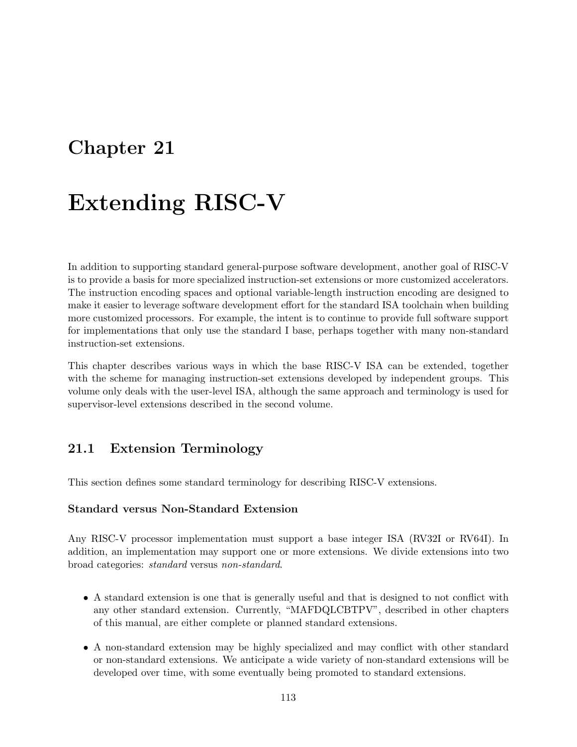# <span id="page-124-0"></span>Extending RISC-V

In addition to supporting standard general-purpose software development, another goal of RISC-V is to provide a basis for more specialized instruction-set extensions or more customized accelerators. The instruction encoding spaces and optional variable-length instruction encoding are designed to make it easier to leverage software development effort for the standard ISA toolchain when building more customized processors. For example, the intent is to continue to provide full software support for implementations that only use the standard I base, perhaps together with many non-standard instruction-set extensions.

This chapter describes various ways in which the base RISC-V ISA can be extended, together with the scheme for managing instruction-set extensions developed by independent groups. This volume only deals with the user-level ISA, although the same approach and terminology is used for supervisor-level extensions described in the second volume.

### 21.1 Extension Terminology

This section defines some standard terminology for describing RISC-V extensions.

#### Standard versus Non-Standard Extension

Any RISC-V processor implementation must support a base integer ISA (RV32I or RV64I). In addition, an implementation may support one or more extensions. We divide extensions into two broad categories: standard versus non-standard.

- A standard extension is one that is generally useful and that is designed to not conflict with any other standard extension. Currently, "MAFDQLCBTPV", described in other chapters of this manual, are either complete or planned standard extensions.
- A non-standard extension may be highly specialized and may conflict with other standard or non-standard extensions. We anticipate a wide variety of non-standard extensions will be developed over time, with some eventually being promoted to standard extensions.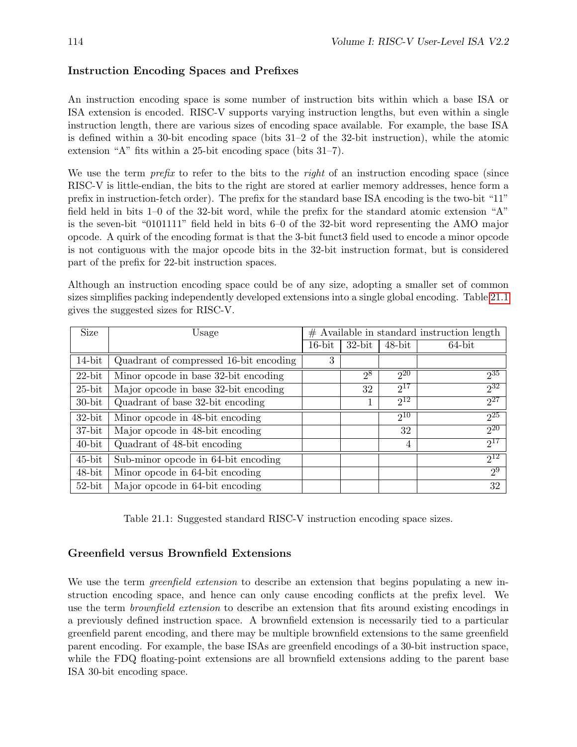#### Instruction Encoding Spaces and Prefixes

An instruction encoding space is some number of instruction bits within which a base ISA or ISA extension is encoded. RISC-V supports varying instruction lengths, but even within a single instruction length, there are various sizes of encoding space available. For example, the base ISA is defined within a 30-bit encoding space (bits 31–2 of the 32-bit instruction), while the atomic extension "A" fits within a 25-bit encoding space (bits 31–7).

We use the term *prefix* to refer to the bits to the *right* of an instruction encoding space (since RISC-V is little-endian, the bits to the right are stored at earlier memory addresses, hence form a prefix in instruction-fetch order). The prefix for the standard base ISA encoding is the two-bit "11" field held in bits 1–0 of the 32-bit word, while the prefix for the standard atomic extension "A" is the seven-bit "0101111" field held in bits 6–0 of the 32-bit word representing the AMO major opcode. A quirk of the encoding format is that the 3-bit funct3 field used to encode a minor opcode is not contiguous with the major opcode bits in the 32-bit instruction format, but is considered part of the prefix for 22-bit instruction spaces.

Although an instruction encoding space could be of any size, adopting a smaller set of common sizes simplifies packing independently developed extensions into a single global encoding. Table [21.1](#page-125-0) gives the suggested sizes for RISC-V.

| Size      | Usage                                  | $#$ Available in standard instruction length |           |          |          |
|-----------|----------------------------------------|----------------------------------------------|-----------|----------|----------|
|           |                                        | $16$ -bit                                    | $32$ -bit | 48-bit   | 64-bit   |
| $14$ -bit | Quadrant of compressed 16-bit encoding | 3                                            |           |          |          |
| $22$ -bit | Minor opcode in base 32-bit encoding   |                                              | $2^8$     | $2^{20}$ | $2^{35}$ |
| $25$ -bit | Major opcode in base 32-bit encoding   |                                              | 32        | $2^{17}$ | $2^{32}$ |
| $30$ -bit | Quadrant of base 32-bit encoding       |                                              |           | $2^{12}$ | $2^{27}$ |
| $32$ -bit | Minor opcode in 48-bit encoding        |                                              |           | $2^{10}$ | $2^{25}$ |
| $37$ -bit | Major opcode in 48-bit encoding        |                                              |           | 32       | $2^{20}$ |
| $40$ -bit | Quadrant of 48-bit encoding            |                                              |           | 4        | $2^{17}$ |
| $45$ -bit | Sub-minor opcode in 64-bit encoding    |                                              |           |          | $2^{12}$ |
| $48$ -bit | Minor opcode in 64-bit encoding        |                                              |           |          | $2^9$    |
| $52$ -bit | Major opcode in 64-bit encoding        |                                              |           |          | 32       |

Table 21.1: Suggested standard RISC-V instruction encoding space sizes.

#### <span id="page-125-0"></span>Greenfield versus Brownfield Extensions

We use the term *greenfield extension* to describe an extension that begins populating a new instruction encoding space, and hence can only cause encoding conflicts at the prefix level. We use the term brownfield extension to describe an extension that fits around existing encodings in a previously defined instruction space. A brownfield extension is necessarily tied to a particular greenfield parent encoding, and there may be multiple brownfield extensions to the same greenfield parent encoding. For example, the base ISAs are greenfield encodings of a 30-bit instruction space, while the FDQ floating-point extensions are all brownfield extensions adding to the parent base ISA 30-bit encoding space.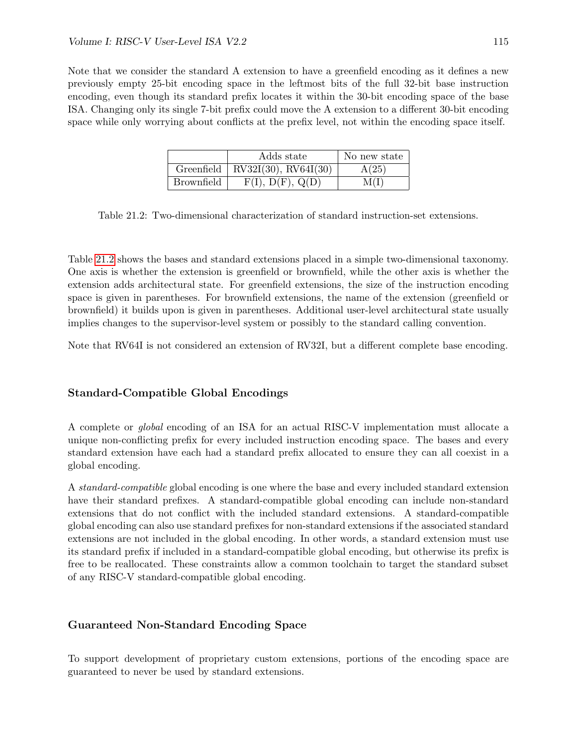Note that we consider the standard A extension to have a greenfield encoding as it defines a new previously empty 25-bit encoding space in the leftmost bits of the full 32-bit base instruction encoding, even though its standard prefix locates it within the 30-bit encoding space of the base ISA. Changing only its single 7-bit prefix could move the A extension to a different 30-bit encoding space while only worrying about conflicts at the prefix level, not within the encoding space itself.

|                   | Adds state                | No new state |
|-------------------|---------------------------|--------------|
| Greenfield        | $RV32I(30)$ , $RV64I(30)$ | A(25)        |
| <b>Brownfield</b> | F(I), D(F), Q(D)          | M(I)         |

<span id="page-126-0"></span>Table 21.2: Two-dimensional characterization of standard instruction-set extensions.

Table [21.2](#page-126-0) shows the bases and standard extensions placed in a simple two-dimensional taxonomy. One axis is whether the extension is greenfield or brownfield, while the other axis is whether the extension adds architectural state. For greenfield extensions, the size of the instruction encoding space is given in parentheses. For brownfield extensions, the name of the extension (greenfield or brownfield) it builds upon is given in parentheses. Additional user-level architectural state usually implies changes to the supervisor-level system or possibly to the standard calling convention.

Note that RV64I is not considered an extension of RV32I, but a different complete base encoding.

#### Standard-Compatible Global Encodings

A complete or global encoding of an ISA for an actual RISC-V implementation must allocate a unique non-conflicting prefix for every included instruction encoding space. The bases and every standard extension have each had a standard prefix allocated to ensure they can all coexist in a global encoding.

A standard-compatible global encoding is one where the base and every included standard extension have their standard prefixes. A standard-compatible global encoding can include non-standard extensions that do not conflict with the included standard extensions. A standard-compatible global encoding can also use standard prefixes for non-standard extensions if the associated standard extensions are not included in the global encoding. In other words, a standard extension must use its standard prefix if included in a standard-compatible global encoding, but otherwise its prefix is free to be reallocated. These constraints allow a common toolchain to target the standard subset of any RISC-V standard-compatible global encoding.

#### Guaranteed Non-Standard Encoding Space

To support development of proprietary custom extensions, portions of the encoding space are guaranteed to never be used by standard extensions.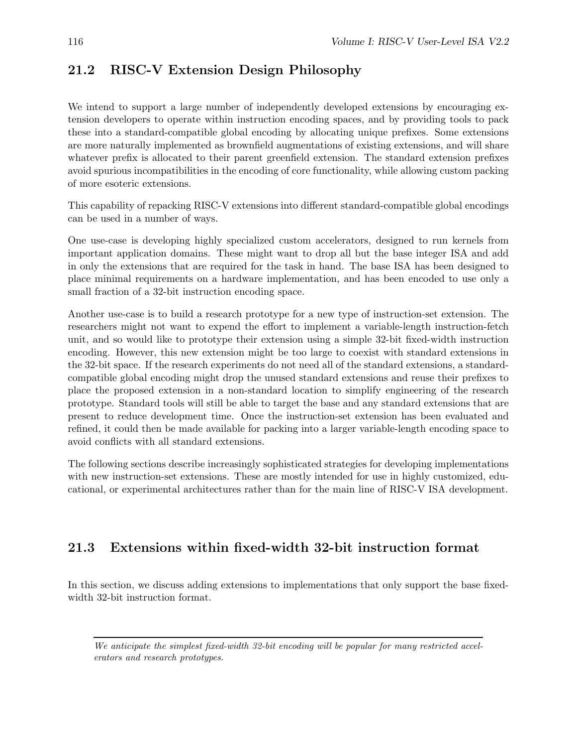#### 21.2 RISC-V Extension Design Philosophy

We intend to support a large number of independently developed extensions by encouraging extension developers to operate within instruction encoding spaces, and by providing tools to pack these into a standard-compatible global encoding by allocating unique prefixes. Some extensions are more naturally implemented as brownfield augmentations of existing extensions, and will share whatever prefix is allocated to their parent greenfield extension. The standard extension prefixes avoid spurious incompatibilities in the encoding of core functionality, while allowing custom packing of more esoteric extensions.

This capability of repacking RISC-V extensions into different standard-compatible global encodings can be used in a number of ways.

One use-case is developing highly specialized custom accelerators, designed to run kernels from important application domains. These might want to drop all but the base integer ISA and add in only the extensions that are required for the task in hand. The base ISA has been designed to place minimal requirements on a hardware implementation, and has been encoded to use only a small fraction of a 32-bit instruction encoding space.

Another use-case is to build a research prototype for a new type of instruction-set extension. The researchers might not want to expend the effort to implement a variable-length instruction-fetch unit, and so would like to prototype their extension using a simple 32-bit fixed-width instruction encoding. However, this new extension might be too large to coexist with standard extensions in the 32-bit space. If the research experiments do not need all of the standard extensions, a standardcompatible global encoding might drop the unused standard extensions and reuse their prefixes to place the proposed extension in a non-standard location to simplify engineering of the research prototype. Standard tools will still be able to target the base and any standard extensions that are present to reduce development time. Once the instruction-set extension has been evaluated and refined, it could then be made available for packing into a larger variable-length encoding space to avoid conflicts with all standard extensions.

The following sections describe increasingly sophisticated strategies for developing implementations with new instruction-set extensions. These are mostly intended for use in highly customized, educational, or experimental architectures rather than for the main line of RISC-V ISA development.

#### 21.3 Extensions within fixed-width 32-bit instruction format

In this section, we discuss adding extensions to implementations that only support the base fixedwidth 32-bit instruction format.

We anticipate the simplest fixed-width 32-bit encoding will be popular for many restricted accelerators and research prototypes.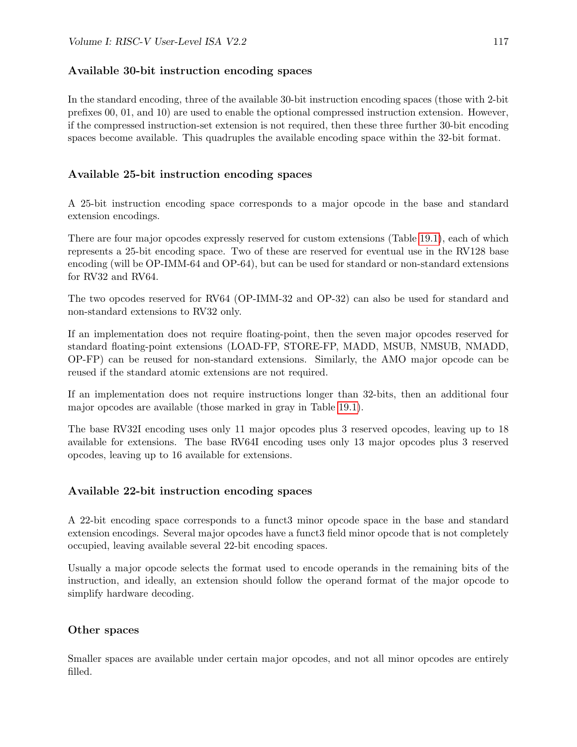#### Available 30-bit instruction encoding spaces

In the standard encoding, three of the available 30-bit instruction encoding spaces (those with 2-bit prefixes 00, 01, and 10) are used to enable the optional compressed instruction extension. However, if the compressed instruction-set extension is not required, then these three further 30-bit encoding spaces become available. This quadruples the available encoding space within the 32-bit format.

#### Available 25-bit instruction encoding spaces

A 25-bit instruction encoding space corresponds to a major opcode in the base and standard extension encodings.

There are four major opcodes expressly reserved for custom extensions (Table [19.1\)](#page-114-0), each of which represents a 25-bit encoding space. Two of these are reserved for eventual use in the RV128 base encoding (will be OP-IMM-64 and OP-64), but can be used for standard or non-standard extensions for RV32 and RV64.

The two opcodes reserved for RV64 (OP-IMM-32 and OP-32) can also be used for standard and non-standard extensions to RV32 only.

If an implementation does not require floating-point, then the seven major opcodes reserved for standard floating-point extensions (LOAD-FP, STORE-FP, MADD, MSUB, NMSUB, NMADD, OP-FP) can be reused for non-standard extensions. Similarly, the AMO major opcode can be reused if the standard atomic extensions are not required.

If an implementation does not require instructions longer than 32-bits, then an additional four major opcodes are available (those marked in gray in Table [19.1\)](#page-114-0).

The base RV32I encoding uses only 11 major opcodes plus 3 reserved opcodes, leaving up to 18 available for extensions. The base RV64I encoding uses only 13 major opcodes plus 3 reserved opcodes, leaving up to 16 available for extensions.

#### Available 22-bit instruction encoding spaces

A 22-bit encoding space corresponds to a funct3 minor opcode space in the base and standard extension encodings. Several major opcodes have a funct3 field minor opcode that is not completely occupied, leaving available several 22-bit encoding spaces.

Usually a major opcode selects the format used to encode operands in the remaining bits of the instruction, and ideally, an extension should follow the operand format of the major opcode to simplify hardware decoding.

#### Other spaces

Smaller spaces are available under certain major opcodes, and not all minor opcodes are entirely filled.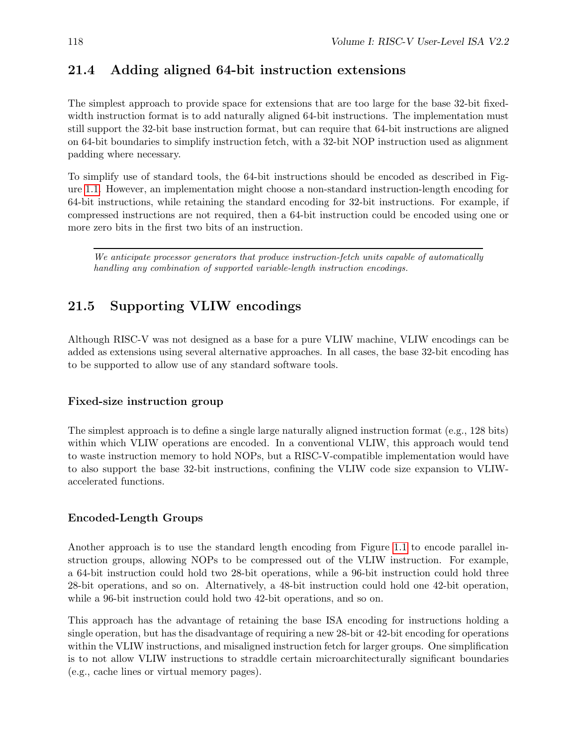### 21.4 Adding aligned 64-bit instruction extensions

The simplest approach to provide space for extensions that are too large for the base 32-bit fixedwidth instruction format is to add naturally aligned 64-bit instructions. The implementation must still support the 32-bit base instruction format, but can require that 64-bit instructions are aligned on 64-bit boundaries to simplify instruction fetch, with a 32-bit NOP instruction used as alignment padding where necessary.

To simplify use of standard tools, the 64-bit instructions should be encoded as described in Figure [1.1.](#page-17-0) However, an implementation might choose a non-standard instruction-length encoding for 64-bit instructions, while retaining the standard encoding for 32-bit instructions. For example, if compressed instructions are not required, then a 64-bit instruction could be encoded using one or more zero bits in the first two bits of an instruction.

We anticipate processor generators that produce instruction-fetch units capable of automatically handling any combination of supported variable-length instruction encodings.

### 21.5 Supporting VLIW encodings

Although RISC-V was not designed as a base for a pure VLIW machine, VLIW encodings can be added as extensions using several alternative approaches. In all cases, the base 32-bit encoding has to be supported to allow use of any standard software tools.

#### Fixed-size instruction group

The simplest approach is to define a single large naturally aligned instruction format (e.g., 128 bits) within which VLIW operations are encoded. In a conventional VLIW, this approach would tend to waste instruction memory to hold NOPs, but a RISC-V-compatible implementation would have to also support the base 32-bit instructions, confining the VLIW code size expansion to VLIWaccelerated functions.

#### Encoded-Length Groups

Another approach is to use the standard length encoding from Figure [1.1](#page-17-0) to encode parallel instruction groups, allowing NOPs to be compressed out of the VLIW instruction. For example, a 64-bit instruction could hold two 28-bit operations, while a 96-bit instruction could hold three 28-bit operations, and so on. Alternatively, a 48-bit instruction could hold one 42-bit operation, while a 96-bit instruction could hold two 42-bit operations, and so on.

This approach has the advantage of retaining the base ISA encoding for instructions holding a single operation, but has the disadvantage of requiring a new 28-bit or 42-bit encoding for operations within the VLIW instructions, and misaligned instruction fetch for larger groups. One simplification is to not allow VLIW instructions to straddle certain microarchitecturally significant boundaries (e.g., cache lines or virtual memory pages).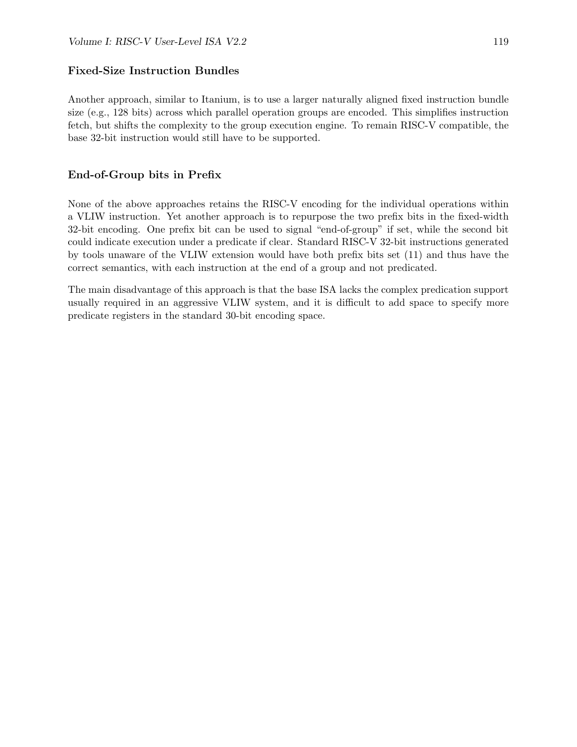#### Fixed-Size Instruction Bundles

Another approach, similar to Itanium, is to use a larger naturally aligned fixed instruction bundle size (e.g., 128 bits) across which parallel operation groups are encoded. This simplifies instruction fetch, but shifts the complexity to the group execution engine. To remain RISC-V compatible, the base 32-bit instruction would still have to be supported.

#### End-of-Group bits in Prefix

None of the above approaches retains the RISC-V encoding for the individual operations within a VLIW instruction. Yet another approach is to repurpose the two prefix bits in the fixed-width 32-bit encoding. One prefix bit can be used to signal "end-of-group" if set, while the second bit could indicate execution under a predicate if clear. Standard RISC-V 32-bit instructions generated by tools unaware of the VLIW extension would have both prefix bits set (11) and thus have the correct semantics, with each instruction at the end of a group and not predicated.

The main disadvantage of this approach is that the base ISA lacks the complex predication support usually required in an aggressive VLIW system, and it is difficult to add space to specify more predicate registers in the standard 30-bit encoding space.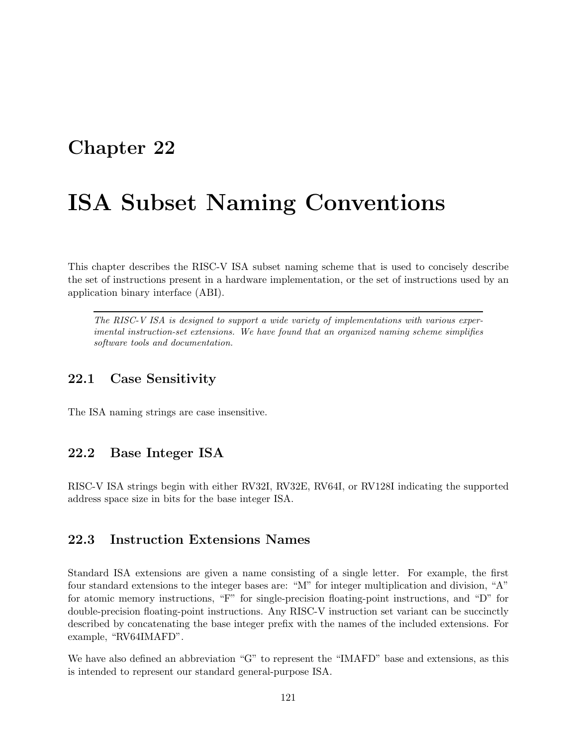# ISA Subset Naming Conventions

This chapter describes the RISC-V ISA subset naming scheme that is used to concisely describe the set of instructions present in a hardware implementation, or the set of instructions used by an application binary interface (ABI).

The RISC-V ISA is designed to support a wide variety of implementations with various experimental instruction-set extensions. We have found that an organized naming scheme simplifies software tools and documentation.

#### 22.1 Case Sensitivity

The ISA naming strings are case insensitive.

#### 22.2 Base Integer ISA

RISC-V ISA strings begin with either RV32I, RV32E, RV64I, or RV128I indicating the supported address space size in bits for the base integer ISA.

#### 22.3 Instruction Extensions Names

Standard ISA extensions are given a name consisting of a single letter. For example, the first four standard extensions to the integer bases are: "M" for integer multiplication and division, "A" for atomic memory instructions, "F" for single-precision floating-point instructions, and "D" for double-precision floating-point instructions. Any RISC-V instruction set variant can be succinctly described by concatenating the base integer prefix with the names of the included extensions. For example, "RV64IMAFD".

We have also defined an abbreviation "G" to represent the "IMAFD" base and extensions, as this is intended to represent our standard general-purpose ISA.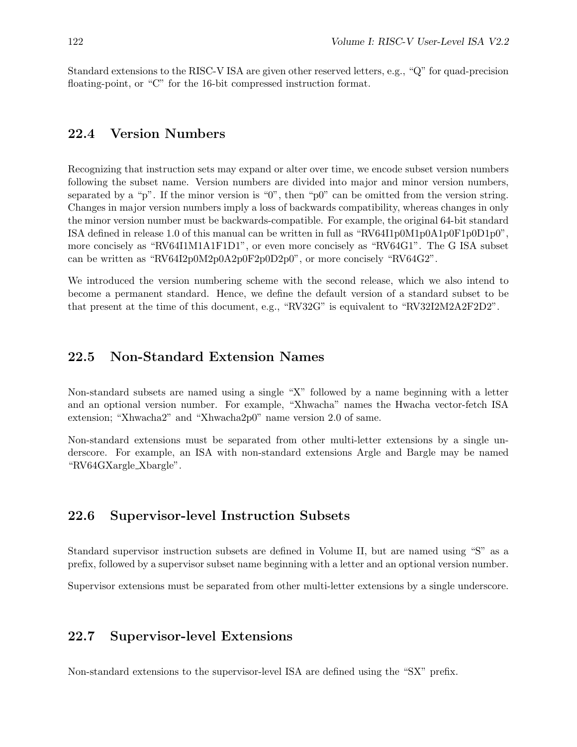Standard extensions to the RISC-V ISA are given other reserved letters, e.g., "Q" for quad-precision floating-point, or "C" for the 16-bit compressed instruction format.

#### 22.4 Version Numbers

Recognizing that instruction sets may expand or alter over time, we encode subset version numbers following the subset name. Version numbers are divided into major and minor version numbers, separated by a "p". If the minor version is "0", then "p0" can be omitted from the version string. Changes in major version numbers imply a loss of backwards compatibility, whereas changes in only the minor version number must be backwards-compatible. For example, the original 64-bit standard ISA defined in release 1.0 of this manual can be written in full as "RV64I1p0M1p0A1p0F1p0D1p0", more concisely as "RV64I1M1A1F1D1", or even more concisely as "RV64G1". The G ISA subset can be written as "RV64I2p0M2p0A2p0F2p0D2p0", or more concisely "RV64G2".

We introduced the version numbering scheme with the second release, which we also intend to become a permanent standard. Hence, we define the default version of a standard subset to be that present at the time of this document, e.g., "RV32G" is equivalent to "RV32I2M2A2F2D2".

#### 22.5 Non-Standard Extension Names

Non-standard subsets are named using a single "X" followed by a name beginning with a letter and an optional version number. For example, "Xhwacha" names the Hwacha vector-fetch ISA extension; "Xhwacha2" and "Xhwacha2p0" name version 2.0 of same.

Non-standard extensions must be separated from other multi-letter extensions by a single underscore. For example, an ISA with non-standard extensions Argle and Bargle may be named "RV64GXargle Xbargle".

#### 22.6 Supervisor-level Instruction Subsets

Standard supervisor instruction subsets are defined in Volume II, but are named using "S" as a prefix, followed by a supervisor subset name beginning with a letter and an optional version number.

Supervisor extensions must be separated from other multi-letter extensions by a single underscore.

#### 22.7 Supervisor-level Extensions

Non-standard extensions to the supervisor-level ISA are defined using the "SX" prefix.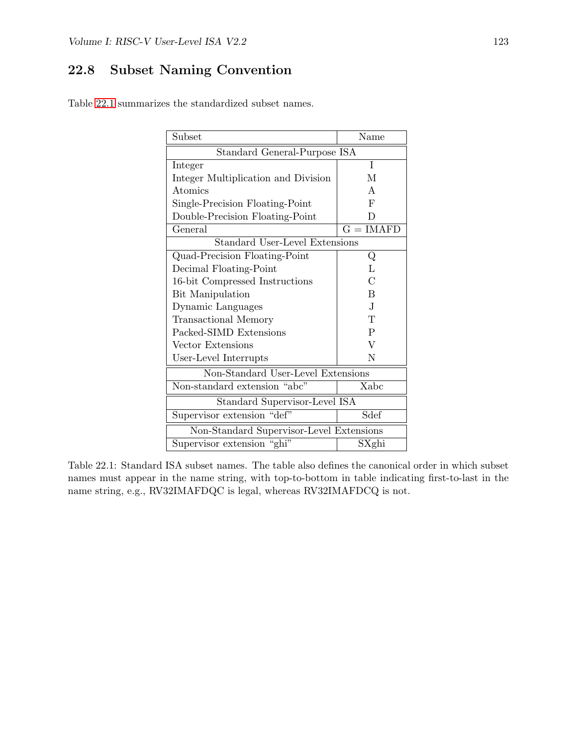### 22.8 Subset Naming Convention

Table [22.1](#page-134-0) summarizes the standardized subset names.

<span id="page-134-0"></span>

| Subset                                   | Name         |  |
|------------------------------------------|--------------|--|
| Standard General-Purpose ISA             |              |  |
| Integer                                  | I            |  |
| Integer Multiplication and Division      | М            |  |
| Atomics                                  | $\mathsf{A}$ |  |
| Single-Precision Floating-Point          | F            |  |
| Double-Precision Floating-Point          | D            |  |
| General                                  | $G = IMAFD$  |  |
| Standard User-Level Extensions           |              |  |
| Quad-Precision Floating-Point            | Q            |  |
| Decimal Floating-Point                   | L            |  |
| 16-bit Compressed Instructions           | $\cap$       |  |
| Bit Manipulation                         | B            |  |
| Dynamic Languages                        | J.           |  |
| Transactional Memory                     | T            |  |
| Packed-SIMD Extensions                   | $\mathbf{P}$ |  |
| Vector Extensions                        | V            |  |
| User-Level Interrupts                    | N            |  |
| Non-Standard User-Level Extensions       |              |  |
| Non-standard extension "abc"             | Xabc         |  |
| Standard Supervisor-Level ISA            |              |  |
| Supervisor extension "def"               | Sdef         |  |
| Non-Standard Supervisor-Level Extensions |              |  |
| Supervisor extension "ghi"               | SXghi        |  |

Table 22.1: Standard ISA subset names. The table also defines the canonical order in which subset names must appear in the name string, with top-to-bottom in table indicating first-to-last in the name string, e.g., RV32IMAFDQC is legal, whereas RV32IMAFDCQ is not.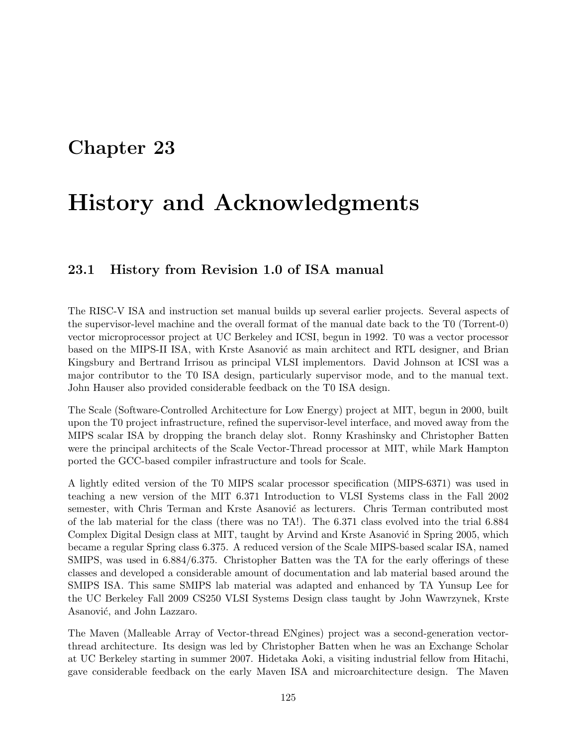## History and Acknowledgments

#### 23.1 History from Revision 1.0 of ISA manual

The RISC-V ISA and instruction set manual builds up several earlier projects. Several aspects of the supervisor-level machine and the overall format of the manual date back to the T0 (Torrent-0) vector microprocessor project at UC Berkeley and ICSI, begun in 1992. T0 was a vector processor based on the MIPS-II ISA, with Krste Asanović as main architect and RTL designer, and Brian Kingsbury and Bertrand Irrisou as principal VLSI implementors. David Johnson at ICSI was a major contributor to the T0 ISA design, particularly supervisor mode, and to the manual text. John Hauser also provided considerable feedback on the T0 ISA design.

The Scale (Software-Controlled Architecture for Low Energy) project at MIT, begun in 2000, built upon the T0 project infrastructure, refined the supervisor-level interface, and moved away from the MIPS scalar ISA by dropping the branch delay slot. Ronny Krashinsky and Christopher Batten were the principal architects of the Scale Vector-Thread processor at MIT, while Mark Hampton ported the GCC-based compiler infrastructure and tools for Scale.

A lightly edited version of the T0 MIPS scalar processor specification (MIPS-6371) was used in teaching a new version of the MIT 6.371 Introduction to VLSI Systems class in the Fall 2002 semester, with Chris Terman and Krste Asanović as lecturers. Chris Terman contributed most of the lab material for the class (there was no TA!). The 6.371 class evolved into the trial 6.884 Complex Digital Design class at MIT, taught by Arvind and Krste Asanović in Spring 2005, which became a regular Spring class 6.375. A reduced version of the Scale MIPS-based scalar ISA, named SMIPS, was used in 6.884/6.375. Christopher Batten was the TA for the early offerings of these classes and developed a considerable amount of documentation and lab material based around the SMIPS ISA. This same SMIPS lab material was adapted and enhanced by TA Yunsup Lee for the UC Berkeley Fall 2009 CS250 VLSI Systems Design class taught by John Wawrzynek, Krste Asanović, and John Lazzaro.

The Maven (Malleable Array of Vector-thread ENgines) project was a second-generation vectorthread architecture. Its design was led by Christopher Batten when he was an Exchange Scholar at UC Berkeley starting in summer 2007. Hidetaka Aoki, a visiting industrial fellow from Hitachi, gave considerable feedback on the early Maven ISA and microarchitecture design. The Maven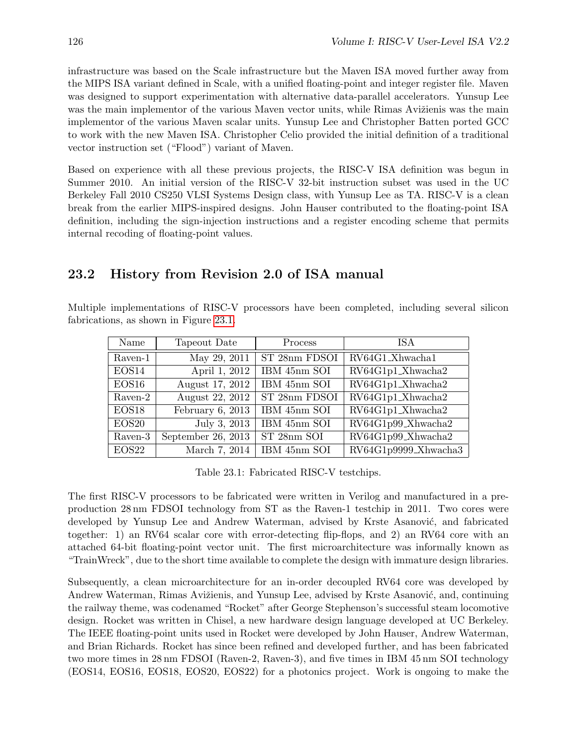infrastructure was based on the Scale infrastructure but the Maven ISA moved further away from the MIPS ISA variant defined in Scale, with a unified floating-point and integer register file. Maven was designed to support experimentation with alternative data-parallel accelerators. Yunsup Lee was the main implementor of the various Maven vector units, while Rimas Avizienis was the main implementor of the various Maven scalar units. Yunsup Lee and Christopher Batten ported GCC to work with the new Maven ISA. Christopher Celio provided the initial definition of a traditional vector instruction set ("Flood") variant of Maven.

Based on experience with all these previous projects, the RISC-V ISA definition was begun in Summer 2010. An initial version of the RISC-V 32-bit instruction subset was used in the UC Berkeley Fall 2010 CS250 VLSI Systems Design class, with Yunsup Lee as TA. RISC-V is a clean break from the earlier MIPS-inspired designs. John Hauser contributed to the floating-point ISA definition, including the sign-injection instructions and a register encoding scheme that permits internal recoding of floating-point values.

#### 23.2 History from Revision 2.0 of ISA manual

Multiple implementations of RISC-V processors have been completed, including several silicon fabrications, as shown in Figure [23.1.](#page-137-0)

| Name              | Tapeout Date       | Process       | <b>ISA</b>                                                   |
|-------------------|--------------------|---------------|--------------------------------------------------------------|
| Raven-1           | May 29, 2011       | ST 28nm FDSOI | RV64G1_Xhwacha1                                              |
| EOS14             | April 1, 2012      | IBM 45nm SOI  | RV64G1p1_Xhwacha2                                            |
| EOS16             | August 17, 2012    | IBM 45nm SOI  | RV64G1p1_Xhwacha2                                            |
| Raven-2           | August 22, 2012    | ST 28nm FDSOI | RV64G1p1_Xhwacha2                                            |
| EOS <sub>18</sub> | February $6, 2013$ | IBM 45nm SOI  | RV64G1p1_Xhwacha2                                            |
| EOS20             | July 3, 2013       | IBM 45nm SOI  | $\overline{\text{RV}64}$ G1p99_Xhwacha2                      |
| Raven-3           | September 26, 2013 | ST 28nm SOI   | RV64G1p99_Xhwacha2                                           |
| EOS22             | March 7, 2014      | IBM 45nm SOI  | $\overline{\text{RV}64\text{G}1\text{p}9999}\text{Xhwacha}3$ |

Table 23.1: Fabricated RISC-V testchips.

<span id="page-137-0"></span>The first RISC-V processors to be fabricated were written in Verilog and manufactured in a preproduction 28 nm FDSOI technology from ST as the Raven-1 testchip in 2011. Two cores were developed by Yunsup Lee and Andrew Waterman, advised by Krste Asanović, and fabricated together: 1) an RV64 scalar core with error-detecting flip-flops, and 2) an RV64 core with an attached 64-bit floating-point vector unit. The first microarchitecture was informally known as "TrainWreck", due to the short time available to complete the design with immature design libraries.

Subsequently, a clean microarchitecture for an in-order decoupled RV64 core was developed by Andrew Waterman, Rimas Avižienis, and Yunsup Lee, advised by Krste Asanović, and, continuing the railway theme, was codenamed "Rocket" after George Stephenson's successful steam locomotive design. Rocket was written in Chisel, a new hardware design language developed at UC Berkeley. The IEEE floating-point units used in Rocket were developed by John Hauser, Andrew Waterman, and Brian Richards. Rocket has since been refined and developed further, and has been fabricated two more times in 28 nm FDSOI (Raven-2, Raven-3), and five times in IBM 45 nm SOI technology (EOS14, EOS16, EOS18, EOS20, EOS22) for a photonics project. Work is ongoing to make the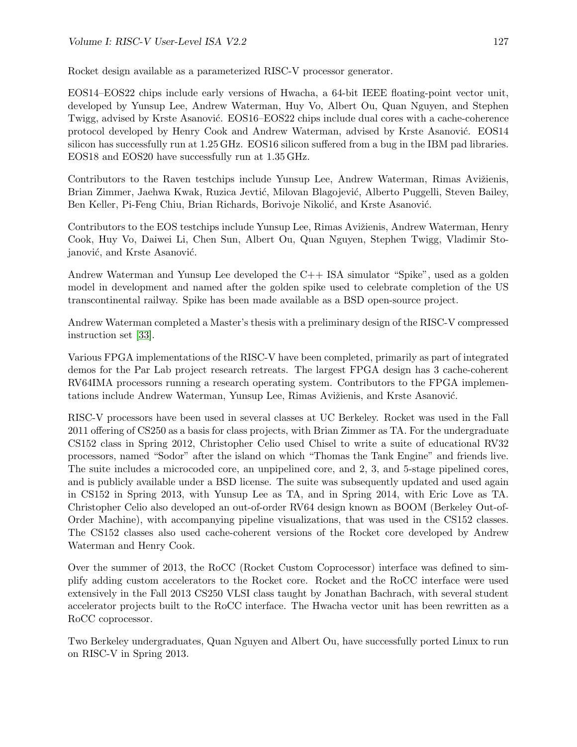Rocket design available as a parameterized RISC-V processor generator.

EOS14–EOS22 chips include early versions of Hwacha, a 64-bit IEEE floating-point vector unit, developed by Yunsup Lee, Andrew Waterman, Huy Vo, Albert Ou, Quan Nguyen, and Stephen Twigg, advised by Krste Asanović. EOS16–EOS22 chips include dual cores with a cache-coherence protocol developed by Henry Cook and Andrew Waterman, advised by Krste Asanović. EOS14 silicon has successfully run at 1.25 GHz. EOS16 silicon suffered from a bug in the IBM pad libraries. EOS18 and EOS20 have successfully run at 1.35 GHz.

Contributors to the Raven testchips include Yunsup Lee, Andrew Waterman, Rimas Avižienis, Brian Zimmer, Jaehwa Kwak, Ruzica Jevtić, Milovan Blagojević, Alberto Puggelli, Steven Bailey, Ben Keller, Pi-Feng Chiu, Brian Richards, Borivoje Nikolić, and Krste Asanović.

Contributors to the EOS testchips include Yunsup Lee, Rimas Avižienis, Andrew Waterman, Henry Cook, Huy Vo, Daiwei Li, Chen Sun, Albert Ou, Quan Nguyen, Stephen Twigg, Vladimir Stojanović, and Krste Asanović.

Andrew Waterman and Yunsup Lee developed the C++ ISA simulator "Spike", used as a golden model in development and named after the golden spike used to celebrate completion of the US transcontinental railway. Spike has been made available as a BSD open-source project.

Andrew Waterman completed a Master's thesis with a preliminary design of the RISC-V compressed instruction set [\[33\]](#page-144-0).

Various FPGA implementations of the RISC-V have been completed, primarily as part of integrated demos for the Par Lab project research retreats. The largest FPGA design has 3 cache-coherent RV64IMA processors running a research operating system. Contributors to the FPGA implementations include Andrew Waterman, Yunsup Lee, Rimas Avižienis, and Krste Asanović.

RISC-V processors have been used in several classes at UC Berkeley. Rocket was used in the Fall 2011 offering of CS250 as a basis for class projects, with Brian Zimmer as TA. For the undergraduate CS152 class in Spring 2012, Christopher Celio used Chisel to write a suite of educational RV32 processors, named "Sodor" after the island on which "Thomas the Tank Engine" and friends live. The suite includes a microcoded core, an unpipelined core, and 2, 3, and 5-stage pipelined cores, and is publicly available under a BSD license. The suite was subsequently updated and used again in CS152 in Spring 2013, with Yunsup Lee as TA, and in Spring 2014, with Eric Love as TA. Christopher Celio also developed an out-of-order RV64 design known as BOOM (Berkeley Out-of-Order Machine), with accompanying pipeline visualizations, that was used in the CS152 classes. The CS152 classes also used cache-coherent versions of the Rocket core developed by Andrew Waterman and Henry Cook.

Over the summer of 2013, the RoCC (Rocket Custom Coprocessor) interface was defined to simplify adding custom accelerators to the Rocket core. Rocket and the RoCC interface were used extensively in the Fall 2013 CS250 VLSI class taught by Jonathan Bachrach, with several student accelerator projects built to the RoCC interface. The Hwacha vector unit has been rewritten as a RoCC coprocessor.

Two Berkeley undergraduates, Quan Nguyen and Albert Ou, have successfully ported Linux to run on RISC-V in Spring 2013.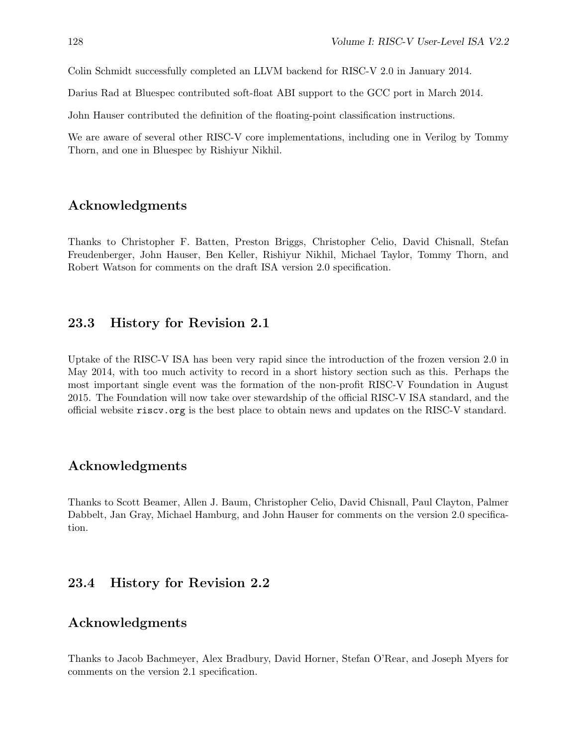Colin Schmidt successfully completed an LLVM backend for RISC-V 2.0 in January 2014.

Darius Rad at Bluespec contributed soft-float ABI support to the GCC port in March 2014.

John Hauser contributed the definition of the floating-point classification instructions.

We are aware of several other RISC-V core implementations, including one in Verilog by Tommy Thorn, and one in Bluespec by Rishiyur Nikhil.

#### Acknowledgments

Thanks to Christopher F. Batten, Preston Briggs, Christopher Celio, David Chisnall, Stefan Freudenberger, John Hauser, Ben Keller, Rishiyur Nikhil, Michael Taylor, Tommy Thorn, and Robert Watson for comments on the draft ISA version 2.0 specification.

#### 23.3 History for Revision 2.1

Uptake of the RISC-V ISA has been very rapid since the introduction of the frozen version 2.0 in May 2014, with too much activity to record in a short history section such as this. Perhaps the most important single event was the formation of the non-profit RISC-V Foundation in August 2015. The Foundation will now take over stewardship of the official RISC-V ISA standard, and the official website riscv.org is the best place to obtain news and updates on the RISC-V standard.

#### Acknowledgments

Thanks to Scott Beamer, Allen J. Baum, Christopher Celio, David Chisnall, Paul Clayton, Palmer Dabbelt, Jan Gray, Michael Hamburg, and John Hauser for comments on the version 2.0 specification.

#### 23.4 History for Revision 2.2

#### Acknowledgments

Thanks to Jacob Bachmeyer, Alex Bradbury, David Horner, Stefan O'Rear, and Joseph Myers for comments on the version 2.1 specification.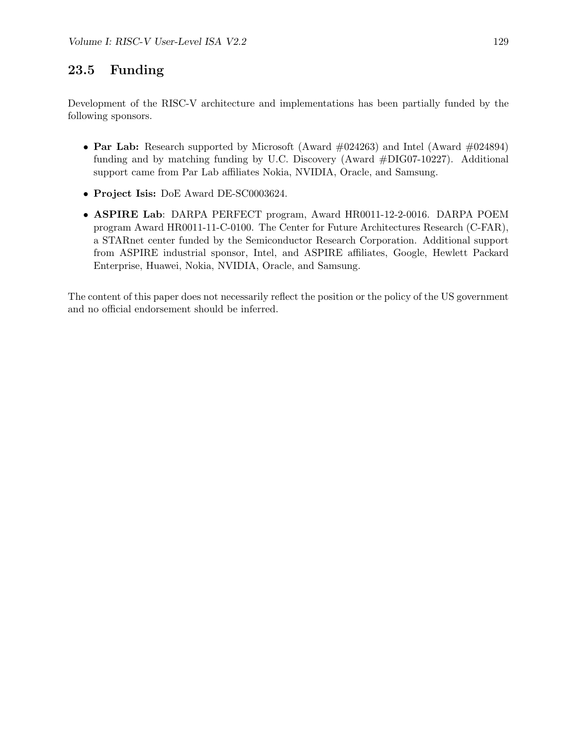### 23.5 Funding

Development of the RISC-V architecture and implementations has been partially funded by the following sponsors.

- Par Lab: Research supported by Microsoft (Award  $\#024263$ ) and Intel (Award  $\#024894$ ) funding and by matching funding by U.C. Discovery (Award #DIG07-10227). Additional support came from Par Lab affiliates Nokia, NVIDIA, Oracle, and Samsung.
- Project Isis: DoE Award DE-SC0003624.
- ASPIRE Lab: DARPA PERFECT program, Award HR0011-12-2-0016. DARPA POEM program Award HR0011-11-C-0100. The Center for Future Architectures Research (C-FAR), a STARnet center funded by the Semiconductor Research Corporation. Additional support from ASPIRE industrial sponsor, Intel, and ASPIRE affiliates, Google, Hewlett Packard Enterprise, Huawei, Nokia, NVIDIA, Oracle, and Samsung.

The content of this paper does not necessarily reflect the position or the policy of the US government and no official endorsement should be inferred.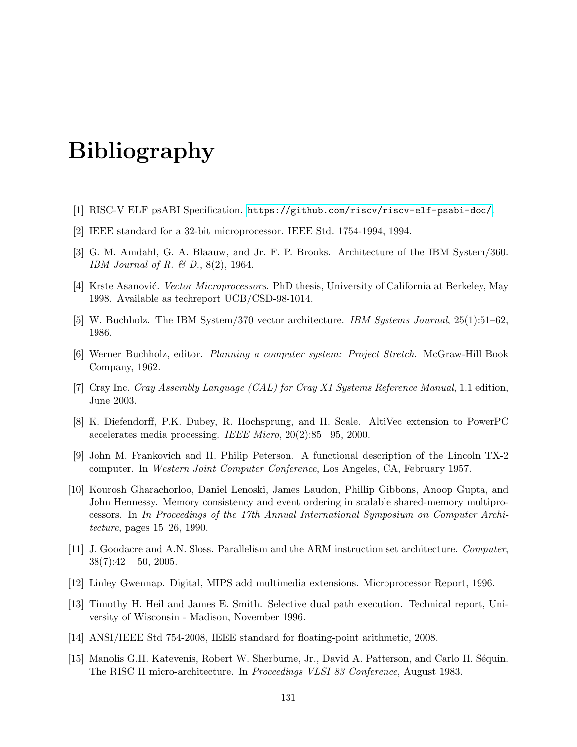# Bibliography

- [1] RISC-V ELF psABI Specification. <https://github.com/riscv/riscv-elf-psabi-doc/>.
- [2] IEEE standard for a 32-bit microprocessor. IEEE Std. 1754-1994, 1994.
- [3] G. M. Amdahl, G. A. Blaauw, and Jr. F. P. Brooks. Architecture of the IBM System/360. IBM Journal of R. & D., 8(2), 1964.
- <span id="page-142-2"></span>[4] Krste Asanović. *Vector Microprocessors*. PhD thesis, University of California at Berkeley, May 1998. Available as techreport UCB/CSD-98-1014.
- <span id="page-142-1"></span>[5] W. Buchholz. The IBM System/370 vector architecture. IBM Systems Journal, 25(1):51–62, 1986.
- [6] Werner Buchholz, editor. Planning a computer system: Project Stretch. McGraw-Hill Book Company, 1962.
- <span id="page-142-0"></span>[7] Cray Inc. Cray Assembly Language (CAL) for Cray X1 Systems Reference Manual, 1.1 edition, June 2003.
- [8] K. Diefendorff, P.K. Dubey, R. Hochsprung, and H. Scale. AltiVec extension to PowerPC accelerates media processing. IEEE Micro, 20(2):85 –95, 2000.
- [9] John M. Frankovich and H. Philip Peterson. A functional description of the Lincoln TX-2 computer. In Western Joint Computer Conference, Los Angeles, CA, February 1957.
- [10] Kourosh Gharachorloo, Daniel Lenoski, James Laudon, Phillip Gibbons, Anoop Gupta, and John Hennessy. Memory consistency and event ordering in scalable shared-memory multiprocessors. In In Proceedings of the 17th Annual International Symposium on Computer Architecture, pages 15–26, 1990.
- [11] J. Goodacre and A.N. Sloss. Parallelism and the ARM instruction set architecture. Computer,  $38(7):42 - 50, 2005.$
- [12] Linley Gwennap. Digital, MIPS add multimedia extensions. Microprocessor Report, 1996.
- [13] Timothy H. Heil and James E. Smith. Selective dual path execution. Technical report, University of Wisconsin - Madison, November 1996.
- [14] ANSI/IEEE Std 754-2008, IEEE standard for floating-point arithmetic, 2008.
- [15] Manolis G.H. Katevenis, Robert W. Sherburne, Jr., David A. Patterson, and Carlo H. Séquin. The RISC II micro-architecture. In Proceedings VLSI 83 Conference, August 1983.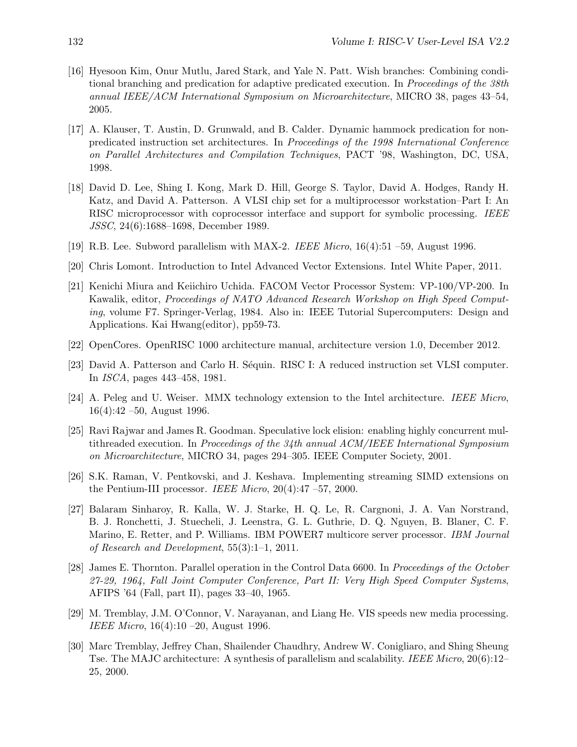- [16] Hyesoon Kim, Onur Mutlu, Jared Stark, and Yale N. Patt. Wish branches: Combining conditional branching and predication for adaptive predicated execution. In Proceedings of the 38th annual IEEE/ACM International Symposium on Microarchitecture, MICRO 38, pages 43–54, 2005.
- [17] A. Klauser, T. Austin, D. Grunwald, and B. Calder. Dynamic hammock predication for nonpredicated instruction set architectures. In Proceedings of the 1998 International Conference on Parallel Architectures and Compilation Techniques, PACT '98, Washington, DC, USA, 1998.
- [18] David D. Lee, Shing I. Kong, Mark D. Hill, George S. Taylor, David A. Hodges, Randy H. Katz, and David A. Patterson. A VLSI chip set for a multiprocessor workstation–Part I: An RISC microprocessor with coprocessor interface and support for symbolic processing. IEEE JSSC, 24(6):1688–1698, December 1989.
- [19] R.B. Lee. Subword parallelism with MAX-2. IEEE Micro, 16(4):51 –59, August 1996.
- [20] Chris Lomont. Introduction to Intel Advanced Vector Extensions. Intel White Paper, 2011.
- [21] Kenichi Miura and Keiichiro Uchida. FACOM Vector Processor System: VP-100/VP-200. In Kawalik, editor, Proceedings of NATO Advanced Research Workshop on High Speed Computing, volume F7. Springer-Verlag, 1984. Also in: IEEE Tutorial Supercomputers: Design and Applications. Kai Hwang(editor), pp59-73.
- [22] OpenCores. OpenRISC 1000 architecture manual, architecture version 1.0, December 2012.
- [23] David A. Patterson and Carlo H. Séquin. RISC I: A reduced instruction set VLSI computer. In ISCA, pages 443–458, 1981.
- [24] A. Peleg and U. Weiser. MMX technology extension to the Intel architecture. IEEE Micro,  $16(4):42 - 50$ , August 1996.
- [25] Ravi Rajwar and James R. Goodman. Speculative lock elision: enabling highly concurrent multithreaded execution. In Proceedings of the  $34th$  annual  $ACM/IEEE International Symposium$ on Microarchitecture, MICRO 34, pages 294–305. IEEE Computer Society, 2001.
- [26] S.K. Raman, V. Pentkovski, and J. Keshava. Implementing streaming SIMD extensions on the Pentium-III processor. IEEE Micro,  $20(4):47-57$ ,  $2000$ .
- [27] Balaram Sinharoy, R. Kalla, W. J. Starke, H. Q. Le, R. Cargnoni, J. A. Van Norstrand, B. J. Ronchetti, J. Stuecheli, J. Leenstra, G. L. Guthrie, D. Q. Nguyen, B. Blaner, C. F. Marino, E. Retter, and P. Williams. IBM POWER7 multicore server processor. *IBM Journal* of Research and Development, 55(3):1–1, 2011.
- [28] James E. Thornton. Parallel operation in the Control Data 6600. In Proceedings of the October 27-29, 1964, Fall Joint Computer Conference, Part II: Very High Speed Computer Systems, AFIPS '64 (Fall, part II), pages 33–40, 1965.
- [29] M. Tremblay, J.M. O'Connor, V. Narayanan, and Liang He. VIS speeds new media processing. IEEE Micro, 16(4):10 –20, August 1996.
- [30] Marc Tremblay, Jeffrey Chan, Shailender Chaudhry, Andrew W. Conigliaro, and Shing Sheung Tse. The MAJC architecture: A synthesis of parallelism and scalability. IEEE Micro, 20(6):12-25, 2000.